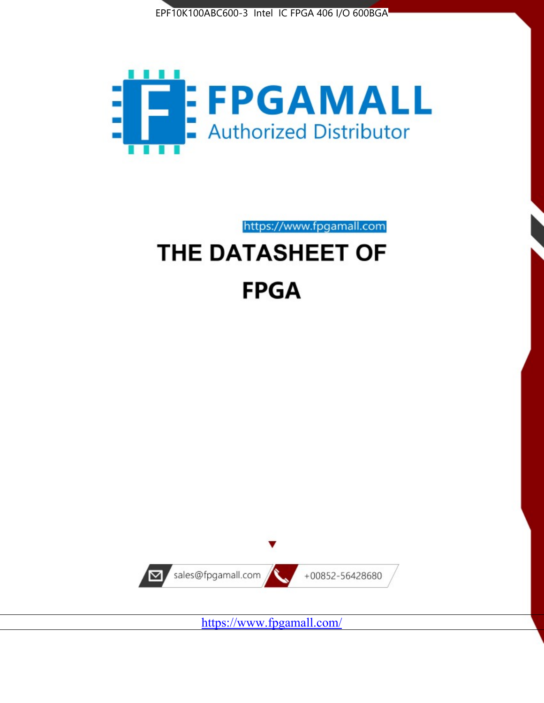



https://www.fpgamall.com THE DATASHEET OF

# **FPGA**



<https://www.fpgamall.com/>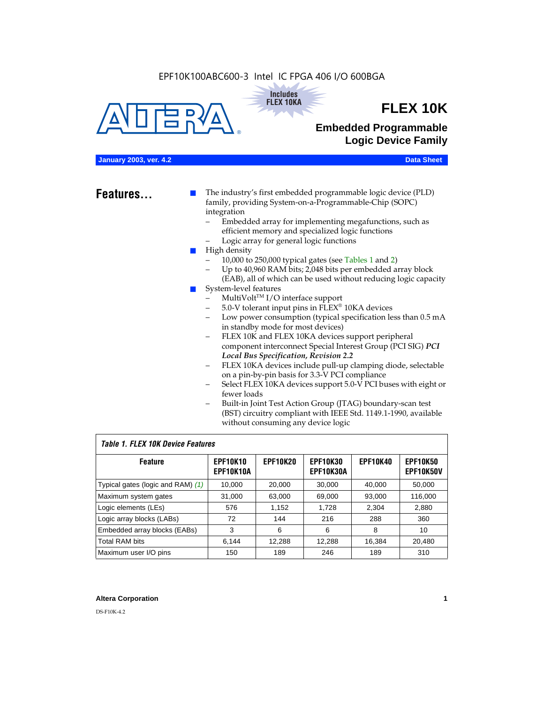#### EPF10K100ABC600-3 Intel IC FPGA 406 I/O 600BGA





## **FLEX 10K**

### **Embedded Programmable Logic Device Family**

#### **January 2003, ver. 4.2 Data Sheet**

**Features...** ■ The industry's first embedded programmable logic device (PLD) family, providing System-on-a-Programmable-Chip (SOPC) integration

- Embedded array for implementing megafunctions, such as efficient memory and specialized logic functions
- Logic array for general logic functions
- High density
	- 10,000 to 250,000 typical gates (see Tables 1 and 2)
	- Up to 40,960 RAM bits; 2,048 bits per embedded array block (EAB), all of which can be used without reducing logic capacity
- System-level features
	- $MultiVolt<sup>TM</sup> I/O interface support$
	- 5.0-V tolerant input pins in FLEX® 10KA devices
	- Low power consumption (typical specification less than 0.5 mA in standby mode for most devices)
	- FLEX 10K and FLEX 10KA devices support peripheral component interconnect Special Interest Group (PCI SIG) *PCI Local Bus Specification, Revision 2.2*
	- FLEX 10KA devices include pull-up clamping diode, selectable on a pin-by-pin basis for 3.3-V PCI compliance
	- Select FLEX 10KA devices support 5.0-V PCI buses with eight or fewer loads
	- Built-in Joint Test Action Group (JTAG) boundary-scan test (BST) circuitry compliant with IEEE Std. 1149.1-1990, available without consuming any device logic

#### *Table 1. FLEX 10K Device Features*

| <b>Feature</b>                    | <b>EPF10K10</b><br>EPF10K10A | <b>EPF10K20</b> | <b>EPF10K30</b><br><b>EPF10K30A</b> | <b>EPF10K40</b> | <b>EPF10K50</b><br><b>EPF10K50V</b> |
|-----------------------------------|------------------------------|-----------------|-------------------------------------|-----------------|-------------------------------------|
| Typical gates (logic and RAM) (1) | 10,000                       | 20,000          | 30,000                              | 40,000          | 50,000                              |
| Maximum system gates              | 31,000                       | 63,000          | 69,000                              | 93,000          | 116,000                             |
| Logic elements (LEs)              | 576                          | 1,152           | 1,728                               | 2,304           | 2,880                               |
| Logic array blocks (LABs)         | 72                           | 144             | 216                                 | 288             | 360                                 |
| Embedded array blocks (EABs)      | 3                            | 6               | 6                                   | 8               | 10                                  |
| <b>Total RAM bits</b>             | 6.144                        | 12,288          | 12,288                              | 16,384          | 20,480                              |
| Maximum user I/O pins             | 150                          | 189             | 246                                 | 189             | 310                                 |

#### **Altera Corporation 1**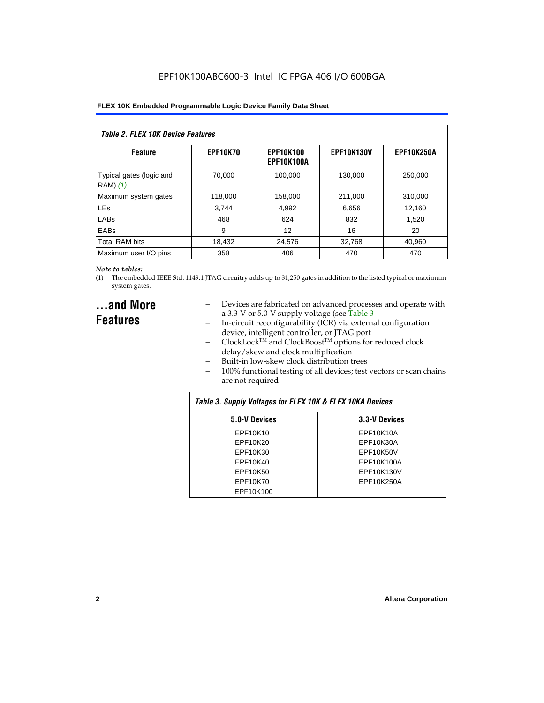| Table 2. FLEX 10K Device Features    |                 |                                |                   |                   |  |
|--------------------------------------|-----------------|--------------------------------|-------------------|-------------------|--|
| <b>Feature</b>                       | <b>EPF10K70</b> | <b>EPF10K100</b><br>EPF10K100A | <b>EPF10K130V</b> | <b>EPF10K250A</b> |  |
| Typical gates (logic and<br>RAM) (1) | 70.000          | 100.000                        | 130,000           | 250,000           |  |
| Maximum system gates                 | 118,000         | 158,000                        | 211,000           | 310,000           |  |
| <b>LEs</b>                           | 3.744           | 4,992                          | 6,656             | 12,160            |  |
| LABs                                 | 468             | 624                            | 832               | 1,520             |  |
| EABs                                 | 9               | 12                             | 16                | 20                |  |
| <b>Total RAM bits</b>                | 18,432          | 24.576                         | 32.768            | 40,960            |  |
| Maximum user I/O pins                | 358             | 406                            | 470               | 470               |  |

#### *Note to tables:*

(1) The embedded IEEE Std. 1149.1 JTAG circuitry adds up to 31,250 gates in addition to the listed typical or maximum system gates.

### **...and More Features**

- Devices are fabricated on advanced processes and operate with a 3.3-V or 5.0-V supply voltage (see Table 3
- In-circuit reconfigurability (ICR) via external configuration device, intelligent controller, or JTAG port
- $ClockLock^{TM}$  and  $ClockBoost^{TM}$  options for reduced clock delay/skew and clock multiplication
- Built-in low-skew clock distribution trees
- 100% functional testing of all devices; test vectors or scan chains are not required

| Table 3. Supply Voltages for FLEX 10K & FLEX 10KA Devices |               |  |  |  |
|-----------------------------------------------------------|---------------|--|--|--|
| 5.0-V Devices                                             | 3.3-V Devices |  |  |  |
| EPF10K10                                                  | EPF10K10A     |  |  |  |
| EPF10K20                                                  | EPF10K30A     |  |  |  |
| EPF10K30                                                  | EPF10K50V     |  |  |  |
| EPF10K40                                                  | EPF10K100A    |  |  |  |
| FPF10K50                                                  | EPF10K130V    |  |  |  |
| EPF10K70                                                  | EPF10K250A    |  |  |  |
| EPF10K100                                                 |               |  |  |  |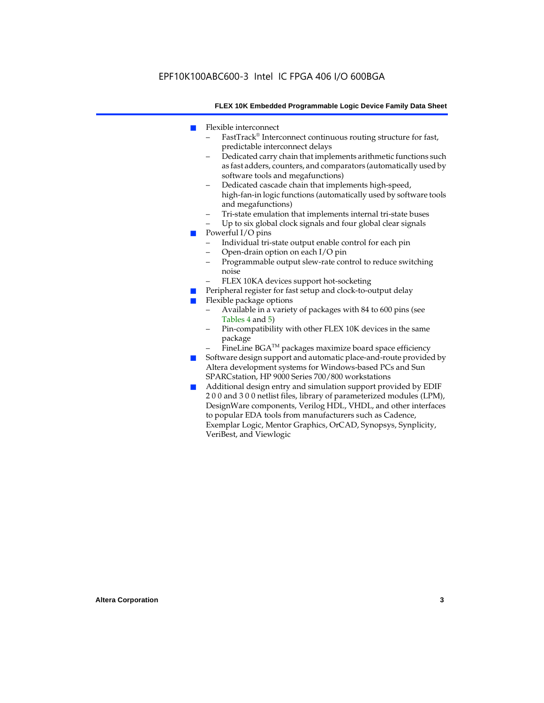- Flexible interconnect
	- FastTrack® Interconnect continuous routing structure for fast, predictable interconnect delays
	- Dedicated carry chain that implements arithmetic functions such as fast adders, counters, and comparators (automatically used by software tools and megafunctions)
	- Dedicated cascade chain that implements high-speed, high-fan-in logic functions (automatically used by software tools and megafunctions)
	- Tri-state emulation that implements internal tri-state buses
	- Up to six global clock signals and four global clear signals
- Powerful I/O pins
	- Individual tri-state output enable control for each pin
	- Open-drain option on each I/O pin
	- Programmable output slew-rate control to reduce switching noise
	- FLEX 10KA devices support hot-socketing
- Peripheral register for fast setup and clock-to-output delay
- Flexible package options
	- Available in a variety of packages with 84 to 600 pins (see Tables 4 and 5)
	- Pin-compatibility with other FLEX 10K devices in the same package
	- FineLine BGA<sup>TM</sup> packages maximize board space efficiency
- Software design support and automatic place-and-route provided by Altera development systems for Windows-based PCs and Sun SPARCstation, HP 9000 Series 700/800 workstations
- Additional design entry and simulation support provided by EDIF 2 0 0 and 3 0 0 netlist files, library of parameterized modules (LPM), DesignWare components, Verilog HDL, VHDL, and other interfaces to popular EDA tools from manufacturers such as Cadence, Exemplar Logic, Mentor Graphics, OrCAD, Synopsys, Synplicity, VeriBest, and Viewlogic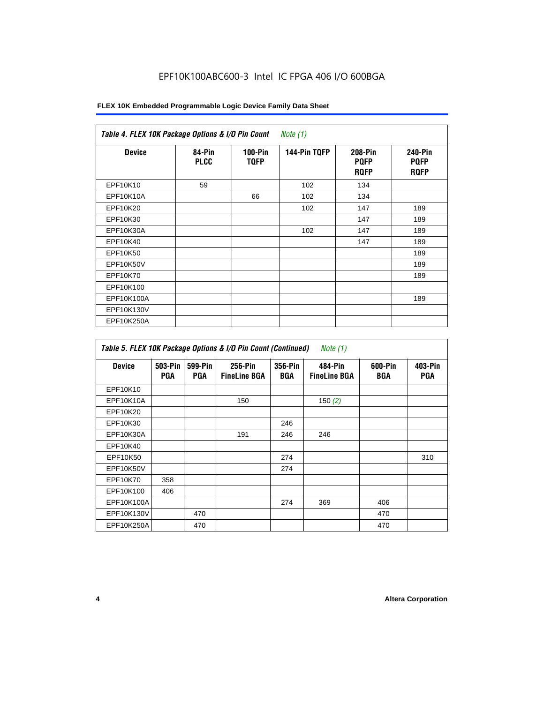| FLEX 10K Embedded Programmable Logic Device Family Data Sheet |  |
|---------------------------------------------------------------|--|
|---------------------------------------------------------------|--|

| <b>Device</b> | 84-Pin<br><b>PLCC</b> | $100-Pin$<br><b>TQFP</b> | 144-Pin TQFP | 208-Pin<br><b>PQFP</b><br><b>ROFP</b> | <b>240-Pin</b><br><b>PQFP</b><br><b>RQFP</b> |
|---------------|-----------------------|--------------------------|--------------|---------------------------------------|----------------------------------------------|
| EPF10K10      | 59                    |                          | 102          | 134                                   |                                              |
| EPF10K10A     |                       | 66                       | 102          | 134                                   |                                              |
| EPF10K20      |                       |                          | 102          | 147                                   | 189                                          |
| EPF10K30      |                       |                          |              | 147                                   | 189                                          |
| EPF10K30A     |                       |                          | 102          | 147                                   | 189                                          |
| EPF10K40      |                       |                          |              | 147                                   | 189                                          |
| EPF10K50      |                       |                          |              |                                       | 189                                          |
| EPF10K50V     |                       |                          |              |                                       | 189                                          |
| EPF10K70      |                       |                          |              |                                       | 189                                          |
| EPF10K100     |                       |                          |              |                                       |                                              |
| EPF10K100A    |                       |                          |              |                                       | 189                                          |
| EPF10K130V    |                       |                          |              |                                       |                                              |
| EPF10K250A    |                       |                          |              |                                       |                                              |

| Table 5. FLEX 10K Package Options & I/O Pin Count (Continued)<br>Note $(1)$ |                |                       |                                |                       |                                |                |                |
|-----------------------------------------------------------------------------|----------------|-----------------------|--------------------------------|-----------------------|--------------------------------|----------------|----------------|
| <b>Device</b>                                                               | 503-Pin<br>PGA | 599-Pin<br><b>PGA</b> | 256-Pin<br><b>FineLine BGA</b> | 356-Pin<br><b>BGA</b> | 484-Pin<br><b>FineLine BGA</b> | 600-Pin<br>BGA | 403-Pin<br>PGA |
| EPF10K10                                                                    |                |                       |                                |                       |                                |                |                |
| EPF10K10A                                                                   |                |                       | 150                            |                       | 150 $(2)$                      |                |                |
| EPF10K20                                                                    |                |                       |                                |                       |                                |                |                |
| EPF10K30                                                                    |                |                       |                                | 246                   |                                |                |                |
| EPF10K30A                                                                   |                |                       | 191                            | 246                   | 246                            |                |                |
| EPF10K40                                                                    |                |                       |                                |                       |                                |                |                |
| EPF10K50                                                                    |                |                       |                                | 274                   |                                |                | 310            |
| EPF10K50V                                                                   |                |                       |                                | 274                   |                                |                |                |
| EPF10K70                                                                    | 358            |                       |                                |                       |                                |                |                |
| EPF10K100                                                                   | 406            |                       |                                |                       |                                |                |                |
| EPF10K100A                                                                  |                |                       |                                | 274                   | 369                            | 406            |                |
| EPF10K130V                                                                  |                | 470                   |                                |                       |                                | 470            |                |
| EPF10K250A                                                                  |                | 470                   |                                |                       |                                | 470            |                |

 $\mathbf{r}$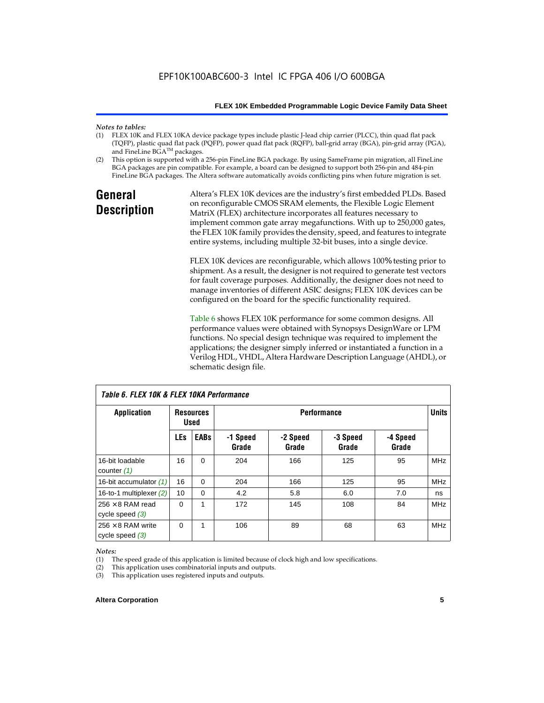### *Notes to tables:*

- FLEX 10K and FLEX 10KA device package types include plastic J-lead chip carrier (PLCC), thin quad flat pack (TQFP), plastic quad flat pack (PQFP), power quad flat pack (RQFP), ball-grid array (BGA), pin-grid array (PGA), and FineLine BGA™ packages.
- (2) This option is supported with a 256-pin FineLine BGA package. By using SameFrame pin migration, all FineLine BGA packages are pin compatible. For example, a board can be designed to support both 256-pin and 484-pin FineLine BGA packages. The Altera software automatically avoids conflicting pins when future migration is set.

### **General Description**

Altera's FLEX 10K devices are the industry's first embedded PLDs. Based on reconfigurable CMOS SRAM elements, the Flexible Logic Element MatriX (FLEX) architecture incorporates all features necessary to implement common gate array megafunctions. With up to 250,000 gates, the FLEX 10K family provides the density, speed, and features to integrate entire systems, including multiple 32-bit buses, into a single device.

FLEX 10K devices are reconfigurable, which allows 100% testing prior to shipment. As a result, the designer is not required to generate test vectors for fault coverage purposes. Additionally, the designer does not need to manage inventories of different ASIC designs; FLEX 10K devices can be configured on the board for the specific functionality required.

Table 6 shows FLEX 10K performance for some common designs. All performance values were obtained with Synopsys DesignWare or LPM functions. No special design technique was required to implement the applications; the designer simply inferred or instantiated a function in a Verilog HDL, VHDL, Altera Hardware Description Language (AHDL), or schematic design file.

| TADIE D. FLEA TUN & FLEA TUNA FEITUITITAIICE  |            |                                   |                   |                   |                   |                   |            |              |
|-----------------------------------------------|------------|-----------------------------------|-------------------|-------------------|-------------------|-------------------|------------|--------------|
| Application                                   |            | <b>Performance</b><br><b>Used</b> |                   |                   | <b>Resources</b>  |                   |            | <b>Units</b> |
|                                               | <b>LEs</b> | <b>EABs</b>                       | -1 Speed<br>Grade | -2 Speed<br>Grade | -3 Speed<br>Grade | -4 Speed<br>Grade |            |              |
| 16-bit loadable<br>counter $(1)$              | 16         | $\Omega$                          | 204               | 166               | 125               | 95                | <b>MHz</b> |              |
| 16-bit accumulator (1)                        | 16         | $\Omega$                          | 204               | 166               | 125               | 95                | <b>MHz</b> |              |
| 16-to-1 multiplexer $(2)$                     | 10         | $\Omega$                          | 4.2               | 5.8               | 6.0               | 7.0               | ns         |              |
| $256 \times 8$ RAM read<br>cycle speed $(3)$  | $\Omega$   | 1                                 | 172               | 145               | 108               | 84                | <b>MHz</b> |              |
| $256 \times 8$ RAM write<br>cycle speed $(3)$ | 0          | 1                                 | 106               | 89                | 68                | 63                | <b>MHz</b> |              |

*Table 6. FLEX 10K & FLEX 10KA Performance*

#### *Notes:*

(1) The speed grade of this application is limited because of clock high and low specifications.

(2) This application uses combinatorial inputs and outputs.

(3) This application uses registered inputs and outputs.

#### **Altera Corporation 5**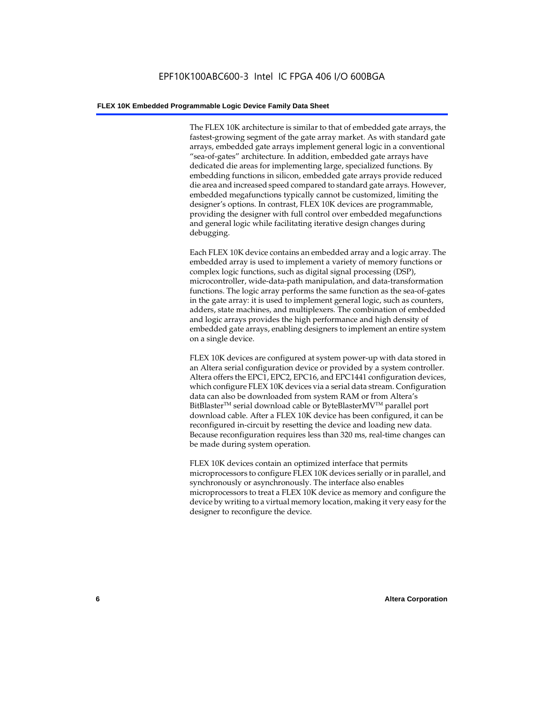The FLEX 10K architecture is similar to that of embedded gate arrays, the fastest-growing segment of the gate array market. As with standard gate arrays, embedded gate arrays implement general logic in a conventional "sea-of-gates" architecture. In addition, embedded gate arrays have dedicated die areas for implementing large, specialized functions. By embedding functions in silicon, embedded gate arrays provide reduced die area and increased speed compared to standard gate arrays. However, embedded megafunctions typically cannot be customized, limiting the designer's options. In contrast, FLEX 10K devices are programmable, providing the designer with full control over embedded megafunctions and general logic while facilitating iterative design changes during debugging.

Each FLEX 10K device contains an embedded array and a logic array. The embedded array is used to implement a variety of memory functions or complex logic functions, such as digital signal processing (DSP), microcontroller, wide-data-path manipulation, and data-transformation functions. The logic array performs the same function as the sea-of-gates in the gate array: it is used to implement general logic, such as counters, adders, state machines, and multiplexers. The combination of embedded and logic arrays provides the high performance and high density of embedded gate arrays, enabling designers to implement an entire system on a single device.

FLEX 10K devices are configured at system power-up with data stored in an Altera serial configuration device or provided by a system controller. Altera offers the EPC1, EPC2, EPC16, and EPC1441 configuration devices, which configure FLEX 10K devices via a serial data stream. Configuration data can also be downloaded from system RAM or from Altera's BitBlaster<sup>™</sup> serial download cable or ByteBlasterMV<sup>™</sup> parallel port download cable. After a FLEX 10K device has been configured, it can be reconfigured in-circuit by resetting the device and loading new data. Because reconfiguration requires less than 320 ms, real-time changes can be made during system operation.

FLEX 10K devices contain an optimized interface that permits microprocessors to configure FLEX 10K devices serially or in parallel, and synchronously or asynchronously. The interface also enables microprocessors to treat a FLEX 10K device as memory and configure the device by writing to a virtual memory location, making it very easy for the designer to reconfigure the device.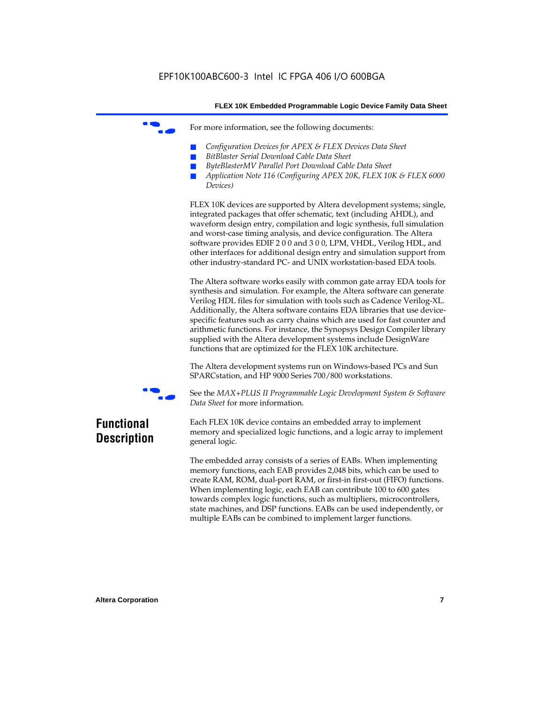For more information, see the following documents:

- *Configuration Devices for APEX & FLEX Devices Data Sheet*
- $BitBlaster$  Serial Download Cable Data Sheet
- *ByteBlasterMV Parallel Port Download Cable Data Sheet*
- *Application Note 116 (Configuring APEX 20K, FLEX 10K & FLEX 6000 Devices)*

FLEX 10K devices are supported by Altera development systems; single, integrated packages that offer schematic, text (including AHDL), and waveform design entry, compilation and logic synthesis, full simulation and worst-case timing analysis, and device configuration. The Altera software provides EDIF 2 0 0 and 3 0 0, LPM, VHDL, Verilog HDL, and other interfaces for additional design entry and simulation support from other industry-standard PC- and UNIX workstation-based EDA tools.

The Altera software works easily with common gate array EDA tools for synthesis and simulation. For example, the Altera software can generate Verilog HDL files for simulation with tools such as Cadence Verilog-XL. Additionally, the Altera software contains EDA libraries that use devicespecific features such as carry chains which are used for fast counter and arithmetic functions. For instance, the Synopsys Design Compiler library supplied with the Altera development systems include DesignWare functions that are optimized for the FLEX 10K architecture.

The Altera development systems run on Windows-based PCs and Sun SPARCstation, and HP 9000 Series 700/800 workstations.



f See the *MAX+PLUS II Programmable Logic Development System & Software Data Sheet* for more information.

### **Functional Description**

Each FLEX 10K device contains an embedded array to implement memory and specialized logic functions, and a logic array to implement general logic.

The embedded array consists of a series of EABs. When implementing memory functions, each EAB provides 2,048 bits, which can be used to create RAM, ROM, dual-port RAM, or first-in first-out (FIFO) functions. When implementing logic, each EAB can contribute 100 to 600 gates towards complex logic functions, such as multipliers, microcontrollers, state machines, and DSP functions. EABs can be used independently, or multiple EABs can be combined to implement larger functions.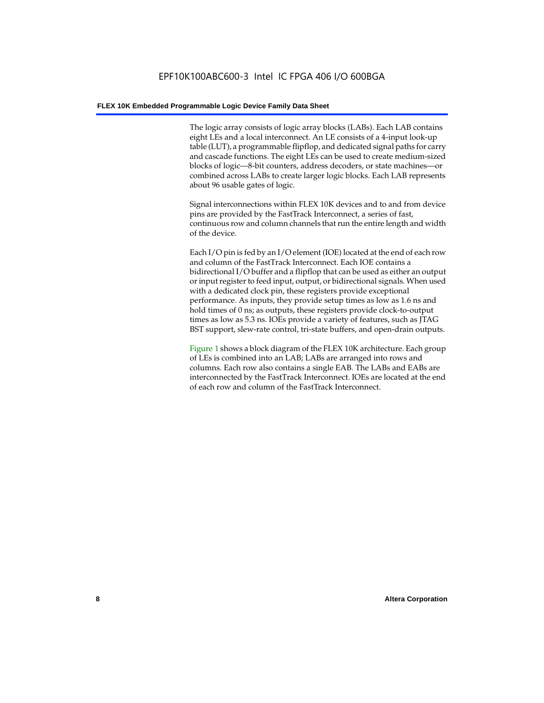The logic array consists of logic array blocks (LABs). Each LAB contains eight LEs and a local interconnect. An LE consists of a 4-input look-up table (LUT), a programmable flipflop, and dedicated signal paths for carry and cascade functions. The eight LEs can be used to create medium-sized blocks of logic—8-bit counters, address decoders, or state machines—or combined across LABs to create larger logic blocks. Each LAB represents about 96 usable gates of logic.

Signal interconnections within FLEX 10K devices and to and from device pins are provided by the FastTrack Interconnect, a series of fast, continuous row and column channels that run the entire length and width of the device.

Each I/O pin is fed by an I/O element (IOE) located at the end of each row and column of the FastTrack Interconnect. Each IOE contains a bidirectional I/O buffer and a flipflop that can be used as either an output or input register to feed input, output, or bidirectional signals. When used with a dedicated clock pin, these registers provide exceptional performance. As inputs, they provide setup times as low as 1.6 ns and hold times of 0 ns; as outputs, these registers provide clock-to-output times as low as 5.3 ns. IOEs provide a variety of features, such as JTAG BST support, slew-rate control, tri-state buffers, and open-drain outputs.

Figure 1 shows a block diagram of the FLEX 10K architecture. Each group of LEs is combined into an LAB; LABs are arranged into rows and columns. Each row also contains a single EAB. The LABs and EABs are interconnected by the FastTrack Interconnect. IOEs are located at the end of each row and column of the FastTrack Interconnect.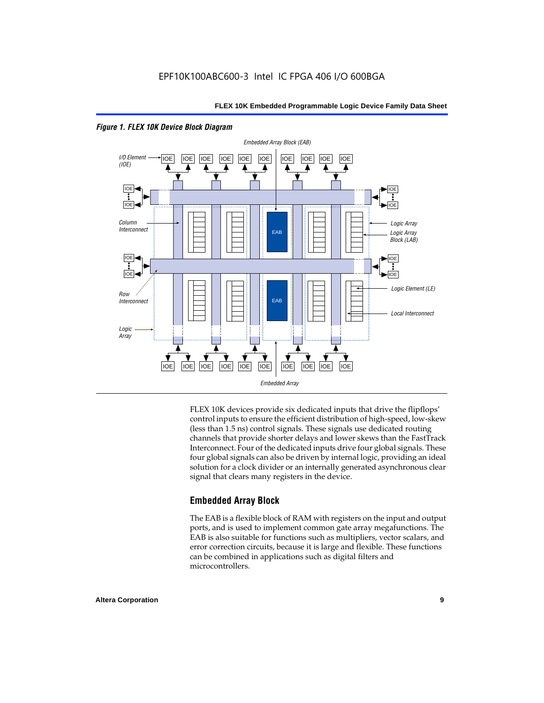

*Figure 1. FLEX 10K Device Block Diagram*

FLEX 10K devices provide six dedicated inputs that drive the flipflops' control inputs to ensure the efficient distribution of high-speed, low-skew (less than 1.5 ns) control signals. These signals use dedicated routing channels that provide shorter delays and lower skews than the FastTrack Interconnect. Four of the dedicated inputs drive four global signals. These four global signals can also be driven by internal logic, providing an ideal solution for a clock divider or an internally generated asynchronous clear signal that clears many registers in the device.

#### **Embedded Array Block**

The EAB is a flexible block of RAM with registers on the input and output ports, and is used to implement common gate array megafunctions. The EAB is also suitable for functions such as multipliers, vector scalars, and error correction circuits, because it is large and flexible. These functions can be combined in applications such as digital filters and microcontrollers.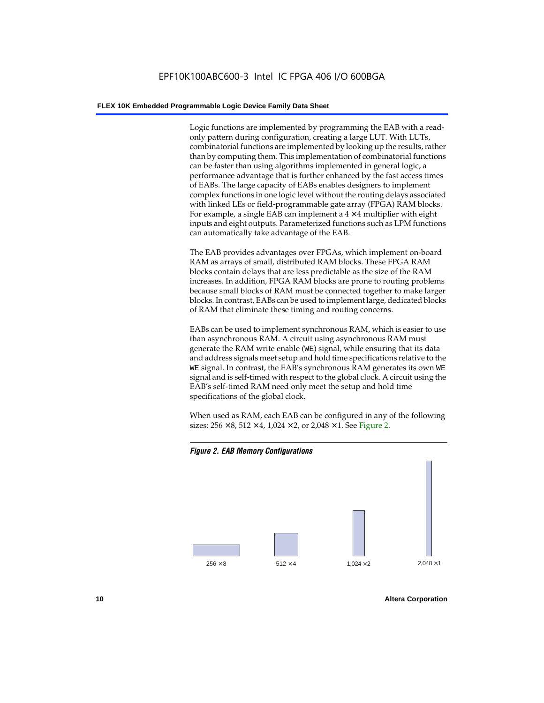Logic functions are implemented by programming the EAB with a readonly pattern during configuration, creating a large LUT. With LUTs, combinatorial functions are implemented by looking up the results, rather than by computing them. This implementation of combinatorial functions can be faster than using algorithms implemented in general logic, a performance advantage that is further enhanced by the fast access times of EABs. The large capacity of EABs enables designers to implement complex functions in one logic level without the routing delays associated with linked LEs or field-programmable gate array (FPGA) RAM blocks. For example, a single EAB can implement a  $4 \times 4$  multiplier with eight inputs and eight outputs. Parameterized functions such as LPM functions can automatically take advantage of the EAB.

The EAB provides advantages over FPGAs, which implement on-board RAM as arrays of small, distributed RAM blocks. These FPGA RAM blocks contain delays that are less predictable as the size of the RAM increases. In addition, FPGA RAM blocks are prone to routing problems because small blocks of RAM must be connected together to make larger blocks. In contrast, EABs can be used to implement large, dedicated blocks of RAM that eliminate these timing and routing concerns.

EABs can be used to implement synchronous RAM, which is easier to use than asynchronous RAM. A circuit using asynchronous RAM must generate the RAM write enable (WE) signal, while ensuring that its data and address signals meet setup and hold time specifications relative to the WE signal. In contrast, the EAB's synchronous RAM generates its own WE signal and is self-timed with respect to the global clock. A circuit using the EAB's self-timed RAM need only meet the setup and hold time specifications of the global clock.

When used as RAM, each EAB can be configured in any of the following sizes:  $256 \times 8$ ,  $512 \times 4$ ,  $1,024 \times 2$ , or  $2,048 \times 1$ . See Figure 2.



**10 Altera Corporation**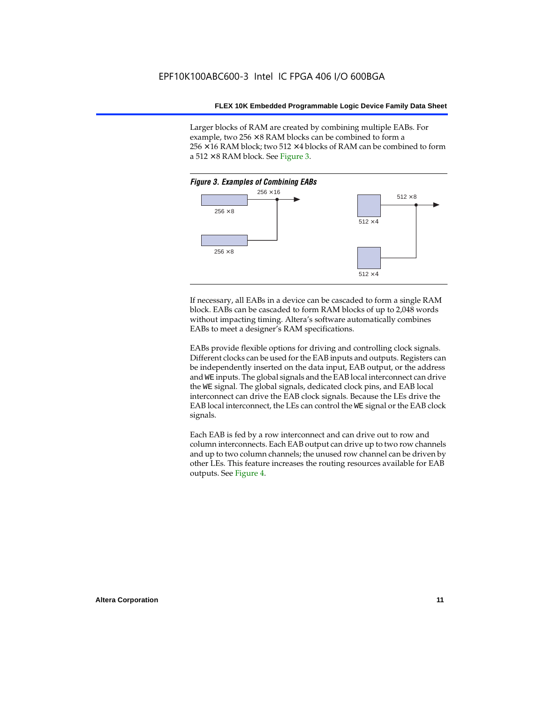Larger blocks of RAM are created by combining multiple EABs. For example, two  $256 \times 8$  RAM blocks can be combined to form a  $256 \times 16$  RAM block; two 512  $\times$  4 blocks of RAM can be combined to form a  $512 \times 8$  RAM block. See Figure 3.



If necessary, all EABs in a device can be cascaded to form a single RAM block. EABs can be cascaded to form RAM blocks of up to 2,048 words without impacting timing. Altera's software automatically combines EABs to meet a designer's RAM specifications.

EABs provide flexible options for driving and controlling clock signals. Different clocks can be used for the EAB inputs and outputs. Registers can be independently inserted on the data input, EAB output, or the address and WE inputs. The global signals and the EAB local interconnect can drive the WE signal. The global signals, dedicated clock pins, and EAB local interconnect can drive the EAB clock signals. Because the LEs drive the EAB local interconnect, the LEs can control the WE signal or the EAB clock signals.

Each EAB is fed by a row interconnect and can drive out to row and column interconnects. Each EAB output can drive up to two row channels and up to two column channels; the unused row channel can be driven by other LEs. This feature increases the routing resources available for EAB outputs. See Figure 4.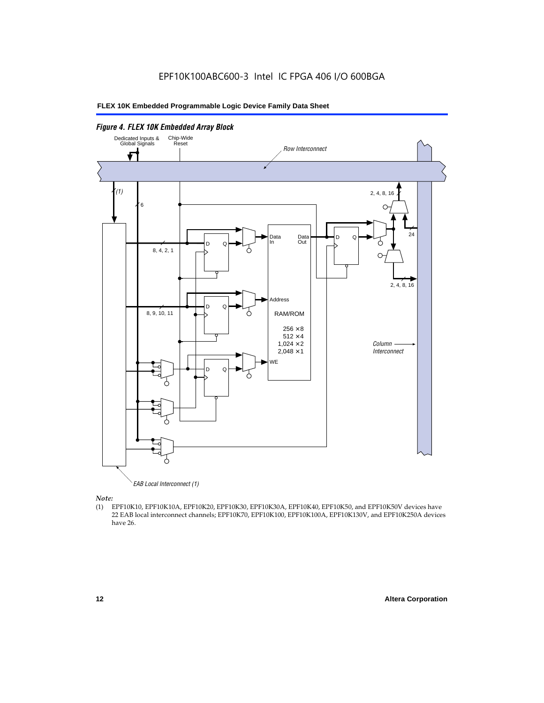

*Note:*<br>(1) **H** 

(1) EPF10K10, EPF10K10A, EPF10K20, EPF10K30, EPF10K30A, EPF10K40, EPF10K50, and EPF10K50V devices have 22 EAB local interconnect channels; EPF10K70, EPF10K100, EPF10K100A, EPF10K130V, and EPF10K250A devices have 26.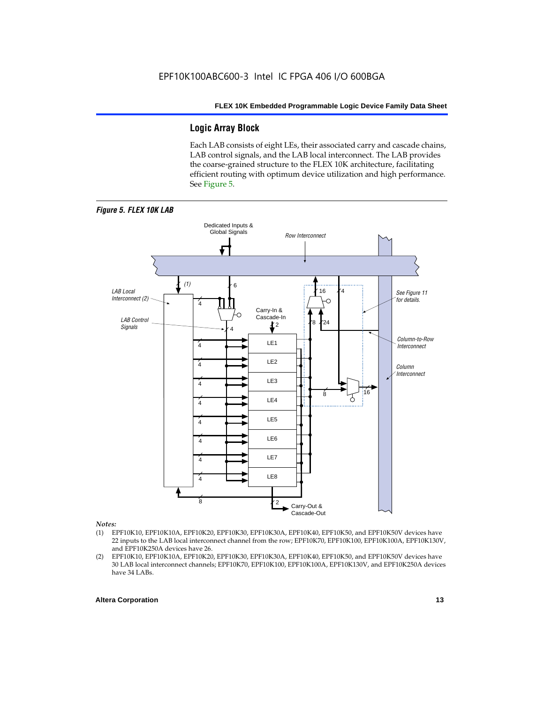#### **Logic Array Block**

Each LAB consists of eight LEs, their associated carry and cascade chains, LAB control signals, and the LAB local interconnect. The LAB provides the coarse-grained structure to the FLEX 10K architecture, facilitating efficient routing with optimum device utilization and high performance. See Figure 5.



#### *Notes:*

- (1) EPF10K10, EPF10K10A, EPF10K20, EPF10K30, EPF10K30A, EPF10K40, EPF10K50, and EPF10K50V devices have 22 inputs to the LAB local interconnect channel from the row; EPF10K70, EPF10K100, EPF10K100A, EPF10K130V, and EPF10K250A devices have 26.
- (2) EPF10K10, EPF10K10A, EPF10K20, EPF10K30, EPF10K30A, EPF10K40, EPF10K50, and EPF10K50V devices have 30 LAB local interconnect channels; EPF10K70, EPF10K100, EPF10K100A, EPF10K130V, and EPF10K250A devices have 34 LABs.

#### **Altera Corporation 13 13**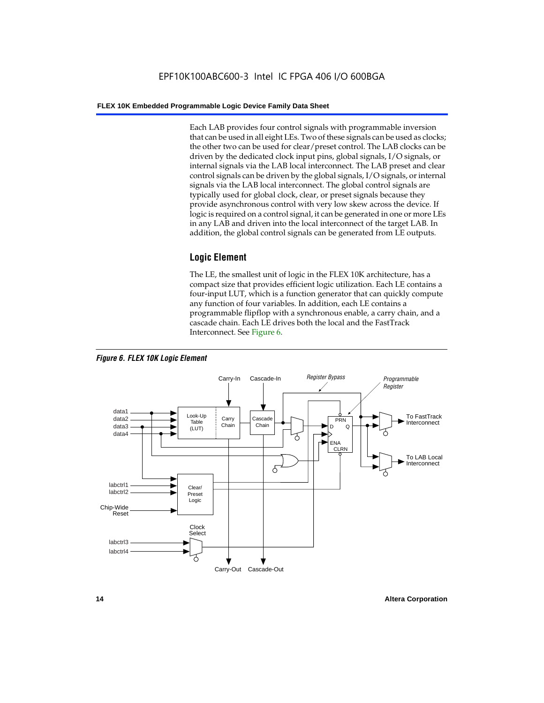Each LAB provides four control signals with programmable inversion that can be used in all eight LEs. Two of these signals can be used as clocks; the other two can be used for clear/preset control. The LAB clocks can be driven by the dedicated clock input pins, global signals, I/O signals, or internal signals via the LAB local interconnect. The LAB preset and clear control signals can be driven by the global signals, I/O signals, or internal signals via the LAB local interconnect. The global control signals are typically used for global clock, clear, or preset signals because they provide asynchronous control with very low skew across the device. If logic is required on a control signal, it can be generated in one or more LEs in any LAB and driven into the local interconnect of the target LAB. In addition, the global control signals can be generated from LE outputs.

#### **Logic Element**

The LE, the smallest unit of logic in the FLEX 10K architecture, has a compact size that provides efficient logic utilization. Each LE contains a four-input LUT, which is a function generator that can quickly compute any function of four variables. In addition, each LE contains a programmable flipflop with a synchronous enable, a carry chain, and a cascade chain. Each LE drives both the local and the FastTrack Interconnect. See Figure 6.



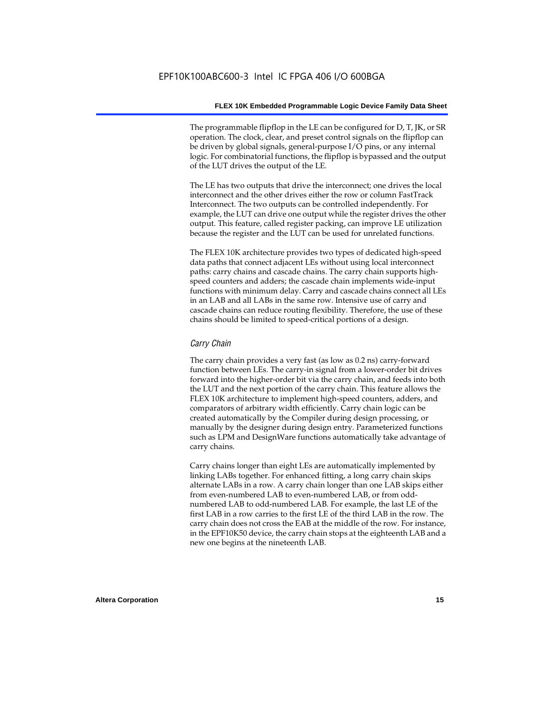The programmable flipflop in the LE can be configured for D, T, JK, or SR operation. The clock, clear, and preset control signals on the flipflop can be driven by global signals, general-purpose I/O pins, or any internal logic. For combinatorial functions, the flipflop is bypassed and the output of the LUT drives the output of the LE.

The LE has two outputs that drive the interconnect; one drives the local interconnect and the other drives either the row or column FastTrack Interconnect. The two outputs can be controlled independently. For example, the LUT can drive one output while the register drives the other output. This feature, called register packing, can improve LE utilization because the register and the LUT can be used for unrelated functions.

The FLEX 10K architecture provides two types of dedicated high-speed data paths that connect adjacent LEs without using local interconnect paths: carry chains and cascade chains. The carry chain supports highspeed counters and adders; the cascade chain implements wide-input functions with minimum delay. Carry and cascade chains connect all LEs in an LAB and all LABs in the same row. Intensive use of carry and cascade chains can reduce routing flexibility. Therefore, the use of these chains should be limited to speed-critical portions of a design.

#### *Carry Chain*

The carry chain provides a very fast (as low as 0.2 ns) carry-forward function between LEs. The carry-in signal from a lower-order bit drives forward into the higher-order bit via the carry chain, and feeds into both the LUT and the next portion of the carry chain. This feature allows the FLEX 10K architecture to implement high-speed counters, adders, and comparators of arbitrary width efficiently. Carry chain logic can be created automatically by the Compiler during design processing, or manually by the designer during design entry. Parameterized functions such as LPM and DesignWare functions automatically take advantage of carry chains.

Carry chains longer than eight LEs are automatically implemented by linking LABs together. For enhanced fitting, a long carry chain skips alternate LABs in a row. A carry chain longer than one LAB skips either from even-numbered LAB to even-numbered LAB, or from oddnumbered LAB to odd-numbered LAB. For example, the last LE of the first LAB in a row carries to the first LE of the third LAB in the row. The carry chain does not cross the EAB at the middle of the row. For instance, in the EPF10K50 device, the carry chain stops at the eighteenth LAB and a new one begins at the nineteenth LAB.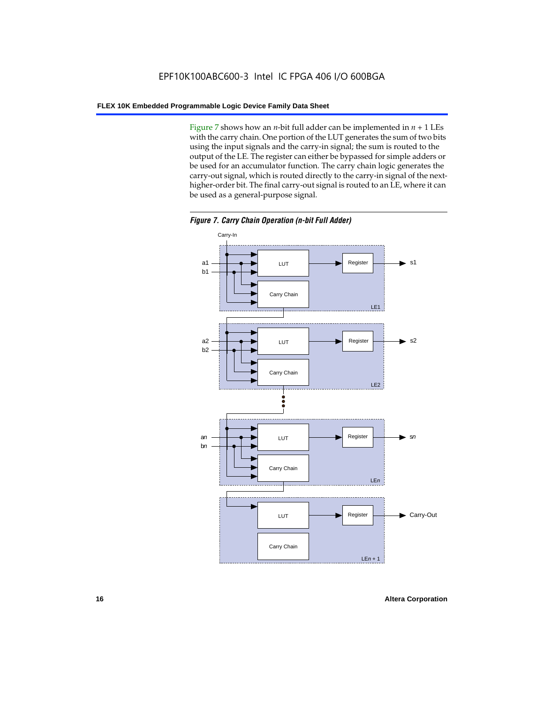Figure 7 shows how an *n*-bit full adder can be implemented in  $n + 1$  LEs with the carry chain. One portion of the LUT generates the sum of two bits using the input signals and the carry-in signal; the sum is routed to the output of the LE. The register can either be bypassed for simple adders or be used for an accumulator function. The carry chain logic generates the carry-out signal, which is routed directly to the carry-in signal of the nexthigher-order bit. The final carry-out signal is routed to an LE, where it can be used as a general-purpose signal.



*Figure 7. Carry Chain Operation (n-bit Full Adder)*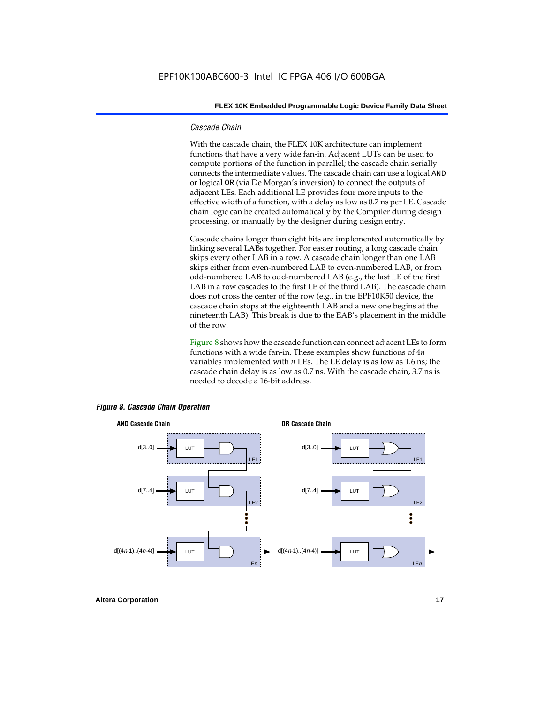#### *Cascade Chain*

With the cascade chain, the FLEX 10K architecture can implement functions that have a very wide fan-in. Adjacent LUTs can be used to compute portions of the function in parallel; the cascade chain serially connects the intermediate values. The cascade chain can use a logical AND or logical OR (via De Morgan's inversion) to connect the outputs of adjacent LEs. Each additional LE provides four more inputs to the effective width of a function, with a delay as low as 0.7 ns per LE. Cascade chain logic can be created automatically by the Compiler during design processing, or manually by the designer during design entry.

Cascade chains longer than eight bits are implemented automatically by linking several LABs together. For easier routing, a long cascade chain skips every other LAB in a row. A cascade chain longer than one LAB skips either from even-numbered LAB to even-numbered LAB, or from odd-numbered LAB to odd-numbered LAB (e.g., the last LE of the first LAB in a row cascades to the first LE of the third LAB). The cascade chain does not cross the center of the row (e.g., in the EPF10K50 device, the cascade chain stops at the eighteenth LAB and a new one begins at the nineteenth LAB). This break is due to the EAB's placement in the middle of the row.

Figure 8 shows how the cascade function can connect adjacent LEs to form functions with a wide fan-in. These examples show functions of 4*n* variables implemented with *n* LEs. The LE delay is as low as 1.6 ns; the cascade chain delay is as low as 0.7 ns. With the cascade chain, 3.7 ns is needed to decode a 16-bit address.



#### *Figure 8. Cascade Chain Operation*

**Altera Corporation 17 17**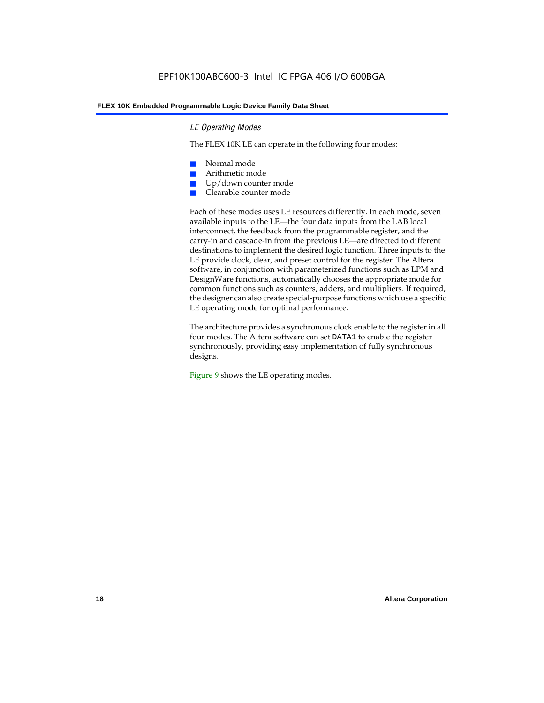#### *LE Operating Modes*

The FLEX 10K LE can operate in the following four modes:

- Normal mode
- Arithmetic mode
- Up/down counter mode
- Clearable counter mode

Each of these modes uses LE resources differently. In each mode, seven available inputs to the LE—the four data inputs from the LAB local interconnect, the feedback from the programmable register, and the carry-in and cascade-in from the previous LE—are directed to different destinations to implement the desired logic function. Three inputs to the LE provide clock, clear, and preset control for the register. The Altera software, in conjunction with parameterized functions such as LPM and DesignWare functions, automatically chooses the appropriate mode for common functions such as counters, adders, and multipliers. If required, the designer can also create special-purpose functions which use a specific LE operating mode for optimal performance.

The architecture provides a synchronous clock enable to the register in all four modes. The Altera software can set DATA1 to enable the register synchronously, providing easy implementation of fully synchronous designs.

Figure 9 shows the LE operating modes.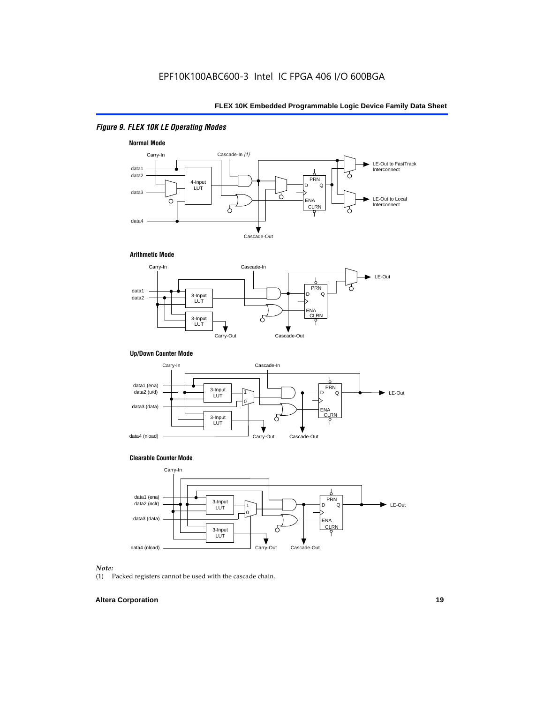#### *Figure 9. FLEX 10K LE Operating Modes*







#### **Up/Down Counter Mode**



#### **Clearable Counter Mode**



#### *Note:*

(1) Packed registers cannot be used with the cascade chain.

#### **Altera Corporation 19**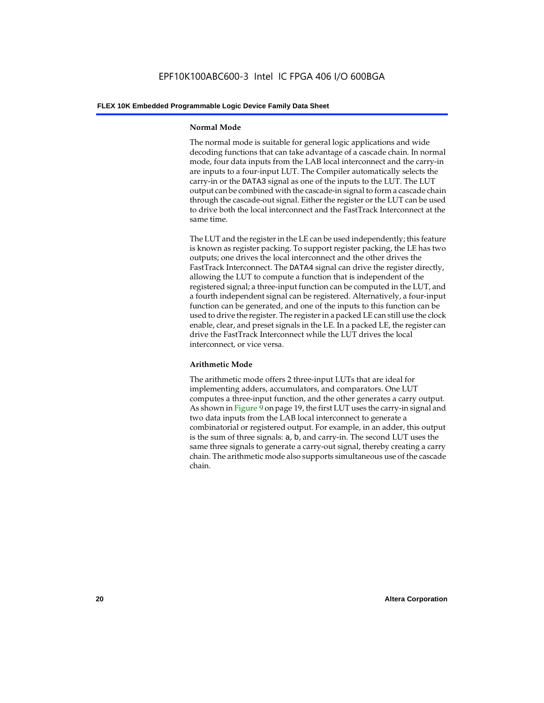#### **Normal Mode**

The normal mode is suitable for general logic applications and wide decoding functions that can take advantage of a cascade chain. In normal mode, four data inputs from the LAB local interconnect and the carry-in are inputs to a four-input LUT. The Compiler automatically selects the carry-in or the DATA3 signal as one of the inputs to the LUT. The LUT output can be combined with the cascade-in signal to form a cascade chain through the cascade-out signal. Either the register or the LUT can be used to drive both the local interconnect and the FastTrack Interconnect at the same time.

The LUT and the register in the LE can be used independently; this feature is known as register packing. To support register packing, the LE has two outputs; one drives the local interconnect and the other drives the FastTrack Interconnect. The DATA4 signal can drive the register directly, allowing the LUT to compute a function that is independent of the registered signal; a three-input function can be computed in the LUT, and a fourth independent signal can be registered. Alternatively, a four-input function can be generated, and one of the inputs to this function can be used to drive the register. The register in a packed LE can still use the clock enable, clear, and preset signals in the LE. In a packed LE, the register can drive the FastTrack Interconnect while the LUT drives the local interconnect, or vice versa.

#### **Arithmetic Mode**

The arithmetic mode offers 2 three-input LUTs that are ideal for implementing adders, accumulators, and comparators. One LUT computes a three-input function, and the other generates a carry output. As shown in Figure 9 on page 19, the first LUT uses the carry-in signal and two data inputs from the LAB local interconnect to generate a combinatorial or registered output. For example, in an adder, this output is the sum of three signals: a, b, and carry-in. The second LUT uses the same three signals to generate a carry-out signal, thereby creating a carry chain. The arithmetic mode also supports simultaneous use of the cascade chain.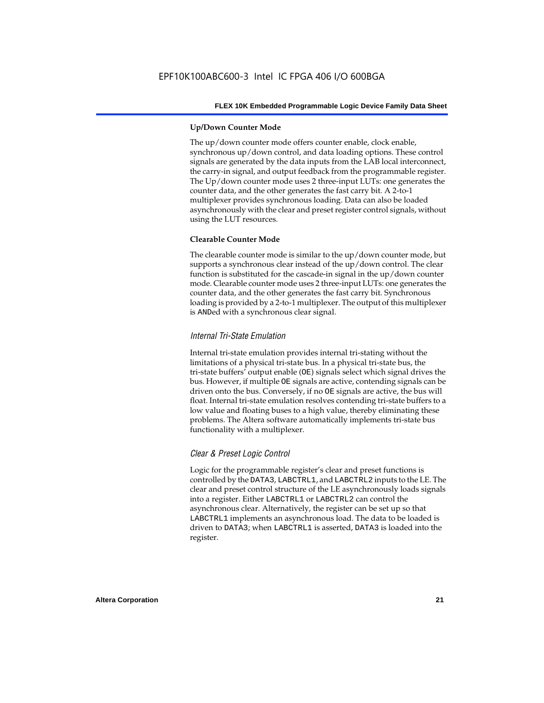#### **Up/Down Counter Mode**

The up/down counter mode offers counter enable, clock enable, synchronous up/down control, and data loading options. These control signals are generated by the data inputs from the LAB local interconnect, the carry-in signal, and output feedback from the programmable register. The Up/down counter mode uses 2 three-input LUTs: one generates the counter data, and the other generates the fast carry bit. A 2-to-1 multiplexer provides synchronous loading. Data can also be loaded asynchronously with the clear and preset register control signals, without using the LUT resources.

#### **Clearable Counter Mode**

The clearable counter mode is similar to the up/down counter mode, but supports a synchronous clear instead of the up/down control. The clear function is substituted for the cascade-in signal in the up/down counter mode. Clearable counter mode uses 2 three-input LUTs: one generates the counter data, and the other generates the fast carry bit. Synchronous loading is provided by a 2-to-1 multiplexer. The output of this multiplexer is ANDed with a synchronous clear signal.

#### *Internal Tri-State Emulation*

Internal tri-state emulation provides internal tri-stating without the limitations of a physical tri-state bus. In a physical tri-state bus, the tri-state buffers' output enable (OE) signals select which signal drives the bus. However, if multiple OE signals are active, contending signals can be driven onto the bus. Conversely, if no OE signals are active, the bus will float. Internal tri-state emulation resolves contending tri-state buffers to a low value and floating buses to a high value, thereby eliminating these problems. The Altera software automatically implements tri-state bus functionality with a multiplexer.

#### *Clear & Preset Logic Control*

Logic for the programmable register's clear and preset functions is controlled by the DATA3, LABCTRL1, and LABCTRL2 inputs to the LE. The clear and preset control structure of the LE asynchronously loads signals into a register. Either LABCTRL1 or LABCTRL2 can control the asynchronous clear. Alternatively, the register can be set up so that LABCTRL1 implements an asynchronous load. The data to be loaded is driven to DATA3; when LABCTRL1 is asserted, DATA3 is loaded into the register.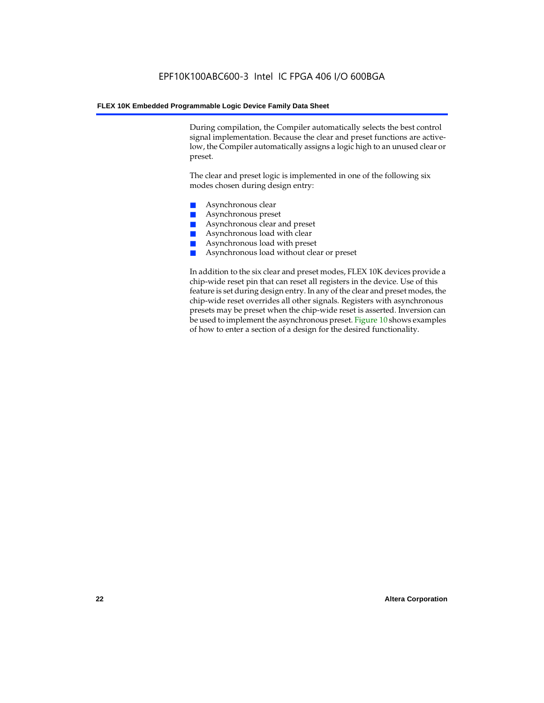During compilation, the Compiler automatically selects the best control signal implementation. Because the clear and preset functions are activelow, the Compiler automatically assigns a logic high to an unused clear or preset.

The clear and preset logic is implemented in one of the following six modes chosen during design entry:

- Asynchronous clear
- Asynchronous preset
- Asynchronous clear and preset
- Asynchronous load with clear
- Asynchronous load with preset
- Asynchronous load without clear or preset

In addition to the six clear and preset modes, FLEX 10K devices provide a chip-wide reset pin that can reset all registers in the device. Use of this feature is set during design entry. In any of the clear and preset modes, the chip-wide reset overrides all other signals. Registers with asynchronous presets may be preset when the chip-wide reset is asserted. Inversion can be used to implement the asynchronous preset. Figure 10 shows examples of how to enter a section of a design for the desired functionality.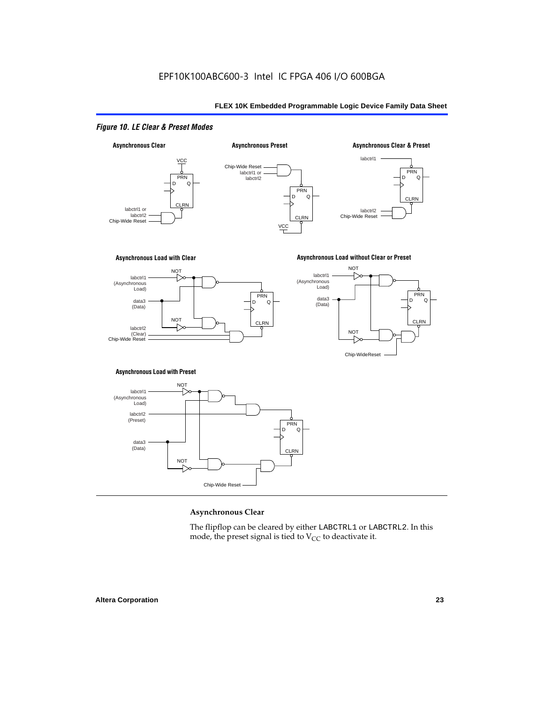### *Figure 10. LE Clear & Preset Modes*



#### **Asynchronous Clear**

The flipflop can be cleared by either LABCTRL1 or LABCTRL2. In this mode, the preset signal is tied to  $V_{CC}$  to deactivate it.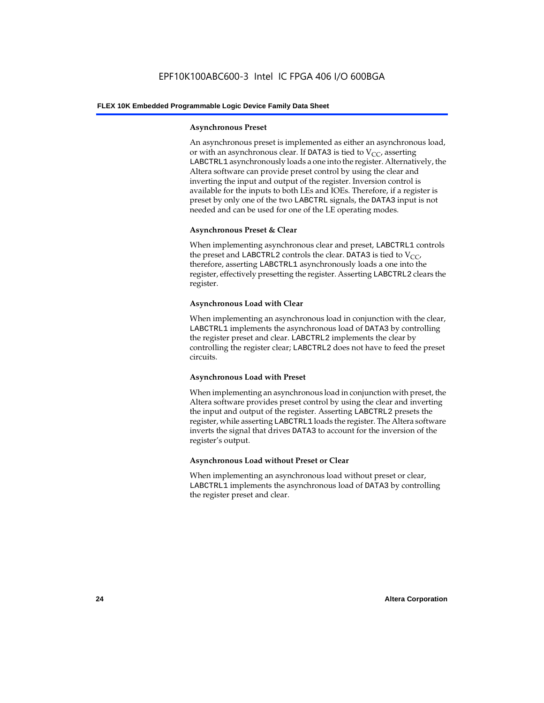#### **Asynchronous Preset**

An asynchronous preset is implemented as either an asynchronous load, or with an asynchronous clear. If DATA3 is tied to  $V_{CC}$ , asserting LABCTRL1 asynchronously loads a one into the register. Alternatively, the Altera software can provide preset control by using the clear and inverting the input and output of the register. Inversion control is available for the inputs to both LEs and IOEs. Therefore, if a register is preset by only one of the two LABCTRL signals, the DATA3 input is not needed and can be used for one of the LE operating modes.

#### **Asynchronous Preset & Clear**

When implementing asynchronous clear and preset, LABCTRL1 controls the preset and LABCTRL2 controls the clear. DATA3 is tied to  $V_{CC}$ , therefore, asserting LABCTRL1 asynchronously loads a one into the register, effectively presetting the register. Asserting LABCTRL2 clears the register.

#### **Asynchronous Load with Clear**

When implementing an asynchronous load in conjunction with the clear, LABCTRL1 implements the asynchronous load of DATA3 by controlling the register preset and clear. LABCTRL2 implements the clear by controlling the register clear; LABCTRL2 does not have to feed the preset circuits.

#### **Asynchronous Load with Preset**

When implementing an asynchronous load in conjunction with preset, the Altera software provides preset control by using the clear and inverting the input and output of the register. Asserting LABCTRL2 presets the register, while asserting LABCTRL1 loads the register. The Altera software inverts the signal that drives DATA3 to account for the inversion of the register's output.

#### **Asynchronous Load without Preset or Clear**

When implementing an asynchronous load without preset or clear, LABCTRL1 implements the asynchronous load of DATA3 by controlling the register preset and clear.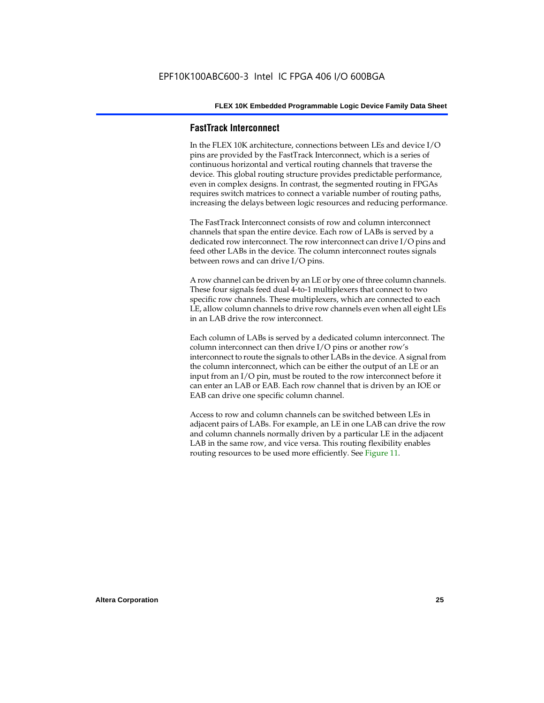#### **FastTrack Interconnect**

In the FLEX 10K architecture, connections between LEs and device I/O pins are provided by the FastTrack Interconnect, which is a series of continuous horizontal and vertical routing channels that traverse the device. This global routing structure provides predictable performance, even in complex designs. In contrast, the segmented routing in FPGAs requires switch matrices to connect a variable number of routing paths, increasing the delays between logic resources and reducing performance.

The FastTrack Interconnect consists of row and column interconnect channels that span the entire device. Each row of LABs is served by a dedicated row interconnect. The row interconnect can drive I/O pins and feed other LABs in the device. The column interconnect routes signals between rows and can drive I/O pins.

A row channel can be driven by an LE or by one of three column channels. These four signals feed dual 4-to-1 multiplexers that connect to two specific row channels. These multiplexers, which are connected to each LE, allow column channels to drive row channels even when all eight LEs in an LAB drive the row interconnect.

Each column of LABs is served by a dedicated column interconnect. The column interconnect can then drive I/O pins or another row's interconnect to route the signals to other LABs in the device. A signal from the column interconnect, which can be either the output of an LE or an input from an I/O pin, must be routed to the row interconnect before it can enter an LAB or EAB. Each row channel that is driven by an IOE or EAB can drive one specific column channel.

Access to row and column channels can be switched between LEs in adjacent pairs of LABs. For example, an LE in one LAB can drive the row and column channels normally driven by a particular LE in the adjacent LAB in the same row, and vice versa. This routing flexibility enables routing resources to be used more efficiently. See Figure 11.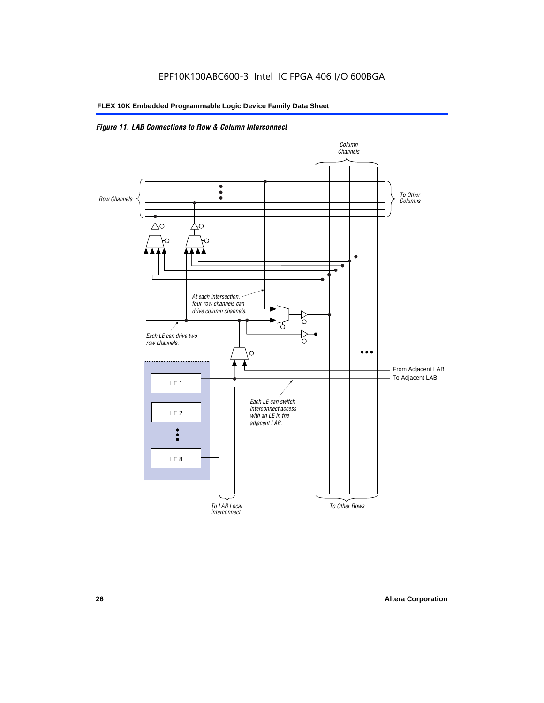#### *Figure 11. LAB Connections to Row & Column Interconnect*

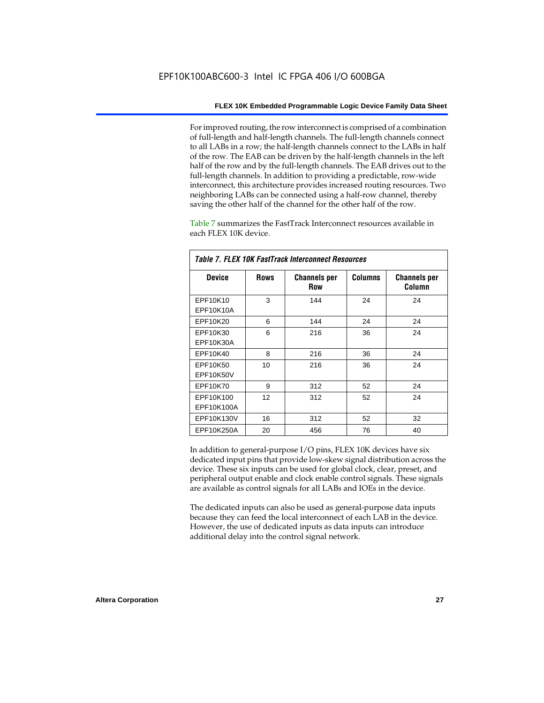For improved routing, the row interconnect is comprised of a combination of full-length and half-length channels. The full-length channels connect to all LABs in a row; the half-length channels connect to the LABs in half of the row. The EAB can be driven by the half-length channels in the left half of the row and by the full-length channels. The EAB drives out to the full-length channels. In addition to providing a predictable, row-wide interconnect, this architecture provides increased routing resources. Two neighboring LABs can be connected using a half-row channel, thereby saving the other half of the channel for the other half of the row.

Table 7 summarizes the FastTrack Interconnect resources available in each FLEX 10K device.

| Table 7. FLEX 10K FastTrack Interconnect Resources |             |                                   |                |                               |  |
|----------------------------------------------------|-------------|-----------------------------------|----------------|-------------------------------|--|
| <b>Device</b>                                      | <b>Rows</b> | <b>Channels per</b><br><b>Row</b> | <b>Columns</b> | <b>Channels per</b><br>Column |  |
| EPF10K10                                           | 3           | 144                               | 24             | 24                            |  |
| EPF10K10A                                          |             |                                   |                |                               |  |
| EPF10K20                                           | 6           | 144                               | 24             | 24                            |  |
| EPF10K30                                           | 6           | 216                               | 36             | 24                            |  |
| EPF10K30A                                          |             |                                   |                |                               |  |
| EPF10K40                                           | 8           | 216                               | 36             | 24                            |  |
| EPF10K50                                           | 10          | 216                               | 36             | 24                            |  |
| <b>EPF10K50V</b>                                   |             |                                   |                |                               |  |
| EPF10K70                                           | 9           | 312                               | 52             | 24                            |  |
| EPF10K100                                          | 12          | 312                               | 52             | 24                            |  |
| EPF10K100A                                         |             |                                   |                |                               |  |
| EPF10K130V                                         | 16          | 312                               | 52             | 32                            |  |
| EPF10K250A                                         | 20          | 456                               | 76             | 40                            |  |

In addition to general-purpose I/O pins, FLEX 10K devices have six dedicated input pins that provide low-skew signal distribution across the device. These six inputs can be used for global clock, clear, preset, and peripheral output enable and clock enable control signals. These signals are available as control signals for all LABs and IOEs in the device.

The dedicated inputs can also be used as general-purpose data inputs because they can feed the local interconnect of each LAB in the device. However, the use of dedicated inputs as data inputs can introduce additional delay into the control signal network.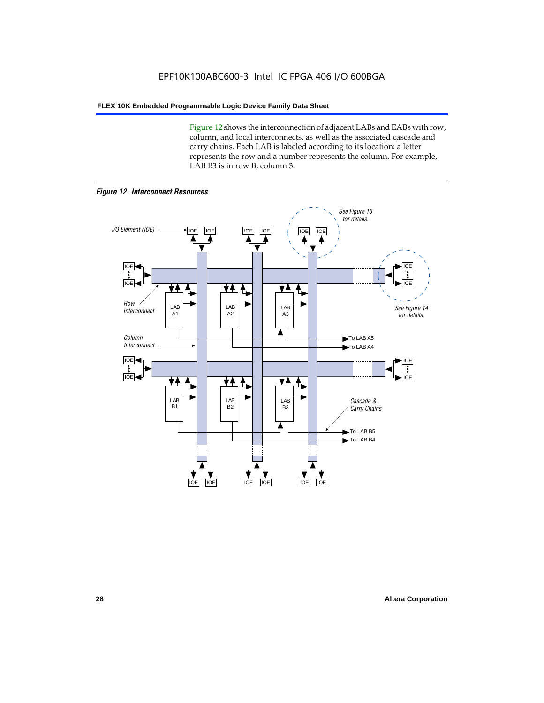Figure 12 shows the interconnection of adjacent LABs and EABs with row, column, and local interconnects, as well as the associated cascade and carry chains. Each LAB is labeled according to its location: a letter represents the row and a number represents the column. For example, LAB B3 is in row B, column 3.



*Figure 12. Interconnect Resources*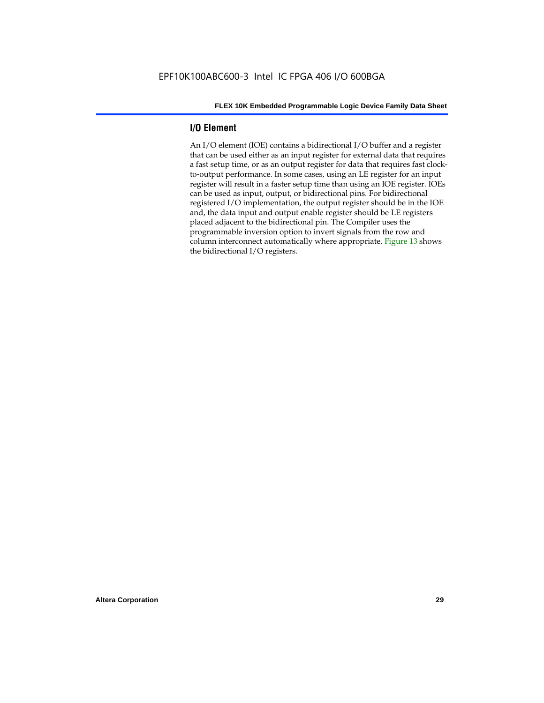#### **I/O Element**

An I/O element (IOE) contains a bidirectional I/O buffer and a register that can be used either as an input register for external data that requires a fast setup time, or as an output register for data that requires fast clockto-output performance. In some cases, using an LE register for an input register will result in a faster setup time than using an IOE register. IOEs can be used as input, output, or bidirectional pins. For bidirectional registered I/O implementation, the output register should be in the IOE and, the data input and output enable register should be LE registers placed adjacent to the bidirectional pin. The Compiler uses the programmable inversion option to invert signals from the row and column interconnect automatically where appropriate. Figure 13 shows the bidirectional I/O registers.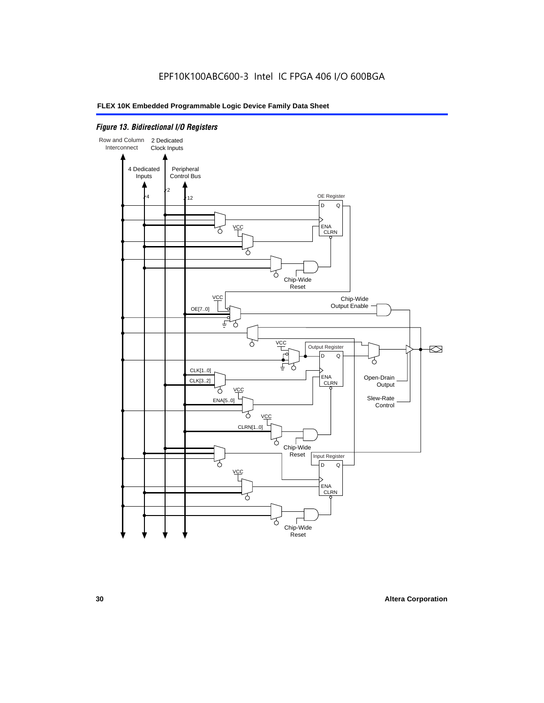#### *Figure 13. Bidirectional I/O Registers*

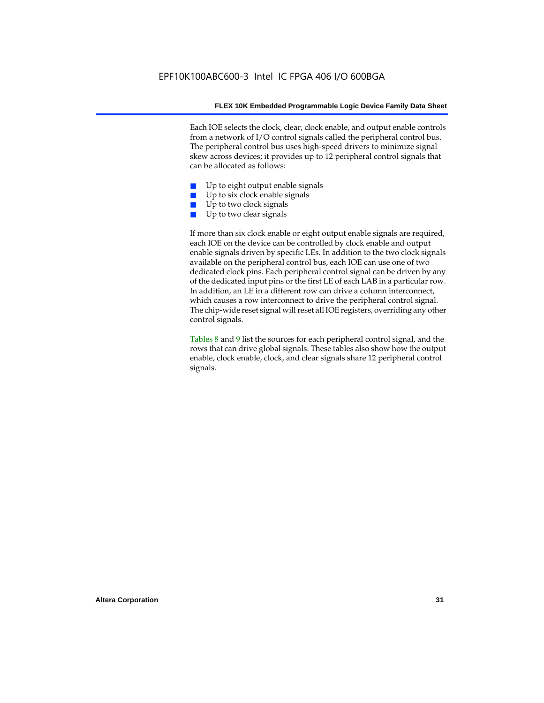Each IOE selects the clock, clear, clock enable, and output enable controls from a network of I/O control signals called the peripheral control bus. The peripheral control bus uses high-speed drivers to minimize signal skew across devices; it provides up to 12 peripheral control signals that can be allocated as follows:

- Up to eight output enable signals
- Up to six clock enable signals
- Up to two clock signals
- Up to two clear signals

If more than six clock enable or eight output enable signals are required, each IOE on the device can be controlled by clock enable and output enable signals driven by specific LEs. In addition to the two clock signals available on the peripheral control bus, each IOE can use one of two dedicated clock pins. Each peripheral control signal can be driven by any of the dedicated input pins or the first LE of each LAB in a particular row. In addition, an LE in a different row can drive a column interconnect, which causes a row interconnect to drive the peripheral control signal. The chip-wide reset signal will reset all IOE registers, overriding any other control signals.

Tables 8 and 9 list the sources for each peripheral control signal, and the rows that can drive global signals. These tables also show how the output enable, clock enable, clock, and clear signals share 12 peripheral control signals.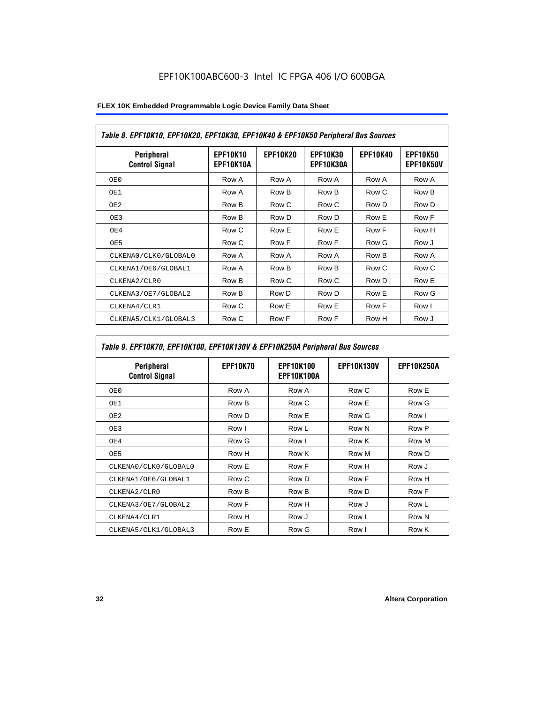| Table 8. EPF10K10, EPF10K20, EPF10K30, EPF10K40 & EPF10K50 Peripheral Bus Sources |                              |                 |                              |                 |                              |  |
|-----------------------------------------------------------------------------------|------------------------------|-----------------|------------------------------|-----------------|------------------------------|--|
| <b>Peripheral</b><br><b>Control Signal</b>                                        | <b>EPF10K10</b><br>EPF10K10A | <b>EPF10K20</b> | <b>EPF10K30</b><br>EPF10K30A | <b>EPF10K40</b> | <b>EPF10K50</b><br>EPF10K50V |  |
| OE0                                                                               | Row A                        | Row A           | Row A                        | Row A           | Row A                        |  |
| OE1                                                                               | Row A                        | Row B           | Row B                        | Row C           | Row B                        |  |
| OE <sub>2</sub>                                                                   | Row B                        | Row C           | Row C                        | Row D           | Row D                        |  |
| OE3                                                                               | Row B                        | Row D           | Row D                        | Row E           | Row F                        |  |
| OE4                                                                               | Row C                        | Row E           | Row E                        | Row F           | Row H                        |  |
| OE5                                                                               | Row C                        | Row F           | Row F                        | Row G           | Row J                        |  |
| CLKENA0/CLK0/GLOBAL0                                                              | Row A                        | Row A           | Row A                        | Row B           | Row A                        |  |
| CLKENA1/OE6/GLOBAL1                                                               | Row A                        | Row B           | Row B                        | Row C           | Row C                        |  |
| CLKENA2/CLR0                                                                      | Row B                        | Row C           | Row C                        | Row D           | Row E                        |  |
| CLKENA3/OE7/GLOBAL2                                                               | Row B                        | Row D           | Row D                        | Row E           | Row G                        |  |
| CLKENA4/CLR1                                                                      | Row C                        | Row E           | Row E                        | Row F           | Row I                        |  |
| CLKENA5/CLK1/GLOBAL3                                                              | Row C                        | Row F           | Row F                        | Row H           | Row J                        |  |

### *Table 9. EPF10K70, EPF10K100, EPF10K130V & EPF10K250A Peripheral Bus Sources*

| Peripheral<br><b>Control Signal</b> | <b>EPF10K70</b> | <b>EPF10K100</b><br><b>EPF10K100A</b> | <b>EPF10K130V</b> | <b>EPF10K250A</b> |
|-------------------------------------|-----------------|---------------------------------------|-------------------|-------------------|
| OE0                                 | Row A           | Row A                                 | Row C             | Row E             |
| OE1                                 | Row B           | Row C                                 | Row E             | Row G             |
| OE <sub>2</sub>                     | Row D           | Row E                                 | Row G             | Row I             |
| OE3                                 | Row I           | Row L                                 | Row N             | Row P             |
| OE4                                 | Row G           | Row I                                 | Row K             | Row M             |
| OE5                                 | Row H           | Row K                                 | Row M             | Row O             |
| CLKENA0/CLK0/GLOBAL0                | Row E           | Row F                                 | Row H             | Row J             |
| CLKENA1/OE6/GLOBAL1                 | Row C           | Row D                                 | Row F             | Row H             |
| CLKENA2/CLR0                        | Row B           | Row B                                 | Row D             | Row F             |
| CLKENA3/OE7/GLOBAL2                 | Row F           | Row H                                 | Row J             | Row L             |
| CLKENA4/CLR1                        | Row H           | Row J                                 | Row L             | Row N             |
| CLKENA5/CLK1/GLOBAL3                | Row E           | Row G                                 | Row I             | Row K             |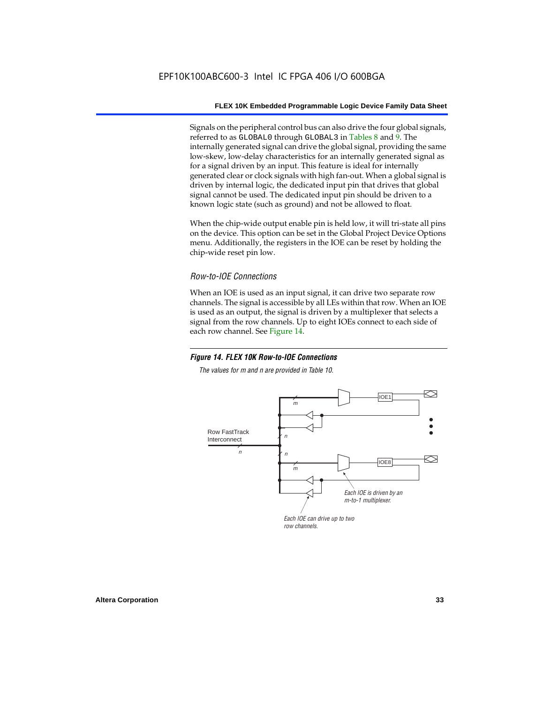Signals on the peripheral control bus can also drive the four global signals, referred to as GLOBAL0 through GLOBAL3 in Tables 8 and 9. The internally generated signal can drive the global signal, providing the same low-skew, low-delay characteristics for an internally generated signal as for a signal driven by an input. This feature is ideal for internally generated clear or clock signals with high fan-out. When a global signal is driven by internal logic, the dedicated input pin that drives that global signal cannot be used. The dedicated input pin should be driven to a known logic state (such as ground) and not be allowed to float.

When the chip-wide output enable pin is held low, it will tri-state all pins on the device. This option can be set in the Global Project Device Options menu. Additionally, the registers in the IOE can be reset by holding the chip-wide reset pin low.

#### *Row-to-IOE Connections*

When an IOE is used as an input signal, it can drive two separate row channels. The signal is accessible by all LEs within that row. When an IOE is used as an output, the signal is driven by a multiplexer that selects a signal from the row channels. Up to eight IOEs connect to each side of each row channel. See Figure 14.

#### *Figure 14. FLEX 10K Row-to-IOE Connections*

*The values for m and n are provided in Table 10.*

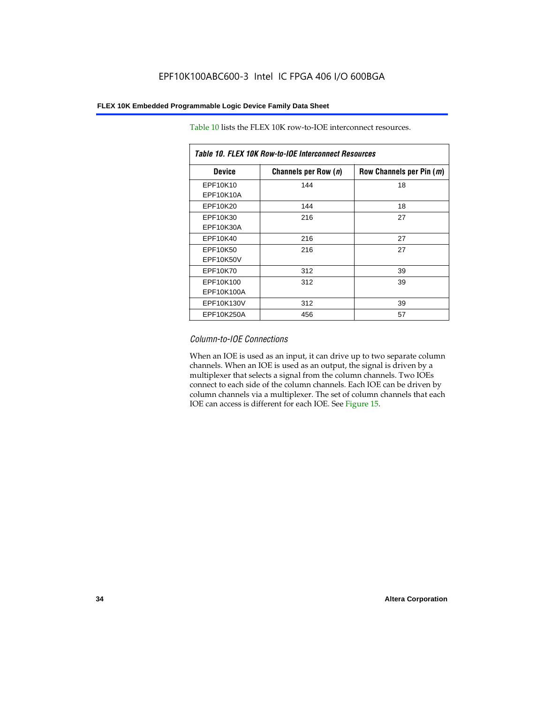| Table 10. FLEX 10K Row-to-IOE Interconnect Resources |                      |                          |  |  |  |
|------------------------------------------------------|----------------------|--------------------------|--|--|--|
| <b>Device</b>                                        | Channels per Row (n) | Row Channels per Pin (m) |  |  |  |
| EPF10K10<br>EPF10K10A                                | 144                  | 18                       |  |  |  |
| EPF10K20                                             | 144                  | 18                       |  |  |  |
| EPF10K30<br>EPF10K30A                                | 216                  | 27                       |  |  |  |
| EPF10K40                                             | 216                  | 27                       |  |  |  |
| EPF10K50<br>EPF10K50V                                | 216                  | 27                       |  |  |  |
| EPF10K70                                             | 312                  | 39                       |  |  |  |
| EPF10K100<br>EPF10K100A                              | 312                  | 39                       |  |  |  |
| EPF10K130V                                           | 312                  | 39                       |  |  |  |
| EPF10K250A                                           | 456                  | 57                       |  |  |  |

Table 10 lists the FLEX 10K row-to-IOE interconnect resources.

#### *Column-to-IOE Connections*

When an IOE is used as an input, it can drive up to two separate column channels. When an IOE is used as an output, the signal is driven by a multiplexer that selects a signal from the column channels. Two IOEs connect to each side of the column channels. Each IOE can be driven by column channels via a multiplexer. The set of column channels that each IOE can access is different for each IOE. See Figure 15.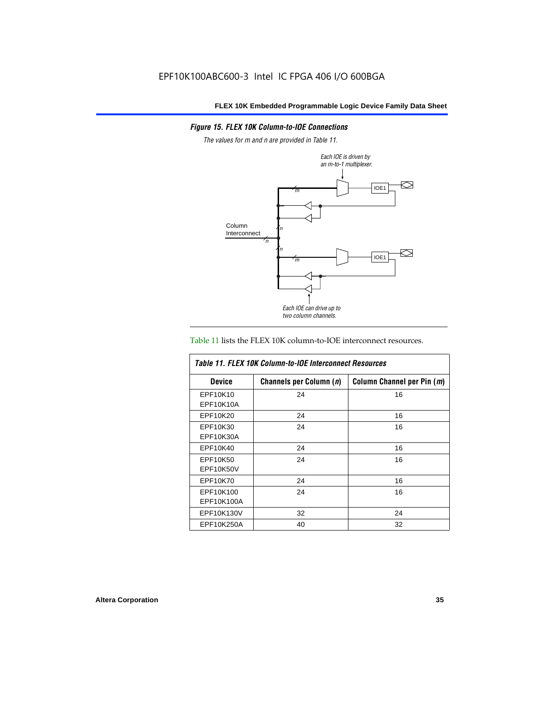#### *Figure 15. FLEX 10K Column-to-IOE Connections*

*The values for m and n are provided in Table 11.*



#### Table 11 lists the FLEX 10K column-to-IOE interconnect resources.

| Table 11, FLEX 10K Column-to-IOE Interconnect Resources |                         |                            |  |  |  |
|---------------------------------------------------------|-------------------------|----------------------------|--|--|--|
| <b>Device</b>                                           | Channels per Column (n) | Column Channel per Pin (m) |  |  |  |
| EPF10K10                                                | 24                      | 16                         |  |  |  |
| EPF10K10A                                               |                         |                            |  |  |  |
| EPF10K20                                                | 24                      | 16                         |  |  |  |
| EPF10K30                                                | 24                      | 16                         |  |  |  |
| EPF10K30A                                               |                         |                            |  |  |  |
| EPF10K40                                                | 24                      | 16                         |  |  |  |
| EPF10K50                                                | 24                      | 16                         |  |  |  |
| EPF10K50V                                               |                         |                            |  |  |  |
| EPF10K70                                                | 24                      | 16                         |  |  |  |
| EPF10K100                                               | 24                      | 16                         |  |  |  |
| EPF10K100A                                              |                         |                            |  |  |  |
| EPF10K130V                                              | 32                      | 24                         |  |  |  |
| EPF10K250A                                              | 40                      | 32                         |  |  |  |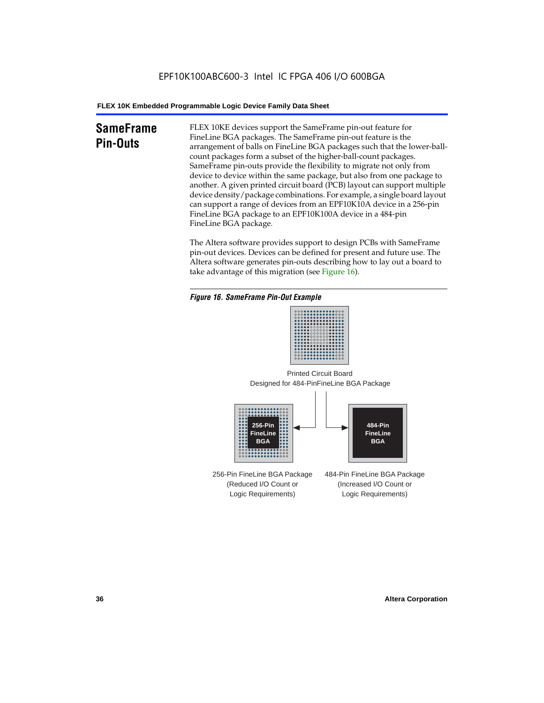# **SameFrame Pin-Outs**

FLEX 10KE devices support the SameFrame pin-out feature for FineLine BGA packages. The SameFrame pin-out feature is the arrangement of balls on FineLine BGA packages such that the lower-ballcount packages form a subset of the higher-ball-count packages. SameFrame pin-outs provide the flexibility to migrate not only from device to device within the same package, but also from one package to another. A given printed circuit board (PCB) layout can support multiple device density/package combinations. For example, a single board layout can support a range of devices from an EPF10K10A device in a 256-pin FineLine BGA package to an EPF10K100A device in a 484-pin FineLine BGA package.

The Altera software provides support to design PCBs with SameFrame pin-out devices. Devices can be defined for present and future use. The Altera software generates pin-outs describing how to lay out a board to take advantage of this migration (see Figure 16).







256-Pin FineLine BGA Package (Reduced I/O Count or Logic Requirements) 484-Pin FineLine BGA Package (Increased I/O Count or Logic Requirements)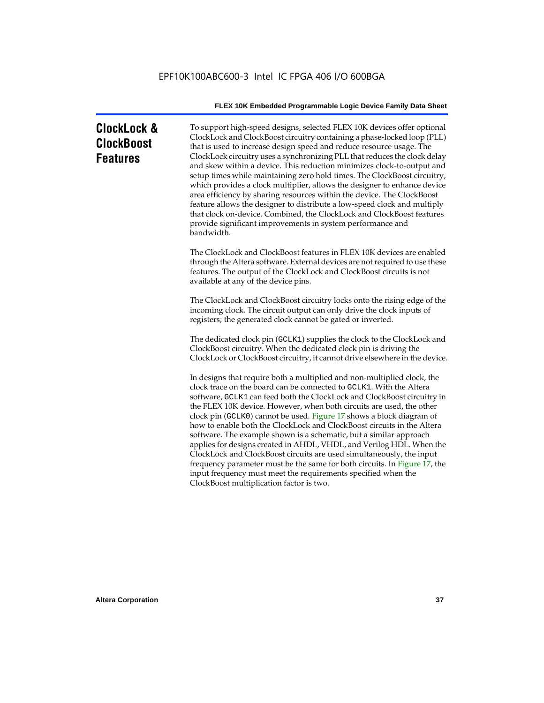| <b>ClockLock &amp;</b><br><b>ClockBoost</b><br><b>Features</b> | To support high-speed designs, selected FLEX 10K devices offer optional<br>ClockLock and ClockBoost circuitry containing a phase-locked loop (PLL)<br>that is used to increase design speed and reduce resource usage. The<br>ClockLock circuitry uses a synchronizing PLL that reduces the clock delay<br>and skew within a device. This reduction minimizes clock-to-output and<br>setup times while maintaining zero hold times. The ClockBoost circuitry,<br>which provides a clock multiplier, allows the designer to enhance device<br>area efficiency by sharing resources within the device. The ClockBoost<br>feature allows the designer to distribute a low-speed clock and multiply<br>that clock on-device. Combined, the ClockLock and ClockBoost features<br>provide significant improvements in system performance and<br>bandwidth. |
|----------------------------------------------------------------|------------------------------------------------------------------------------------------------------------------------------------------------------------------------------------------------------------------------------------------------------------------------------------------------------------------------------------------------------------------------------------------------------------------------------------------------------------------------------------------------------------------------------------------------------------------------------------------------------------------------------------------------------------------------------------------------------------------------------------------------------------------------------------------------------------------------------------------------------|
|                                                                | The ClockLock and ClockBoost features in FLEX 10K devices are enabled<br>through the Altera software. External devices are not required to use these<br>features. The output of the ClockLock and ClockBoost circuits is not<br>available at any of the device pins.                                                                                                                                                                                                                                                                                                                                                                                                                                                                                                                                                                                 |
|                                                                | The ClockLock and ClockBoost circuitry locks onto the rising edge of the<br>incoming clock. The circuit output can only drive the clock inputs of<br>registers; the generated clock cannot be gated or inverted.                                                                                                                                                                                                                                                                                                                                                                                                                                                                                                                                                                                                                                     |
|                                                                | The dedicated clock pin (GCLK1) supplies the clock to the ClockLock and<br>ClockBoost circuitry. When the dedicated clock pin is driving the<br>ClockLock or ClockBoost circuitry, it cannot drive elsewhere in the device.                                                                                                                                                                                                                                                                                                                                                                                                                                                                                                                                                                                                                          |
|                                                                | In designs that require both a multiplied and non-multiplied clock, the<br>clock trace on the board can be connected to GCLK1. With the Altera<br>software, GCLK1 can feed both the ClockLock and ClockBoost circuitry in<br>the FLEX 10K device. However, when both circuits are used, the other<br>clock pin (GCLK0) cannot be used. Figure 17 shows a block diagram of<br>how to enable both the ClockLock and ClockBoost circuits in the Altera<br>software. The example shown is a schematic, but a similar approach                                                                                                                                                                                                                                                                                                                            |

a block diagram of circuits in the Altera similar approach applies for designs created in AHDL, VHDL, and Verilog HDL. When the ClockLock and ClockBoost circuits are used simultaneously, the input frequency parameter must be the same for both circuits. In Figure 17, the input frequency must meet the requirements specified when the ClockBoost multiplication factor is two.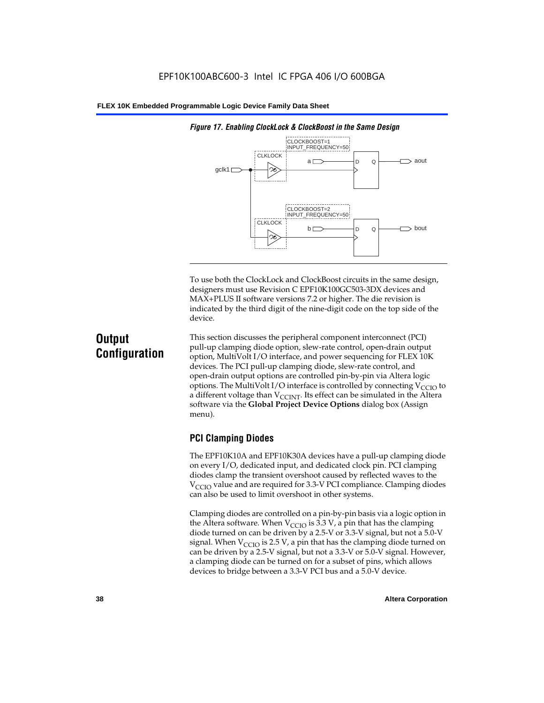

*Figure 17. Enabling ClockLock & ClockBoost in the Same Design*

To use both the ClockLock and ClockBoost circuits in the same design, designers must use Revision C EPF10K100GC503-3DX devices and MAX+PLUS II software versions 7.2 or higher. The die revision is indicated by the third digit of the nine-digit code on the top side of the device.

# **Output Configuration**

This section discusses the peripheral component interconnect (PCI) pull-up clamping diode option, slew-rate control, open-drain output option, MultiVolt I/O interface, and power sequencing for FLEX 10K devices. The PCI pull-up clamping diode, slew-rate control, and open-drain output options are controlled pin-by-pin via Altera logic options. The MultiVolt I/O interface is controlled by connecting  $V_{\text{CCIO}}$  to a different voltage than  $V_{\text{CCINT}}$ . Its effect can be simulated in the Altera software via the **Global Project Device Options** dialog box (Assign menu).

# **PCI Clamping Diodes**

The EPF10K10A and EPF10K30A devices have a pull-up clamping diode on every I/O, dedicated input, and dedicated clock pin. PCI clamping diodes clamp the transient overshoot caused by reflected waves to the  $V_{\text{CCIO}}$  value and are required for 3.3-V PCI compliance. Clamping diodes can also be used to limit overshoot in other systems.

Clamping diodes are controlled on a pin-by-pin basis via a logic option in the Altera software. When  $V_{\text{CCIO}}$  is 3.3 V, a pin that has the clamping diode turned on can be driven by a 2.5-V or 3.3-V signal, but not a 5.0-V signal. When  $V_{\text{CCIO}}$  is 2.5 V, a pin that has the clamping diode turned on can be driven by a 2.5-V signal, but not a 3.3-V or 5.0-V signal. However, a clamping diode can be turned on for a subset of pins, which allows devices to bridge between a 3.3-V PCI bus and a 5.0-V device.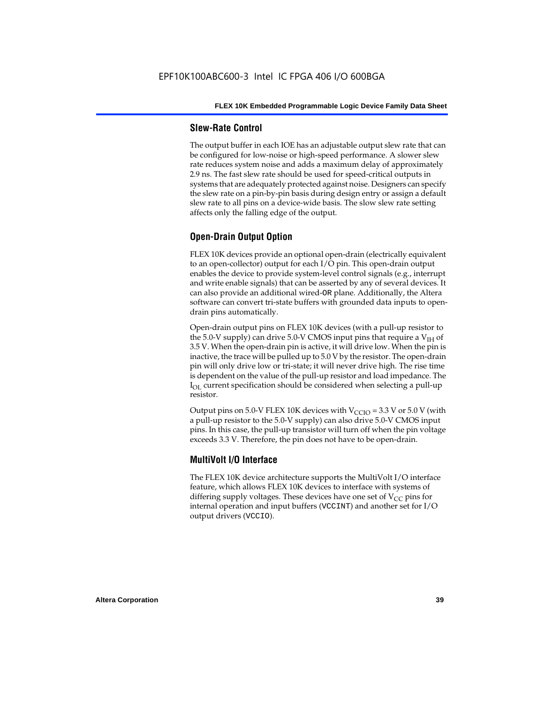## **Slew-Rate Control**

The output buffer in each IOE has an adjustable output slew rate that can be configured for low-noise or high-speed performance. A slower slew rate reduces system noise and adds a maximum delay of approximately 2.9 ns. The fast slew rate should be used for speed-critical outputs in systems that are adequately protected against noise. Designers can specify the slew rate on a pin-by-pin basis during design entry or assign a default slew rate to all pins on a device-wide basis. The slow slew rate setting affects only the falling edge of the output.

# **Open-Drain Output Option**

FLEX 10K devices provide an optional open-drain (electrically equivalent to an open-collector) output for each I/O pin. This open-drain output enables the device to provide system-level control signals (e.g., interrupt and write enable signals) that can be asserted by any of several devices. It can also provide an additional wired-OR plane. Additionally, the Altera software can convert tri-state buffers with grounded data inputs to opendrain pins automatically.

Open-drain output pins on FLEX 10K devices (with a pull-up resistor to the 5.0-V supply) can drive 5.0-V CMOS input pins that require a  $V<sub>IH</sub>$  of 3.5 V. When the open-drain pin is active, it will drive low. When the pin is inactive, the trace will be pulled up to 5.0 V by the resistor. The open-drain pin will only drive low or tri-state; it will never drive high. The rise time is dependent on the value of the pull-up resistor and load impedance. The  $I_{\text{OL}}$  current specification should be considered when selecting a pull-up resistor.

Output pins on 5.0-V FLEX 10K devices with  $V_{\text{CCIO}} = 3.3$  V or 5.0 V (with a pull-up resistor to the 5.0-V supply) can also drive 5.0-V CMOS input pins. In this case, the pull-up transistor will turn off when the pin voltage exceeds 3.3 V. Therefore, the pin does not have to be open-drain.

# **MultiVolt I/O Interface**

The FLEX 10K device architecture supports the MultiVolt I/O interface feature, which allows FLEX 10K devices to interface with systems of differing supply voltages. These devices have one set of  $V_{CC}$  pins for internal operation and input buffers (VCCINT) and another set for I/O output drivers (VCCIO).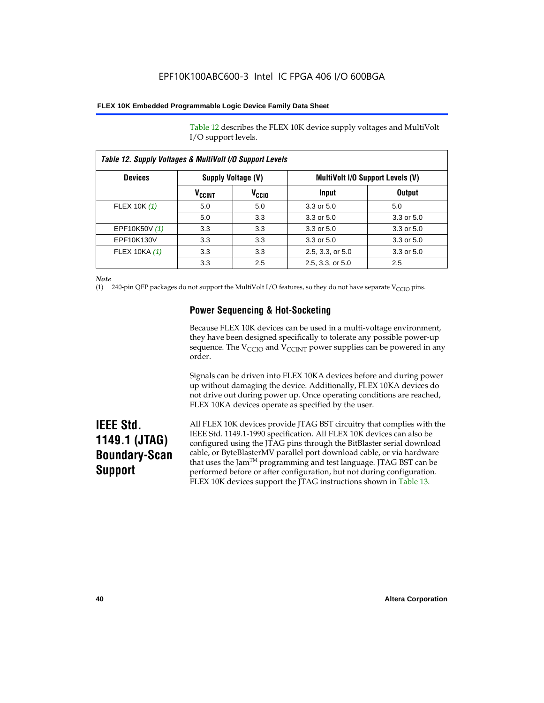Table 12 describes the FLEX 10K device supply voltages and MultiVolt I/O support levels.

| Table 12. Supply Voltages & MultiVolt I/O Support Levels |                          |                   |                                         |               |  |  |
|----------------------------------------------------------|--------------------------|-------------------|-----------------------------------------|---------------|--|--|
| <b>Devices</b>                                           | Supply Voltage (V)       |                   | <b>MultiVolt I/O Support Levels (V)</b> |               |  |  |
|                                                          | <b>V<sub>CCINT</sub></b> | V <sub>CCIO</sub> | Input                                   | <b>Output</b> |  |  |
| FLEX 10K (1)                                             | 5.0                      | 5.0               | 3.3 or 5.0                              | 5.0           |  |  |
|                                                          | 5.0                      | 3.3               | 3.3 or 5.0                              | 3.3 or 5.0    |  |  |
| EPF10K50V (1)                                            | 3.3                      | 3.3               | 3.3 or 5.0                              | 3.3 or 5.0    |  |  |
| EPF10K130V                                               | 3.3                      | 3.3               | 3.3 or 5.0                              | 3.3 or 5.0    |  |  |
| FLEX 10KA (1)                                            | 3.3                      | 3.3               | 2.5, 3.3, or 5.0                        | 3.3 or 5.0    |  |  |
|                                                          | 3.3                      | 2.5               | 2.5, 3.3, or 5.0                        | 2.5           |  |  |

*Note*

(1) 240-pin QFP packages do not support the MultiVolt I/O features, so they do not have separate V<sub>CCIO</sub> pins.

# **Power Sequencing & Hot-Socketing**

Because FLEX 10K devices can be used in a multi-voltage environment, they have been designed specifically to tolerate any possible power-up sequence. The  $V_{\text{CCIO}}$  and  $V_{\text{CCINT}}$  power supplies can be powered in any order.

Signals can be driven into FLEX 10KA devices before and during power up without damaging the device. Additionally, FLEX 10KA devices do not drive out during power up. Once operating conditions are reached, FLEX 10KA devices operate as specified by the user.

# **IEEE Std. 1149.1 (JTAG) Boundary-Scan Support**

All FLEX 10K devices provide JTAG BST circuitry that complies with the IEEE Std. 1149.1-1990 specification. All FLEX 10K devices can also be configured using the JTAG pins through the BitBlaster serial download cable, or ByteBlasterMV parallel port download cable, or via hardware that uses the Jam<sup>TM</sup> programming and test language. JTAG BST can be performed before or after configuration, but not during configuration. FLEX 10K devices support the JTAG instructions shown in Table 13.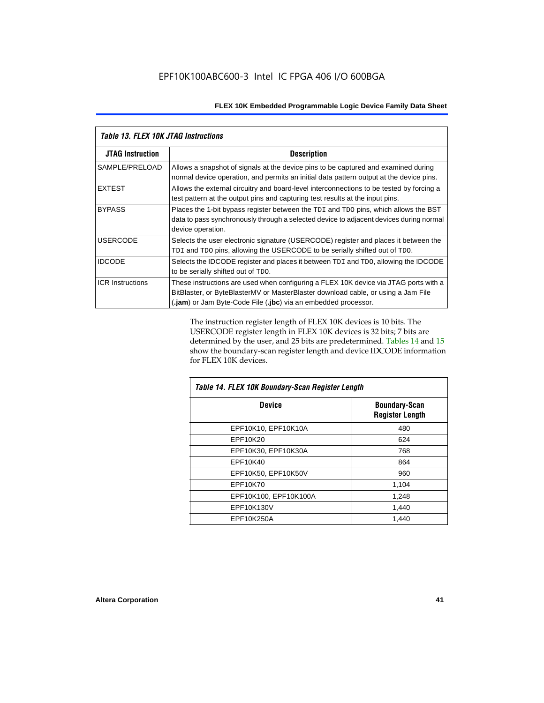|                         | <b>Table 13. FLEX 10K JTAG Instructions</b>                                                                                                                                                                                                 |  |  |  |  |
|-------------------------|---------------------------------------------------------------------------------------------------------------------------------------------------------------------------------------------------------------------------------------------|--|--|--|--|
| <b>JTAG Instruction</b> | <b>Description</b>                                                                                                                                                                                                                          |  |  |  |  |
| SAMPLE/PRELOAD          | Allows a snapshot of signals at the device pins to be captured and examined during<br>normal device operation, and permits an initial data pattern output at the device pins.                                                               |  |  |  |  |
| <b>EXTEST</b>           | Allows the external circuitry and board-level interconnections to be tested by forcing a<br>test pattern at the output pins and capturing test results at the input pins.                                                                   |  |  |  |  |
| <b>BYPASS</b>           | Places the 1-bit bypass register between the TDI and TDO pins, which allows the BST<br>data to pass synchronously through a selected device to adjacent devices during normal<br>device operation.                                          |  |  |  |  |
| <b>USERCODE</b>         | Selects the user electronic signature (USERCODE) register and places it between the<br>TDI and TDO pins, allowing the USERCODE to be serially shifted out of TDO.                                                                           |  |  |  |  |
| <b>IDCODE</b>           | Selects the IDCODE register and places it between TDI and TDO, allowing the IDCODE<br>to be serially shifted out of TDO.                                                                                                                    |  |  |  |  |
| <b>ICR Instructions</b> | These instructions are used when configuring a FLEX 10K device via JTAG ports with a<br>BitBlaster, or ByteBlasterMV or MasterBlaster download cable, or using a Jam File<br>(.jam) or Jam Byte-Code File (.jbc) via an embedded processor. |  |  |  |  |

The instruction register length of FLEX 10K devices is 10 bits. The USERCODE register length in FLEX 10K devices is 32 bits; 7 bits are determined by the user, and 25 bits are predetermined. Tables 14 and 15 show the boundary-scan register length and device IDCODE information for FLEX 10K devices.

| Table 14. FLEX 10K Boundary-Scan Register Length |                                                |  |  |  |
|--------------------------------------------------|------------------------------------------------|--|--|--|
| <b>Device</b>                                    | <b>Boundary-Scan</b><br><b>Register Length</b> |  |  |  |
| EPF10K10, EPF10K10A                              | 480                                            |  |  |  |
| EPF10K20                                         | 624                                            |  |  |  |
| EPF10K30, EPF10K30A                              | 768                                            |  |  |  |
| EPF10K40                                         | 864                                            |  |  |  |
| EPF10K50, EPF10K50V                              | 960                                            |  |  |  |
| EPF10K70                                         | 1,104                                          |  |  |  |
| EPF10K100, EPF10K100A                            | 1,248                                          |  |  |  |
| EPF10K130V                                       | 1,440                                          |  |  |  |
| EPF10K250A                                       | 1.440                                          |  |  |  |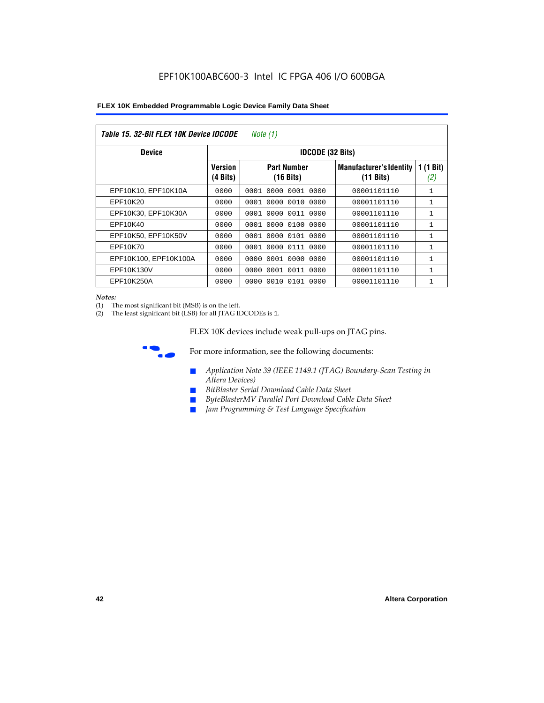| Table 15. 32-Bit FLEX 10K Device IDCODE<br>Note (1) |                            |                                           |                                                       |                    |  |  |  |  |
|-----------------------------------------------------|----------------------------|-------------------------------------------|-------------------------------------------------------|--------------------|--|--|--|--|
| <b>Device</b>                                       | <b>IDCODE (32 Bits)</b>    |                                           |                                                       |                    |  |  |  |  |
|                                                     | <b>Version</b><br>(4 Bits) | <b>Part Number</b><br>$(16 \text{ bits})$ | <b>Manufacturer's Identity</b><br>$(11 \text{ bits})$ | 1 $(1$ Bit)<br>(2) |  |  |  |  |
| EPF10K10, EPF10K10A                                 | 0000                       | 0001<br>0000<br>0001 0000                 | 00001101110                                           | $\mathbf{1}$       |  |  |  |  |
| EPF10K20                                            | 0000                       | 0000 0010 0000<br>0001                    | 00001101110                                           | 1                  |  |  |  |  |
| EPF10K30, EPF10K30A                                 | 0000                       | 0001 0000 0011 0000                       | 00001101110                                           | 1                  |  |  |  |  |
| EPF10K40                                            | 0000                       | 0000<br>0100<br>0001<br>0000              | 00001101110                                           | $\mathbf{1}$       |  |  |  |  |
| EPF10K50, EPF10K50V                                 | 0000                       | 0001 0000 0101 0000                       | 00001101110                                           | 1                  |  |  |  |  |
| EPF10K70                                            | 0000                       | 0000 0111 0000<br>0001                    | 00001101110                                           | $\mathbf{1}$       |  |  |  |  |
| EPF10K100, EPF10K100A                               | 0000                       | 0001 0000 0000<br>0000                    | 00001101110                                           | 1                  |  |  |  |  |
| EPF10K130V                                          | 0000                       | 0000<br>0001 0011 0000                    | 00001101110                                           | 1                  |  |  |  |  |
| EPF10K250A                                          | 0000                       | 0000<br>0010 0101 0000                    | 00001101110                                           | $\mathbf{1}$       |  |  |  |  |

#### *Notes:*

(1) The most significant bit (MSB) is on the left.

(2) The least significant bit (LSB) for all JTAG IDCODEs is 1.

FLEX 10K devices include weak pull-ups on JTAG pins.



**for more information, see the following documents:** 

- *Application Note 39 (IEEE 1149.1 (JTAG) Boundary-Scan Testing in Altera Devices)*
- *BitBlaster Serial Download Cable Data Sheet*
- *ByteBlasterMV Parallel Port Download Cable Data Sheet*
- *Jam Programming & Test Language Specification*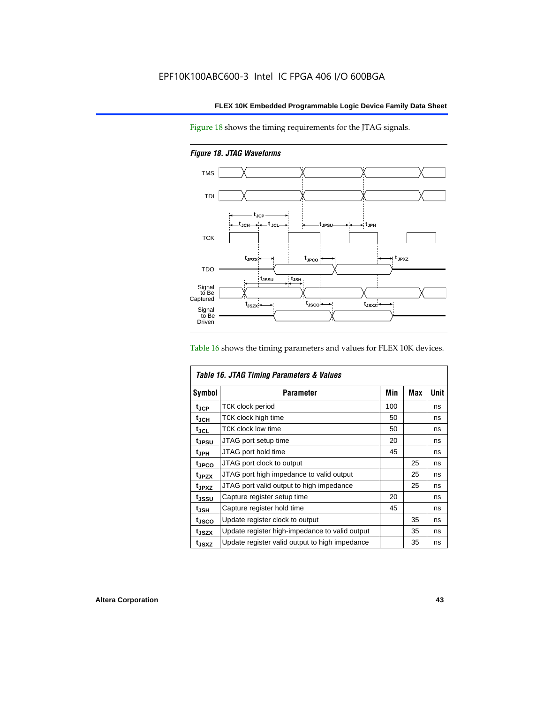Figure 18 shows the timing requirements for the JTAG signals.

*Figure 18. JTAG Waveforms*



Table 16 shows the timing parameters and values for FLEX 10K devices.

| Table 16. JTAG Timing Parameters & Values |                                                |     |            |      |  |
|-------------------------------------------|------------------------------------------------|-----|------------|------|--|
| <b>Symbol</b>                             | <b>Parameter</b>                               | Min | <b>Max</b> | Unit |  |
| t <sub>JCP</sub>                          | <b>TCK clock period</b>                        | 100 |            | ns   |  |
| t <sub>JCH</sub>                          | TCK clock high time                            | 50  |            | ns   |  |
| $t_{JCL}$                                 | TCK clock low time                             | 50  |            | ns   |  |
| tjpsu                                     | JTAG port setup time                           | 20  |            | ns   |  |
| t <sub>JPH</sub>                          | JTAG port hold time                            | 45  |            | ns   |  |
| <sup>t</sup> JPCO                         | JTAG port clock to output                      |     | 25         | ns   |  |
| t <sub>JPZX</sub>                         | JTAG port high impedance to valid output       |     | 25         | ns   |  |
| t <sub>JPXZ</sub>                         | JTAG port valid output to high impedance       |     | 25         | ns   |  |
| tussu                                     | Capture register setup time                    | 20  |            | ns   |  |
| $t_{JSH}$                                 | Capture register hold time                     | 45  |            | ns   |  |
| tjsco                                     | Update register clock to output                |     | 35         | ns   |  |
| t <sub>JSZX</sub>                         | Update register high-impedance to valid output |     | 35         | ns   |  |
| t <sub>JSXZ</sub>                         | Update register valid output to high impedance |     | 35         | ns   |  |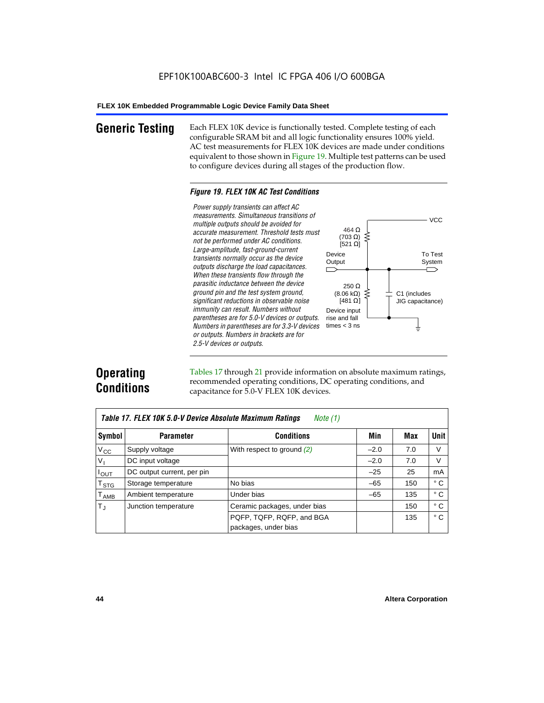**Generic Testing** Each FLEX 10K device is functionally tested. Complete testing of each configurable SRAM bit and all logic functionality ensures 100% yield. AC test measurements for FLEX 10K devices are made under conditions equivalent to those shown in Figure 19. Multiple test patterns can be used to configure devices during all stages of the production flow.

#### *Figure 19. FLEX 10K AC Test Conditions*

*Power supply transients can affect AC measurements. Simultaneous transitions of*  $V<sub>CC</sub>$ *multiple outputs should be avoided for* 464 Ω *accurate measurement. Threshold tests must* (703 Ω) ξ *not be performed under AC conditions.*  $[521 \Omega]$ *Large-amplitude, fast-ground-current* To Test Device *transients normally occur as the device* Output System *outputs discharge the load capacitances. When these transients flow through the parasitic inductance between the device* 250 Ω *ground pin and the test system ground,*  $(8.06 \text{ k}\Omega)$ C1 (includes *significant reductions in observable noise* [481 $\Omega$ ] JIG capacitance) *immunity can result. Numbers without*  Device input *parentheses are for 5.0-V devices or outputs.*  rise and fall *Numbers in parentheses are for 3.3-V devices*  times  $<$  3 ns ŧ *or outputs. Numbers in brackets are for 2.5-V devices or outputs.*

# **Operating Conditions**

Tables 17 through 21 provide information on absolute maximum ratings, recommended operating conditions, DC operating conditions, and capacitance for 5.0-V FLEX 10K devices.

| Table 17. FLEX 10K 5.0-V Device Absolute Maximum Ratings<br>Note (1) |                            |                              |        |     |              |  |
|----------------------------------------------------------------------|----------------------------|------------------------------|--------|-----|--------------|--|
| Symbol                                                               | <b>Parameter</b>           | <b>Conditions</b>            | Min    | Max | <b>Unit</b>  |  |
| $V_{\rm CC}$                                                         | Supply voltage             | With respect to ground $(2)$ | $-2.0$ | 7.0 | V            |  |
| $V_{I}$                                                              | DC input voltage           |                              | $-2.0$ | 7.0 | V            |  |
| $I_{\text{OUT}}$                                                     | DC output current, per pin |                              | $-25$  | 25  | mA           |  |
| $\mathsf{T}_{\texttt{STG}}$                                          | Storage temperature        | No bias                      | $-65$  | 150 | ° C          |  |
| $\mathsf{T}_{\mathsf{AMB}}$                                          | Ambient temperature        | Under bias                   | $-65$  | 135 | $^{\circ}$ C |  |
| $T_{\rm J}$                                                          | Junction temperature       | Ceramic packages, under bias |        | 150 | ° C          |  |
|                                                                      |                            | PQFP, TQFP, RQFP, and BGA    |        | 135 | $^{\circ}$ C |  |
|                                                                      |                            | packages, under bias         |        |     |              |  |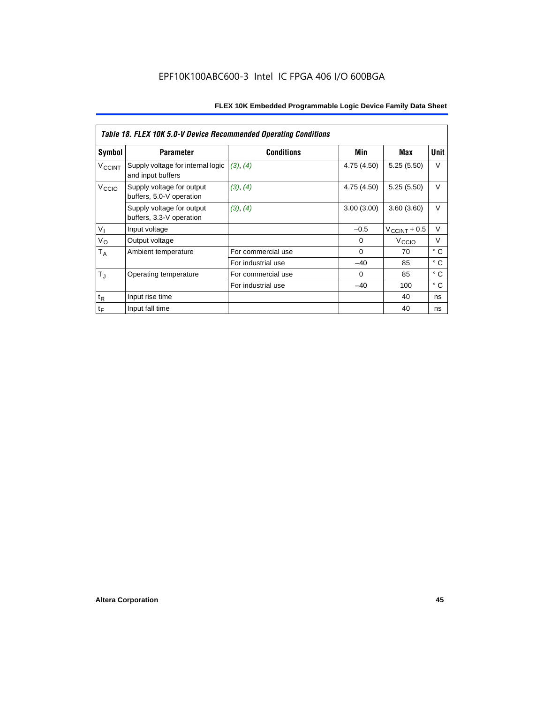|                          | Table 18. FLEX 10K 5.0-V Device Recommended Operating Conditions |                    |             |                       |              |  |  |
|--------------------------|------------------------------------------------------------------|--------------------|-------------|-----------------------|--------------|--|--|
| Symbol                   | <b>Parameter</b>                                                 | <b>Conditions</b>  | Min         | Max                   | Unit         |  |  |
| <b>V<sub>CCINT</sub></b> | Supply voltage for internal logic<br>and input buffers           | (3), (4)           | 4.75 (4.50) | 5.25(5.50)            | V            |  |  |
| V <sub>CCIO</sub>        | Supply voltage for output<br>buffers, 5.0-V operation            | (3), (4)           | 4.75 (4.50) | 5.25(5.50)            | $\vee$       |  |  |
|                          | Supply voltage for output<br>buffers, 3.3-V operation            | (3), (4)           | 3.00(3.00)  | 3.60(3.60)            | $\vee$       |  |  |
| V <sub>1</sub>           | Input voltage                                                    |                    | $-0.5$      | $V_{\rm CCINT}$ + 0.5 | V            |  |  |
| $V_{\rm O}$              | Output voltage                                                   |                    | 0           | V <sub>ccio</sub>     | V            |  |  |
| $T_A$                    | Ambient temperature                                              | For commercial use | $\mathbf 0$ | 70                    | ° C          |  |  |
|                          |                                                                  | For industrial use | $-40$       | 85                    | $^{\circ}$ C |  |  |
| $T_{\rm J}$              | Operating temperature                                            | For commercial use | $\Omega$    | 85                    | ° C          |  |  |
|                          |                                                                  | For industrial use | $-40$       | 100                   | $^{\circ}$ C |  |  |
| $t_{R}$                  | Input rise time                                                  |                    |             | 40                    | ns           |  |  |
| $t_F$                    | Input fall time                                                  |                    |             | 40                    | ns           |  |  |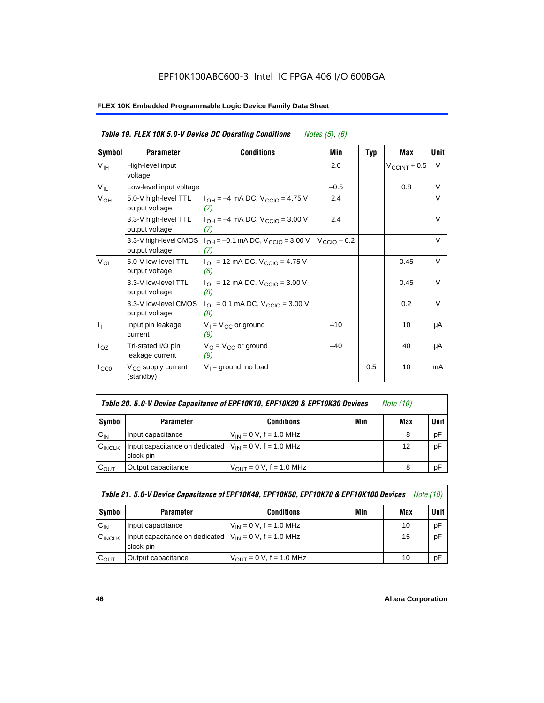# EPF10K100ABC600-3 Intel IC FPGA 406 I/O 600BGA

|                           | Table 19. FLEX 10K 5.0-V Device DC Operating Conditions<br><i>Notes</i> $(5)$ , $(6)$ |                                                   |                         |            |                   |             |  |
|---------------------------|---------------------------------------------------------------------------------------|---------------------------------------------------|-------------------------|------------|-------------------|-------------|--|
| Symbol                    | <b>Parameter</b>                                                                      | <b>Conditions</b>                                 | Min                     | <b>Typ</b> | <b>Max</b>        | <b>Unit</b> |  |
| $V_{\text{IH}}$           | High-level input<br>voltage                                                           |                                                   | 2.0                     |            | $V_{CCINT} + 0.5$ | V           |  |
| $V_{IL}$                  | Low-level input voltage                                                               |                                                   | $-0.5$                  |            | 0.8               | V           |  |
| V <sub>OH</sub>           | 5.0-V high-level TTL<br>output voltage                                                | $I_{OH} = -4$ mA DC, $V_{CGIO} = 4.75$ V<br>(7)   | 2.4                     |            |                   | V           |  |
|                           | 3.3-V high-level TTL<br>output voltage                                                | $I_{OH} = -4$ mA DC, $V_{CGIO} = 3.00$ V<br>(7)   | 2.4                     |            |                   | V           |  |
|                           | 3.3-V high-level CMOS<br>output voltage                                               | $I_{OH} = -0.1$ mA DC, $V_{CCIO} = 3.00$ V<br>(7) | $V_{\text{CCIO}} - 0.2$ |            |                   | $\vee$      |  |
| $V_{OL}$                  | 5.0-V low-level TTL<br>output voltage                                                 | $I_{OL}$ = 12 mA DC, $V_{CCIO}$ = 4.75 V<br>(8)   |                         |            | 0.45              | $\vee$      |  |
|                           | 3.3-V low-level TTL<br>output voltage                                                 | $I_{OL}$ = 12 mA DC, $V_{CCIO}$ = 3.00 V<br>(8)   |                         |            | 0.45              | $\vee$      |  |
|                           | 3.3-V low-level CMOS<br>output voltage                                                | $I_{OL}$ = 0.1 mA DC, $V_{CCIO}$ = 3.00 V<br>(8)  |                         |            | 0.2               | $\vee$      |  |
| $\mathbf{I}_{\mathbf{I}}$ | Input pin leakage<br>current                                                          | $V_1 = V_{CC}$ or ground<br>(9)                   | $-10$                   |            | 10                | μA          |  |
| $I_{OZ}$                  | Tri-stated I/O pin<br>leakage current                                                 | $V_{O} = V_{CC}$ or ground<br>(9)                 | $-40$                   |            | 40                | μA          |  |
| $I_{CC0}$                 | V <sub>CC</sub> supply current<br>(standby)                                           | $V_1$ = ground, no load                           |                         | 0.5        | 10                | mA          |  |

| Table 20. 5.0-V Device Capacitance of EPF10K10, EPF10K20 & EPF10K30 Devices | Note (10) |
|-----------------------------------------------------------------------------|-----------|
|-----------------------------------------------------------------------------|-----------|

| Symbol    | <b>Parameter</b>                                                         | <b>Conditions</b>                   | Min | Max | Unit |
|-----------|--------------------------------------------------------------------------|-------------------------------------|-----|-----|------|
| $C_{IN}$  | Input capacitance                                                        | $V_{IN} = 0 V$ , f = 1.0 MHz        |     |     | pF   |
| CINCLK    | Input capacitance on dedicated $V_{IN} = 0 V$ , f = 1.0 MHz<br>clock pin |                                     |     | 12  | pF   |
| $C_{OUT}$ | Output capacitance                                                       | $V_{\text{OUT}} = 0 V, f = 1.0 MHz$ |     |     | рF   |

|           |                                                                          | Table 21. 5.0-V Device Capacitance of EPF10K40, EPF10K50, EPF10K70 & EPF10K100 Devices |     | <i>Note (10)</i> |      |
|-----------|--------------------------------------------------------------------------|----------------------------------------------------------------------------------------|-----|------------------|------|
| Symbol    | <b>Parameter</b>                                                         | <b>Conditions</b>                                                                      | Min | Max              | Unit |
| $C_{IN}$  | Input capacitance                                                        | $V_{IN} = 0 V$ , f = 1.0 MHz                                                           |     | 10               | рF   |
| CINCLK    | Input capacitance on dedicated $V_{IN} = 0 V$ , f = 1.0 MHz<br>clock pin |                                                                                        |     | 15               | рF   |
| $C_{OUT}$ | Output capacitance                                                       | $V_{OIII}$ = 0 V, f = 1.0 MHz                                                          |     | 10               | рF   |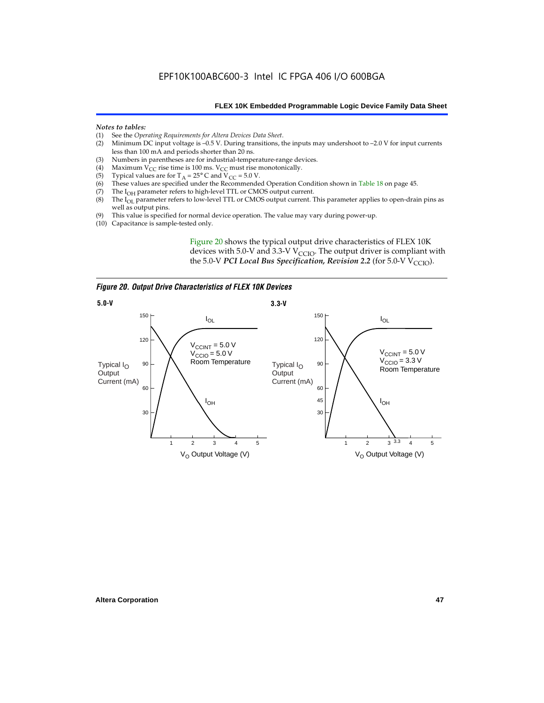#### *Notes to tables:*

- (1) See the *Operating Requirements for Altera Devices Data Sheet*.
- Minimum DC input voltage is  $-0.5$  V. During transitions, the inputs may undershoot to  $-2.0$  V for input currents less than 100 mA and periods shorter than 20 ns.
- (3) Numbers in parentheses are for industrial-temperature-range devices.<br>(4) Maximum  $V_{CC}$  rise time is 100 ms.  $V_{CC}$  must rise monotonically.
- (4) Maximum V<sub>CC</sub> rise time is 100 ms. V<sub>CC</sub> must rise monotonically.<br>(5) Typical values are for T<sub>A</sub> = 25° C and V<sub>CC</sub> = 5.0 V.
- (5) Typical values are for  $T_A = 25^\circ$  C and  $V_{CC} = 5.0$  V.<br>(6) These values are specified under the Recommende
- (6) These values are specified under the Recommended Operation Condition shown in Table 18 on page 45.<br>(7) The  $I_{OH}$  parameter refers to high-level TTL or CMOS output current.
- (7) The  $I_{OH}$  parameter refers to high-level TTL or CMOS output current.<br>(8) The  $I_{OL}$  parameter refers to low-level TTL or CMOS output current. T
- The I<sub>OL</sub> parameter refers to low-level TTL or CMOS output current. This parameter applies to open-drain pins as well as output pins.
- (9) This value is specified for normal device operation. The value may vary during power-up.
- (10) Capacitance is sample-tested only.

Figure 20 shows the typical output drive characteristics of FLEX 10K devices with 5.0-V and 3.3-V  $V_{CCIO}$ . The output driver is compliant with the 5.0-V *PCI Local Bus Specification, Revision 2.2* (for 5.0-V  $V_{\text{CCIO}}$ ).

*Figure 20. Output Drive Characteristics of FLEX 10K Devices*

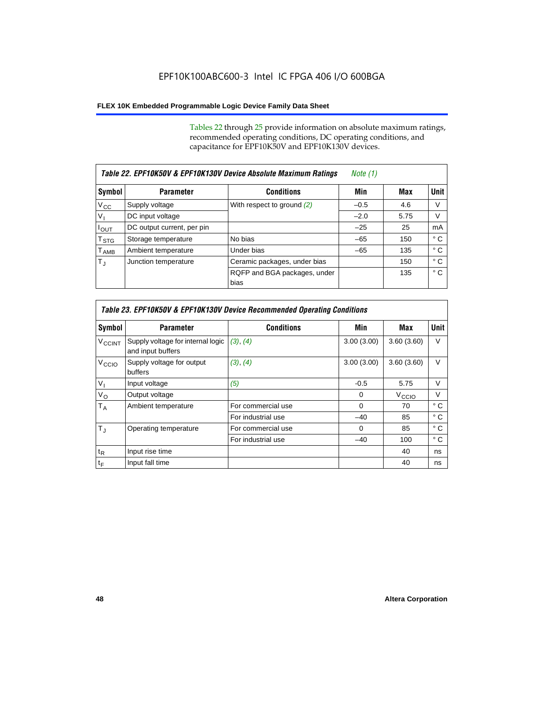Tables 22 through 25 provide information on absolute maximum ratings, recommended operating conditions, DC operating conditions, and capacitance for EPF10K50V and EPF10K130V devices.

| Table 22. EPF10K50V & EPF10K130V Device Absolute Maximum Ratings |                            |                                      |        |      |             |
|------------------------------------------------------------------|----------------------------|--------------------------------------|--------|------|-------------|
| Symbol                                                           | <b>Parameter</b>           | <b>Conditions</b>                    | Min    | Max  | <b>Unit</b> |
| $V_{\rm CC}$                                                     | Supply voltage             | With respect to ground $(2)$         | $-0.5$ | 4.6  | V           |
| $V_{I}$                                                          | DC input voltage           |                                      | $-2.0$ | 5.75 | V           |
| $I_{\text{OUT}}$                                                 | DC output current, per pin |                                      | $-25$  | 25   | mA          |
| $\mathsf{T}_{\text{STG}}$                                        | Storage temperature        | No bias                              | $-65$  | 150  | ° C         |
| $T_{\sf AMB}$                                                    | Ambient temperature        | Under bias                           | $-65$  | 135  | ° C         |
| $T_{\rm J}$                                                      | Junction temperature       | Ceramic packages, under bias         |        | 150  | ° C         |
|                                                                  |                            | RQFP and BGA packages, under<br>bias |        | 135  | ° C         |

| Table 23. EPF10K50V & EPF10K130V Device Recommended Operating Conditions |                                                        |                    |            |                   |              |  |  |
|--------------------------------------------------------------------------|--------------------------------------------------------|--------------------|------------|-------------------|--------------|--|--|
| Symbol                                                                   | <b>Parameter</b>                                       | <b>Conditions</b>  | Min        | Max               | Unit         |  |  |
| <b>V<sub>CCINT</sub></b>                                                 | Supply voltage for internal logic<br>and input buffers | (3), (4)           | 3.00(3.00) | 3.60(3.60)        | $\vee$       |  |  |
| V <sub>CCIO</sub>                                                        | Supply voltage for output<br>buffers                   | (3), (4)           | 3.00(3.00) | 3.60(3.60)        | V            |  |  |
| $V_{1}$                                                                  | Input voltage                                          | (5)                | $-0.5$     | 5.75              | $\vee$       |  |  |
| $V_{\rm O}$                                                              | Output voltage                                         |                    | $\Omega$   | V <sub>CCIO</sub> | $\vee$       |  |  |
| $T_A$                                                                    | Ambient temperature                                    | For commercial use | $\Omega$   | 70                | $^{\circ}$ C |  |  |
|                                                                          |                                                        | For industrial use | $-40$      | 85                | ° C          |  |  |
| $T_{\rm J}$                                                              | Operating temperature                                  | For commercial use | $\Omega$   | 85                | $^{\circ}$ C |  |  |
|                                                                          |                                                        | For industrial use | $-40$      | 100               | ° C          |  |  |
| $t_{R}$                                                                  | Input rise time                                        |                    |            | 40                | ns           |  |  |
| $t_F$                                                                    | Input fall time                                        |                    |            | 40                | ns           |  |  |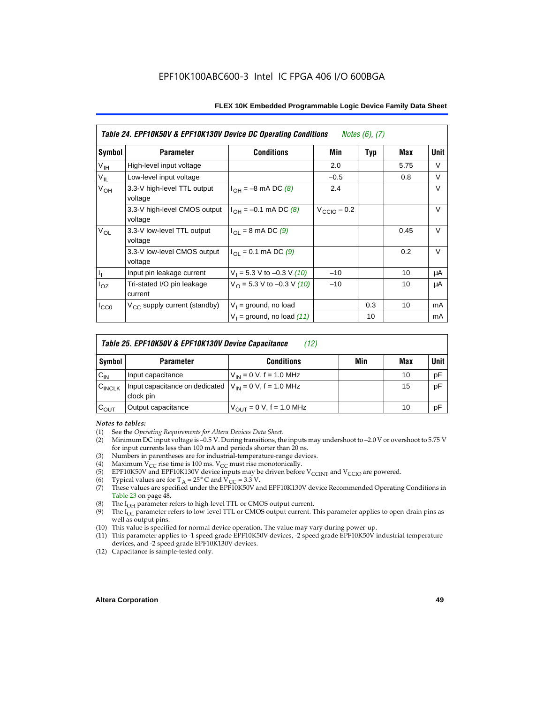| Table 24. EPF10K50V & EPF10K130V Device DC Operating Conditions<br><i>Notes <math>(6)</math>, <math>(7)</math></i> |                                          |                                          |                         |            |      |        |
|--------------------------------------------------------------------------------------------------------------------|------------------------------------------|------------------------------------------|-------------------------|------------|------|--------|
| Symbol                                                                                                             | <b>Parameter</b>                         | <b>Conditions</b>                        | Min                     | <b>Typ</b> | Max  | Unit   |
| V <sub>IH</sub>                                                                                                    | High-level input voltage                 |                                          | 2.0                     |            | 5.75 | V      |
| $V_{IL}$                                                                                                           | Low-level input voltage                  |                                          | $-0.5$                  |            | 0.8  | V      |
| V <sub>OH</sub>                                                                                                    | 3.3-V high-level TTL output<br>voltage   | $I_{OH} = -8$ mA DC (8)                  | 2.4                     |            |      | V      |
|                                                                                                                    | 3.3-V high-level CMOS output<br>voltage  | $I_{OH} = -0.1$ mA DC (8)                | $V_{\text{CCIO}} - 0.2$ |            |      | V      |
| $V_{OL}$                                                                                                           | 3.3-V low-level TTL output<br>voltage    | $I_{\Omega I}$ = 8 mA DC (9)             |                         |            | 0.45 | $\vee$ |
|                                                                                                                    | 3.3-V low-level CMOS output<br>voltage   | $I_{\text{OI}} = 0.1 \text{ mA DC } (9)$ |                         |            | 0.2  | V      |
| $\mathsf{I}_1$                                                                                                     | Input pin leakage current                | $V_1 = 5.3$ V to -0.3 V (10)             | $-10$                   |            | 10   | μA     |
| $I_{OZ}$                                                                                                           | Tri-stated I/O pin leakage<br>current    | $V_O = 5.3 V$ to -0.3 V (10)             | $-10$                   |            | 10   | μA     |
| $I_{CC0}$                                                                                                          | V <sub>CC</sub> supply current (standby) | $V_1$ = ground, no load                  |                         | 0.3        | 10   | mA     |
|                                                                                                                    |                                          | $V_1$ = ground, no load (11)             |                         | 10         |      | mA     |

| Table 25. EPF10K50V & EPF10K130V Device Capacitance<br>(12) |                                                                          |                               |     |     |             |  |
|-------------------------------------------------------------|--------------------------------------------------------------------------|-------------------------------|-----|-----|-------------|--|
| Symbol                                                      | <b>Parameter</b>                                                         | <b>Conditions</b>             | Min | Max | <b>Unit</b> |  |
| $C_{IN}$                                                    | Input capacitance                                                        | $V_{IN} = 0 V$ , f = 1.0 MHz  |     | 10  | pF          |  |
| $C_{\text{INCLK}}$                                          | Input capacitance on dedicated $V_{IN} = 0 V$ , f = 1.0 MHz<br>clock pin |                               |     | 15  | pF          |  |
| $C_{OUT}$                                                   | Output capacitance                                                       | $V_{OUT} = 0 V$ , f = 1.0 MHz |     | 10  | pF          |  |

#### *Notes to tables:*

- (1) See the *Operating Requirements for Altera Devices Data Sheet*.
- Minimum DC input voltage is –0.5 V. During transitions, the inputs may undershoot to –2.0 V or overshoot to 5.75 V for input currents less than 100 mA and periods shorter than 20 ns.
- (3) Numbers in parentheses are for industrial-temperature-range devices.<br>(4) Maximum  $V_{CC}$  rise time is 100 ms.  $V_{CC}$  must rise monotonically.
- (4) Maximum  $V_{CC}$  rise time is 100 ms.  $V_{CC}$  must rise monotonically.<br>(5) EPF10K50V and EPF10K130V device inputs may be driven before
- (5) EPF10K50V and EPF10K130V device inputs may be driven before V<sub>CCINT</sub> and V<sub>CCIO</sub> are powered.<br>(6) Typical values are for T<sub>A</sub> = 25° C and V<sub>CC</sub> = 3.3 V.
- Typical values are for  $T_A = 25^\circ$  C and  $V_{CC} = 3.3$  V.
- (7) These values are specified under the EPF10K50V and EPF10K130V device Recommended Operating Conditions in Table 23 on page 48.
- (8) The  $I<sub>OH</sub>$  parameter refers to high-level TTL or CMOS output current.
- (9) The  $I_{OL}$  parameter refers to low-level TTL or CMOS output current. This parameter applies to open-drain pins as well as output pins.
- (10) This value is specified for normal device operation. The value may vary during power-up.
- (11) This parameter applies to -1 speed grade EPF10K50V devices, -2 speed grade EPF10K50V industrial temperature devices, and -2 speed grade EPF10K130V devices.
- (12) Capacitance is sample-tested only.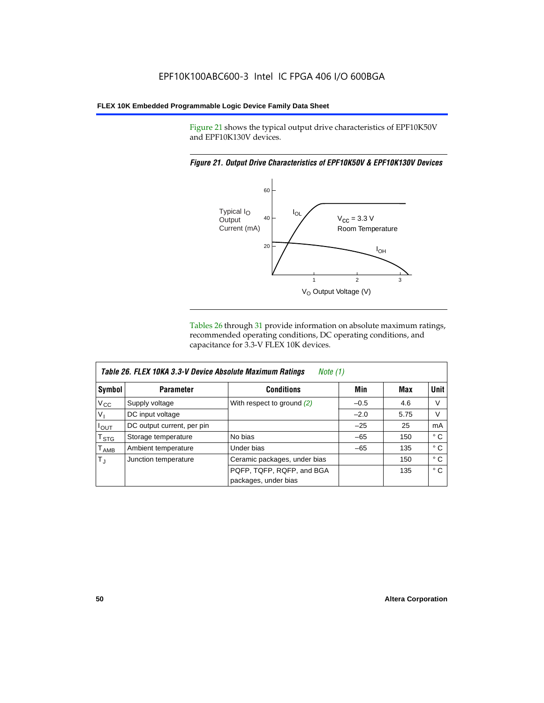Figure 21 shows the typical output drive characteristics of EPF10K50V and EPF10K130V devices.

### *Figure 21. Output Drive Characteristics of EPF10K50V & EPF10K130V Devices*



Tables 26 through 31 provide information on absolute maximum ratings, recommended operating conditions, DC operating conditions, and capacitance for 3.3-V FLEX 10K devices.

|                  | Table 26. FLEX 10KA 3.3-V Device Absolute Maximum Ratings<br>Note (1) |                              |        |      |              |  |  |
|------------------|-----------------------------------------------------------------------|------------------------------|--------|------|--------------|--|--|
| Symbol           | <b>Parameter</b>                                                      | <b>Conditions</b>            | Min    | Max  | Unit         |  |  |
| $V_{\rm CC}$     | Supply voltage                                                        | With respect to ground $(2)$ | $-0.5$ | 4.6  | V            |  |  |
| $V_{I}$          | DC input voltage                                                      |                              | $-2.0$ | 5.75 | V            |  |  |
| $I_{OUT}$        | DC output current, per pin                                            |                              | $-25$  | 25   | mA           |  |  |
| $T_{\text{STG}}$ | Storage temperature                                                   | No bias                      | $-65$  | 150  | $^{\circ}$ C |  |  |
| $T_{\sf AMB}$    | Ambient temperature                                                   | Under bias                   | $-65$  | 135  | ° C          |  |  |
| $T_{\rm J}$      | Junction temperature                                                  | Ceramic packages, under bias |        | 150  | ° C          |  |  |
|                  |                                                                       | PQFP, TQFP, RQFP, and BGA    |        | 135  | $^{\circ}$ C |  |  |
|                  |                                                                       | packages, under bias         |        |      |              |  |  |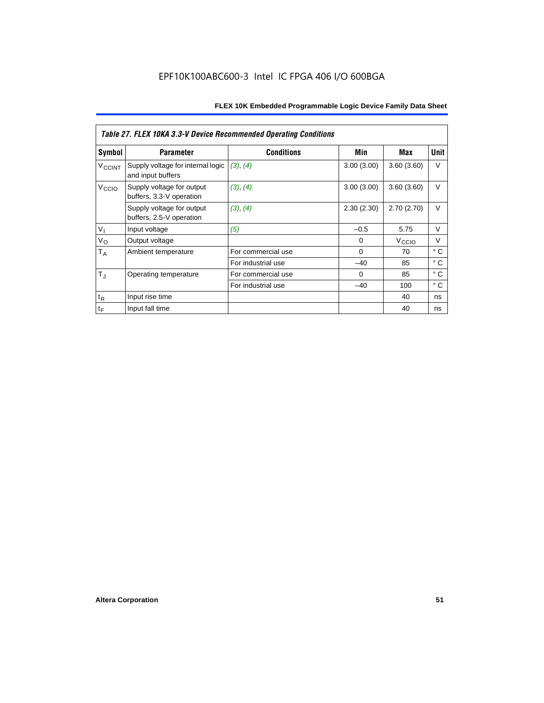| Table 27. FLEX 10KA 3.3-V Device Recommended Operating Conditions |                                                        |                    |            |                   |              |  |  |
|-------------------------------------------------------------------|--------------------------------------------------------|--------------------|------------|-------------------|--------------|--|--|
| Symbol                                                            | <b>Parameter</b>                                       | <b>Conditions</b>  | Min        | Max               | Unit         |  |  |
| VCCINT                                                            | Supply voltage for internal logic<br>and input buffers | (3), (4)           | 3.00(3.00) | 3.60(3.60)        | V            |  |  |
| V <sub>ccio</sub>                                                 | Supply voltage for output<br>buffers, 3.3-V operation  | (3), (4)           | 3.00(3.00) | 3.60(3.60)        | $\vee$       |  |  |
|                                                                   | Supply voltage for output<br>buffers, 2.5-V operation  | (3), (4)           | 2.30(2.30) | 2.70(2.70)        | $\vee$       |  |  |
| $V_{I}$                                                           | Input voltage                                          | (5)                | $-0.5$     | 5.75              | $\vee$       |  |  |
| $V_{\rm O}$                                                       | Output voltage                                         |                    | 0          | V <sub>CCIO</sub> | $\vee$       |  |  |
| $T_A$                                                             | Ambient temperature                                    | For commercial use | $\Omega$   | 70                | $^{\circ}$ C |  |  |
|                                                                   |                                                        | For industrial use | $-40$      | 85                | $^{\circ}$ C |  |  |
| $T_{\rm J}$                                                       | Operating temperature                                  | For commercial use | $\Omega$   | 85                | ° C          |  |  |
|                                                                   |                                                        | For industrial use | $-40$      | 100               | ° C          |  |  |
| $t_{R}$                                                           | Input rise time                                        |                    |            | 40                | ns           |  |  |
| $t_F$                                                             | Input fall time                                        |                    |            | 40                | ns           |  |  |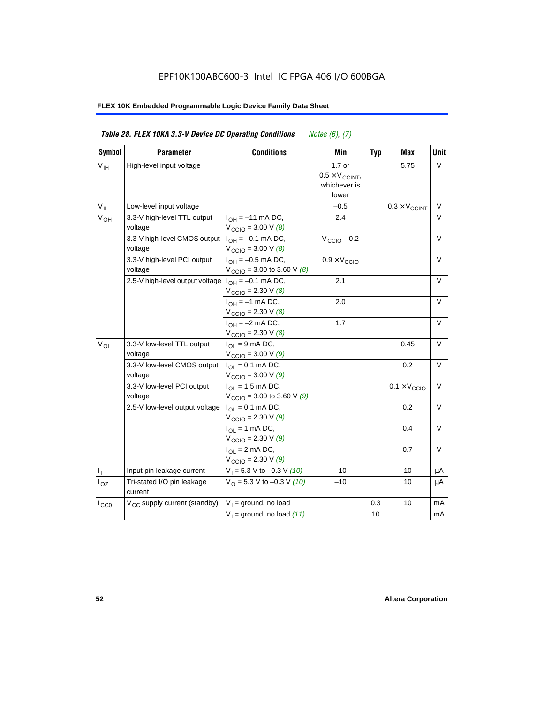# EPF10K100ABC600-3 Intel IC FPGA 406 I/O 600BGA

| Table 28. FLEX 10KA 3.3-V Device DC Operating Conditions<br><i>Notes</i> $(6)$ , $(7)$ |                                          |                                                                                 |                                                             |            |                              |        |  |
|----------------------------------------------------------------------------------------|------------------------------------------|---------------------------------------------------------------------------------|-------------------------------------------------------------|------------|------------------------------|--------|--|
| <b>Symbol</b>                                                                          | <b>Parameter</b>                         | <b>Conditions</b>                                                               | Min                                                         | <b>Typ</b> | Max                          | Unit   |  |
| V <sub>IH</sub>                                                                        | High-level input voltage                 |                                                                                 | $1.7$ or<br>$0.5 \times V_{CCINT}$<br>whichever is<br>lower |            | 5.75                         | V      |  |
| $V_{IL}$                                                                               | Low-level input voltage                  |                                                                                 | $-0.5$                                                      |            | $0.3 \times V_{CCINT}$       | $\vee$ |  |
| $V_{OH}$                                                                               | 3.3-V high-level TTL output<br>voltage   | $I_{OH} = -11$ mA DC,<br>$V_{\text{CCIO}} = 3.00 \text{ V } (8)$                | 2.4                                                         |            |                              | $\vee$ |  |
|                                                                                        | 3.3-V high-level CMOS output<br>voltage  | $I_{OH} = -0.1$ mA DC,<br>$V_{\text{CCIO}} = 3.00 \text{ V } (8)$               | $V_{\text{CCIO}} - 0.2$                                     |            |                              | V      |  |
|                                                                                        | 3.3-V high-level PCI output<br>voltage   | $I_{OH} = -0.5$ mA DC,<br>$V_{\text{CCIO}} = 3.00$ to 3.60 V (8)                | $0.9 \times V_{\text{CCIO}}$                                |            |                              | $\vee$ |  |
|                                                                                        | 2.5-V high-level output voltage          | $I_{OH} = -0.1$ mA DC,<br>$V_{\text{CCIO}} = 2.30 \text{ V } (8)$               | 2.1                                                         |            |                              | $\vee$ |  |
|                                                                                        |                                          | $I_{OH} = -1$ mA DC,<br>$V_{\text{CCIO}} = 2.30 \text{ V } (8)$                 | 2.0                                                         |            |                              | $\vee$ |  |
|                                                                                        |                                          | $I_{OH} = -2$ mA DC,<br>$V_{\text{CCIO}} = 2.30 \text{ V } (8)$                 | 1.7                                                         |            |                              | V      |  |
| $V_{OL}$                                                                               | 3.3-V low-level TTL output<br>voltage    | $I_{OL}$ = 9 mA DC,<br>$V_{\text{CCIO}} = 3.00 \text{ V} (9)$                   |                                                             |            | 0.45                         | $\vee$ |  |
|                                                                                        | 3.3-V low-level CMOS output<br>voltage   | $I_{\text{OI}} = 0.1 \text{ mA} \text{ DC},$<br>$V_{\text{CCIO}} = 3.00 V (9)$  |                                                             |            | 0.2                          | $\vee$ |  |
|                                                                                        | 3.3-V low-level PCI output<br>voltage    | $I_{\text{O1}} = 1.5 \text{ mA DC}$ ,<br>$V_{\text{CCIO}} = 3.00$ to 3.60 V (9) |                                                             |            | $0.1 \times V_{\text{CCIO}}$ | V      |  |
|                                                                                        | 2.5-V low-level output voltage           | $I_{OL} = 0.1$ mA DC,<br>$V_{\text{CCIO}} = 2.30 V (9)$                         |                                                             |            | 0.2                          | $\vee$ |  |
|                                                                                        |                                          | $I_{OL}$ = 1 mA DC,<br>$V_{\text{CCIO}} = 2.30 \text{ V} (9)$                   |                                                             |            | 0.4                          | $\vee$ |  |
|                                                                                        |                                          | $I_{OL}$ = 2 mA DC,<br>$V_{\text{CCIO}} = 2.30 V (9)$                           |                                                             |            | 0.7                          | $\vee$ |  |
| Τ,                                                                                     | Input pin leakage current                | $V_1 = 5.3$ V to -0.3 V (10)                                                    | $-10$                                                       |            | 10                           | μA     |  |
| $I_{OZ}$                                                                               | Tri-stated I/O pin leakage<br>current    | $V_O = 5.3 V to -0.3 V (10)$                                                    | $-10$                                                       |            | 10                           | μA     |  |
| $I_{CC0}$                                                                              | V <sub>CC</sub> supply current (standby) | $V_1$ = ground, no load                                                         |                                                             | 0.3        | 10                           | mA     |  |
|                                                                                        |                                          | $V_1$ = ground, no load (11)                                                    |                                                             | 10         |                              | mA     |  |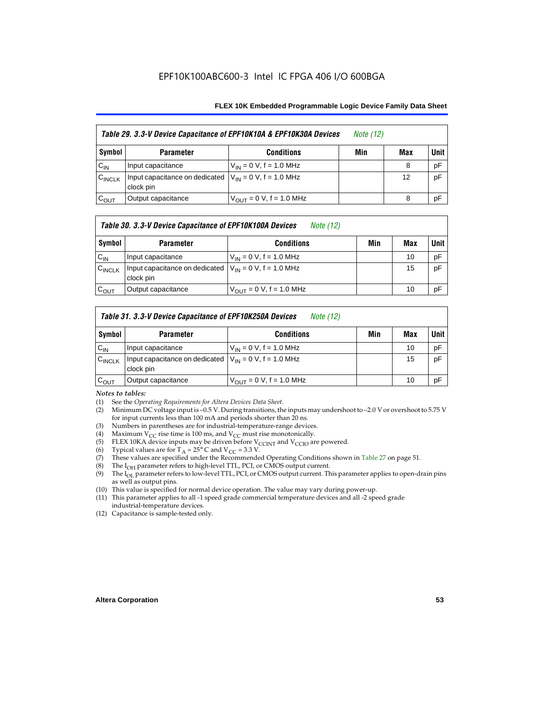| Table 29. 3.3-V Device Capacitance of EPF10K10A & EPF10K30A Devices |                                                                           |                               | <i>Note</i> (12) |     |        |
|---------------------------------------------------------------------|---------------------------------------------------------------------------|-------------------------------|------------------|-----|--------|
| Symbol                                                              | <b>Parameter</b>                                                          | <b>Conditions</b>             | Min              | Max | Unit I |
| $C_{IN}$                                                            | Input capacitance                                                         | $V_{IN} = 0 V$ , f = 1.0 MHz  |                  | 8   | pF     |
| $C_{\text{INCLK}}$                                                  | Input capacitance on dedicated $ V_{IN} = 0 V$ , f = 1.0 MHz<br>clock pin |                               |                  | 12  | pF     |
| $C_{OUT}$                                                           | Output capacitance                                                        | $V_{OUT} = 0 V$ , f = 1.0 MHz |                  | 8   | pF     |

#### *Table 30. 3.3-V Device Capacitance of EPF10K100A Devices Note (12)*

| Symbol             | <b>Parameter</b>                                                        | <b>Conditions</b>                   | Min | Max | <b>Unit</b> |
|--------------------|-------------------------------------------------------------------------|-------------------------------------|-----|-----|-------------|
| $C_{IN}$           | Input capacitance                                                       | $V_{IN} = 0 V$ , f = 1.0 MHz        |     | 10  | pF          |
| $C_{\text{INCLK}}$ | Input capacitance on dedicated $V_{1N} = 0$ V, f = 1.0 MHz<br>clock pin |                                     |     | 15  | pF          |
| $\mathrm{c_{out}}$ | Output capacitance                                                      | $V_{\text{OUT}} = 0$ V, f = 1.0 MHz |     | 10  | pF          |

# *Table 31. 3.3-V Device Capacitance of EPF10K250A Devices Note (12)*

| Symbol             | <b>Parameter</b>                                                          | <b>Conditions</b>                                           | Min | Max | <b>Unit</b> |
|--------------------|---------------------------------------------------------------------------|-------------------------------------------------------------|-----|-----|-------------|
| $C_{IN}$           | Input capacitance                                                         | $V_{IN} = 0 V$ , f = 1.0 MHz                                |     | 10  | pF          |
| $C_{\text{INCLK}}$ | Input capacitance on dedicated $ V_{IN} = 0 V$ , f = 1.0 MHz<br>clock pin |                                                             |     | 15  | pF          |
| $C_{\text{OUT}}$   | Output capacitance                                                        | $V_{\text{OUT}} = 0 \text{ V}, \text{ f} = 1.0 \text{ MHz}$ |     | 10  | pF          |

#### *Notes to tables:*

- (1) See the *Operating Requirements for Altera Devices Data Sheet*.
- (2) Minimum DC voltage input is –0.5 V. During transitions, the inputs may undershoot to –2.0 V or overshoot to 5.75 V for input currents less than 100 mA and periods shorter than 20 ns.
- (3) Numbers in parentheses are for industrial-temperature-range devices.
- 
- (4) Maximum V<sub>CC</sub> rise time is 100 ms, and V<sub>CC</sub> must rise monotonically.<br>(5) ELEX 10KA device inputs may be driven before V<sub>CCINT</sub> and V<sub>CCIO</sub> ar (5) FLEX 10KA device inputs may be driven before  $V_{CCTN}$  and  $V_{CCTO}$  are powered.<br>(6) Typical values are for T<sub>A</sub> = 25° C and  $V_{CC}$  = 3.3 V.
- (6) Typical values are for  $T_A = 25^\circ$  C and  $V_{CC} = 3.3$  V.<br>(7) These values are specified under the Recommende
- These values are specified under the Recommended Operating Conditions shown in Table 27 on page 51.
- (8) The  $I_{OH}$  parameter refers to high-level TTL, PCI, or CMOS output current. The  $I_{OH}$  parameter refers to low-level TTL, PCI, or CMOS output current. The
- The I<sub>OL</sub> parameter refers to low-level TTL, PCI, or CMOS output current. This parameter applies to open-drain pins as well as output pins.
- (10) This value is specified for normal device operation. The value may vary during power-up.
- (11) This parameter applies to all -1 speed grade commercial temperature devices and all -2 speed grade industrial-temperature devices.
- (12) Capacitance is sample-tested only.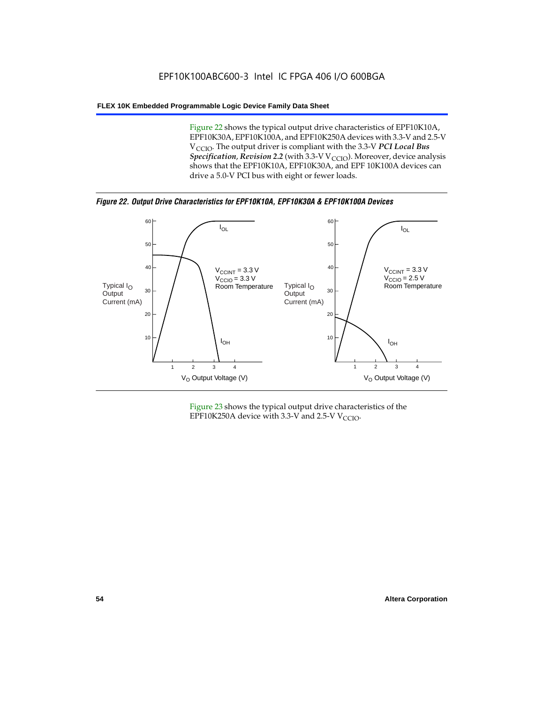Figure 22 shows the typical output drive characteristics of EPF10K10A, EPF10K30A, EPF10K100A, and EPF10K250A devices with 3.3-V and 2.5-V V<sub>CCIO</sub>. The output driver is compliant with the 3.3-V PCI Local Bus *Specification, Revision 2.2* (with 3.3-V V<sub>CCIO</sub>). Moreover, device analysis shows that the EPF10K10A, EPF10K30A, and EPF 10K100A devices can drive a 5.0-V PCI bus with eight or fewer loads.

*Figure 22. Output Drive Characteristics for EPF10K10A, EPF10K30A & EPF10K100A Devices*



Figure 23 shows the typical output drive characteristics of the EPF10K250A device with 3.3-V and 2.5-V  $V_{\text{CCIO}}$ .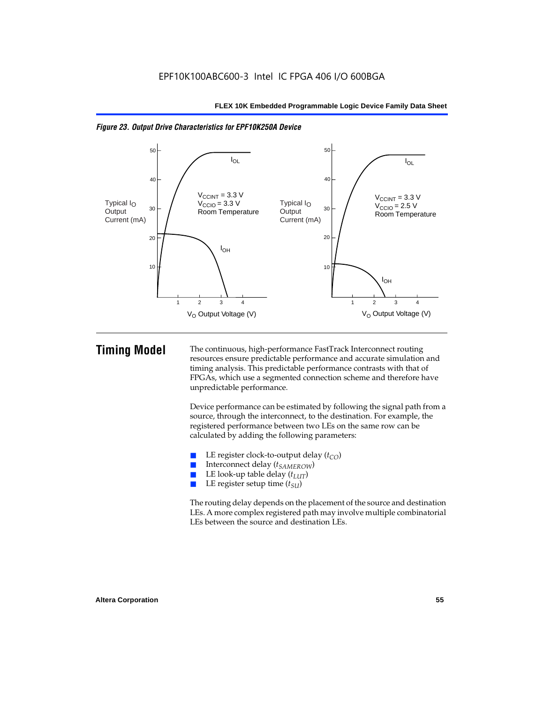



**Timing Model** The continuous, high-performance FastTrack Interconnect routing resources ensure predictable performance and accurate simulation and timing analysis. This predictable performance contrasts with that of FPGAs, which use a segmented connection scheme and therefore have unpredictable performance.

> Device performance can be estimated by following the signal path from a source, through the interconnect, to the destination. For example, the registered performance between two LEs on the same row can be calculated by adding the following parameters:

- **E** LE register clock-to-output delay  $(t_{CO})$ <br> **E** Interconnect delay  $(t_{CMBOW})$
- Interconnect delay (*t<sub>SAMEROW</sub>*)
- LE look-up table delay  $(t_{LUT})$
- LE register setup time ( $t_{SI}$ )

The routing delay depends on the placement of the source and destination LEs. A more complex registered path may involve multiple combinatorial LEs between the source and destination LEs.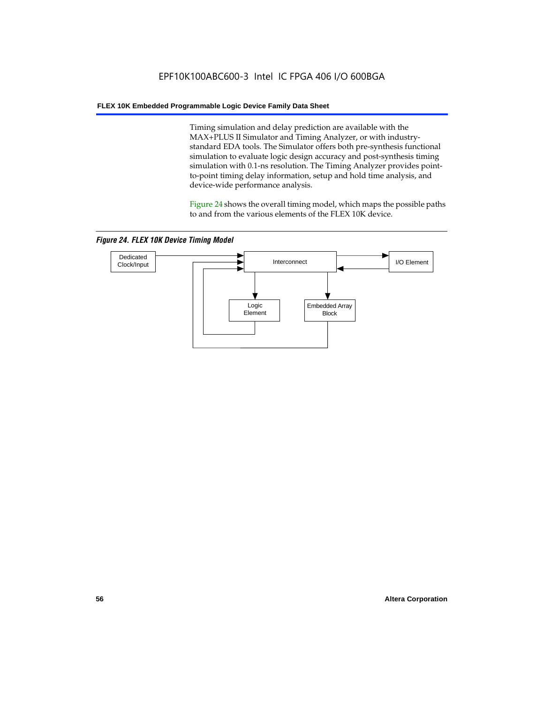Timing simulation and delay prediction are available with the MAX+PLUS II Simulator and Timing Analyzer, or with industrystandard EDA tools. The Simulator offers both pre-synthesis functional simulation to evaluate logic design accuracy and post-synthesis timing simulation with 0.1-ns resolution. The Timing Analyzer provides pointto-point timing delay information, setup and hold time analysis, and device-wide performance analysis.

Figure 24 shows the overall timing model, which maps the possible paths to and from the various elements of the FLEX 10K device.

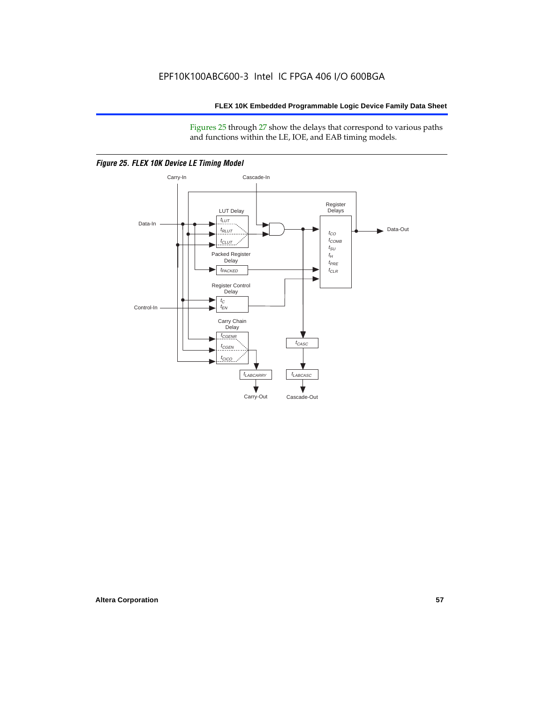Figures 25 through 27 show the delays that correspond to various paths and functions within the LE, IOE, and EAB timing models.



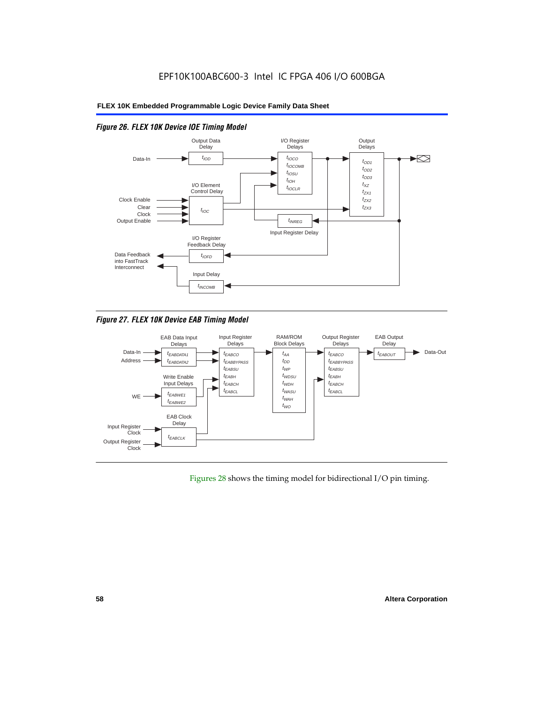

# *Figure 26. FLEX 10K Device IOE Timing Model*

*Figure 27. FLEX 10K Device EAB Timing Model*



Figures 28 shows the timing model for bidirectional I/O pin timing.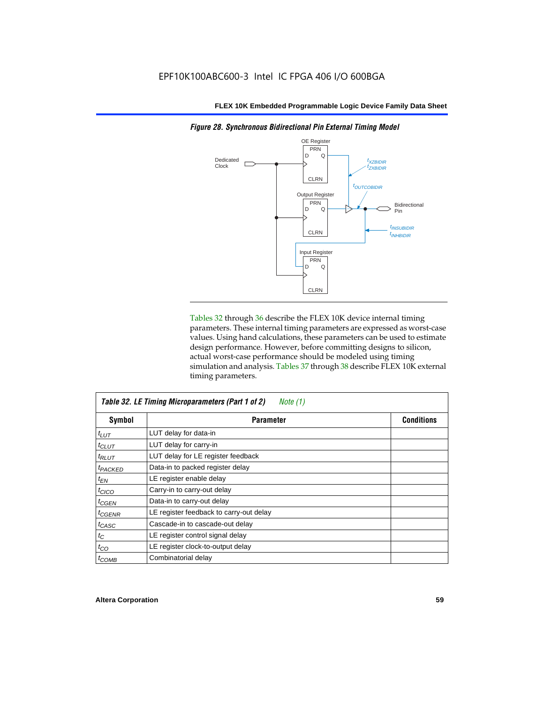

*Figure 28. Synchronous Bidirectional Pin External Timing Model*

Tables 32 through 36 describe the FLEX 10K device internal timing parameters. These internal timing parameters are expressed as worst-case values. Using hand calculations, these parameters can be used to estimate design performance. However, before committing designs to silicon, actual worst-case performance should be modeled using timing simulation and analysis. Tables 37 through 38 describe FLEX 10K external timing parameters.

| Table 32. LE Timing Microparameters (Part 1 of 2)<br>Note $(1)$ |                                         |                   |  |  |  |
|-----------------------------------------------------------------|-----------------------------------------|-------------------|--|--|--|
| Symbol                                                          | <b>Parameter</b>                        | <b>Conditions</b> |  |  |  |
| $t_{LUT}$                                                       | LUT delay for data-in                   |                   |  |  |  |
| $t_{CLUT}$                                                      | LUT delay for carry-in                  |                   |  |  |  |
| $t_{RLUT}$                                                      | LUT delay for LE register feedback      |                   |  |  |  |
| <b><i>FPACKED</i></b>                                           | Data-in to packed register delay        |                   |  |  |  |
| $t_{EN}$                                                        | LE register enable delay                |                   |  |  |  |
| $t_{CICO}$                                                      | Carry-in to carry-out delay             |                   |  |  |  |
| $t_{\text{GEN}}$                                                | Data-in to carry-out delay              |                   |  |  |  |
| $t_{CGENR}$                                                     | LE register feedback to carry-out delay |                   |  |  |  |
| t <sub>CASC</sub>                                               | Cascade-in to cascade-out delay         |                   |  |  |  |
| $t_C$                                                           | LE register control signal delay        |                   |  |  |  |
| $t_{CO}$                                                        | LE register clock-to-output delay       |                   |  |  |  |
| $t_{COMB}$                                                      | Combinatorial delay                     |                   |  |  |  |

Г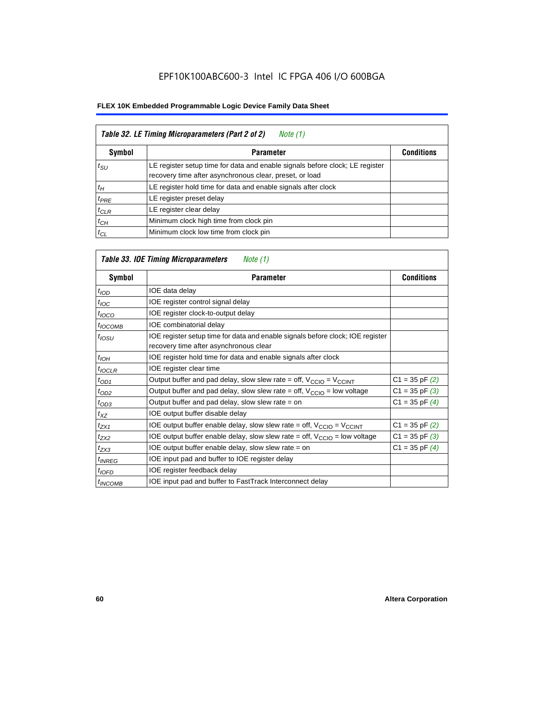| Table 32. LE Timing Microparameters (Part 2 of 2)<br>Note (1) |                                                                                                                                         |                   |  |  |  |
|---------------------------------------------------------------|-----------------------------------------------------------------------------------------------------------------------------------------|-------------------|--|--|--|
| <b>Symbol</b>                                                 | <b>Parameter</b>                                                                                                                        | <b>Conditions</b> |  |  |  |
| $t_{\rm SU}$                                                  | LE register setup time for data and enable signals before clock; LE register<br>recovery time after asynchronous clear, preset, or load |                   |  |  |  |
| $t_H$                                                         | LE register hold time for data and enable signals after clock                                                                           |                   |  |  |  |
| $t_{PRE}$                                                     | LE register preset delay                                                                                                                |                   |  |  |  |
| $t_{CLR}$                                                     | LE register clear delay                                                                                                                 |                   |  |  |  |
| $t_{CH}$                                                      | Minimum clock high time from clock pin                                                                                                  |                   |  |  |  |
| $t_{CL}$                                                      | Minimum clock low time from clock pin                                                                                                   |                   |  |  |  |

# *Table 33. IOE Timing Microparameters Note (1)*

| Symbol             | <b>Parameter</b>                                                                                                         | <b>Conditions</b>  |
|--------------------|--------------------------------------------------------------------------------------------------------------------------|--------------------|
| t <sub>IOD</sub>   | IOE data delay                                                                                                           |                    |
| $t_{\text{IOC}}$   | IOE register control signal delay                                                                                        |                    |
| $t_{IOCO}$         | IOE register clock-to-output delay                                                                                       |                    |
| $t_{IOCOMB}$       | IOE combinatorial delay                                                                                                  |                    |
| $t_{IOSU}$         | IOE register setup time for data and enable signals before clock; IOE register<br>recovery time after asynchronous clear |                    |
| $t_{IOH}$          | IOE register hold time for data and enable signals after clock                                                           |                    |
| $t_{IOCLR}$        | IOE register clear time                                                                                                  |                    |
| $t_{OD1}$          | Output buffer and pad delay, slow slew rate = off, $V_{\text{CCIO}} = V_{\text{CCINT}}$                                  | $C1 = 35$ pF $(2)$ |
| $t_{OD2}$          | Output buffer and pad delay, slow slew rate = off, $V_{CCIO}$ = low voltage                                              | $C1 = 35$ pF $(3)$ |
| $t_{OD3}$          | Output buffer and pad delay, slow slew rate $=$ on                                                                       | $C1 = 35$ pF $(4)$ |
| $t_{XZ}$           | IOE output buffer disable delay                                                                                          |                    |
| $t_{ZX1}$          | IOE output buffer enable delay, slow slew rate = off, $V_{\text{CCIO}} = V_{\text{CCINT}}$                               | $C1 = 35$ pF $(2)$ |
| $t_{ZX2}$          | IOE output buffer enable delay, slow slew rate = off, $V_{\text{CCIO}}$ = low voltage                                    | $C1 = 35$ pF $(3)$ |
| $t_{ZX3}$          | IOE output buffer enable delay, slow slew rate $=$ on                                                                    | $C1 = 35$ pF $(4)$ |
| <sup>t</sup> INREG | IOE input pad and buffer to IOE register delay                                                                           |                    |
| $t_{IOFD}$         | IOE register feedback delay                                                                                              |                    |
| $t_{INCOMB}$       | IOE input pad and buffer to FastTrack Interconnect delay                                                                 |                    |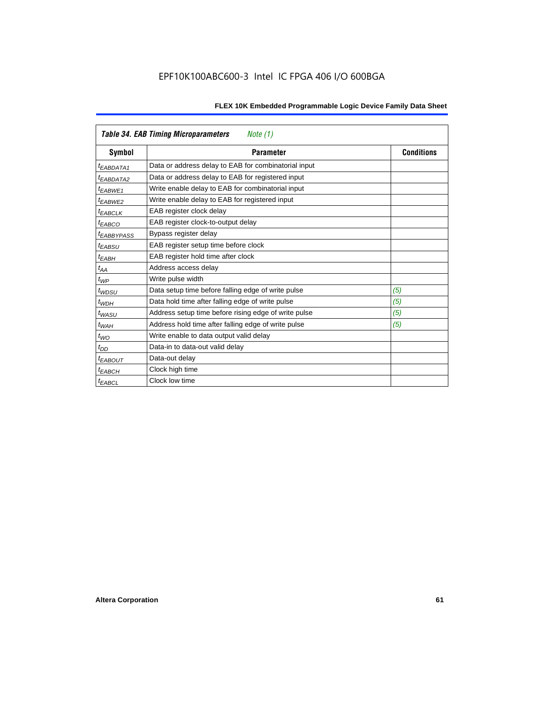| <b>Table 34. EAB Timing Microparameters</b><br>Note (1) |                                                      |                   |  |  |  |
|---------------------------------------------------------|------------------------------------------------------|-------------------|--|--|--|
| Symbol                                                  | <b>Parameter</b>                                     | <b>Conditions</b> |  |  |  |
| $t_{EABDATA1}$                                          | Data or address delay to EAB for combinatorial input |                   |  |  |  |
| <sup>t</sup> EABDATA2                                   | Data or address delay to EAB for registered input    |                   |  |  |  |
| $t_{EABWE1}$                                            | Write enable delay to EAB for combinatorial input    |                   |  |  |  |
| t <sub>EABWE2</sub>                                     | Write enable delay to EAB for registered input       |                   |  |  |  |
| <sup>t</sup> EABCLK                                     | EAB register clock delay                             |                   |  |  |  |
| $t_{EABCO}$                                             | EAB register clock-to-output delay                   |                   |  |  |  |
| <sup>t</sup> EABBYPASS                                  | Bypass register delay                                |                   |  |  |  |
| <sup>t</sup> EABSU                                      | EAB register setup time before clock                 |                   |  |  |  |
| $t_{EABH}$                                              | EAB register hold time after clock                   |                   |  |  |  |
| $t_{AA}$                                                | Address access delay                                 |                   |  |  |  |
| $t_{WP}$                                                | Write pulse width                                    |                   |  |  |  |
| $t_{WDSU}$                                              | Data setup time before falling edge of write pulse   | (5)               |  |  |  |
| $t_{WDH}$                                               | Data hold time after falling edge of write pulse     | (5)               |  |  |  |
| $t_{WASU}$                                              | Address setup time before rising edge of write pulse | (5)               |  |  |  |
| $t_{WAH}$                                               | Address hold time after falling edge of write pulse  | (5)               |  |  |  |
| $t_{WO}$                                                | Write enable to data output valid delay              |                   |  |  |  |
| $t_{DD}$                                                | Data-in to data-out valid delay                      |                   |  |  |  |
| <sup>t</sup> EABOUT                                     | Data-out delay                                       |                   |  |  |  |
| <sup>t</sup> EABCH                                      | Clock high time                                      |                   |  |  |  |
| <sup>t</sup> EABCL                                      | Clock low time                                       |                   |  |  |  |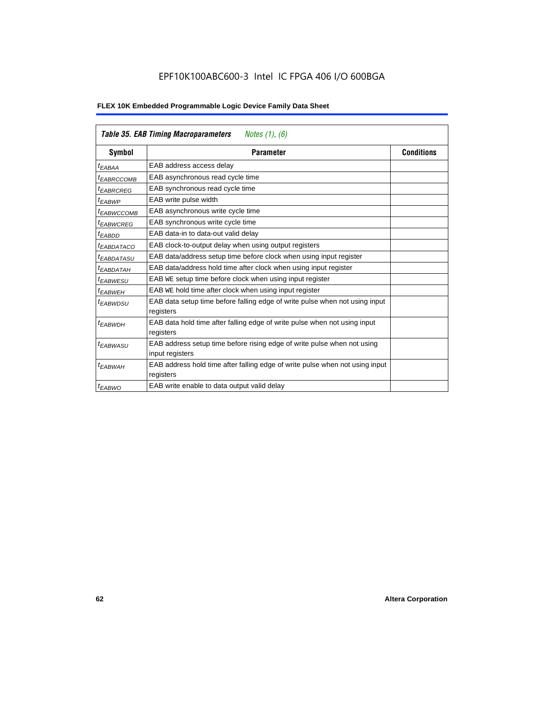|                        | <b>Table 35. EAB Timing Macroparameters</b><br>Notes $(1)$ , $(6)$                        |                   |  |  |  |  |  |
|------------------------|-------------------------------------------------------------------------------------------|-------------------|--|--|--|--|--|
| Symbol                 | <b>Parameter</b>                                                                          | <b>Conditions</b> |  |  |  |  |  |
| <sup>t</sup> EABAA     | EAB address access delay                                                                  |                   |  |  |  |  |  |
| <sup>t</sup> EABRCCOMB | EAB asynchronous read cycle time                                                          |                   |  |  |  |  |  |
| <sup>t</sup> EABRCREG  | EAB synchronous read cycle time                                                           |                   |  |  |  |  |  |
| t <sub>EABWP</sub>     | EAB write pulse width                                                                     |                   |  |  |  |  |  |
| <sup>t</sup> EABWCCOMB | EAB asynchronous write cycle time                                                         |                   |  |  |  |  |  |
| <sup>t</sup> EABWCREG  | EAB synchronous write cycle time                                                          |                   |  |  |  |  |  |
| <sup>t</sup> EABDD     | EAB data-in to data-out valid delay                                                       |                   |  |  |  |  |  |
| <sup>t</sup> EABDATACO | EAB clock-to-output delay when using output registers                                     |                   |  |  |  |  |  |
| <sup>t</sup> EABDATASU | EAB data/address setup time before clock when using input register                        |                   |  |  |  |  |  |
| <sup>t</sup> EABDATAH  | EAB data/address hold time after clock when using input register                          |                   |  |  |  |  |  |
| <sup>t</sup> EABWESU   | EAB WE setup time before clock when using input register                                  |                   |  |  |  |  |  |
| <sup>t</sup> EABWEH    | EAB WE hold time after clock when using input register                                    |                   |  |  |  |  |  |
| t <sub>EABWDSU</sub>   | EAB data setup time before falling edge of write pulse when not using input<br>registers  |                   |  |  |  |  |  |
| <sup>t</sup> EABWDH    | EAB data hold time after falling edge of write pulse when not using input                 |                   |  |  |  |  |  |
|                        | registers                                                                                 |                   |  |  |  |  |  |
| t <sub>EABWASU</sub>   | EAB address setup time before rising edge of write pulse when not using                   |                   |  |  |  |  |  |
|                        | input registers                                                                           |                   |  |  |  |  |  |
| $t_{FARMAH}$           | EAB address hold time after falling edge of write pulse when not using input<br>registers |                   |  |  |  |  |  |
| $t_{EABWO}$            | EAB write enable to data output valid delay                                               |                   |  |  |  |  |  |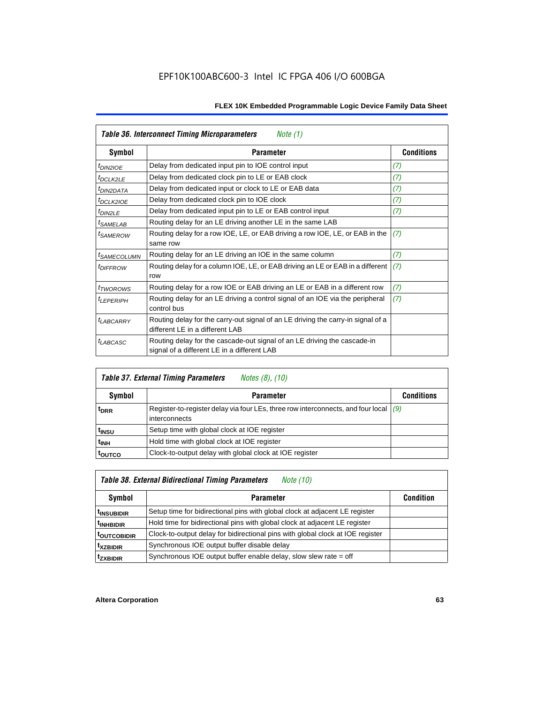| Table 36. Interconnect Timing Microparameters<br>Note $(1)$ |                                                                                                                         |                   |  |  |  |
|-------------------------------------------------------------|-------------------------------------------------------------------------------------------------------------------------|-------------------|--|--|--|
| Symbol                                                      | <b>Parameter</b>                                                                                                        | <b>Conditions</b> |  |  |  |
| <sup>t</sup> DIN2IOE                                        | Delay from dedicated input pin to IOE control input                                                                     | (7)               |  |  |  |
| <sup>t</sup> DCLK2LE                                        | Delay from dedicated clock pin to LE or EAB clock                                                                       | (7)               |  |  |  |
| <sup>t</sup> DIN2DATA                                       | Delay from dedicated input or clock to LE or EAB data                                                                   | (7)               |  |  |  |
| <sup>t</sup> DCLK2IOE                                       | Delay from dedicated clock pin to IOE clock                                                                             | (7)               |  |  |  |
| $t_{DIN2LE}$                                                | Delay from dedicated input pin to LE or EAB control input                                                               | (7)               |  |  |  |
| <sup>t</sup> SAMELAB                                        | Routing delay for an LE driving another LE in the same LAB                                                              |                   |  |  |  |
| <sup>t</sup> SAMEROW                                        | Routing delay for a row IOE, LE, or EAB driving a row IOE, LE, or EAB in the<br>same row                                | (7)               |  |  |  |
| <sup>t</sup> SAMECOLUMN                                     | Routing delay for an LE driving an IOE in the same column                                                               | (7)               |  |  |  |
| <i>t<sub>DIFFROW</sub></i>                                  | Routing delay for a column IOE, LE, or EAB driving an LE or EAB in a different<br>row                                   | (7)               |  |  |  |
| <i>t</i> TWOROWS                                            | Routing delay for a row IOE or EAB driving an LE or EAB in a different row                                              | (7)               |  |  |  |
| <sup>t</sup> LEPERIPH                                       | Routing delay for an LE driving a control signal of an IOE via the peripheral<br>control bus                            | (7)               |  |  |  |
| <b>LABCARRY</b>                                             | Routing delay for the carry-out signal of an LE driving the carry-in signal of a<br>different LE in a different LAB     |                   |  |  |  |
| $t_{LABCASC}$                                               | Routing delay for the cascade-out signal of an LE driving the cascade-in<br>signal of a different LE in a different LAB |                   |  |  |  |

| <b>Table 37. External Timing Parameters</b><br>Notes (8), (10) |                                                                                                               |                   |  |  |  |
|----------------------------------------------------------------|---------------------------------------------------------------------------------------------------------------|-------------------|--|--|--|
| Symbol                                                         | <b>Parameter</b>                                                                                              | <b>Conditions</b> |  |  |  |
| t <sub>DRR</sub>                                               | Register-to-register delay via four LEs, three row interconnects, and four local $ g\rangle$<br>interconnects |                   |  |  |  |
| t <sub>INSU</sub>                                              | Setup time with global clock at IOE register                                                                  |                   |  |  |  |
| t <sub>INH</sub>                                               | Hold time with global clock at IOE register                                                                   |                   |  |  |  |
| <sup>I</sup> OUTCO                                             | Clock-to-output delay with global clock at IOE register                                                       |                   |  |  |  |

# *Table 38. External Bidirectional Timing Parameters Note (10)*

| Symbol                  | <b>Condition</b>                                                               |  |
|-------------------------|--------------------------------------------------------------------------------|--|
| <sup>t</sup> INSUBIDIR  | Setup time for bidirectional pins with global clock at adjacent LE register    |  |
| <sup>t</sup> INHBIDIR   | Hold time for bidirectional pins with global clock at adjacent LE register     |  |
| t <sub>outcobidir</sub> | Clock-to-output delay for bidirectional pins with global clock at IOE register |  |
| <sup>t</sup> xzbidir    | Synchronous IOE output buffer disable delay                                    |  |
| tzxbidir                | Synchronous IOE output buffer enable delay, slow slew rate = off               |  |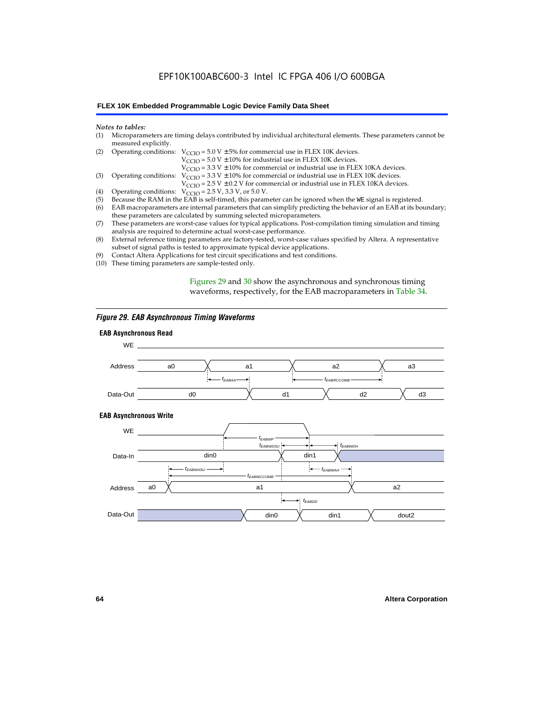# EPF10K100ABC600-3 Intel IC FPGA 406 I/O 600BGA

#### **FLEX 10K Embedded Programmable Logic Device Family Data Sheet**

#### *Notes to tables:*

| (1) Microparameters are timing delays contributed by individual architectural elements. These parameters cannot be |
|--------------------------------------------------------------------------------------------------------------------|
| measured explicitly.                                                                                               |

| (2) Operating conditions: $V_{CCIO} = 5.0 V \pm 5%$ for commercial use in FLEX 10K devices. |  |  |  |
|---------------------------------------------------------------------------------------------|--|--|--|
|                                                                                             |  |  |  |

 $V<sub>CCIO</sub>$  = 5.0 V  $\pm$  10% for industrial use in FLEX 10K devices.

 $V_{\text{CCIO}} = 3.3 \text{ V} \pm 10\%$  for commercial or industrial use in FLEX 10KA devices.

(3) Operating conditions:  $V_{\text{CCIO}} = 3.3 V \pm 10\%$  for commercial or industrial use in FLEX 10K devices.

 $V_{\text{CCIO}} = 2.5 \text{ V} \pm 0.2 \text{ V}$  for commercial or industrial use in FLEX 10KA devices.

- (4) Operating conditions:  $V_{\text{CCIO}} = 2.5 V$ , 3.3 V, or 5.0 V.<br>(5) Because the RAM in the EAB is self-timed, this param
- (5) Because the RAM in the EAB is self-timed, this parameter can be ignored when the WE signal is registered.<br>(6) EAB macroparameters are internal parameters that can simplify predicting the behavior of an EAB at its bou
- EAB macroparameters are internal parameters that can simplify predicting the behavior of an EAB at its boundary; these parameters are calculated by summing selected microparameters.
- (7) These parameters are worst-case values for typical applications. Post-compilation timing simulation and timing analysis are required to determine actual worst-case performance.
- (8) External reference timing parameters are factory-tested, worst-case values specified by Altera. A representative subset of signal paths is tested to approximate typical device applications.
- (9) Contact Altera Applications for test circuit specifications and test conditions.
- (10) These timing parameters are sample-tested only.

Figures 29 and 30 show the asynchronous and synchronous timing waveforms, respectively, for the EAB macroparameters in Table 34.

#### *Figure 29. EAB Asynchronous Timing Waveforms*

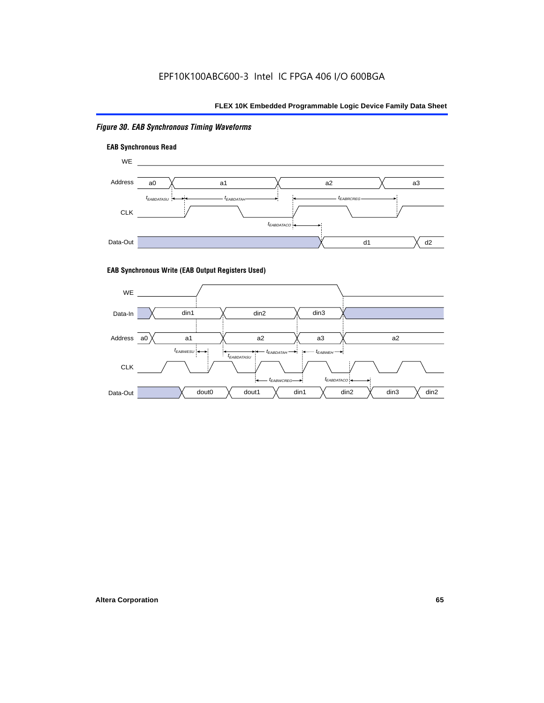# *Figure 30. EAB Synchronous Timing Waveforms*





#### **EAB Synchronous Write (EAB Output Registers Used)**

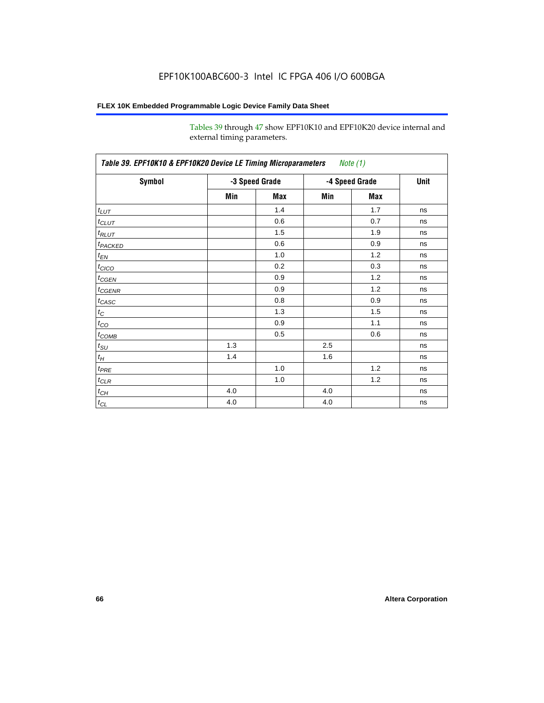Tables 39 through 47 show EPF10K10 and EPF10K20 device internal and external timing parameters.

| Symbol                     | -3 Speed Grade |     | -4 Speed Grade |     | <b>Unit</b> |
|----------------------------|----------------|-----|----------------|-----|-------------|
|                            | Min            | Max | Min            | Max |             |
| $t_{LUT}$                  |                | 1.4 |                | 1.7 | ns          |
| $t_{CLUT}$                 |                | 0.6 |                | 0.7 | ns          |
| $t_{RLUT}$                 |                | 1.5 |                | 1.9 | ns          |
| <b>t</b> <sub>PACKED</sub> |                | 0.6 |                | 0.9 | ns          |
| $t_{EN}$                   |                | 1.0 |                | 1.2 | ns          |
| $t_{CICO}$                 |                | 0.2 |                | 0.3 | ns          |
| $t_{\text{GEN}}$           |                | 0.9 |                | 1.2 | ns          |
| $t_{\text{GENR}}$          |                | 0.9 |                | 1.2 | ns          |
| $t_{CASC}$                 |                | 0.8 |                | 0.9 | ns          |
| $t_C$                      |                | 1.3 |                | 1.5 | ns          |
| $t_{CO}$                   |                | 0.9 |                | 1.1 | ns          |
| $t_{\text{COMB}}$          |                | 0.5 |                | 0.6 | ns          |
| $t_{\text{SU}}$            | 1.3            |     | 2.5            |     | ns          |
| $t_H$                      | 1.4            |     | 1.6            |     | ns          |
| $t_{PRE}$                  |                | 1.0 |                | 1.2 | ns          |
| $t_{\text{CLR}}$           |                | 1.0 |                | 1.2 | ns          |
| $t_{CH}$                   | 4.0            |     | 4.0            |     | ns          |
| $t_{CL}$                   | 4.0            |     | 4.0            |     | ns          |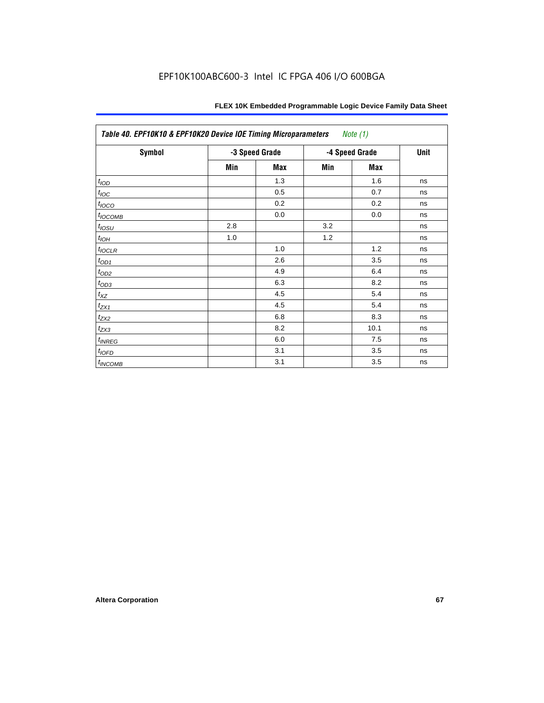| Table 40. EPF10K10 & EPF10K20 Device IOE Timing Microparameters<br>Note $(1)$ |                |            |                |            |      |  |
|-------------------------------------------------------------------------------|----------------|------------|----------------|------------|------|--|
| <b>Symbol</b>                                                                 | -3 Speed Grade |            | -4 Speed Grade |            | Unit |  |
|                                                                               | Min            | <b>Max</b> | Min            | <b>Max</b> |      |  |
| t <sub>IOD</sub>                                                              |                | 1.3        |                | 1.6        | ns   |  |
| $t_{\text{IOC}}$                                                              |                | 0.5        |                | 0.7        | ns   |  |
| $t_{IOCO}$                                                                    |                | 0.2        |                | 0.2        | ns   |  |
| $t_{IOCOMB}$                                                                  |                | 0.0        |                | 0.0        | ns   |  |
| $t_{IOSU}$                                                                    | 2.8            |            | 3.2            |            | ns   |  |
| $t_{IOH}$                                                                     | 1.0            |            | 1.2            |            | ns   |  |
| $t_{\text{OCLR}}$                                                             |                | 1.0        |                | 1.2        | ns   |  |
| $t_{OD1}$                                                                     |                | 2.6        |                | 3.5        | ns   |  |
| $t_{OD2}$                                                                     |                | 4.9        |                | 6.4        | ns   |  |
| $t_{OD3}$                                                                     |                | 6.3        |                | 8.2        | ns   |  |
| $t_{\mathsf{XZ}}$                                                             |                | 4.5        |                | 5.4        | ns   |  |
| $t_{ZX1}$                                                                     |                | 4.5        |                | 5.4        | ns   |  |
| $t_{ZX2}$                                                                     |                | 6.8        |                | 8.3        | ns   |  |
| $t_{ZX3}$                                                                     |                | 8.2        |                | 10.1       | ns   |  |
| $t_{INREG}$                                                                   |                | 6.0        |                | 7.5        | ns   |  |
| $t_{IOFD}$                                                                    |                | 3.1        |                | 3.5        | ns   |  |
| $t_{INCOMB}$                                                                  |                | 3.1        |                | 3.5        | ns   |  |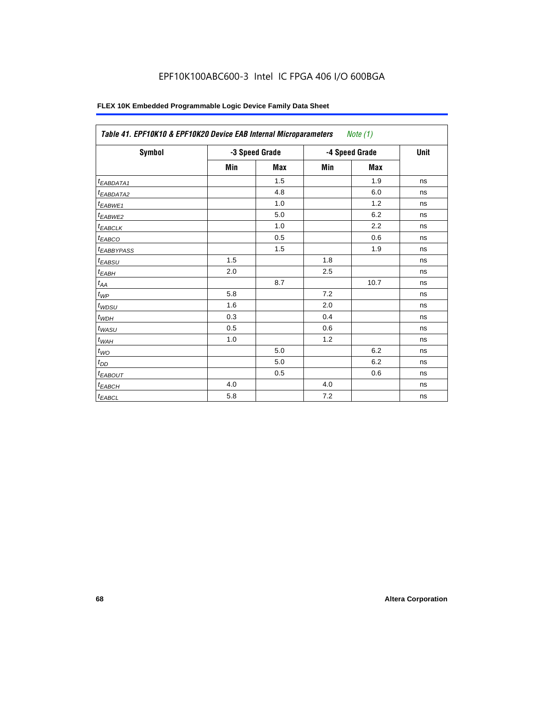# EPF10K100ABC600-3 Intel IC FPGA 406 I/O 600BGA

| Symbol                 | -3 Speed Grade |            | -4 Speed Grade |            | Unit |
|------------------------|----------------|------------|----------------|------------|------|
|                        | Min            | <b>Max</b> | Min            | <b>Max</b> |      |
| <sup>t</sup> EABDATA1  |                | 1.5        |                | 1.9        | ns   |
| <sup>t</sup> EABDATA2  |                | 4.8        |                | 6.0        | ns   |
| t <sub>EABWE1</sub>    |                | 1.0        |                | 1.2        | ns   |
| <sup>t</sup> EABWE2    |                | 5.0        |                | 6.2        | ns   |
| <sup>t</sup> EABCLK    |                | 1.0        |                | 2.2        | ns   |
| t <sub>EABCO</sub>     |                | 0.5        |                | 0.6        | ns   |
| <sup>t</sup> EABBYPASS |                | 1.5        |                | 1.9        | ns   |
| $t_{EABSU}$            | 1.5            |            | 1.8            |            | ns   |
| $t_{EABH}$             | 2.0            |            | 2.5            |            | ns   |
| $t_{AA}$               |                | 8.7        |                | 10.7       | ns   |
| $t_{\mathit{WP}}$      | 5.8            |            | 7.2            |            | ns   |
| $t_{WDSU}$             | 1.6            |            | 2.0            |            | ns   |
| $t_{WDH}$              | 0.3            |            | 0.4            |            | ns   |
| $t_{WASU}$             | 0.5            |            | 0.6            |            | ns   |
| $t_{W\underline{AH}}$  | 1.0            |            | 1.2            |            | ns   |
| $t_{WO}$               |                | 5.0        |                | 6.2        | ns   |
| $t_{DD}$               |                | 5.0        |                | 6.2        | ns   |
| <sup>t</sup> EABOUT    |                | 0.5        |                | 0.6        | ns   |
| $t_{EABCH}$            | 4.0            |            | 4.0            |            | ns   |
| $t_{EABCL}$            | 5.8            |            | 7.2            |            | ns   |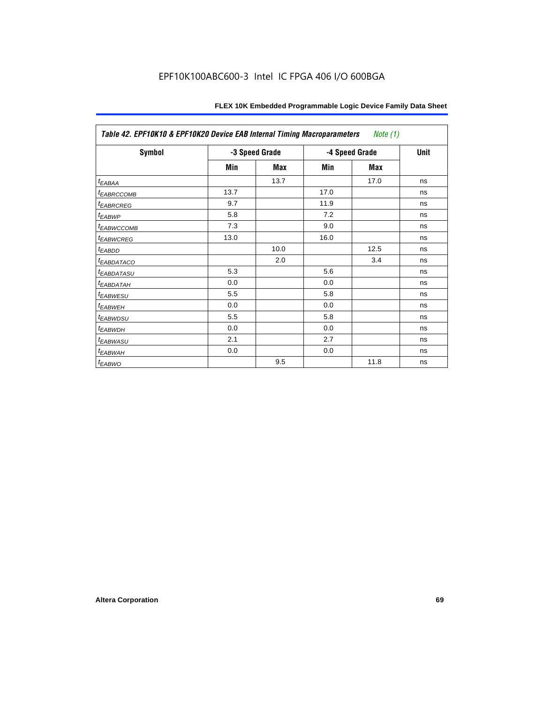| Table 42. EPF10K10 & EPF10K20 Device EAB Internal Timing Macroparameters<br>Note (1) |                |      |                |            |             |
|--------------------------------------------------------------------------------------|----------------|------|----------------|------------|-------------|
| <b>Symbol</b>                                                                        | -3 Speed Grade |      | -4 Speed Grade |            | <b>Unit</b> |
|                                                                                      | Min            | Max  | Min            | <b>Max</b> |             |
| t <sub>EABAA</sub>                                                                   |                | 13.7 |                | 17.0       | ns          |
| <i>EABRCCOMB</i>                                                                     | 13.7           |      | 17.0           |            | ns          |
| <b><i>EABRCREG</i></b>                                                               | 9.7            |      | 11.9           |            | ns          |
| <sup>t</sup> EABWP                                                                   | 5.8            |      | 7.2            |            | ns          |
| <sup>t</sup> EABWCCOMB                                                               | 7.3            |      | 9.0            |            | ns          |
| <sup>t</sup> EABWCREG                                                                | 13.0           |      | 16.0           |            | ns          |
| t <sub>EABDD</sub>                                                                   |                | 10.0 |                | 12.5       | ns          |
| <i>EABDATACO</i>                                                                     |                | 2.0  |                | 3.4        | ns          |
| <sup>t</sup> EABDATASU                                                               | 5.3            |      | 5.6            |            | ns          |
| <sup>t</sup> EABDATAH                                                                | 0.0            |      | 0.0            |            | ns          |
| <sup>t</sup> EABWESU                                                                 | 5.5            |      | 5.8            |            | ns          |
| <sup>t</sup> EABWEH                                                                  | 0.0            |      | 0.0            |            | ns          |
| <i>t<sub>EABWDSU</sub></i>                                                           | 5.5            |      | 5.8            |            | ns          |
| <sup>t</sup> EABWDH                                                                  | 0.0            |      | 0.0            |            | ns          |
| <sup>t</sup> EABWASU                                                                 | 2.1            |      | 2.7            |            | ns          |
| <sup>t</sup> EABWAH                                                                  | 0.0            |      | 0.0            |            | ns          |
| t <sub>EABWO</sub>                                                                   |                | 9.5  |                | 11.8       | ns          |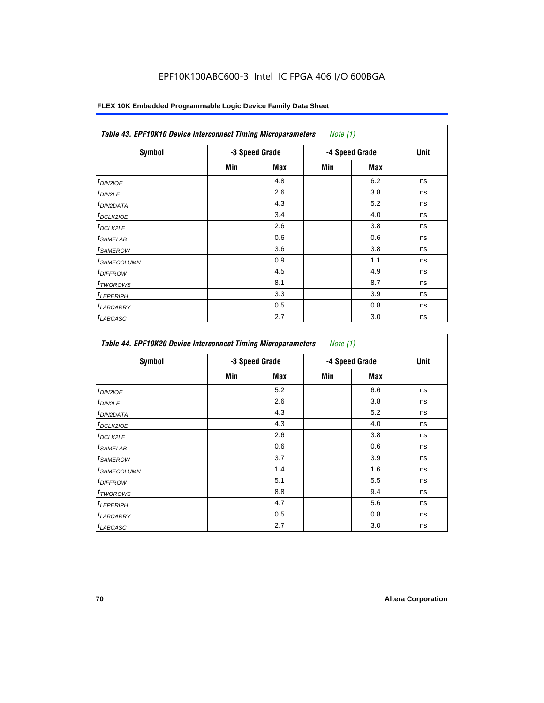| <b>Table 43. EPF10K10 Device Interconnect Timing Microparameters</b><br><i>Note</i> $(1)$ |                |            |                |            |             |  |
|-------------------------------------------------------------------------------------------|----------------|------------|----------------|------------|-------------|--|
| <b>Symbol</b>                                                                             | -3 Speed Grade |            | -4 Speed Grade |            | <b>Unit</b> |  |
|                                                                                           | Min            | <b>Max</b> | Min            | <b>Max</b> |             |  |
| <sup>t</sup> DIN2IOE                                                                      |                | 4.8        |                | 6.2        | ns          |  |
| $t_{DIN2LE}$                                                                              |                | 2.6        |                | 3.8        | ns          |  |
| <sup>t</sup> DIN2DATA                                                                     |                | 4.3        |                | 5.2        | ns          |  |
| <sup>t</sup> DCLK2IOE                                                                     |                | 3.4        |                | 4.0        | ns          |  |
| <sup>t</sup> DCLK2LE                                                                      |                | 2.6        |                | 3.8        | ns          |  |
| <sup>t</sup> SAMELAB                                                                      |                | 0.6        |                | 0.6        | ns          |  |
| <sup>t</sup> SAMEROW                                                                      |                | 3.6        |                | 3.8        | ns          |  |
| <sup>t</sup> SAMECOLUMN                                                                   |                | 0.9        |                | 1.1        | ns          |  |
| <i>t<sub>DIFFROW</sub></i>                                                                |                | 4.5        |                | 4.9        | ns          |  |
| <sup>t</sup> TWOROWS                                                                      |                | 8.1        |                | 8.7        | ns          |  |
| <sup>t</sup> LEPERIPH                                                                     |                | 3.3        |                | 3.9        | ns          |  |
| <sup>t</sup> LABCARRY                                                                     |                | 0.5        |                | 0.8        | ns          |  |
| <sup>t</sup> LABCASC                                                                      |                | 2.7        |                | 3.0        | ns          |  |

| Symbol                  | -3 Speed Grade |     | -4 Speed Grade |     | Unit |
|-------------------------|----------------|-----|----------------|-----|------|
|                         | Min            | Max | Min            | Max |      |
| $t_{DINZIOE}$           |                | 5.2 |                | 6.6 | ns   |
| <sup>t</sup> DIN2LE     |                | 2.6 |                | 3.8 | ns   |
| <sup>t</sup> DIN2DATA   |                | 4.3 |                | 5.2 | ns   |
| <sup>I</sup> DCLK2IOE   |                | 4.3 |                | 4.0 | ns   |
| t <sub>DCLK2LE</sub>    |                | 2.6 |                | 3.8 | ns   |
| <sup>t</sup> SAMELAB    |                | 0.6 |                | 0.6 | ns   |
| <sup>I</sup> SAMEROW    |                | 3.7 |                | 3.9 | ns   |
| <sup>t</sup> SAMECOLUMN |                | 1.4 |                | 1.6 | ns   |
| <sup>I</sup> DIFFROW    |                | 5.1 |                | 5.5 | ns   |
| <sup>t</sup> TWOROWS    |                | 8.8 |                | 9.4 | ns   |
| <sup>t</sup> LEPERIPH   |                | 4.7 |                | 5.6 | ns   |
| <b>LABCARRY</b>         |                | 0.5 |                | 0.8 | ns   |
| <sup>t</sup> LABCASC    |                | 2.7 |                | 3.0 | ns   |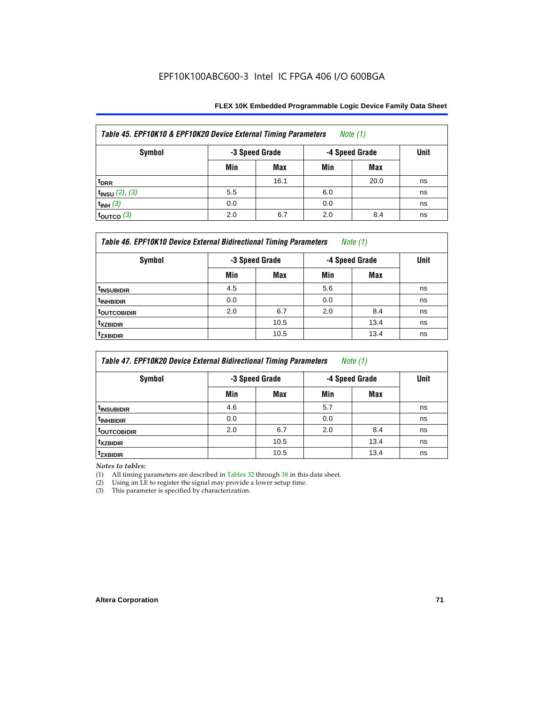| Table 45. EPF10K10 & EPF10K20 Device External Timing Parameters<br>Note (1) |                |      |                |      |             |  |
|-----------------------------------------------------------------------------|----------------|------|----------------|------|-------------|--|
| <b>Symbol</b>                                                               | -3 Speed Grade |      | -4 Speed Grade |      | <b>Unit</b> |  |
|                                                                             | Min            | Max  | Min            | Max  |             |  |
| t <sub>DRR</sub>                                                            |                | 16.1 |                | 20.0 | ns          |  |
| $t_{INSU}$ (2), (3)                                                         | 5.5            |      | 6.0            |      | ns          |  |
| $t_{INH}$ (3)                                                               | 0.0            |      | 0.0            |      | ns          |  |
| $\vert$ toutco (3)                                                          | 2.0            | 6.7  | 2.0            | 8.4  | ns          |  |

| Table 46. EPF10K10 Device External Bidirectional Timing Parameters<br>Note $(1)$ |                |            |                |      |             |  |  |
|----------------------------------------------------------------------------------|----------------|------------|----------------|------|-------------|--|--|
| Symbol                                                                           | -3 Speed Grade |            | -4 Speed Grade |      | <b>Unit</b> |  |  |
|                                                                                  | Min            | <b>Max</b> | Min            | Max  |             |  |  |
| <sup>t</sup> INSUBIDIR                                                           | 4.5            |            | 5.6            |      | ns          |  |  |
| <sup>t</sup> INHBIDIR                                                            | 0.0            |            | 0.0            |      | ns          |  |  |
| <sup>t</sup> OUTCOBIDIR                                                          | 2.0            | 6.7        | 2.0            | 8.4  | ns          |  |  |
| <b>txzbidir</b>                                                                  |                | 10.5       |                | 13.4 | ns          |  |  |
| tzxbidir                                                                         |                | 10.5       |                | 13.4 | ns          |  |  |

| Table 47. EPF10K20 Device External Bidirectional Timing Parameters<br><i>Note</i> $(1)$ |                |      |                |      |             |  |
|-----------------------------------------------------------------------------------------|----------------|------|----------------|------|-------------|--|
| Symbol                                                                                  | -3 Speed Grade |      | -4 Speed Grade |      | <b>Unit</b> |  |
|                                                                                         | Min            | Max  | Min            | Max  |             |  |
| <sup>t</sup> INSUBIDIR                                                                  | 4.6            |      | 5.7            |      | ns          |  |
| <sup>t</sup> INHBIDIR                                                                   | 0.0            |      | 0.0            |      | ns          |  |
| <b>TOUTCOBIDIR</b>                                                                      | 2.0            | 6.7  | 2.0            | 8.4  | ns          |  |
| <sup>t</sup> xzbidir                                                                    |                | 10.5 |                | 13.4 | ns          |  |
| <sup>t</sup> zxbidir                                                                    |                | 10.5 |                | 13.4 | ns          |  |

*Notes to tables:*

(1) All timing parameters are described in Tables 32 through 38 in this data sheet.

(2) Using an LE to register the signal may provide a lower setup time.

(3) This parameter is specified by characterization.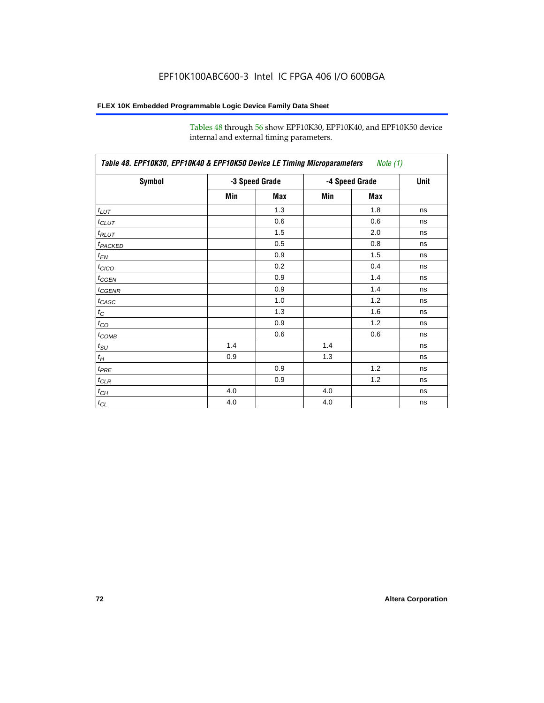Tables 48 through 56 show EPF10K30, EPF10K40, and EPF10K50 device internal and external timing parameters.

| Table 48. EPF10K30, EPF10K40 & EPF10K50 Device LE Timing Microparameters<br><i>Note</i> $(1)$ |     |                |     |                |    |  |  |  |
|-----------------------------------------------------------------------------------------------|-----|----------------|-----|----------------|----|--|--|--|
| <b>Symbol</b>                                                                                 |     | -3 Speed Grade |     | -4 Speed Grade |    |  |  |  |
|                                                                                               | Min | Max            | Min | Max            |    |  |  |  |
| $t_{LUT}$                                                                                     |     | 1.3            |     | 1.8            | ns |  |  |  |
| $t_{CLUT}$                                                                                    |     | 0.6            |     | 0.6            | ns |  |  |  |
| $t_{RLUT}$                                                                                    |     | 1.5            |     | 2.0            | ns |  |  |  |
| t <sub>PACKED</sub>                                                                           |     | 0.5            |     | 0.8            | ns |  |  |  |
| $t_{EN}$                                                                                      |     | 0.9            |     | 1.5            | ns |  |  |  |
| $t_{CICO}$                                                                                    |     | 0.2            |     | 0.4            | ns |  |  |  |
| $t_{CGEN}$                                                                                    |     | 0.9            |     | 1.4            | ns |  |  |  |
| $t_{\sf GENR}$                                                                                |     | 0.9            |     | 1.4            | ns |  |  |  |
| $t_{CASC}$                                                                                    |     | 1.0            |     | 1.2            | ns |  |  |  |
| $t_C$                                                                                         |     | 1.3            |     | 1.6            | ns |  |  |  |
| $t_{CO}$                                                                                      |     | 0.9            |     | 1.2            | ns |  |  |  |
| $t_{\text{COMB}}$                                                                             |     | 0.6            |     | 0.6            | ns |  |  |  |
| $t_{\sf SU}$                                                                                  | 1.4 |                | 1.4 |                | ns |  |  |  |
| $t_H$                                                                                         | 0.9 |                | 1.3 |                | ns |  |  |  |
| $t_{PRE}$                                                                                     |     | 0.9            |     | 1.2            | ns |  |  |  |
| $t_{\text{CLR}}$                                                                              |     | 0.9            |     | 1.2            | ns |  |  |  |
| $t_{CH}$                                                                                      | 4.0 |                | 4.0 |                | ns |  |  |  |
| $t_{CL}$                                                                                      | 4.0 |                | 4.0 |                | ns |  |  |  |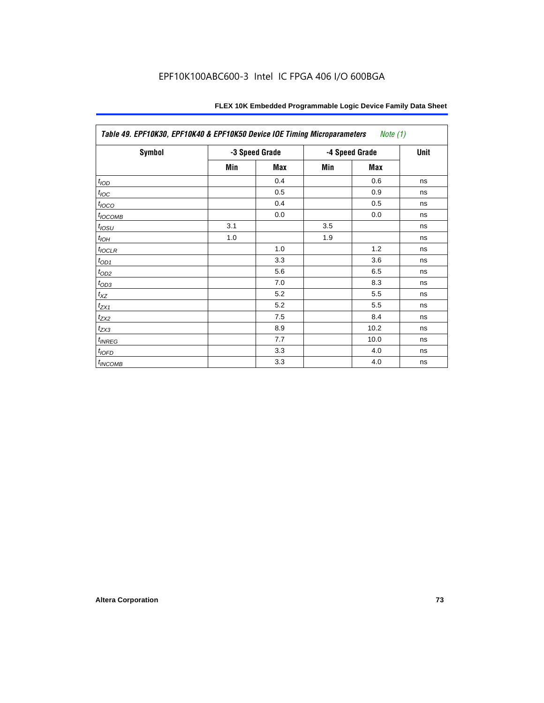|                   | Table 49. EPF10K30, EPF10K40 & EPF10K50 Device IOE Timing Microparameters<br>Note $(1)$ |     |                |             |    |  |  |  |  |
|-------------------|-----------------------------------------------------------------------------------------|-----|----------------|-------------|----|--|--|--|--|
| Symbol            | -3 Speed Grade                                                                          |     | -4 Speed Grade | <b>Unit</b> |    |  |  |  |  |
|                   | Min                                                                                     | Max | Min            | Max         |    |  |  |  |  |
| t <sub>IOD</sub>  |                                                                                         | 0.4 |                | 0.6         | ns |  |  |  |  |
| $t_{\text{IOC}}$  |                                                                                         | 0.5 |                | 0.9         | ns |  |  |  |  |
| $t_{IOCO}$        |                                                                                         | 0.4 |                | 0.5         | ns |  |  |  |  |
| $t_{IOCOMB}$      |                                                                                         | 0.0 |                | 0.0         | ns |  |  |  |  |
| $t_{IOSU}$        | 3.1                                                                                     |     | 3.5            |             | ns |  |  |  |  |
| $t_{IOH}$         | 1.0                                                                                     |     | 1.9            |             | ns |  |  |  |  |
| $t_{IOCLR}$       |                                                                                         | 1.0 |                | 1.2         | ns |  |  |  |  |
| $t_{OD1}$         |                                                                                         | 3.3 |                | 3.6         | ns |  |  |  |  |
| $t_{OD2}$         |                                                                                         | 5.6 |                | 6.5         | ns |  |  |  |  |
| $t_{OD3}$         |                                                                                         | 7.0 |                | 8.3         | ns |  |  |  |  |
| $t_{\mathsf{XZ}}$ |                                                                                         | 5.2 |                | 5.5         | ns |  |  |  |  |
| $t_{ZX1}$         |                                                                                         | 5.2 |                | 5.5         | ns |  |  |  |  |
| $t_{ZX2}$         |                                                                                         | 7.5 |                | 8.4         | ns |  |  |  |  |
| $t_{ZX3}$         |                                                                                         | 8.9 |                | 10.2        | ns |  |  |  |  |
| $t_{INREG}$       |                                                                                         | 7.7 |                | 10.0        | ns |  |  |  |  |
| $t_{IOFD}$        |                                                                                         | 3.3 |                | 4.0         | ns |  |  |  |  |
| $t_{INCOMB}$      |                                                                                         | 3.3 |                | 4.0         | ns |  |  |  |  |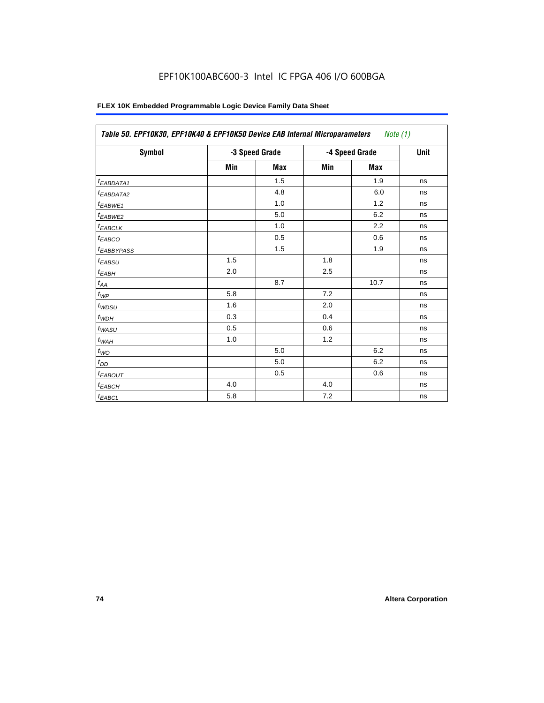| Symbol                 | -3 Speed Grade |            | -4 Speed Grade | Unit       |    |
|------------------------|----------------|------------|----------------|------------|----|
|                        | Min            | <b>Max</b> | Min            | <b>Max</b> |    |
| <sup>t</sup> EABDATA1  |                | 1.5        |                | 1.9        | ns |
| <sup>t</sup> EABDATA2  |                | 4.8        |                | 6.0        | ns |
| t <sub>EABWE1</sub>    |                | 1.0        |                | 1.2        | ns |
| t <sub>EABWE2</sub>    |                | 5.0        |                | 6.2        | ns |
| $t_{EABCLK}$           |                | 1.0        |                | 2.2        | ns |
| <sup>t</sup> EABCO     |                | 0.5        |                | 0.6        | ns |
| <sup>t</sup> EABBYPASS |                | 1.5        |                | 1.9        | ns |
| t <sub>EABSU</sub>     | 1.5            |            | 1.8            |            | ns |
| $t_{EABH}$             | 2.0            |            | 2.5            |            | ns |
| $t_{AA}$               |                | 8.7        |                | 10.7       | ns |
| $t_{\mathit{WP}}$      | 5.8            |            | 7.2            |            | ns |
| $t_{WDSU}$             | 1.6            |            | 2.0            |            | ns |
| $t_{WDH}$              | 0.3            |            | 0.4            |            | ns |
| $t_{WASU}$             | 0.5            |            | 0.6            |            | ns |
| $t_{WAH}$              | 1.0            |            | 1.2            |            | ns |
| $t_{WO}$               |                | 5.0        |                | 6.2        | ns |
| $t_{DD}$               |                | 5.0        |                | 6.2        | ns |
| <sup>t</sup> EABOUT    |                | 0.5        |                | 0.6        | ns |
| $t_{EABCH}$            | 4.0            |            | 4.0            |            | ns |
| $t_{EABCL}$            | 5.8            |            | 7.2            |            | ns |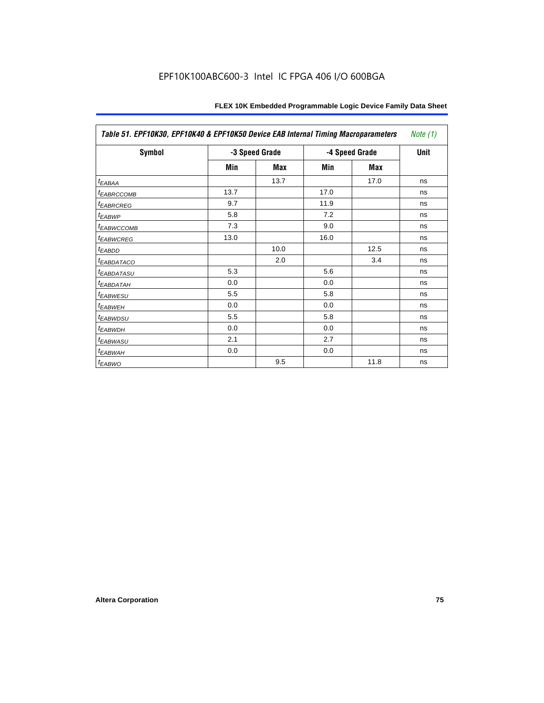| Table 51. EPF10K30, EPF10K40 & EPF10K50 Device EAB Internal Timing Macroparameters<br>Note $(1)$ |      |                |      |                |    |  |  |
|--------------------------------------------------------------------------------------------------|------|----------------|------|----------------|----|--|--|
| Symbol                                                                                           |      | -3 Speed Grade |      | -4 Speed Grade |    |  |  |
|                                                                                                  | Min  | Max            | Min  | Max            |    |  |  |
| $t_{EABA}$                                                                                       |      | 13.7           |      | 17.0           | ns |  |  |
| <b><i>EABRCCOMB</i></b>                                                                          | 13.7 |                | 17.0 |                | ns |  |  |
| <b><i>EABRCREG</i></b>                                                                           | 9.7  |                | 11.9 |                | ns |  |  |
| <sup>t</sup> EABWP                                                                               | 5.8  |                | 7.2  |                | ns |  |  |
| <b><i>EABWCCOMB</i></b>                                                                          | 7.3  |                | 9.0  |                | ns |  |  |
| <b><i>EABWCREG</i></b>                                                                           | 13.0 |                | 16.0 |                | ns |  |  |
| <sup>t</sup> EABDD                                                                               |      | 10.0           |      | 12.5           | ns |  |  |
| <i>EABDATACO</i>                                                                                 |      | 2.0            |      | 3.4            | ns |  |  |
| <sup>I</sup> EABDATASU                                                                           | 5.3  |                | 5.6  |                | ns |  |  |
| <sup>t</sup> EABDATAH                                                                            | 0.0  |                | 0.0  |                | ns |  |  |
| <b><i>EABWESU</i></b>                                                                            | 5.5  |                | 5.8  |                | ns |  |  |
| <sup>t</sup> EABWEH                                                                              | 0.0  |                | 0.0  |                | ns |  |  |
| <sup>t</sup> EABWDSU                                                                             | 5.5  |                | 5.8  |                | ns |  |  |
| <sup>t</sup> EABWDH                                                                              | 0.0  |                | 0.0  |                | ns |  |  |
| <sup>t</sup> EABWASU                                                                             | 2.1  |                | 2.7  |                | ns |  |  |
| <sup>t</sup> EABWAH                                                                              | 0.0  |                | 0.0  |                | ns |  |  |
| $t_{EABWO}$                                                                                      |      | 9.5            |      | 11.8           | ns |  |  |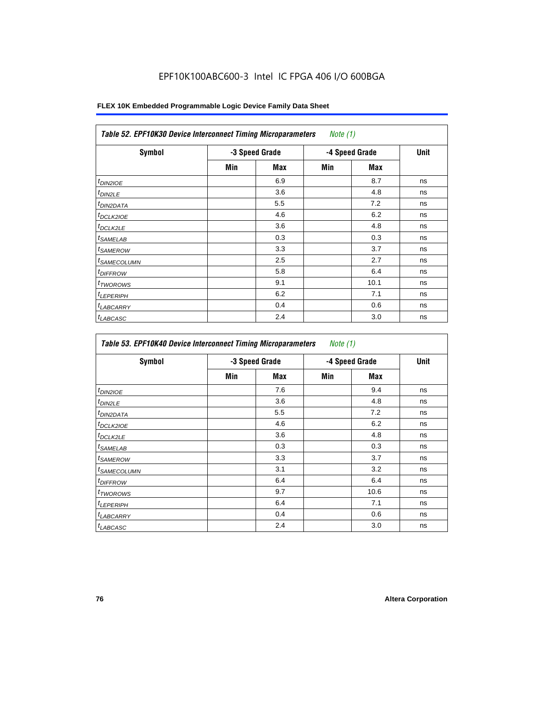# **FLEX 10K Embedded Programmable Logic Device Family Data Sheet**

| <b>Symbol</b>              |     | -3 Speed Grade |     | -4 Speed Grade | Unit |
|----------------------------|-----|----------------|-----|----------------|------|
|                            | Min | <b>Max</b>     | Min | <b>Max</b>     |      |
| $t_{DINZIOE}$              |     | 6.9            |     | 8.7            | ns   |
| $t_{DIN2LE}$               |     | 3.6            |     | 4.8            | ns   |
| <sup>t</sup> DIN2DATA      |     | 5.5            |     | 7.2            | ns   |
| <sup>t</sup> DCLK2IOE      |     | 4.6            |     | 6.2            | ns   |
| <sup>t</sup> DCLK2LE       |     | 3.6            |     | 4.8            | ns   |
| <sup>t</sup> SAMELAB       |     | 0.3            |     | 0.3            | ns   |
| <sup>t</sup> SAMEROW       |     | 3.3            |     | 3.7            | ns   |
| <sup>t</sup> SAMECOLUMN    |     | 2.5            |     | 2.7            | ns   |
| <i>t<sub>DIFFROW</sub></i> |     | 5.8            |     | 6.4            | ns   |
| <sup>t</sup> TWOROWS       |     | 9.1            |     | 10.1           | ns   |
| <sup>t</sup> LEPERIPH      |     | 6.2            |     | 7.1            | ns   |
| <sup>I</sup> LABCARRY      |     | 0.4            |     | 0.6            | ns   |
| <sup>t</sup> LABCASC       |     | 2.4            |     | 3.0            | ns   |

| <b>Symbol</b>           |     | -3 Speed Grade |     | -4 Speed Grade | <b>Unit</b> |
|-------------------------|-----|----------------|-----|----------------|-------------|
|                         | Min | Max            | Min | Max            |             |
| $t_{DINZIOE}$           |     | 7.6            |     | 9.4            | ns          |
| <sup>t</sup> DIN2LE     |     | 3.6            |     | 4.8            | ns          |
| <sup>t</sup> DIN2DATA   |     | 5.5            |     | 7.2            | ns          |
| <sup>I</sup> DCLK2IOE   |     | 4.6            |     | 6.2            | ns          |
| <sup>t</sup> DCLK2LE    |     | 3.6            |     | 4.8            | ns          |
| <sup>t</sup> SAMELAB    |     | 0.3            |     | 0.3            | ns          |
| <sup>t</sup> SAMEROW    |     | 3.3            |     | 3.7            | ns          |
| <sup>I</sup> SAMECOLUMN |     | 3.1            |     | 3.2            | ns          |
| <sup>t</sup> DIFFROW    |     | 6.4            |     | 6.4            | ns          |
| <sup>T</sup> TWOROWS    |     | 9.7            |     | 10.6           | ns          |
| <sup>t</sup> LEPERIPH   |     | 6.4            |     | 7.1            | ns          |
| <b>LABCARRY</b>         |     | 0.4            |     | 0.6            | ns          |
| <sup>t</sup> LABCASC    |     | 2.4            |     | 3.0            | ns          |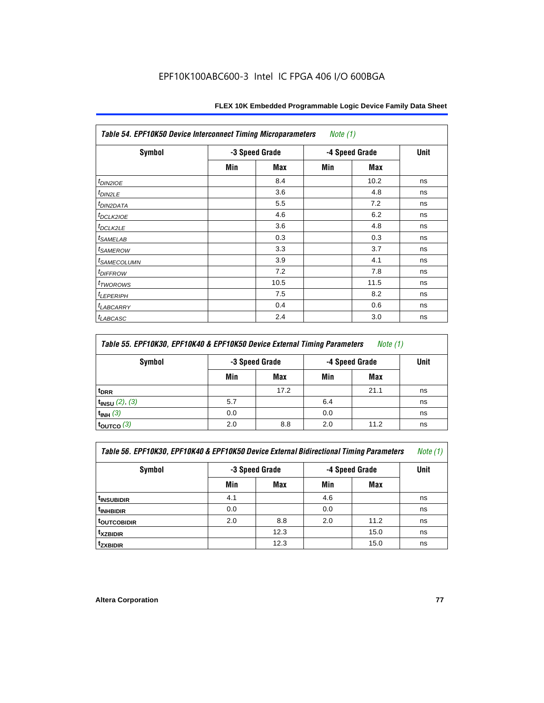| <b>Table 54. EPF10K50 Device Interconnect Timing Microparameters</b><br>Note $(1)$ |     |                |                |             |    |  |  |  |
|------------------------------------------------------------------------------------|-----|----------------|----------------|-------------|----|--|--|--|
| Symbol                                                                             |     | -3 Speed Grade | -4 Speed Grade | <b>Unit</b> |    |  |  |  |
|                                                                                    | Min | Max            | Min            | <b>Max</b>  |    |  |  |  |
| $t_{DIN2IOE}$                                                                      |     | 8.4            |                | 10.2        | ns |  |  |  |
| t <sub>DIN2LE</sub>                                                                |     | 3.6            |                | 4.8         | ns |  |  |  |
| t <sub>DIN2DATA</sub>                                                              |     | 5.5            |                | 7.2         | ns |  |  |  |
| t <sub>DCLK2IOE</sub>                                                              |     | 4.6            |                | 6.2         | ns |  |  |  |
| $t_{DCLK2LE}$                                                                      |     | 3.6            |                | 4.8         | ns |  |  |  |
| $t_{SAMELAB}$                                                                      |     | 0.3            |                | 0.3         | ns |  |  |  |
| t <sub>SAMEROW</sub>                                                               |     | 3.3            |                | 3.7         | ns |  |  |  |
| <i>t<sub>SAMECOLUMN</sub></i>                                                      |     | 3.9            |                | 4.1         | ns |  |  |  |
| <i>t<sub>DIFFROW</sub></i>                                                         |     | 7.2            |                | 7.8         | ns |  |  |  |
| $t_{TWOROWS}$                                                                      |     | 10.5           |                | 11.5        | ns |  |  |  |
| <b>t</b> LEPERIPH                                                                  |     | 7.5            |                | 8.2         | ns |  |  |  |
| $t_{LABCARY}$                                                                      |     | 0.4            |                | 0.6         | ns |  |  |  |
| $t_{LABCASC}$                                                                      |     | 2.4            |                | 3.0         | ns |  |  |  |

| Table 55. EPF10K30, EPF10K40 & EPF10K50 Device External Timing Parameters<br>Note (1) |     |                                  |     |      |    |  |  |  |
|---------------------------------------------------------------------------------------|-----|----------------------------------|-----|------|----|--|--|--|
| Symbol                                                                                |     | -4 Speed Grade<br>-3 Speed Grade |     |      |    |  |  |  |
|                                                                                       | Min | Max                              | Min | Max  |    |  |  |  |
| <sup>t</sup> DRR                                                                      |     | 17.2                             |     | 21.1 | ns |  |  |  |
| $t_{INSU}$ (2), (3)                                                                   | 5.7 |                                  | 6.4 |      | ns |  |  |  |
| $t_{INH}$ (3)                                                                         | 0.0 |                                  | 0.0 |      | ns |  |  |  |
| $t_{\text{OUTCO}}(3)$                                                                 | 2.0 | 8.8                              | 2.0 | 11.2 | ns |  |  |  |

| Table 56. EPF10K30, EPF10K40 & EPF10K50 Device External Bidirectional Timing Parameters<br>Note (1) |     |                |     |                |             |  |  |  |  |
|-----------------------------------------------------------------------------------------------------|-----|----------------|-----|----------------|-------------|--|--|--|--|
| Symbol                                                                                              |     | -3 Speed Grade |     | -4 Speed Grade | <b>Unit</b> |  |  |  |  |
|                                                                                                     | Min | Max            | Min | Max            |             |  |  |  |  |
| <sup>t</sup> INSUBIDIR                                                                              | 4.1 |                | 4.6 |                | ns          |  |  |  |  |
| <sup>t</sup> INHBIDIR                                                                               | 0.0 |                | 0.0 |                | ns          |  |  |  |  |
| t <sub>outcobidir</sub>                                                                             | 2.0 | 8.8            | 2.0 | 11.2           | ns          |  |  |  |  |
| <sup>t</sup> xzbidir                                                                                |     | 12.3           |     | 15.0           | ns          |  |  |  |  |
| <sup>t</sup> zxbidir                                                                                |     | 12.3           |     | 15.0           | ns          |  |  |  |  |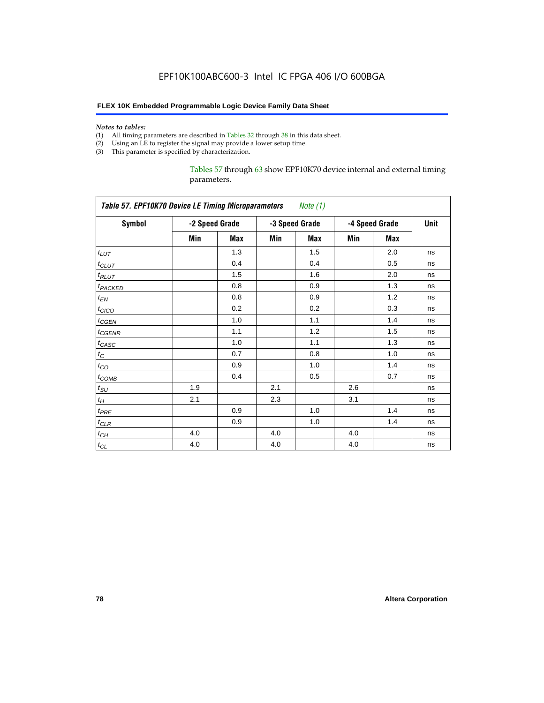#### *Notes to tables:*

- (1) All timing parameters are described in Tables 32 through 38 in this data sheet.
- (2) Using an LE to register the signal may provide a lower setup time.
- (3) This parameter is specified by characterization.

Tables 57 through 63 show EPF10K70 device internal and external timing parameters.

| <b>Table 57. EPF10K70 Device LE Timing Microparameters</b><br>Note (1) |     |                |                |            |                |            |    |  |      |
|------------------------------------------------------------------------|-----|----------------|----------------|------------|----------------|------------|----|--|------|
| <b>Symbol</b>                                                          |     | -2 Speed Grade | -3 Speed Grade |            | -4 Speed Grade |            |    |  | Unit |
|                                                                        | Min | Max            | Min            | <b>Max</b> | Min            | <b>Max</b> |    |  |      |
| $t_{LUT}$                                                              |     | 1.3            |                | 1.5        |                | 2.0        | ns |  |      |
| $t$ CLUT                                                               |     | 0.4            |                | 0.4        |                | 0.5        | ns |  |      |
| $t_{RLUT}$                                                             |     | 1.5            |                | 1.6        |                | 2.0        | ns |  |      |
| t <sub>PACKED</sub>                                                    |     | 0.8            |                | 0.9        |                | 1.3        | ns |  |      |
| $t_{EN}$                                                               |     | 0.8            |                | 0.9        |                | 1.2        | ns |  |      |
| $t_{CICO}$                                                             |     | 0.2            |                | 0.2        |                | 0.3        | ns |  |      |
| $t_{GEN}$                                                              |     | 1.0            |                | 1.1        |                | 1.4        | ns |  |      |
| $t_{\text{GENR}}$                                                      |     | 1.1            |                | 1.2        |                | 1.5        | ns |  |      |
| $t_{CASC}$                                                             |     | 1.0            |                | 1.1        |                | 1.3        | ns |  |      |
| $t_C$                                                                  |     | 0.7            |                | 0.8        |                | 1.0        | ns |  |      |
| $t_{CO}$                                                               |     | 0.9            |                | 1.0        |                | 1.4        | ns |  |      |
| $t_{COMB}$                                                             |     | 0.4            |                | 0.5        |                | 0.7        | ns |  |      |
| $t_{\text{SU}}$                                                        | 1.9 |                | 2.1            |            | 2.6            |            | ns |  |      |
| $t_H$                                                                  | 2.1 |                | 2.3            |            | 3.1            |            | ns |  |      |
| $t_{PRE}$                                                              |     | 0.9            |                | 1.0        |                | 1.4        | ns |  |      |
| $t_{CLR}$                                                              |     | 0.9            |                | 1.0        |                | 1.4        | ns |  |      |
| $t_{CH}$                                                               | 4.0 |                | 4.0            |            | 4.0            |            | ns |  |      |
| $t_{CL}$                                                               | 4.0 |                | 4.0            |            | 4.0            |            | ns |  |      |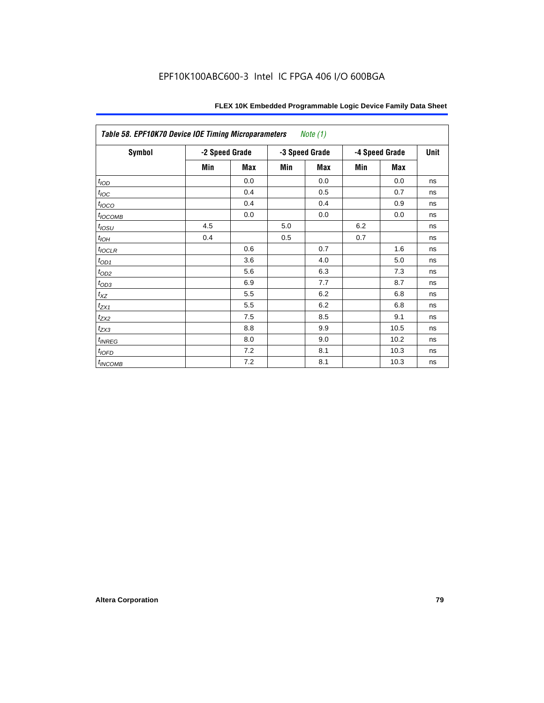| <b>Table 58. EPF10K70 Device IOE Timing Microparameters</b><br>Note (1) |                |            |     |                |     |                |      |  |  |
|-------------------------------------------------------------------------|----------------|------------|-----|----------------|-----|----------------|------|--|--|
| Symbol                                                                  | -2 Speed Grade |            |     | -3 Speed Grade |     | -4 Speed Grade | Unit |  |  |
|                                                                         | Min            | <b>Max</b> | Min | <b>Max</b>     | Min | <b>Max</b>     |      |  |  |
| t <sub>IOD</sub>                                                        |                | 0.0        |     | 0.0            |     | 0.0            | ns   |  |  |
| $t_{\text{loc}}$                                                        |                | 0.4        |     | 0.5            |     | 0.7            | ns   |  |  |
| $t_{IOCO}$                                                              |                | 0.4        |     | 0.4            |     | 0.9            | ns   |  |  |
| $t_{IOCOMB}$                                                            |                | 0.0        |     | 0.0            |     | 0.0            | ns   |  |  |
| $t_{IOSU}$                                                              | 4.5            |            | 5.0 |                | 6.2 |                | ns   |  |  |
| $t_{IOH}$                                                               | 0.4            |            | 0.5 |                | 0.7 |                | ns   |  |  |
| $t_{IOCLR}$                                                             |                | 0.6        |     | 0.7            |     | 1.6            | ns   |  |  |
| $t_{OD1}$                                                               |                | 3.6        |     | 4.0            |     | 5.0            | ns   |  |  |
| $t_{OD2}$                                                               |                | 5.6        |     | 6.3            |     | 7.3            | ns   |  |  |
| $t_{OD3}$                                                               |                | 6.9        |     | 7.7            |     | 8.7            | ns   |  |  |
| $t_{\mathsf{XZ}}$                                                       |                | 5.5        |     | 6.2            |     | 6.8            | ns   |  |  |
| $t_{ZX1}$                                                               |                | 5.5        |     | 6.2            |     | 6.8            | ns   |  |  |
| $t_{ZX2}$                                                               |                | 7.5        |     | 8.5            |     | 9.1            | ns   |  |  |
| $t_{ZX3}$                                                               |                | 8.8        |     | 9.9            |     | 10.5           | ns   |  |  |
| $t_{INREG}$                                                             |                | 8.0        |     | 9.0            |     | 10.2           | ns   |  |  |
| $t_{IOED}$                                                              |                | 7.2        |     | 8.1            |     | 10.3           | ns   |  |  |
| t <sub>INCOMB</sub>                                                     |                | 7.2        |     | 8.1            |     | 10.3           | ns   |  |  |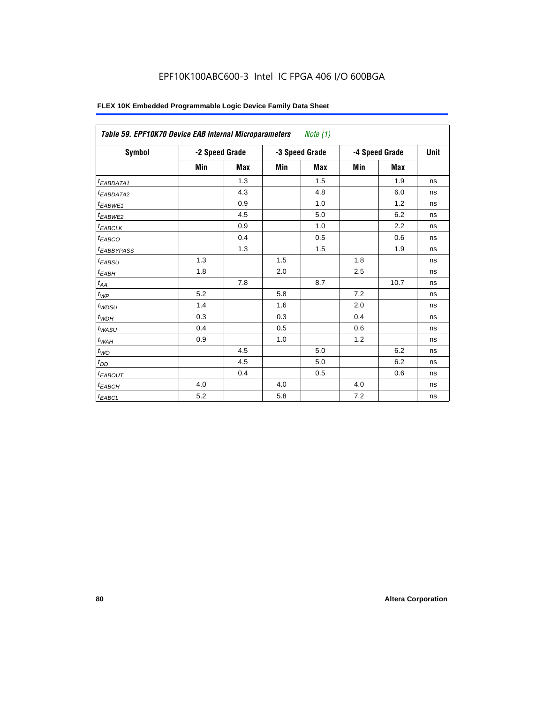| Table 59. EPF10K70 Device EAB Internal Microparameters |                |     |     | <i>Note</i> $(1)$ |     |                |    |
|--------------------------------------------------------|----------------|-----|-----|-------------------|-----|----------------|----|
| Symbol                                                 | -2 Speed Grade |     |     | -3 Speed Grade    |     | -4 Speed Grade |    |
|                                                        | Min            | Max | Min | <b>Max</b>        | Min | <b>Max</b>     |    |
| <sup>t</sup> EABDATA1                                  |                | 1.3 |     | 1.5               |     | 1.9            | ns |
| <sup>t</sup> EABDATA2                                  |                | 4.3 |     | 4.8               |     | 6.0            | ns |
| t <sub>EABWE1</sub>                                    |                | 0.9 |     | 1.0               |     | 1.2            | ns |
| t <sub>EABWE2</sub>                                    |                | 4.5 |     | 5.0               |     | 6.2            | ns |
| <sup>t</sup> EABCLK                                    |                | 0.9 |     | 1.0               |     | 2.2            | ns |
| <sup>t</sup> EABCO                                     |                | 0.4 |     | 0.5               |     | 0.6            | ns |
| <sup>t</sup> EABBYPASS                                 |                | 1.3 |     | 1.5               |     | 1.9            | ns |
| t <sub>EABSU</sub>                                     | 1.3            |     | 1.5 |                   | 1.8 |                | ns |
| t <sub>EABH</sub>                                      | 1.8            |     | 2.0 |                   | 2.5 |                | ns |
| $t_{AA}$                                               |                | 7.8 |     | 8.7               |     | 10.7           | ns |
| $t_{\mathit{WP}}$                                      | 5.2            |     | 5.8 |                   | 7.2 |                | ns |
| $t_{WDSU}$                                             | 1.4            |     | 1.6 |                   | 2.0 |                | ns |
| $t_{WDH}$                                              | 0.3            |     | 0.3 |                   | 0.4 |                | ns |
| $t_{WASU}$                                             | 0.4            |     | 0.5 |                   | 0.6 |                | ns |
| $t_{W\!\!AH}$                                          | 0.9            |     | 1.0 |                   | 1.2 |                | ns |
| $t_{WO}$                                               |                | 4.5 |     | 5.0               |     | 6.2            | ns |
| $t_{DD}$                                               |                | 4.5 |     | 5.0               |     | 6.2            | ns |
| <sup>t</sup> EABOUT                                    |                | 0.4 |     | 0.5               |     | 0.6            | ns |
| $t_{EABCH}$                                            | 4.0            |     | 4.0 |                   | 4.0 |                | ns |
| $t_{EABCL}$                                            | 5.2            |     | 5.8 |                   | 7.2 |                | ns |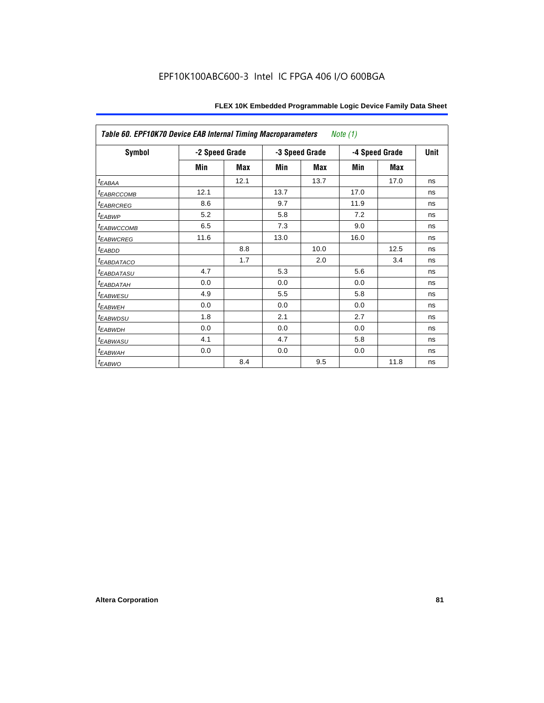| Table 60. EPF10K70 Device EAB Internal Timing Macroparameters |                |      |      |                | <i>Note</i> $(1)$ |                |    |  |
|---------------------------------------------------------------|----------------|------|------|----------------|-------------------|----------------|----|--|
| Symbol                                                        | -2 Speed Grade |      |      | -3 Speed Grade |                   | -4 Speed Grade |    |  |
|                                                               | Min            | Max  | Min  | Max            | Min               | Max            |    |  |
| $t_{EABA}$                                                    |                | 12.1 |      | 13.7           |                   | 17.0           | ns |  |
| <b><i>EABRCCOMB</i></b>                                       | 12.1           |      | 13.7 |                | 17.0              |                | ns |  |
| <b><i>EABRCREG</i></b>                                        | 8.6            |      | 9.7  |                | 11.9              |                | ns |  |
| <sup>t</sup> EABWP                                            | 5.2            |      | 5.8  |                | 7.2               |                | ns |  |
| <b><i>EABWCCOMB</i></b>                                       | 6.5            |      | 7.3  |                | 9.0               |                | ns |  |
| <i><b>EABWCREG</b></i>                                        | 11.6           |      | 13.0 |                | 16.0              |                | ns |  |
| $t_{EABDD}$                                                   |                | 8.8  |      | 10.0           |                   | 12.5           | ns |  |
| <b><i>EABDATACO</i></b>                                       |                | 1.7  |      | 2.0            |                   | 3.4            | ns |  |
| <b><i>EABDATASU</i></b>                                       | 4.7            |      | 5.3  |                | 5.6               |                | ns |  |
| <sup>t</sup> EABDATAH                                         | 0.0            |      | 0.0  |                | 0.0               |                | ns |  |
| <sup>t</sup> EABWESU                                          | 4.9            |      | 5.5  |                | 5.8               |                | ns |  |
| <sup>t</sup> EABWEH                                           | 0.0            |      | 0.0  |                | 0.0               |                | ns |  |
| <sup>t</sup> EABWDSU                                          | 1.8            |      | 2.1  |                | 2.7               |                | ns |  |
| <sup>t</sup> EABWDH                                           | 0.0            |      | 0.0  |                | 0.0               |                | ns |  |
| <sup>t</sup> EABWASU                                          | 4.1            |      | 4.7  |                | 5.8               |                | ns |  |
| <sup>t</sup> EABWAH                                           | 0.0            |      | 0.0  |                | 0.0               |                | ns |  |
| $t_{EABWO}$                                                   |                | 8.4  |      | 9.5            |                   | 11.8           | ns |  |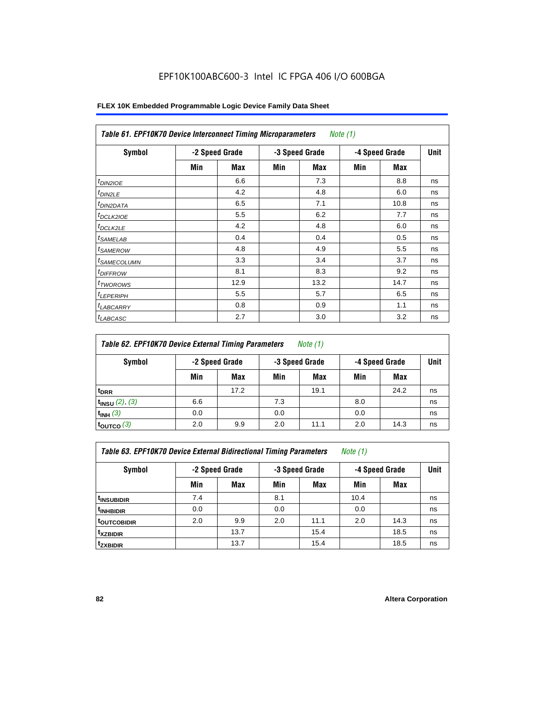| Table 61. EPF10K70 Device Interconnect Timing Microparameters |     |                |     |                | Note $(1)$     |      |    |
|---------------------------------------------------------------|-----|----------------|-----|----------------|----------------|------|----|
| Symbol                                                        |     | -2 Speed Grade |     | -3 Speed Grade | -4 Speed Grade | Unit |    |
|                                                               | Min | Max            | Min | Max            | Min            | Max  |    |
| $t_{DINZIOE}$                                                 |     | 6.6            |     | 7.3            |                | 8.8  | ns |
| $t_{DIN2LE}$                                                  |     | 4.2            |     | 4.8            |                | 6.0  | ns |
| <sup>t</sup> DIN2DATA                                         |     | 6.5            |     | 7.1            |                | 10.8 | ns |
| <sup>t</sup> DCLK2IOE                                         |     | 5.5            |     | 6.2            |                | 7.7  | ns |
| $t$ DCLK2LE                                                   |     | 4.2            |     | 4.8            |                | 6.0  | ns |
| <sup>t</sup> SAMELAB                                          |     | 0.4            |     | 0.4            |                | 0.5  | ns |
| <sup>t</sup> SAMEROW                                          |     | 4.8            |     | 4.9            |                | 5.5  | ns |
| <sup>t</sup> SAMECOLUMN                                       |     | 3.3            |     | 3.4            |                | 3.7  | ns |
| <sup>t</sup> DIFFROW                                          |     | 8.1            |     | 8.3            |                | 9.2  | ns |
| <sup>T</sup> TWOROWS                                          |     | 12.9           |     | 13.2           |                | 14.7 | ns |
| <sup>t</sup> LEPERIPH                                         |     | 5.5            |     | 5.7            |                | 6.5  | ns |
| <b>LABCARRY</b>                                               |     | 0.8            |     | 0.9            |                | 1.1  | ns |
| <sup>t</sup> LABCASC                                          |     | 2.7            |     | 3.0            |                | 3.2  | ns |

| Table 62. EPF10K70 Device External Timing Parameters<br>Note $(1)$ |     |                |     |                |     |                |    |  |  |  |  |
|--------------------------------------------------------------------|-----|----------------|-----|----------------|-----|----------------|----|--|--|--|--|
| Symbol                                                             |     | -2 Speed Grade |     | -3 Speed Grade |     | -4 Speed Grade |    |  |  |  |  |
|                                                                    | Min | Max            | Min | Max            | Min | Max            |    |  |  |  |  |
| <sup>t</sup> DRR                                                   |     | 17.2           |     | 19.1           |     | 24.2           | ns |  |  |  |  |
| $t_{INSU}$ (2), (3)                                                | 6.6 |                | 7.3 |                | 8.0 |                | ns |  |  |  |  |
| $t_{INH}$ (3)                                                      | 0.0 |                | 0.0 |                | 0.0 |                | ns |  |  |  |  |
| $t_{\text{OUTCO}}(3)$                                              | 2.0 | 9.9            | 2.0 | 11.1           | 2.0 | 14.3           | ns |  |  |  |  |

*Table 63. EPF10K70 Device External Bidirectional Timing Parameters Note (1)*

| <b>Symbol</b>           |     | -2 Speed Grade |     | -3 Speed Grade | -4 Speed Grade | Unit       |    |
|-------------------------|-----|----------------|-----|----------------|----------------|------------|----|
|                         | Min | <b>Max</b>     | Min | <b>Max</b>     | Min            | <b>Max</b> |    |
| <sup>t</sup> INSUBIDIR  | 7.4 |                | 8.1 |                | 10.4           |            | ns |
| <sup>t</sup> INHBIDIR   | 0.0 |                | 0.0 |                | 0.0            |            | ns |
| <sup>t</sup> OUTCOBIDIR | 2.0 | 9.9            | 2.0 | 11.1           | 2.0            | 14.3       | ns |
| <sup>t</sup> xzbidir    |     | 13.7           |     | 15.4           |                | 18.5       | ns |
| <sup>t</sup> zxbidir    |     | 13.7           |     | 15.4           |                | 18.5       | ns |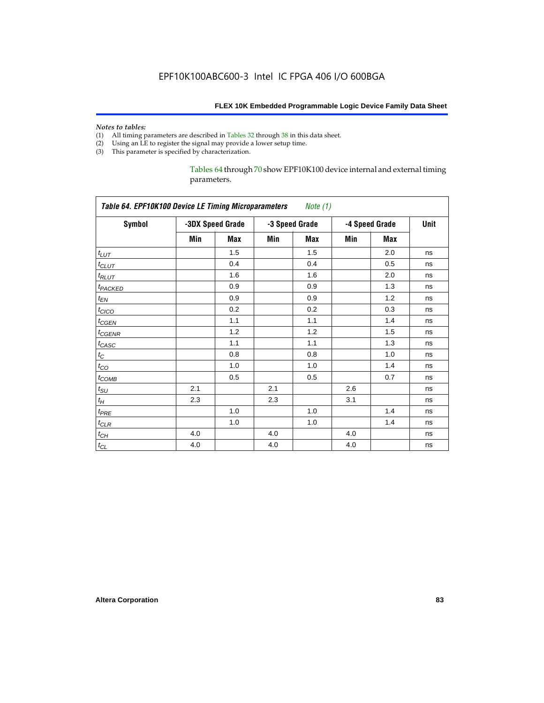#### *Notes to tables:*

- (1) All timing parameters are described in Tables 32 through 38 in this data sheet.
- (2) Using an LE to register the signal may provide a lower setup time.
- (3) This parameter is specified by characterization.

Tables 64 through 70 show EPF10K100 device internal and external timing parameters.

|                     |     |                  |     |                |     |                | Unit |
|---------------------|-----|------------------|-----|----------------|-----|----------------|------|
| <b>Symbol</b>       |     | -3DX Speed Grade |     | -3 Speed Grade |     | -4 Speed Grade |      |
|                     | Min | Max              | Min | <b>Max</b>     | Min | <b>Max</b>     |      |
| $t_{LUT}$           |     | 1.5              |     | 1.5            |     | 2.0            | ns   |
| $t_{CLUT}$          |     | 0.4              |     | 0.4            |     | 0.5            | ns   |
| $t_{RLUT}$          |     | 1.6              |     | 1.6            |     | 2.0            | ns   |
| t <sub>PACKED</sub> |     | 0.9              |     | 0.9            |     | 1.3            | ns   |
| $t_{EN}$            |     | 0.9              |     | 0.9            |     | 1.2            | ns   |
| $t_{CICO}$          |     | 0.2              |     | 0.2            |     | 0.3            | ns   |
| $t_{CSEN}$          |     | 1.1              |     | 1.1            |     | 1.4            | ns   |
| $t_{GENR}$          |     | 1.2              |     | 1.2            |     | 1.5            | ns   |
| $t_{CASC}$          |     | 1.1              |     | 1.1            |     | 1.3            | ns   |
| $t_C$               |     | 0.8              |     | 0.8            |     | 1.0            | ns   |
| $t_{CO}$            |     | 1.0              |     | 1.0            |     | 1.4            | ns   |
| $t_{COMB}$          |     | 0.5              |     | 0.5            |     | 0.7            | ns   |
| $t_{\text{SU}}$     | 2.1 |                  | 2.1 |                | 2.6 |                | ns   |
| $t_H$               | 2.3 |                  | 2.3 |                | 3.1 |                | ns   |
| $t_{PRE}$           |     | 1.0              |     | 1.0            |     | 1.4            | ns   |
| $t_{CLR}$           |     | 1.0              |     | 1.0            |     | 1.4            | ns   |
| $t_{CH}$            | 4.0 |                  | 4.0 |                | 4.0 |                | ns   |
| $t_{CL}$            | 4.0 |                  | 4.0 |                | 4.0 |                | ns   |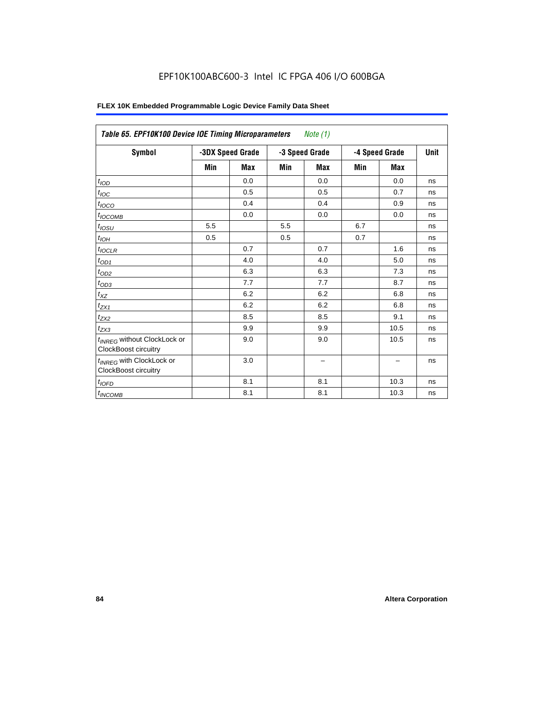| Table 65. EPF10K100 Device IOE Timing Microparameters                  |     |                  |                | <i>Note</i> $(1)$ |                |            |    |
|------------------------------------------------------------------------|-----|------------------|----------------|-------------------|----------------|------------|----|
| <b>Symbol</b>                                                          |     | -3DX Speed Grade | -3 Speed Grade |                   | -4 Speed Grade | Unit       |    |
|                                                                        | Min | Max              | Min            | <b>Max</b>        | Min            | <b>Max</b> |    |
| t <sub>IOD</sub>                                                       |     | 0.0              |                | 0.0               |                | 0.0        | ns |
| $t_{\text{IOC}}$                                                       |     | 0.5              |                | 0.5               |                | 0.7        | ns |
| $t_{IOCO}$                                                             |     | 0.4              |                | 0.4               |                | 0.9        | ns |
| t <sub>IOCOMB</sub>                                                    |     | 0.0              |                | 0.0               |                | 0.0        | ns |
| $t_{IOSU}$                                                             | 5.5 |                  | 5.5            |                   | 6.7            |            | ns |
| $t_{IOH}$                                                              | 0.5 |                  | 0.5            |                   | 0.7            |            | ns |
| $t_{IOCLR}$                                                            |     | 0.7              |                | 0.7               |                | 1.6        | ns |
| $t_{OD1}$                                                              |     | 4.0              |                | 4.0               |                | 5.0        | ns |
| $t_{OD2}$                                                              |     | 6.3              |                | 6.3               |                | 7.3        | ns |
| $t_{OD3}$                                                              |     | 7.7              |                | 7.7               |                | 8.7        | ns |
| $t_{XZ}$                                                               |     | 6.2              |                | 6.2               |                | 6.8        | ns |
| $t_{ZX1}$                                                              |     | 6.2              |                | 6.2               |                | 6.8        | ns |
| $t_{ZX2}$                                                              |     | 8.5              |                | 8.5               |                | 9.1        | ns |
| $t_{ZX3}$                                                              |     | 9.9              |                | 9.9               |                | 10.5       | ns |
| t <sub>INREG</sub> without ClockLock or<br><b>ClockBoost circuitry</b> |     | 9.0              |                | 9.0               |                | 10.5       | ns |
| t <sub>INREG</sub> with ClockLock or<br>ClockBoost circuitry           |     | 3.0              |                | —                 |                |            | ns |
| $t_{IOFD}$                                                             |     | 8.1              |                | 8.1               |                | 10.3       | ns |
| t <sub>INCOMB</sub>                                                    |     | 8.1              |                | 8.1               |                | 10.3       | ns |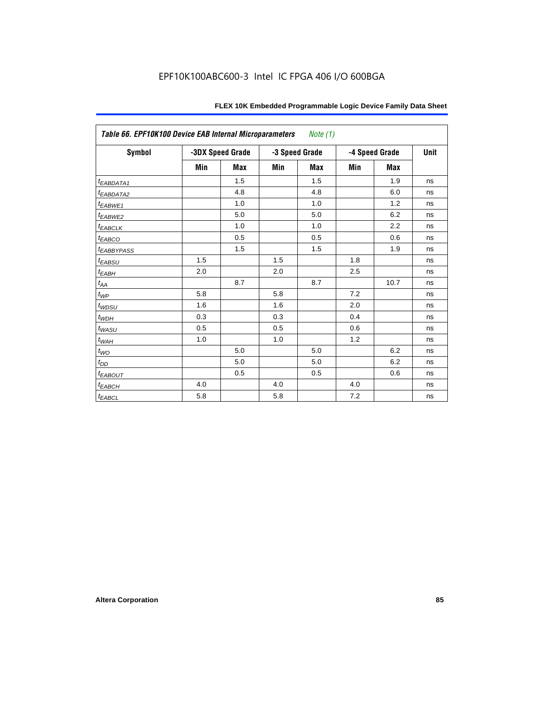| Table 66. EPF10K100 Device EAB Internal Microparameters<br>Note (1) |                  |            |     |                |     |                |    |  |  |
|---------------------------------------------------------------------|------------------|------------|-----|----------------|-----|----------------|----|--|--|
| Symbol                                                              | -3DX Speed Grade |            |     | -3 Speed Grade |     | -4 Speed Grade |    |  |  |
|                                                                     | Min              | <b>Max</b> | Min | <b>Max</b>     | Min | Max            |    |  |  |
| $t_{EABDATA1}$                                                      |                  | 1.5        |     | 1.5            |     | 1.9            | ns |  |  |
| t <sub>EABDATA2</sub>                                               |                  | 4.8        |     | 4.8            |     | 6.0            | ns |  |  |
| $t_{EABWE1}$                                                        |                  | 1.0        |     | 1.0            |     | 1.2            | ns |  |  |
| $t_{EABWE2}$                                                        |                  | 5.0        |     | 5.0            |     | 6.2            | ns |  |  |
| $t_{EABCLK}$                                                        |                  | 1.0        |     | 1.0            |     | 2.2            | ns |  |  |
| $t_{EABCO}$                                                         |                  | 0.5        |     | 0.5            |     | 0.6            | ns |  |  |
| <b><i>t<sub>EABBYPASS</sub></i></b>                                 |                  | 1.5        |     | 1.5            |     | 1.9            | ns |  |  |
| $t_{EABSU}$                                                         | 1.5              |            | 1.5 |                | 1.8 |                | ns |  |  |
| $t_{EABH}$                                                          | 2.0              |            | 2.0 |                | 2.5 |                | ns |  |  |
| $t_{\mathit{AA}}$                                                   |                  | 8.7        |     | 8.7            |     | 10.7           | ns |  |  |
| $t_{\mathit{WP}}$                                                   | 5.8              |            | 5.8 |                | 7.2 |                | ns |  |  |
| $t_{WDSU}$                                                          | 1.6              |            | 1.6 |                | 2.0 |                | ns |  |  |
| $t_{WDH}$                                                           | 0.3              |            | 0.3 |                | 0.4 |                | ns |  |  |
| $t_{WASU}$                                                          | 0.5              |            | 0.5 |                | 0.6 |                | ns |  |  |
| $t_{WAH}$                                                           | 1.0              |            | 1.0 |                | 1.2 |                | ns |  |  |
| $t_{WO}$                                                            |                  | 5.0        |     | 5.0            |     | 6.2            | ns |  |  |
| $t_{DD}$                                                            |                  | 5.0        |     | $5.0\,$        |     | 6.2            | ns |  |  |
| <b><i>EABOUT</i></b>                                                |                  | 0.5        |     | 0.5            |     | 0.6            | ns |  |  |
| $t_{EABCH}$                                                         | 4.0              |            | 4.0 |                | 4.0 |                | ns |  |  |
| $t_{EABCL}$                                                         | 5.8              |            | 5.8 |                | 7.2 |                | ns |  |  |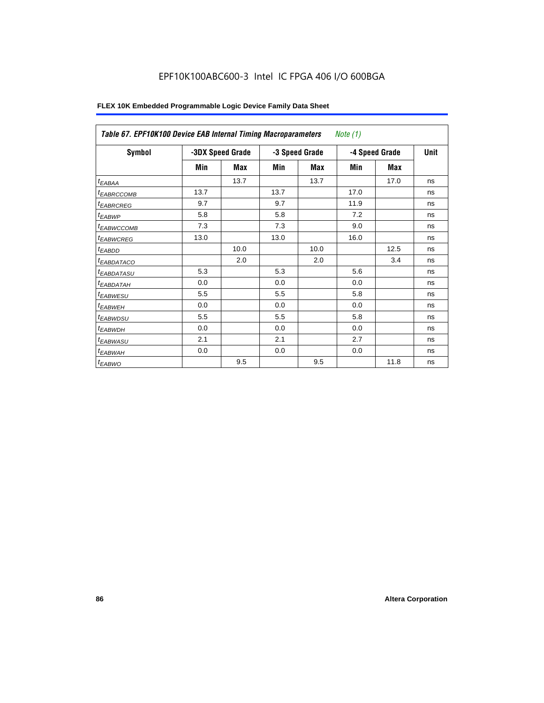| Table 67. EPF10K100 Device EAB Internal Timing Macroparameters<br>Note $(1)$ |      |                  |      |                |      |                |    |  |  |
|------------------------------------------------------------------------------|------|------------------|------|----------------|------|----------------|----|--|--|
| Symbol                                                                       |      | -3DX Speed Grade |      | -3 Speed Grade |      | -4 Speed Grade |    |  |  |
|                                                                              | Min  | Max              | Min  | Max            | Min  | Max            |    |  |  |
| t <sub>EABAA</sub>                                                           |      | 13.7             |      | 13.7           |      | 17.0           | ns |  |  |
| <sup>t</sup> EABRCCOMB                                                       | 13.7 |                  | 13.7 |                | 17.0 |                | ns |  |  |
| <sup>t</sup> EABRCREG                                                        | 9.7  |                  | 9.7  |                | 11.9 |                | ns |  |  |
| t <sub>EABWP</sub>                                                           | 5.8  |                  | 5.8  |                | 7.2  |                | ns |  |  |
| <sup>t</sup> EABWCCOMB                                                       | 7.3  |                  | 7.3  |                | 9.0  |                | ns |  |  |
| <sup>t</sup> EABWCREG                                                        | 13.0 |                  | 13.0 |                | 16.0 |                | ns |  |  |
| <sup>t</sup> EABDD                                                           |      | 10.0             |      | 10.0           |      | 12.5           | ns |  |  |
| <sup>t</sup> EABDATACO                                                       |      | 2.0              |      | 2.0            |      | 3.4            | ns |  |  |
| <sup>t</sup> EABDATASU                                                       | 5.3  |                  | 5.3  |                | 5.6  |                | ns |  |  |
| <sup>t</sup> EABDATAH                                                        | 0.0  |                  | 0.0  |                | 0.0  |                | ns |  |  |
| <sup>t</sup> EABWESU                                                         | 5.5  |                  | 5.5  |                | 5.8  |                | ns |  |  |
| <sup>t</sup> EABWEH                                                          | 0.0  |                  | 0.0  |                | 0.0  |                | ns |  |  |
| <sup>t</sup> EABWDSU                                                         | 5.5  |                  | 5.5  |                | 5.8  |                | ns |  |  |
| <sup>t</sup> EABWDH                                                          | 0.0  |                  | 0.0  |                | 0.0  |                | ns |  |  |
| <sup>t</sup> EABWASU                                                         | 2.1  |                  | 2.1  |                | 2.7  |                | ns |  |  |
| <sup>t</sup> EABWAH                                                          | 0.0  |                  | 0.0  |                | 0.0  |                | ns |  |  |
| <sup>t</sup> EABWO                                                           |      | 9.5              |      | 9.5            |      | 11.8           | ns |  |  |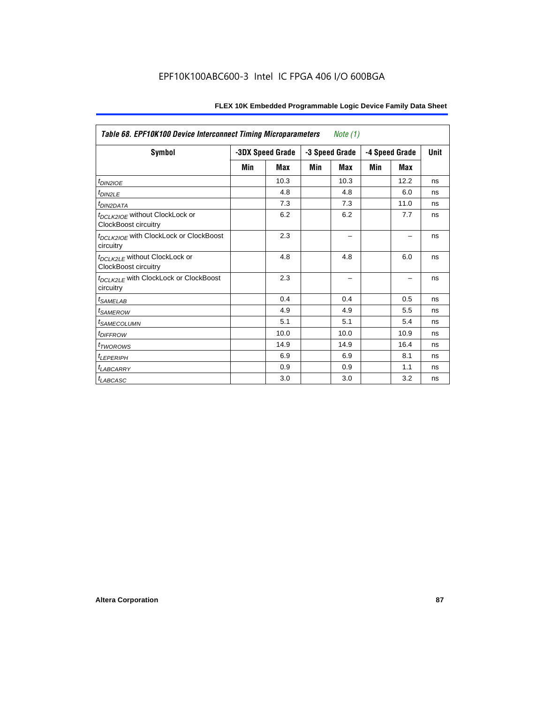| <b>Table 68. EPF10K100 Device Interconnect Timing Microparameters</b><br>Note $(1)$ |                  |            |                |            |                |            |             |  |  |
|-------------------------------------------------------------------------------------|------------------|------------|----------------|------------|----------------|------------|-------------|--|--|
| Symbol                                                                              | -3DX Speed Grade |            | -3 Speed Grade |            | -4 Speed Grade |            | <b>Unit</b> |  |  |
|                                                                                     | Min              | <b>Max</b> | Min            | <b>Max</b> | Min            | <b>Max</b> |             |  |  |
| $tD$ IN2IOE                                                                         |                  | 10.3       |                | 10.3       |                | 12.2       | ns          |  |  |
| t <sub>DIN2LE</sub>                                                                 |                  | 4.8        |                | 4.8        |                | 6.0        | ns          |  |  |
| <i>t<sub>DIN2DATA</sub></i>                                                         |                  | 7.3        |                | 7.3        |                | 11.0       | ns          |  |  |
| t <sub>DCLK2IOE</sub> without ClockLock or<br>ClockBoost circuitry                  |                  | 6.2        |                | 6.2        |                | 7.7        | ns          |  |  |
| t <sub>DCLK2IOE</sub> with ClockLock or ClockBoost<br>circuitry                     |                  | 2.3        |                |            |                |            | ns          |  |  |
| t <sub>DCLK2LE</sub> without ClockLock or<br>ClockBoost circuitry                   |                  | 4.8        |                | 4.8        |                | 6.0        | ns          |  |  |
| t <sub>DCLK2LE</sub> with ClockLock or ClockBoost<br>circuitry                      |                  | 2.3        |                |            |                |            | ns          |  |  |
| <sup>t</sup> SAMELAB                                                                |                  | 0.4        |                | 0.4        |                | 0.5        | ns          |  |  |
| <i>t<sub>SAMEROW</sub></i>                                                          |                  | 4.9        |                | 4.9        |                | 5.5        | ns          |  |  |
| <i><b>ISAMECOLUMN</b></i>                                                           |                  | 5.1        |                | 5.1        |                | 5.4        | ns          |  |  |
| <i>t<sub>DIFFROW</sub></i>                                                          |                  | 10.0       |                | 10.0       |                | 10.9       | ns          |  |  |
| <sup>t</sup> TWOROWS                                                                |                  | 14.9       |                | 14.9       |                | 16.4       | ns          |  |  |
| t <sub>LEPERIPH</sub>                                                               |                  | 6.9        |                | 6.9        |                | 8.1        | ns          |  |  |
| <b>LABCARRY</b>                                                                     |                  | 0.9        |                | 0.9        |                | 1.1        | ns          |  |  |
| t <sub>LABCASC</sub>                                                                |                  | 3.0        |                | 3.0        |                | 3.2        | ns          |  |  |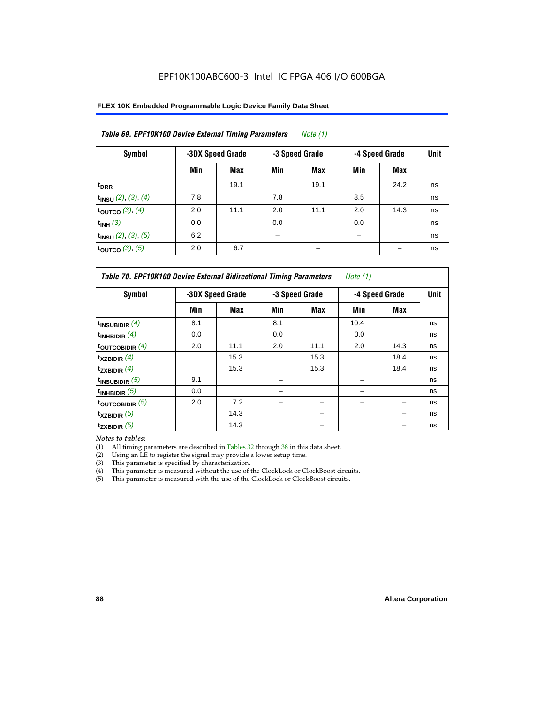| FLEX 10K Embedded Programmable Logic Device Family Data Sheet |  |
|---------------------------------------------------------------|--|
|---------------------------------------------------------------|--|

| Table 69. EPF10K100 Device External Timing Parameters<br>Note $(1)$ |                  |      |                |      |                |      |      |  |  |  |
|---------------------------------------------------------------------|------------------|------|----------------|------|----------------|------|------|--|--|--|
| Symbol                                                              | -3DX Speed Grade |      | -3 Speed Grade |      | -4 Speed Grade |      | Unit |  |  |  |
|                                                                     | Min              | Max  | Min            | Max  | Min            | Max  |      |  |  |  |
| t <sub>DRR</sub>                                                    |                  | 19.1 |                | 19.1 |                | 24.2 | ns   |  |  |  |
| $t_{INSU}$ (2), (3), (4)                                            | 7.8              |      | 7.8            |      | 8.5            |      | ns   |  |  |  |
| toutco $(3)$ , $(4)$                                                | 2.0              | 11.1 | 2.0            | 11.1 | 2.0            | 14.3 | ns   |  |  |  |
| $t_{INH}$ (3)                                                       | 0.0              |      | 0.0            |      | 0.0            |      | ns   |  |  |  |
| $t_{INSU}$ (2), (3), (5)                                            | 6.2              |      |                |      |                |      | ns   |  |  |  |
| toutco $(3)$ , $(5)$                                                | 2.0              | 6.7  |                |      |                |      | ns   |  |  |  |

| Table 70. EPF10K100 Device External Bidirectional Timing Parameters<br><i>Note</i> $(1)$ |     |                  |     |                |                |             |    |  |  |  |  |
|------------------------------------------------------------------------------------------|-----|------------------|-----|----------------|----------------|-------------|----|--|--|--|--|
| Symbol                                                                                   |     | -3DX Speed Grade |     | -3 Speed Grade | -4 Speed Grade | <b>Unit</b> |    |  |  |  |  |
|                                                                                          | Min | Max              | Min | Max            | Min            | <b>Max</b>  |    |  |  |  |  |
| $t_{INSUBIDIR}(4)$                                                                       | 8.1 |                  | 8.1 |                | 10.4           |             | ns |  |  |  |  |
| $t_{INHBIDIR}$ (4)                                                                       | 0.0 |                  | 0.0 |                | 0.0            |             | ns |  |  |  |  |
| toutcobidir $(4)$                                                                        | 2.0 | 11.1             | 2.0 | 11.1           | 2.0            | 14.3        | ns |  |  |  |  |
| $t_{XZBIDIR}$ (4)                                                                        |     | 15.3             |     | 15.3           |                | 18.4        | ns |  |  |  |  |
| $t_{ZXBIDIR}$ (4)                                                                        |     | 15.3             |     | 15.3           |                | 18.4        | ns |  |  |  |  |
| $t_{\text{INSUBIDIR}}$ (5)                                                               | 9.1 |                  |     |                |                |             | ns |  |  |  |  |
| $t_{INHBIDIR}$ (5)                                                                       | 0.0 |                  |     |                |                |             | ns |  |  |  |  |
| toutcobidir $(5)$                                                                        | 2.0 | 7.2              |     |                |                |             | ns |  |  |  |  |
| $t_{XZBIDIR}$ (5)                                                                        |     | 14.3             |     |                |                |             | ns |  |  |  |  |
| $t_{ZXBIDIR}$ (5)                                                                        |     | 14.3             |     |                |                |             | ns |  |  |  |  |

*Notes to tables:*

(1) All timing parameters are described in Tables 32 through 38 in this data sheet.

(2) Using an LE to register the signal may provide a lower setup time.

(3) This parameter is specified by characterization.

(4) This parameter is measured without the use of the ClockLock or ClockBoost circuits.

(5) This parameter is measured with the use of the ClockLock or ClockBoost circuits.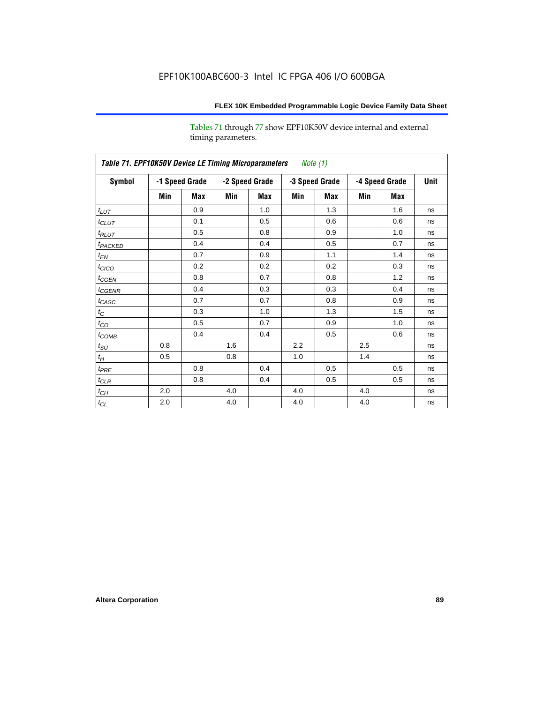Tables 71 through 77 show EPF10K50V device internal and external timing parameters.

| Table 71. EPF10K50V Device LE Timing Microparameters Note (1) |     |                |     |                |     |                |     |                |      |  |  |
|---------------------------------------------------------------|-----|----------------|-----|----------------|-----|----------------|-----|----------------|------|--|--|
| Symbol                                                        |     | -1 Speed Grade |     | -2 Speed Grade |     | -3 Speed Grade |     | -4 Speed Grade | Unit |  |  |
|                                                               | Min | Max            | Min | Max            | Min | Max            | Min | Max            |      |  |  |
| $t_{LUT}$                                                     |     | 0.9            |     | 1.0            |     | 1.3            |     | 1.6            | ns   |  |  |
| $t_{CLUT}$                                                    |     | 0.1            |     | 0.5            |     | 0.6            |     | 0.6            | ns   |  |  |
| $t_{RLUT}$                                                    |     | 0.5            |     | 0.8            |     | 0.9            |     | 1.0            | ns   |  |  |
| t <sub>PACKED</sub>                                           |     | 0.4            |     | 0.4            |     | 0.5            |     | 0.7            | ns   |  |  |
| $t_{EN}$                                                      |     | 0.7            |     | 0.9            |     | 1.1            |     | 1.4            | ns   |  |  |
| $t_{CICO}$                                                    |     | 0.2            |     | 0.2            |     | 0.2            |     | 0.3            | ns   |  |  |
| $t_{CGEN}$                                                    |     | 0.8            |     | 0.7            |     | 0.8            |     | 1.2            | ns   |  |  |
| $t_{\text{GENR}}$                                             |     | 0.4            |     | 0.3            |     | 0.3            |     | 0.4            | ns   |  |  |
| $t_{CASC}$                                                    |     | 0.7            |     | 0.7            |     | 0.8            |     | 0.9            | ns   |  |  |
| $t_C$                                                         |     | 0.3            |     | 1.0            |     | 1.3            |     | 1.5            | ns   |  |  |
| $t_{CO}$                                                      |     | 0.5            |     | 0.7            |     | 0.9            |     | 1.0            | ns   |  |  |
| $t_{COMB}$                                                    |     | 0.4            |     | 0.4            |     | 0.5            |     | 0.6            | ns   |  |  |
| $t_{\rm SU}$                                                  | 0.8 |                | 1.6 |                | 2.2 |                | 2.5 |                | ns   |  |  |
| $t_{\!H}$                                                     | 0.5 |                | 0.8 |                | 1.0 |                | 1.4 |                | ns   |  |  |
| $t_{PRE}$                                                     |     | 0.8            |     | 0.4            |     | 0.5            |     | 0.5            | ns   |  |  |
| $t_{CLR}$                                                     |     | 0.8            |     | 0.4            |     | 0.5            |     | 0.5            | ns   |  |  |
| $t_{\mathit{CH}}$                                             | 2.0 |                | 4.0 |                | 4.0 |                | 4.0 |                | ns   |  |  |
| $t_{\rm CL}$                                                  | 2.0 |                | 4.0 |                | 4.0 |                | 4.0 |                | ns   |  |  |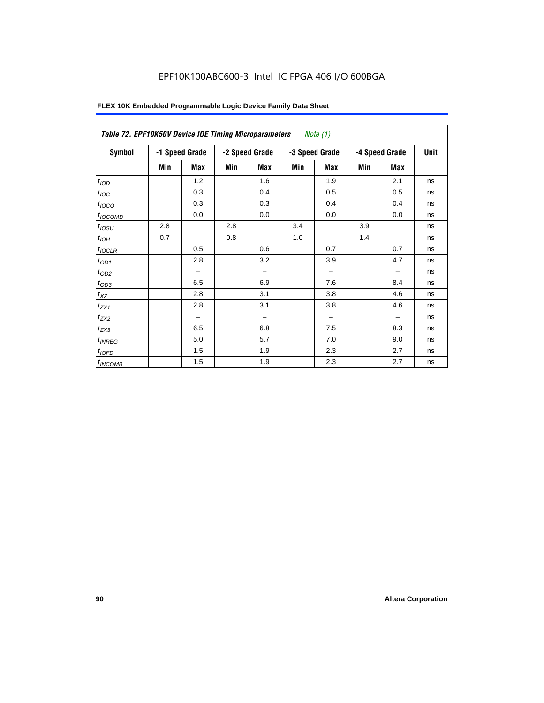| <b>Symbol</b>    |     | -1 Speed Grade | -2 Speed Grade |            | -3 Speed Grade |     | -4 Speed Grade |            | <b>Unit</b> |
|------------------|-----|----------------|----------------|------------|----------------|-----|----------------|------------|-------------|
|                  | Min | Max            | Min            | <b>Max</b> | Min            | Max | Min            | <b>Max</b> |             |
| t <sub>IOD</sub> |     | 1.2            |                | 1.6        |                | 1.9 |                | 2.1        | ns          |
| $t_{\text{IOC}}$ |     | 0.3            |                | 0.4        |                | 0.5 |                | 0.5        | ns          |
| $t_{IOCO}$       |     | 0.3            |                | 0.3        |                | 0.4 |                | 0.4        | ns          |
| $t_{IOCOMB}$     |     | 0.0            |                | 0.0        |                | 0.0 |                | 0.0        | ns          |
| $t_{IOSU}$       | 2.8 |                | 2.8            |            | 3.4            |     | 3.9            |            | ns          |
| $t_{IOH}$        | 0.7 |                | 0.8            |            | 1.0            |     | 1.4            |            | ns          |
| $t_{IOCLR}$      |     | 0.5            |                | 0.6        |                | 0.7 |                | 0.7        | ns          |
| $t_{OD1}$        |     | 2.8            |                | 3.2        |                | 3.9 |                | 4.7        | ns          |
| $t_{OD2}$        |     |                |                |            |                |     |                |            | ns          |
| $t_{OD3}$        |     | 6.5            |                | 6.9        |                | 7.6 |                | 8.4        | ns          |
| $t_{XZ}$         |     | 2.8            |                | 3.1        |                | 3.8 |                | 4.6        | ns          |
| $t_{ZX1}$        |     | 2.8            |                | 3.1        |                | 3.8 |                | 4.6        | ns          |
| $t_{ZX2}$        |     | -              |                | -          |                | -   |                | -          | ns          |
| $t_{ZX3}$        |     | 6.5            |                | 6.8        |                | 7.5 |                | 8.3        | ns          |
| $t_{INREG}$      |     | 5.0            |                | 5.7        |                | 7.0 |                | 9.0        | ns          |
| $t_{IOED}$       |     | 1.5            |                | 1.9        |                | 2.3 |                | 2.7        | ns          |
| $t_{INCOMB}$     |     | 1.5            |                | 1.9        |                | 2.3 |                | 2.7        | ns          |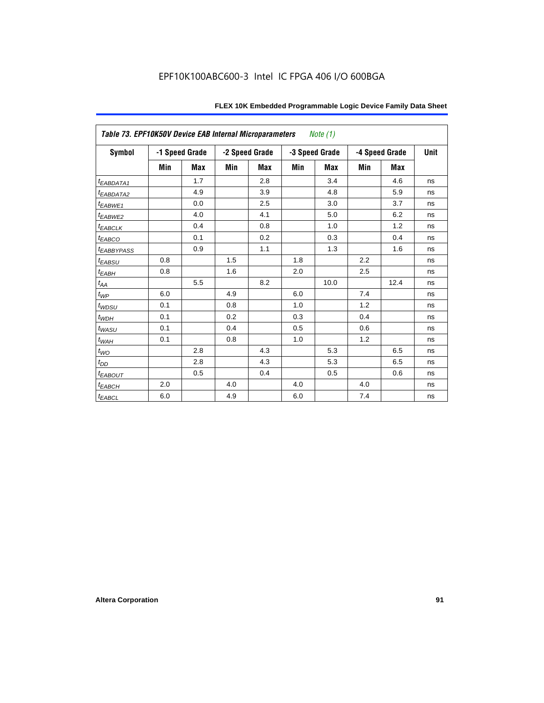| Table 73. EPF10K50V Device EAB Internal Microparameters<br>Note $(1)$ |     |                |     |                |     |                |     |                |             |  |
|-----------------------------------------------------------------------|-----|----------------|-----|----------------|-----|----------------|-----|----------------|-------------|--|
| Symbol                                                                |     | -1 Speed Grade |     | -2 Speed Grade |     | -3 Speed Grade |     | -4 Speed Grade | <b>Unit</b> |  |
|                                                                       | Min | <b>Max</b>     | Min | <b>Max</b>     | Min | <b>Max</b>     | Min | <b>Max</b>     |             |  |
| <i>EABDATA1</i>                                                       |     | 1.7            |     | 2.8            |     | 3.4            |     | 4.6            | ns          |  |
| <sup>t</sup> EABDATA2                                                 |     | 4.9            |     | 3.9            |     | 4.8            |     | 5.9            | ns          |  |
| t <sub>EABWE1</sub>                                                   |     | 0.0            |     | 2.5            |     | 3.0            |     | 3.7            | ns          |  |
| t <sub>EABWE2</sub>                                                   |     | 4.0            |     | 4.1            |     | 5.0            |     | 6.2            | ns          |  |
| $t_{EABCLK}$                                                          |     | 0.4            |     | 0.8            |     | 1.0            |     | 1.2            | ns          |  |
| $t_{EABCO}$                                                           |     | 0.1            |     | 0.2            |     | 0.3            |     | 0.4            | ns          |  |
| <i><b>EABBYPASS</b></i>                                               |     | 0.9            |     | 1.1            |     | 1.3            |     | 1.6            | ns          |  |
| $t_{EABSU}$                                                           | 0.8 |                | 1.5 |                | 1.8 |                | 2.2 |                | ns          |  |
| $t_{EABH}$                                                            | 0.8 |                | 1.6 |                | 2.0 |                | 2.5 |                | ns          |  |
| $t_{AA}$                                                              |     | 5.5            |     | 8.2            |     | 10.0           |     | 12.4           | ns          |  |
| $t_{WP}$                                                              | 6.0 |                | 4.9 |                | 6.0 |                | 7.4 |                | ns          |  |
| $t_{WDSU}$                                                            | 0.1 |                | 0.8 |                | 1.0 |                | 1.2 |                | ns          |  |
| $t_{WDH}$                                                             | 0.1 |                | 0.2 |                | 0.3 |                | 0.4 |                | ns          |  |
| $t_{WASU}$                                                            | 0.1 |                | 0.4 |                | 0.5 |                | 0.6 |                | ns          |  |
| $t_{WAH}$                                                             | 0.1 |                | 0.8 |                | 1.0 |                | 1.2 |                | ns          |  |
| $t_{WQ}$                                                              |     | 2.8            |     | 4.3            |     | 5.3            |     | 6.5            | ns          |  |
| $t_{DD}$                                                              |     | 2.8            |     | 4.3            |     | 5.3            |     | 6.5            | ns          |  |
| $t_{EABOUT}$                                                          |     | 0.5            |     | 0.4            |     | 0.5            |     | 0.6            | ns          |  |
| $t_{EABCH}$                                                           | 2.0 |                | 4.0 |                | 4.0 |                | 4.0 |                | ns          |  |
| $t_{EABCL}$                                                           | 6.0 |                | 4.9 |                | 6.0 |                | 7.4 |                | ns          |  |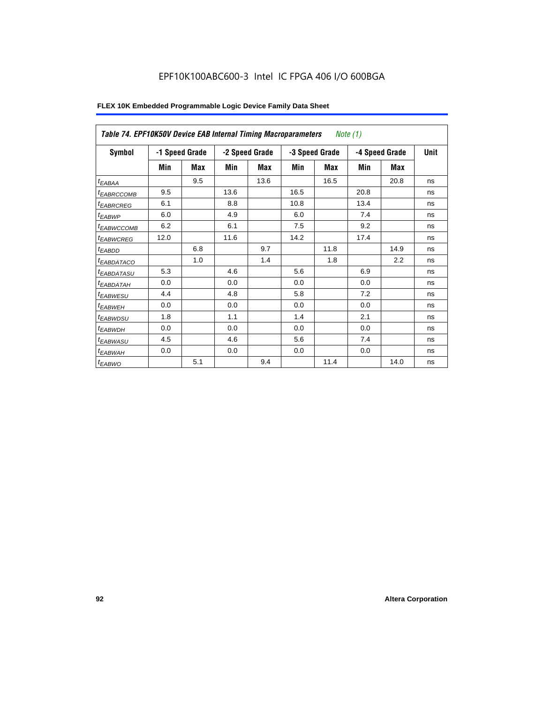| Table 74. EPF10K50V Device EAB Internal Timing Macroparameters |      |                |      |                |      | Note (1)       |      |                |    |
|----------------------------------------------------------------|------|----------------|------|----------------|------|----------------|------|----------------|----|
| Symbol                                                         |      | -1 Speed Grade |      | -2 Speed Grade |      | -3 Speed Grade |      | -4 Speed Grade |    |
|                                                                | Min  | Max            | Min  | <b>Max</b>     | Min  | Max            | Min  | Max            |    |
| $t_{EABA}$                                                     |      | 9.5            |      | 13.6           |      | 16.5           |      | 20.8           | ns |
| <sup>t</sup> EABRCCOMB                                         | 9.5  |                | 13.6 |                | 16.5 |                | 20.8 |                | ns |
| <sup>t</sup> EABRCREG                                          | 6.1  |                | 8.8  |                | 10.8 |                | 13.4 |                | ns |
| <sup>t</sup> EABWP                                             | 6.0  |                | 4.9  |                | 6.0  |                | 7.4  |                | ns |
| <sup>I</sup> EABWCCOMB                                         | 6.2  |                | 6.1  |                | 7.5  |                | 9.2  |                | ns |
| <sup>t</sup> EABWCREG                                          | 12.0 |                | 11.6 |                | 14.2 |                | 17.4 |                | ns |
| <sup>t</sup> EABDD                                             |      | 6.8            |      | 9.7            |      | 11.8           |      | 14.9           | ns |
| <sup>t</sup> EABDATACO                                         |      | 1.0            |      | 1.4            |      | 1.8            |      | 2.2            | ns |
| <sup>t</sup> EABDATASU                                         | 5.3  |                | 4.6  |                | 5.6  |                | 6.9  |                | ns |
| <sup>I</sup> EABDATAH                                          | 0.0  |                | 0.0  |                | 0.0  |                | 0.0  |                | ns |
| <sup>t</sup> EABWESU                                           | 4.4  |                | 4.8  |                | 5.8  |                | 7.2  |                | ns |
| <sup>t</sup> EABWEH                                            | 0.0  |                | 0.0  |                | 0.0  |                | 0.0  |                | ns |
| <sup>t</sup> EABWDSU                                           | 1.8  |                | 1.1  |                | 1.4  |                | 2.1  |                | ns |
| <sup>t</sup> EABWDH                                            | 0.0  |                | 0.0  |                | 0.0  |                | 0.0  |                | ns |
| <sup>I</sup> EABWASU                                           | 4.5  |                | 4.6  |                | 5.6  |                | 7.4  |                | ns |
| <sup>t</sup> EABWAH                                            | 0.0  |                | 0.0  |                | 0.0  |                | 0.0  |                | ns |
| $t_{EABWO}$                                                    |      | 5.1            |      | 9.4            |      | 11.4           |      | 14.0           | ns |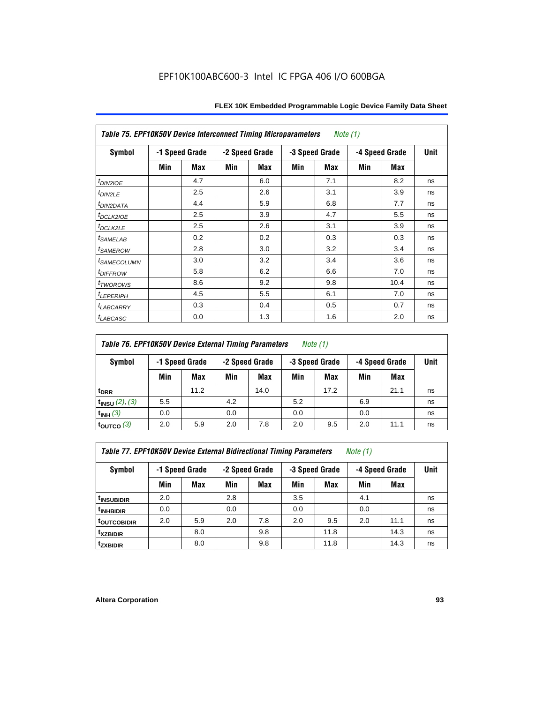| Table 75. EPF10K50V Device Interconnect Timing Microparameters<br>Note (1) |     |                |     |                |                |     |                |      |             |
|----------------------------------------------------------------------------|-----|----------------|-----|----------------|----------------|-----|----------------|------|-------------|
| Symbol                                                                     |     | -1 Speed Grade |     | -2 Speed Grade | -3 Speed Grade |     | -4 Speed Grade |      | <b>Unit</b> |
|                                                                            | Min | Max            | Min | Max            | Min            | Max | Min            | Max  |             |
| $t_{DINZIOE}$                                                              |     | 4.7            |     | 6.0            |                | 7.1 |                | 8.2  | ns          |
| t <sub>DIN2LE</sub>                                                        |     | 2.5            |     | 2.6            |                | 3.1 |                | 3.9  | ns          |
| <sup>t</sup> DIN2DATA                                                      |     | 4.4            |     | 5.9            |                | 6.8 |                | 7.7  | ns          |
| t <sub>DCLK2IOE</sub>                                                      |     | 2.5            |     | 3.9            |                | 4.7 |                | 5.5  | ns          |
| $t_{DCLK2LE}$                                                              |     | 2.5            |     | 2.6            |                | 3.1 |                | 3.9  | ns          |
| <i>t<sub>SAMELAB</sub></i>                                                 |     | 0.2            |     | 0.2            |                | 0.3 |                | 0.3  | ns          |
| <sup>t</sup> SAMEROW                                                       |     | 2.8            |     | 3.0            |                | 3.2 |                | 3.4  | ns          |
| <sup>t</sup> SAMECOLUMN                                                    |     | 3.0            |     | 3.2            |                | 3.4 |                | 3.6  | ns          |
| <i>t<sub>DIFFROW</sub></i>                                                 |     | 5.8            |     | 6.2            |                | 6.6 |                | 7.0  | ns          |
| t <sub>TWOROWS</sub>                                                       |     | 8.6            |     | 9.2            |                | 9.8 |                | 10.4 | ns          |
| $t_{LEPERIPH}$                                                             |     | 4.5            |     | 5.5            |                | 6.1 |                | 7.0  | ns          |
| t <sub>LABCARRY</sub>                                                      |     | 0.3            |     | 0.4            |                | 0.5 |                | 0.7  | ns          |
| <i>t<sub>LABCASC</sub></i>                                                 |     | 0.0            |     | 1.3            |                | 1.6 |                | 2.0  | ns          |

# *Table 76. EPF10K50V Device External Timing Parameters Note (1)*

| Symbol                   |     | -1 Speed Grade |     | -2 Speed Grade |     | -3 Speed Grade |     | -4 Speed Grade |    |
|--------------------------|-----|----------------|-----|----------------|-----|----------------|-----|----------------|----|
|                          | Min | Max            | Min | Max            | Min | Max            | Min | Max            |    |
| t <sub>DRR</sub>         |     | 11.2           |     | 14.0           |     | 17.2           |     | 21.1           | ns |
| $t_{INSU}$ (2), (3)      | 5.5 |                | 4.2 |                | 5.2 |                | 6.9 |                | ns |
| $t_{INH}$ (3)            | 0.0 |                | 0.0 |                | 0.0 |                | 0.0 |                | ns |
| $\tt_{\text{OUTCO}}$ (3) | 2.0 | 5.9            | 2.0 | 7.8            | 2.0 | 9.5            | 2.0 | 11.1           | ns |

*Table 77. EPF10K50V Device External Bidirectional Timing Parameters Note (1)*

|                         |     |                |                |     |                |            |                |            | Unit |
|-------------------------|-----|----------------|----------------|-----|----------------|------------|----------------|------------|------|
| <b>Symbol</b>           |     | -1 Speed Grade | -2 Speed Grade |     | -3 Speed Grade |            | -4 Speed Grade |            |      |
|                         | Min | Max            | Min            | Max | Min            | <b>Max</b> | Min            | <b>Max</b> |      |
| <sup>t</sup> INSUBIDIR  | 2.0 |                | 2.8            |     | 3.5            |            | 4.1            |            | ns   |
| <sup>t</sup> INHBIDIR   | 0.0 |                | 0.0            |     | 0.0            |            | 0.0            |            | ns   |
| <sup>t</sup> outcobidir | 2.0 | 5.9            | 2.0            | 7.8 | 2.0            | 9.5        | 2.0            | 11.1       | ns   |
| <sup>t</sup> xzbidir    |     | 8.0            |                | 9.8 |                | 11.8       |                | 14.3       | ns   |
| <sup>t</sup> zxbidir    |     | 8.0            |                | 9.8 |                | 11.8       |                | 14.3       | ns   |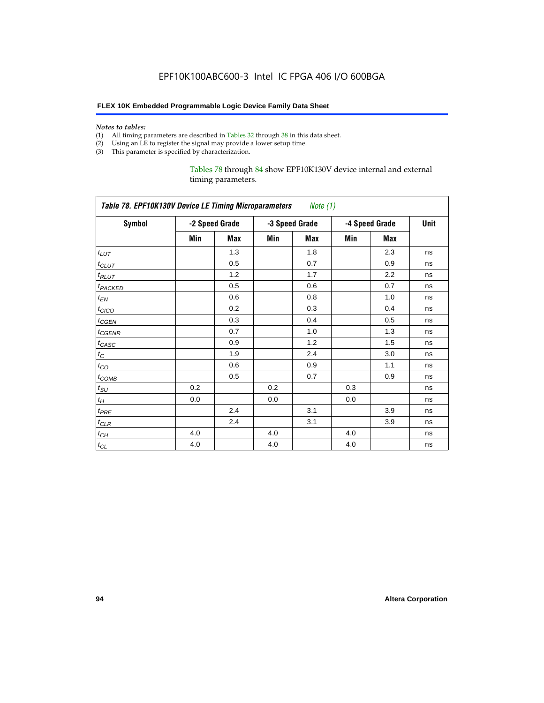#### *Notes to tables:*

- (1) All timing parameters are described in Tables 32 through 38 in this data sheet.
- (2) Using an LE to register the signal may provide a lower setup time.
- (3) This parameter is specified by characterization.

#### Tables 78 through 84 show EPF10K130V device internal and external timing parameters.

| Table 78. EPF10K130V Device LE Timing Microparameters Note (1) |     |                |     |                |     |                |             |  |  |  |
|----------------------------------------------------------------|-----|----------------|-----|----------------|-----|----------------|-------------|--|--|--|
| <b>Symbol</b>                                                  |     | -2 Speed Grade |     | -3 Speed Grade |     | -4 Speed Grade | <b>Unit</b> |  |  |  |
|                                                                | Min | Max            | Min | Max            | Min | Max            |             |  |  |  |
| $t_{LUT}$                                                      |     | 1.3            |     | 1.8            |     | 2.3            | ns          |  |  |  |
| $t_{CLUT}$                                                     |     | 0.5            |     | 0.7            |     | 0.9            | ns          |  |  |  |
| $t_{RLUT}$                                                     |     | 1.2            |     | 1.7            |     | 2.2            | ns          |  |  |  |
| <b>t</b> PACKED                                                |     | 0.5            |     | 0.6            |     | 0.7            | ns          |  |  |  |
| $t_{EN}$                                                       |     | 0.6            |     | 0.8            |     | 1.0            | ns          |  |  |  |
| $t_{CICO}$                                                     |     | 0.2            |     | 0.3            |     | 0.4            | ns          |  |  |  |
| $t_{GEN}$                                                      |     | 0.3            |     | 0.4            |     | 0.5            | ns          |  |  |  |
| t <sub>CGENR</sub>                                             |     | 0.7            |     | 1.0            |     | 1.3            | ns          |  |  |  |
| $t_{CASC}$                                                     |     | 0.9            |     | 1.2            |     | 1.5            | ns          |  |  |  |
| $t_{\rm C}$                                                    |     | 1.9            |     | 2.4            |     | 3.0            | ns          |  |  |  |
| $t_{CO}$                                                       |     | 0.6            |     | 0.9            |     | 1.1            | ns          |  |  |  |
| $t_{COMB}$                                                     |     | 0.5            |     | 0.7            |     | 0.9            | ns          |  |  |  |
| $t_{\rm SU}$                                                   | 0.2 |                | 0.2 |                | 0.3 |                | ns          |  |  |  |
| $t_H$                                                          | 0.0 |                | 0.0 |                | 0.0 |                | ns          |  |  |  |
| $t_{PRE}$                                                      |     | 2.4            |     | 3.1            |     | 3.9            | ns          |  |  |  |
| $t_{CLR}$                                                      |     | 2.4            |     | 3.1            |     | 3.9            | ns          |  |  |  |
| $t_{CH}$                                                       | 4.0 |                | 4.0 |                | 4.0 |                | ns          |  |  |  |
| $t_{CL}$                                                       | 4.0 |                | 4.0 |                | 4.0 |                | ns          |  |  |  |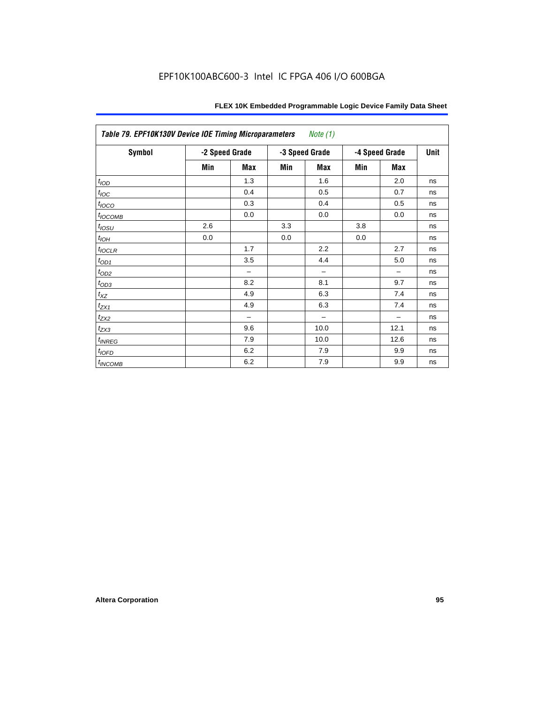| Table 79. EPF10K130V Device IOE Timing Microparameters Note (1) |                |            |     |                |     |                |             |  |  |
|-----------------------------------------------------------------|----------------|------------|-----|----------------|-----|----------------|-------------|--|--|
| Symbol                                                          | -2 Speed Grade |            |     | -3 Speed Grade |     | -4 Speed Grade | <b>Unit</b> |  |  |
|                                                                 | Min            | <b>Max</b> | Min | <b>Max</b>     | Min | <b>Max</b>     |             |  |  |
| t <sub>IOD</sub>                                                |                | 1.3        |     | 1.6            |     | 2.0            | ns          |  |  |
| $t_{\text{IOC}}$                                                |                | 0.4        |     | 0.5            |     | 0.7            | ns          |  |  |
| $t_{IOCO}$                                                      |                | 0.3        |     | 0.4            |     | 0.5            | ns          |  |  |
| $t_{IOCOMB}$                                                    |                | 0.0        |     | 0.0            |     | 0.0            | ns          |  |  |
| $t_{IOSU}$                                                      | 2.6            |            | 3.3 |                | 3.8 |                | ns          |  |  |
| $t_{IOH}$                                                       | 0.0            |            | 0.0 |                | 0.0 |                | ns          |  |  |
| $t_{IOCLR}$                                                     |                | 1.7        |     | 2.2            |     | 2.7            | ns          |  |  |
| $t_{OD1}$                                                       |                | 3.5        |     | 4.4            |     | 5.0            | ns          |  |  |
| $t_{OD2}$                                                       |                | -          |     | -              |     |                | ns          |  |  |
| $t_{OD3}$                                                       |                | 8.2        |     | 8.1            |     | 9.7            | ns          |  |  |
| $t_{\mathsf{XZ}}$                                               |                | 4.9        |     | 6.3            |     | 7.4            | ns          |  |  |
| $t_{ZX1}$                                                       |                | 4.9        |     | 6.3            |     | 7.4            | ns          |  |  |
| $t_{ZX2}$                                                       |                | -          |     |                |     |                | ns          |  |  |
| $t_{ZX3}$                                                       |                | 9.6        |     | 10.0           |     | 12.1           | ns          |  |  |
| $t_{INREG}$                                                     |                | 7.9        |     | 10.0           |     | 12.6           | ns          |  |  |
| $t_{IOFD}$                                                      |                | 6.2        |     | 7.9            |     | 9.9            | ns          |  |  |
| $t_{INCOMB}$                                                    |                | 6.2        |     | 7.9            |     | 9.9            | ns          |  |  |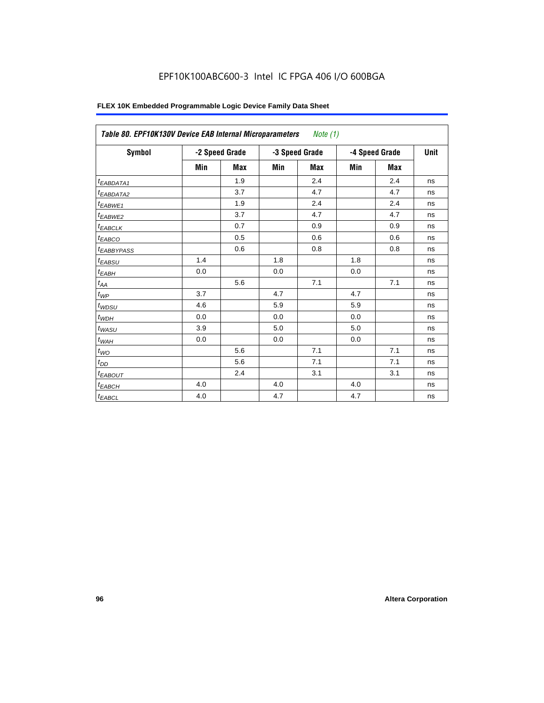| Symbol                 |     | -2 Speed Grade |     | -3 Speed Grade | -4 Speed Grade | Unit       |    |
|------------------------|-----|----------------|-----|----------------|----------------|------------|----|
|                        | Min | <b>Max</b>     | Min | <b>Max</b>     | Min            | <b>Max</b> |    |
| <sup>t</sup> EABDATA1  |     | 1.9            |     | 2.4            |                | 2.4        | ns |
| <sup>t</sup> EABDATA2  |     | 3.7            |     | 4.7            |                | 4.7        | ns |
| <sup>t</sup> EABWE1    |     | 1.9            |     | 2.4            |                | 2.4        | ns |
| t <sub>EABWE2</sub>    |     | 3.7            |     | 4.7            |                | 4.7        | ns |
| <sup>t</sup> EABCLK    |     | 0.7            |     | 0.9            |                | 0.9        | ns |
| <sup>t</sup> EABCO     |     | 0.5            |     | 0.6            |                | 0.6        | ns |
| <sup>t</sup> EABBYPASS |     | 0.6            |     | 0.8            |                | 0.8        | ns |
| t <sub>EABSU</sub>     | 1.4 |                | 1.8 |                | 1.8            |            | ns |
| $t_{EABH}$             | 0.0 |                | 0.0 |                | 0.0            |            | ns |
| $t_{AA}$               |     | 5.6            |     | 7.1            |                | 7.1        | ns |
| $t_{\mathit{WP}}$      | 3.7 |                | 4.7 |                | 4.7            |            | ns |
| $t_{WDSU}$             | 4.6 |                | 5.9 |                | 5.9            |            | ns |
| $t_{WDH}$              | 0.0 |                | 0.0 |                | 0.0            |            | ns |
| $t_{WASU}$             | 3.9 |                | 5.0 |                | 5.0            |            | ns |
| $t_{W\!AH}$            | 0.0 |                | 0.0 |                | 0.0            |            | ns |
| $t_{WO}$               |     | 5.6            |     | 7.1            |                | 7.1        | ns |
| $t_{DD}$               |     | 5.6            |     | 7.1            |                | 7.1        | ns |
| <sup>t</sup> EABOUT    |     | 2.4            |     | 3.1            |                | 3.1        | ns |
| $t_{EABCH}$            | 4.0 |                | 4.0 |                | 4.0            |            | ns |
| $t_{EABCL}$            | 4.0 |                | 4.7 |                | 4.7            |            | ns |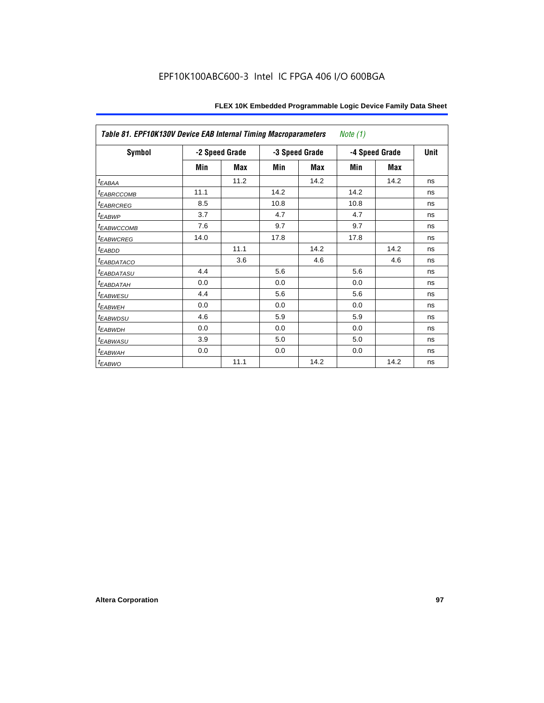| Table 81. EPF10K130V Device EAB Internal Timing Macroparameters<br>Note $(1)$ |      |                |      |                |      |                |    |  |  |  |
|-------------------------------------------------------------------------------|------|----------------|------|----------------|------|----------------|----|--|--|--|
| <b>Symbol</b>                                                                 |      | -2 Speed Grade |      | -3 Speed Grade |      | -4 Speed Grade |    |  |  |  |
|                                                                               | Min  | <b>Max</b>     | Min  | Max            | Min  | Max            |    |  |  |  |
| <sup>t</sup> EABAA                                                            |      | 11.2           |      | 14.2           |      | 14.2           | ns |  |  |  |
| <b><i>EABRCCOMB</i></b>                                                       | 11.1 |                | 14.2 |                | 14.2 |                | ns |  |  |  |
| <b><i>EABRCREG</i></b>                                                        | 8.5  |                | 10.8 |                | 10.8 |                | ns |  |  |  |
| <i>t</i> EABWP                                                                | 3.7  |                | 4.7  |                | 4.7  |                | ns |  |  |  |
| <b><i>EABWCCOMB</i></b>                                                       | 7.6  |                | 9.7  |                | 9.7  |                | ns |  |  |  |
| <i><b>EABWCREG</b></i>                                                        | 14.0 |                | 17.8 |                | 17.8 |                | ns |  |  |  |
| t <sub>EABDD</sub>                                                            |      | 11.1           |      | 14.2           |      | 14.2           | ns |  |  |  |
| <b><i>EABDATACO</i></b>                                                       |      | 3.6            |      | 4.6            |      | 4.6            | ns |  |  |  |
| <sup>t</sup> EABDATASU                                                        | 4.4  |                | 5.6  |                | 5.6  |                | ns |  |  |  |
| <sup>t</sup> EABDATAH                                                         | 0.0  |                | 0.0  |                | 0.0  |                | ns |  |  |  |
| <sup>t</sup> EABWESU                                                          | 4.4  |                | 5.6  |                | 5.6  |                | ns |  |  |  |
| <sup>t</sup> EABWEH                                                           | 0.0  |                | 0.0  |                | 0.0  |                | ns |  |  |  |
| <i>t<sub>EABWDSU</sub></i>                                                    | 4.6  |                | 5.9  |                | 5.9  |                | ns |  |  |  |
| <sup>t</sup> EABWDH                                                           | 0.0  |                | 0.0  |                | 0.0  |                | ns |  |  |  |
| <sup>t</sup> EABWASU                                                          | 3.9  |                | 5.0  |                | 5.0  |                | ns |  |  |  |
| <sup>t</sup> EABWAH                                                           | 0.0  |                | 0.0  |                | 0.0  |                | ns |  |  |  |
| t <sub>EABWO</sub>                                                            |      | 11.1           |      | 14.2           |      | 14.2           | ns |  |  |  |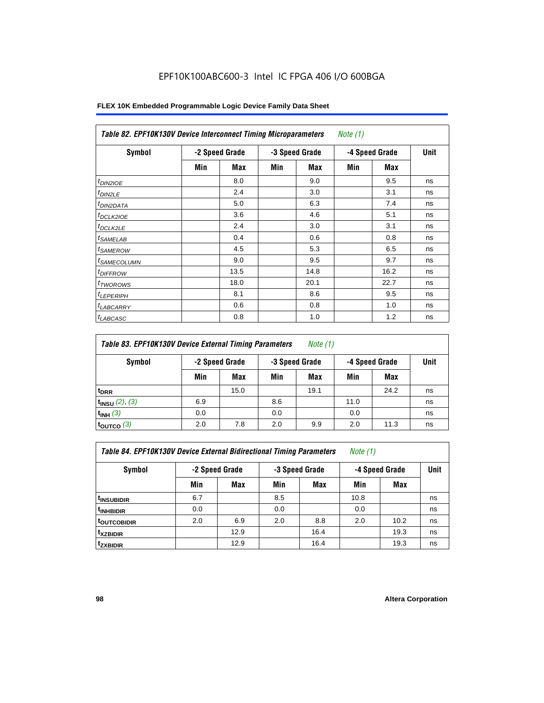| Symbol                     |     | -2 Speed Grade | -3 Speed Grade |      | -4 Speed Grade |      | Unit |  |
|----------------------------|-----|----------------|----------------|------|----------------|------|------|--|
|                            | Min | <b>Max</b>     | Min            | Max  | Min            | Max  |      |  |
| $tD$ IN2IOE                |     | 8.0            |                | 9.0  |                | 9.5  | ns   |  |
| t <sub>DIN2LE</sub>        |     | 2.4            |                | 3.0  |                | 3.1  | ns   |  |
| <sup>t</sup> DIN2DATA      |     | 5.0            |                | 6.3  |                | 7.4  | ns   |  |
| <sup>t</sup> DCLK2IOE      |     | 3.6            |                | 4.6  |                | 5.1  | ns   |  |
| ${}^t$ DCLK2LE             |     | 2.4            |                | 3.0  |                | 3.1  | ns   |  |
| <sup>t</sup> SAMELAB       |     | 0.4            |                | 0.6  |                | 0.8  | ns   |  |
| <sup>t</sup> SAMEROW       |     | 4.5            |                | 5.3  |                | 6.5  | ns   |  |
| <sup>t</sup> SAMECOLUMN    |     | 9.0            |                | 9.5  |                | 9.7  | ns   |  |
| <i>t<sub>DIFFROW</sub></i> |     | 13.5           |                | 14.8 |                | 16.2 | ns   |  |
| <sup>t</sup> TWOROWS       |     | 18.0           |                | 20.1 |                | 22.7 | ns   |  |
| <sup>t</sup> LEPERIPH      |     | 8.1            |                | 8.6  |                | 9.5  | ns   |  |
| <sup>I</sup> LABCARRY      |     | 0.6            |                | 0.8  |                | 1.0  | ns   |  |
| <sup>t</sup> LABCASC       |     | 0.8            |                | 1.0  |                | 1.2  | ns   |  |

| Table 83. EPF10K130V Device External Timing Parameters | Note (1) |
|--------------------------------------------------------|----------|
|--------------------------------------------------------|----------|

| Symbol                 | -2 Speed Grade |      | -3 Speed Grade |      | -4 Speed Grade |      | Unit |
|------------------------|----------------|------|----------------|------|----------------|------|------|
|                        | Min            | Max  | Min            | Max  | Min            | Max  |      |
| t <sub>DRR</sub>       |                | 15.0 |                | 19.1 |                | 24.2 | ns   |
| $t_{INSU}$ (2), (3)    | 6.9            |      | 8.6            |      | 11.0           |      | ns   |
| $t_{INH}$ (3)          | 0.0            |      | 0.0            |      | 0.0            |      | ns   |
| $t_{\text{OUTCO}}$ (3) | 2.0            | 7.8  | 2.0            | 9.9  | 2.0            | 11.3 | ns   |

| <b>Table 84. EPF10K130V Device External Bidirectional Timing Parameters</b> | Note (1) |  |
|-----------------------------------------------------------------------------|----------|--|
|-----------------------------------------------------------------------------|----------|--|

| Symbol                  | -2 Speed Grade |      |     | -3 Speed Grade | -4 Speed Grade | <b>Unit</b> |    |
|-------------------------|----------------|------|-----|----------------|----------------|-------------|----|
|                         | Min            | Max  | Min | <b>Max</b>     | Min            | <b>Max</b>  |    |
| <sup>t</sup> INSUBIDIR  | 6.7            |      | 8.5 |                | 10.8           |             | ns |
| <sup>t</sup> INHBIDIR   | 0.0            |      | 0.0 |                | 0.0            |             | ns |
| <sup>t</sup> OUTCOBIDIR | 2.0            | 6.9  | 2.0 | 8.8            | 2.0            | 10.2        | ns |
| <sup>t</sup> xzbidir    |                | 12.9 |     | 16.4           |                | 19.3        | ns |
| <sup>t</sup> zxbidir    |                | 12.9 |     | 16.4           |                | 19.3        | ns |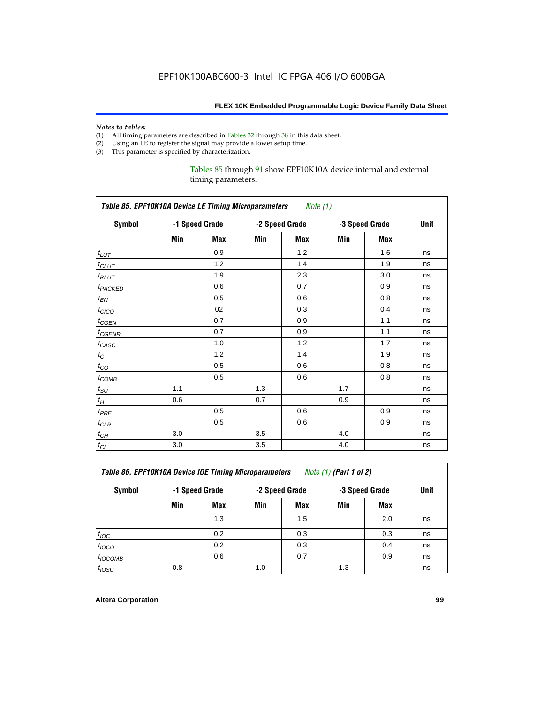# *Notes to tables:*<br>(1) All timing p

- (1) All timing parameters are described in Tables 32 through 38 in this data sheet.<br>(2) Using an LE to register the signal may provide a lower setup time.
- Using an LE to register the signal may provide a lower setup time.
- (3) This parameter is specified by characterization.

#### Tables 85 through 91 show EPF10K10A device internal and external timing parameters.

| Table 85. EPF10K10A Device LE Timing Microparameters<br>Note (1) |     |                |     |                |     |                |      |  |  |
|------------------------------------------------------------------|-----|----------------|-----|----------------|-----|----------------|------|--|--|
| <b>Symbol</b>                                                    |     | -1 Speed Grade |     | -2 Speed Grade |     | -3 Speed Grade | Unit |  |  |
|                                                                  | Min | <b>Max</b>     | Min | Max            | Min | <b>Max</b>     |      |  |  |
| $t_{LUT}$                                                        |     | 0.9            |     | 1.2            |     | 1.6            | ns   |  |  |
| $t_{CLUT}$                                                       |     | 1.2            |     | 1.4            |     | 1.9            | ns   |  |  |
| $t_{RLUT}$                                                       |     | 1.9            |     | 2.3            |     | 3.0            | ns   |  |  |
| <b>t</b> <sub>PACKED</sub>                                       |     | 0.6            |     | 0.7            |     | 0.9            | ns   |  |  |
| $t_{EN}$                                                         |     | 0.5            |     | 0.6            |     | 0.8            | ns   |  |  |
| $t_{CICO}$                                                       |     | 02             |     | 0.3            |     | 0.4            | ns   |  |  |
| $t_{CGEN}$                                                       |     | 0.7            |     | 0.9            |     | 1.1            | ns   |  |  |
| $t_{GENR}$                                                       |     | 0.7            |     | 0.9            |     | 1.1            | ns   |  |  |
| $t_{CASC}$                                                       |     | 1.0            |     | 1.2            |     | 1.7            | ns   |  |  |
| $t_{\rm C}$                                                      |     | 1.2            |     | 1.4            |     | 1.9            | ns   |  |  |
| $t_{\rm CO}$                                                     |     | 0.5            |     | 0.6            |     | 0.8            | ns   |  |  |
| $t_{\text{COMB}}$                                                |     | 0.5            |     | 0.6            |     | 0.8            | ns   |  |  |
| $t_{\rm SU}$                                                     | 1.1 |                | 1.3 |                | 1.7 |                | ns   |  |  |
| $t_H\,$                                                          | 0.6 |                | 0.7 |                | 0.9 |                | ns   |  |  |
| $t_{PRE}$                                                        |     | 0.5            |     | 0.6            |     | 0.9            | ns   |  |  |
| $t_{CLR}$                                                        |     | 0.5            |     | 0.6            |     | 0.9            | ns   |  |  |
| $t_{\hbox{\small CH}}$                                           | 3.0 |                | 3.5 |                | 4.0 |                | ns   |  |  |
| $t_{\rm CL}$                                                     | 3.0 |                | 3.5 |                | 4.0 |                | ns   |  |  |

*Table 86. EPF10K10A Device IOE Timing Microparameters Note (1) (Part 1 of 2)*

| Symbol           |     | -1 Speed Grade |     | -2 Speed Grade |     | -3 Speed Grade |    |
|------------------|-----|----------------|-----|----------------|-----|----------------|----|
|                  | Min | <b>Max</b>     | Min | Max            | Min | <b>Max</b>     |    |
|                  |     | 1.3            |     | 1.5            |     | 2.0            | ns |
| $t_{\text{IOC}}$ |     | 0.2            |     | 0.3            |     | 0.3            | ns |
| $t_{IOCO}$       |     | 0.2            |     | 0.3            |     | 0.4            | ns |
| $t_{IOCOMB}$     |     | 0.6            |     | 0.7            |     | 0.9            | ns |
| $t_{IOSU}$       | 0.8 |                | 1.0 |                | 1.3 |                | ns |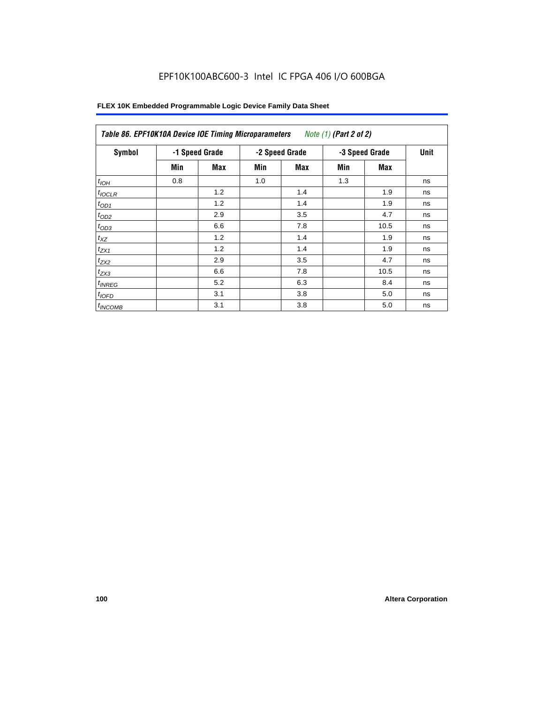| Symbol             |     | -1 Speed Grade |     | -2 Speed Grade | -3 Speed Grade | <b>Unit</b> |    |
|--------------------|-----|----------------|-----|----------------|----------------|-------------|----|
|                    | Min | Max            | Min | Max            | Min            | Max         |    |
| $t_{IOH}$          | 0.8 |                | 1.0 |                | 1.3            |             | ns |
| $t_{IOCLR}$        |     | 1.2            |     | 1.4            |                | 1.9         | ns |
| $t_{OD1}$          |     | 1.2            |     | 1.4            |                | 1.9         | ns |
| $t_{OD2}$          |     | 2.9            |     | 3.5            |                | 4.7         | ns |
| $t_{OD3}$          |     | 6.6            |     | 7.8            |                | 10.5        | ns |
| $t_{XZ}$           |     | 1.2            |     | 1.4            |                | 1.9         | ns |
| $t_{ZX1}$          |     | 1.2            |     | 1.4            |                | 1.9         | ns |
| $t_{ZX2}$          |     | 2.9            |     | 3.5            |                | 4.7         | ns |
| $t_{ZX3}$          |     | 6.6            |     | 7.8            |                | 10.5        | ns |
| <sup>t</sup> INREG |     | 5.2            |     | 6.3            |                | 8.4         | ns |
| $t_{IOFD}$         |     | 3.1            |     | 3.8            |                | 5.0         | ns |
| $t_{INCOMB}$       |     | 3.1            |     | 3.8            |                | 5.0         | ns |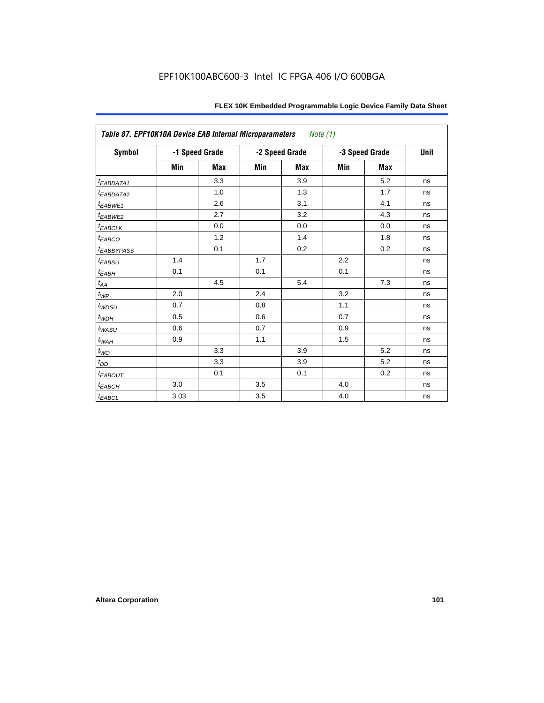| Table 87. EPF10K10A Device EAB Internal Microparameters |      |                |     | Note (1)       |     |                |      |  |
|---------------------------------------------------------|------|----------------|-----|----------------|-----|----------------|------|--|
| <b>Symbol</b>                                           |      | -1 Speed Grade |     | -2 Speed Grade |     | -3 Speed Grade | Unit |  |
|                                                         | Min  | <b>Max</b>     | Min | <b>Max</b>     | Min | <b>Max</b>     |      |  |
| t <sub>EABDATA1</sub>                                   |      | 3.3            |     | 3.9            |     | 5.2            | ns   |  |
| t <sub>EABDATA2</sub>                                   |      | 1.0            |     | 1.3            |     | 1.7            | ns   |  |
| t <sub>EABWE1</sub>                                     |      | 2.6            |     | 3.1            |     | 4.1            | ns   |  |
| t <sub>EABWE2</sub>                                     |      | 2.7            |     | 3.2            |     | 4.3            | ns   |  |
| $t_{EABCLK}$                                            |      | 0.0            |     | 0.0            |     | 0.0            | ns   |  |
| $t_{EABCO}$                                             |      | 1.2            |     | 1.4            |     | 1.8            | ns   |  |
| <b><i>EABBYPASS</i></b>                                 |      | 0.1            |     | 0.2            |     | 0.2            | ns   |  |
| $t_{EABSU}$                                             | 1.4  |                | 1.7 |                | 2.2 |                | ns   |  |
| $t_{EABH}$                                              | 0.1  |                | 0.1 |                | 0.1 |                | ns   |  |
| $t_{\mathit{AA}}$                                       |      | 4.5            |     | 5.4            |     | 7.3            | ns   |  |
| $t_{\mathit{WP}}$                                       | 2.0  |                | 2.4 |                | 3.2 |                | ns   |  |
| $t_{WDSU}$                                              | 0.7  |                | 0.8 |                | 1.1 |                | ns   |  |
| $t_{WDH}$                                               | 0.5  |                | 0.6 |                | 0.7 |                | ns   |  |
| $t_{\text{WASU}}$                                       | 0.6  |                | 0.7 |                | 0.9 |                | ns   |  |
| $t_{\underline{W AH}}$                                  | 0.9  |                | 1.1 |                | 1.5 |                | ns   |  |
| $t_{WO}$                                                |      | 3.3            |     | 3.9            |     | 5.2            | ns   |  |
| $t_{DD}$                                                |      | 3.3            |     | 3.9            |     | 5.2            | ns   |  |
| $t_{EABOUT}$                                            |      | 0.1            |     | 0.1            |     | 0.2            | ns   |  |
| $t_{EABCH}$                                             | 3.0  |                | 3.5 |                | 4.0 |                | ns   |  |
| $t_{EABCL}$                                             | 3.03 |                | 3.5 |                | 4.0 |                | ns   |  |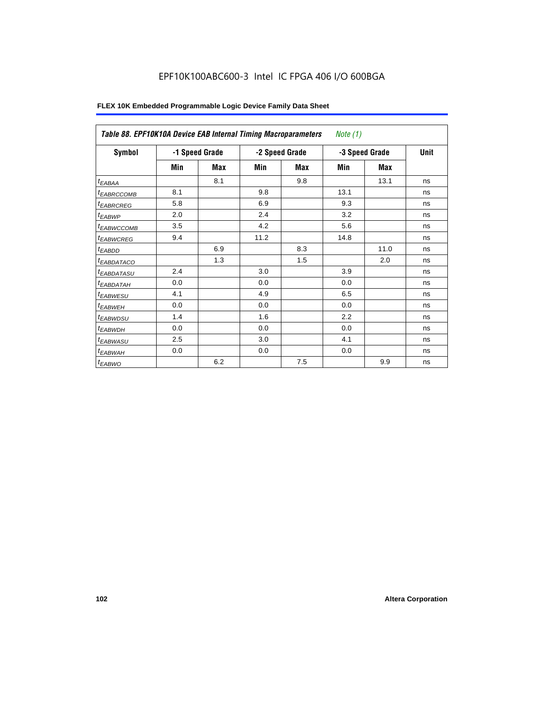| Table 88. EPF10K10A Device EAB Internal Timing Macroparameters |                |            |                | Note (1) |                |      |      |  |
|----------------------------------------------------------------|----------------|------------|----------------|----------|----------------|------|------|--|
| Symbol                                                         | -1 Speed Grade |            | -2 Speed Grade |          | -3 Speed Grade |      | Unit |  |
|                                                                | Min            | <b>Max</b> | Min            | Max      | Min            | Max  |      |  |
| $t_{EABA}$                                                     |                | 8.1        |                | 9.8      |                | 13.1 | ns   |  |
| <sup>t</sup> EABRCCOMB                                         | 8.1            |            | 9.8            |          | 13.1           |      | ns   |  |
| <sup>t</sup> EABRCREG                                          | 5.8            |            | 6.9            |          | 9.3            |      | ns   |  |
| <sup>t</sup> EABWP                                             | 2.0            |            | 2.4            |          | 3.2            |      | ns   |  |
| <sup>t</sup> EABWCCOMB                                         | 3.5            |            | 4.2            |          | 5.6            |      | ns   |  |
| <sup>t</sup> EABWCREG                                          | 9.4            |            | 11.2           |          | 14.8           |      | ns   |  |
| <sup>t</sup> EABDD                                             |                | 6.9        |                | 8.3      |                | 11.0 | ns   |  |
| <sup>t</sup> EABDATACO                                         |                | 1.3        |                | 1.5      |                | 2.0  | ns   |  |
| <sup>t</sup> EABDATASU                                         | 2.4            |            | 3.0            |          | 3.9            |      | ns   |  |
| <sup>t</sup> EABDATAH                                          | 0.0            |            | 0.0            |          | 0.0            |      | ns   |  |
| <sup>t</sup> EABWESU                                           | 4.1            |            | 4.9            |          | 6.5            |      | ns   |  |
| <sup>t</sup> EABWEH                                            | 0.0            |            | 0.0            |          | 0.0            |      | ns   |  |
| <sup>t</sup> EABWDSU                                           | 1.4            |            | 1.6            |          | 2.2            |      | ns   |  |
| <sup>t</sup> EABWDH                                            | 0.0            |            | 0.0            |          | 0.0            |      | ns   |  |
| <sup>t</sup> EABWASU                                           | 2.5            |            | 3.0            |          | 4.1            |      | ns   |  |
| <sup>t</sup> EABWAH                                            | 0.0            |            | 0.0            |          | 0.0            |      | ns   |  |
| <sup>t</sup> EABWO                                             |                | 6.2        |                | 7.5      |                | 9.9  | ns   |  |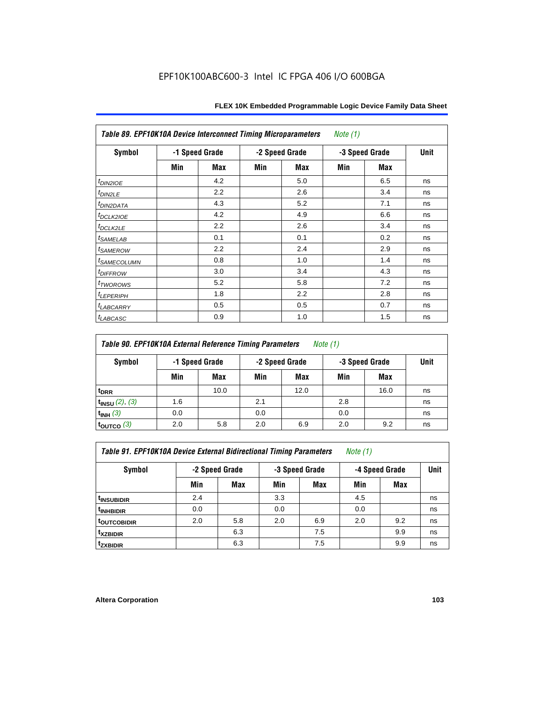| Table 89. EPF10K10A Device Interconnect Timing Microparameters<br>Note (1) |     |                |     |                |     |                |    |  |  |
|----------------------------------------------------------------------------|-----|----------------|-----|----------------|-----|----------------|----|--|--|
| Symbol                                                                     |     | -1 Speed Grade |     | -2 Speed Grade |     | -3 Speed Grade |    |  |  |
|                                                                            | Min | Max            | Min | Max            | Min | <b>Max</b>     |    |  |  |
| $t_{DINZIOE}$                                                              |     | 4.2            |     | 5.0            |     | 6.5            | ns |  |  |
| $t_{DIN2LE}$                                                               |     | 2.2            |     | 2.6            |     | 3.4            | ns |  |  |
| <sup>t</sup> DIN2DATA                                                      |     | 4.3            |     | 5.2            |     | 7.1            | ns |  |  |
| t <sub>DCLK2IOE</sub>                                                      |     | 4.2            |     | 4.9            |     | 6.6            | ns |  |  |
| t <sub>DCLK2LE</sub>                                                       |     | 2.2            |     | 2.6            |     | 3.4            | ns |  |  |
| <i>t<sub>SAMELAB</sub></i>                                                 |     | 0.1            |     | 0.1            |     | 0.2            | ns |  |  |
| <i>t</i> SAMEROW                                                           |     | 2.2            |     | 2.4            |     | 2.9            | ns |  |  |
| <sup>t</sup> SAMECOLUMN                                                    |     | 0.8            |     | 1.0            |     | 1.4            | ns |  |  |
| <i>t<sub>DIFFROW</sub></i>                                                 |     | 3.0            |     | 3.4            |     | 4.3            | ns |  |  |
| t <sub>TWOROWS</sub>                                                       |     | 5.2            |     | 5.8            |     | 7.2            | ns |  |  |
| <sup>t</sup> LEPERIPH                                                      |     | 1.8            |     | 2.2            |     | 2.8            | ns |  |  |
| <sup>t</sup> LABCARRY                                                      |     | 0.5            |     | 0.5            |     | 0.7            | ns |  |  |
| t <sub>LABCASC</sub>                                                       |     | 0.9            |     | 1.0            |     | 1.5            | ns |  |  |

| Table 90. EPF10K10A External Reference Timing Parameters | Note (1) |
|----------------------------------------------------------|----------|
|----------------------------------------------------------|----------|

| Symbol                 | -1 Speed Grade |      | -2 Speed Grade |      | -3 Speed Grade | <b>Unit</b> |    |
|------------------------|----------------|------|----------------|------|----------------|-------------|----|
|                        | Min            | Max  | Min            | Max  | Min            | <b>Max</b>  |    |
| t <sub>DRR</sub>       |                | 10.0 |                | 12.0 |                | 16.0        | ns |
| $t_{INSU}$ (2), (3)    | 1.6            |      | 2.1            |      | 2.8            |             | ns |
| $t_{INH}$ (3)          | 0.0            |      | 0.0            |      | 0.0            |             | ns |
| $t_{\text{OUTCO}}$ (3) | 2.0            | 5.8  | 2.0            | 6.9  | 2.0            | 9.2         | ns |

*Table 91. EPF10K10A Device External Bidirectional Timing Parameters Note (1)*

| Symbol                  | -2 Speed Grade |     |     | -3 Speed Grade | -4 Speed Grade | Unit       |    |
|-------------------------|----------------|-----|-----|----------------|----------------|------------|----|
|                         | Min            | Max | Min | <b>Max</b>     | Min            | <b>Max</b> |    |
| <sup>t</sup> insubidir  | 2.4            |     | 3.3 |                | 4.5            |            | ns |
| <sup>T</sup> INHBIDIR   | 0.0            |     | 0.0 |                | 0.0            |            | ns |
| <sup>t</sup> OUTCOBIDIR | 2.0            | 5.8 | 2.0 | 6.9            | 2.0            | 9.2        | ns |
| <sup>t</sup> xzbidir    |                | 6.3 |     | 7.5            |                | 9.9        | ns |
| <sup>t</sup> zxbidir    |                | 6.3 |     | 7.5            |                | 9.9        | ns |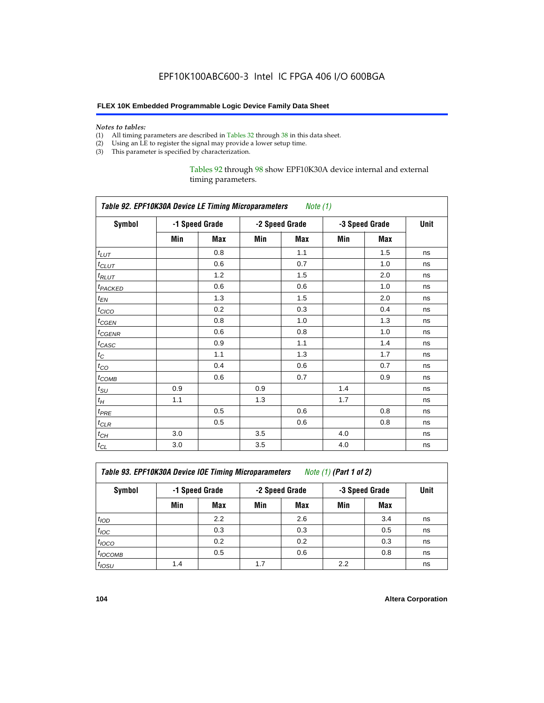#### *Notes to tables:*

- (1) All timing parameters are described in Tables 32 through 38 in this data sheet.
- (2) Using an LE to register the signal may provide a lower setup time.
- (3) This parameter is specified by characterization.

Tables 92 through 98 show EPF10K30A device internal and external timing parameters.

| Table 92. EPF10K30A Device LE Timing Microparameters Note (1) |                |     |                |     |                |      |    |  |  |
|---------------------------------------------------------------|----------------|-----|----------------|-----|----------------|------|----|--|--|
| <b>Symbol</b>                                                 | -1 Speed Grade |     | -2 Speed Grade |     | -3 Speed Grade | Unit |    |  |  |
|                                                               | Min            | Max | Min            | Max | Min            | Max  |    |  |  |
| $t_{LUT}$                                                     |                | 0.8 |                | 1.1 |                | 1.5  | ns |  |  |
| $t_{CLUT}$                                                    |                | 0.6 |                | 0.7 |                | 1.0  | ns |  |  |
| $t_{RLUT}$                                                    |                | 1.2 |                | 1.5 |                | 2.0  | ns |  |  |
| <b><i>t<sub>PACKED</sub></i></b>                              |                | 0.6 |                | 0.6 |                | 1.0  | ns |  |  |
| $t_{EN}$                                                      |                | 1.3 |                | 1.5 |                | 2.0  | ns |  |  |
| $t_{CICO}$                                                    |                | 0.2 |                | 0.3 |                | 0.4  | ns |  |  |
| $t_{\text{GEN}}$                                              |                | 0.8 |                | 1.0 |                | 1.3  | ns |  |  |
| t <sub>CGENR</sub>                                            |                | 0.6 |                | 0.8 |                | 1.0  | ns |  |  |
| $t_{CASC}$                                                    |                | 0.9 |                | 1.1 |                | 1.4  | ns |  |  |
| $t_C$                                                         |                | 1.1 |                | 1.3 |                | 1.7  | ns |  |  |
| $t_{CO}$                                                      |                | 0.4 |                | 0.6 |                | 0.7  | ns |  |  |
| $t_{\text{COMB}}$                                             |                | 0.6 |                | 0.7 |                | 0.9  | ns |  |  |
| $t_{\rm SU}$                                                  | 0.9            |     | 0.9            |     | 1.4            |      | ns |  |  |
| $t_H$                                                         | 1.1            |     | 1.3            |     | 1.7            |      | ns |  |  |
| $t_{PRE}$                                                     |                | 0.5 |                | 0.6 |                | 0.8  | ns |  |  |
| $t_{CLR}$                                                     |                | 0.5 |                | 0.6 |                | 0.8  | ns |  |  |
| $t_{CH}$                                                      | 3.0            |     | 3.5            |     | 4.0            |      | ns |  |  |
| $t_{CL}$                                                      | 3.0            |     | 3.5            |     | 4.0            |      | ns |  |  |

*Table 93. EPF10K30A Device IOE Timing Microparameters Note (1) (Part 1 of 2)*

| Symbol            | -1 Speed Grade |     |     | -2 Speed Grade | -3 Speed Grade | Unit       |    |  |  |  |  |
|-------------------|----------------|-----|-----|----------------|----------------|------------|----|--|--|--|--|
|                   | Min            | Max | Min | <b>Max</b>     | Min            | <b>Max</b> |    |  |  |  |  |
| t <sub>IOD</sub>  |                | 2.2 |     | 2.6            |                | 3.4        | ns |  |  |  |  |
| $t_{\text{IOC}}$  |                | 0.3 |     | 0.3            |                | 0.5        | ns |  |  |  |  |
| $t_{IOCO}$        |                | 0.2 |     | 0.2            |                | 0.3        | ns |  |  |  |  |
| $t_{IOCOMB}$      |                | 0.5 |     | 0.6            |                | 0.8        | ns |  |  |  |  |
| t <sub>IOSU</sub> | 1.4            |     | 1.7 |                | 2.2            |            | ns |  |  |  |  |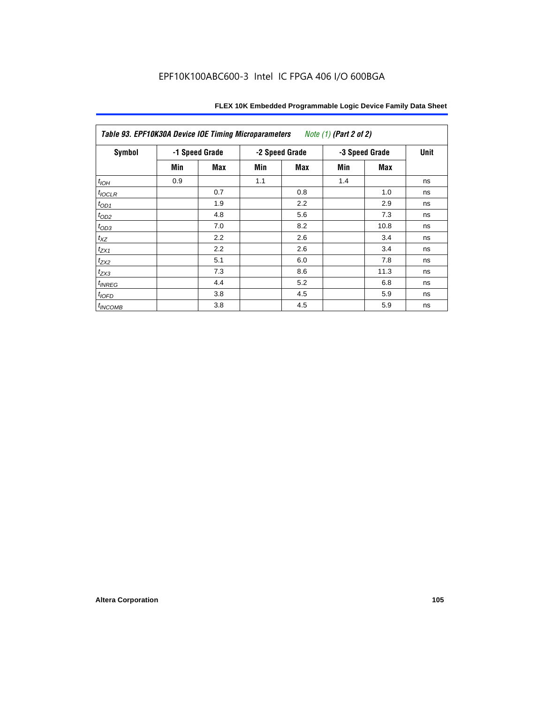| Table 93. EPF10K30A Device IOE Timing Microparameters<br>Note (1) (Part 2 of 2) |     |                |     |                |                |             |    |  |  |
|---------------------------------------------------------------------------------|-----|----------------|-----|----------------|----------------|-------------|----|--|--|
| <b>Symbol</b>                                                                   |     | -1 Speed Grade |     | -2 Speed Grade | -3 Speed Grade | <b>Unit</b> |    |  |  |
|                                                                                 | Min | Max            | Min | Max            | Min            | Max         |    |  |  |
| $t_{IOH}$                                                                       | 0.9 |                | 1.1 |                | 1.4            |             | ns |  |  |
| $t_{IOCLR}$                                                                     |     | 0.7            |     | 0.8            |                | 1.0         | ns |  |  |
| $t_{OD1}$                                                                       |     | 1.9            |     | 2.2            |                | 2.9         | ns |  |  |
| $t_{OD2}$                                                                       |     | 4.8            |     | 5.6            |                | 7.3         | ns |  |  |
| $t_{OD3}$                                                                       |     | 7.0            |     | 8.2            |                | 10.8        | ns |  |  |
| $t_{\mathsf{XZ}}$                                                               |     | 2.2            |     | 2.6            |                | 3.4         | ns |  |  |
| $t_{ZX1}$                                                                       |     | 2.2            |     | 2.6            |                | 3.4         | ns |  |  |
| $t_{ZX2}$                                                                       |     | 5.1            |     | 6.0            |                | 7.8         | ns |  |  |
| $t_{ZX3}$                                                                       |     | 7.3            |     | 8.6            |                | 11.3        | ns |  |  |
| $t_{INREG}$                                                                     |     | 4.4            |     | 5.2            |                | 6.8         | ns |  |  |
| $t_{IOFD}$                                                                      |     | 3.8            |     | 4.5            |                | 5.9         | ns |  |  |
| $t_{INCOMB}$                                                                    |     | 3.8            |     | 4.5            |                | 5.9         | ns |  |  |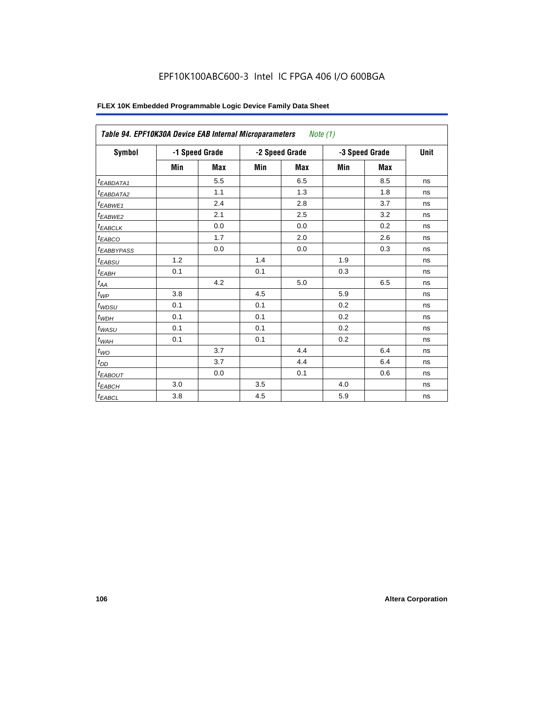| <b>Symbol</b>          |         | -1 Speed Grade |     | -2 Speed Grade | -3 Speed Grade | Unit       |    |
|------------------------|---------|----------------|-----|----------------|----------------|------------|----|
|                        | Min     | <b>Max</b>     | Min | Max            | Min            | <b>Max</b> |    |
| <sup>t</sup> EABDATA1  |         | 5.5            |     | 6.5            |                | 8.5        | ns |
| <sup>t</sup> EABDATA2  |         | 1.1            |     | 1.3            |                | 1.8        | ns |
| t <sub>EABWE1</sub>    |         | 2.4            |     | 2.8            |                | 3.7        | ns |
| <sup>t</sup> EABWE2    |         | 2.1            |     | 2.5            |                | 3.2        | ns |
| <sup>t</sup> EABCLK    |         | 0.0            |     | 0.0            |                | 0.2        | ns |
| t <sub>EABCO</sub>     |         | 1.7            |     | 2.0            |                | 2.6        | ns |
| <sup>t</sup> EABBYPASS |         | 0.0            |     | 0.0            |                | 0.3        | ns |
| t <sub>EABSU</sub>     | 1.2     |                | 1.4 |                | 1.9            |            | ns |
| t <sub>ЕАВН</sub>      | 0.1     |                | 0.1 |                | 0.3            |            | ns |
| $t_{AA}$               |         | 4.2            |     | 5.0            |                | 6.5        | ns |
| $t_{\mathcal{WP}}$     | 3.8     |                | 4.5 |                | 5.9            |            | ns |
| t <sub>WDSU</sub>      | 0.1     |                | 0.1 |                | 0.2            |            | ns |
| $t_{WDH}$              | 0.1     |                | 0.1 |                | 0.2            |            | ns |
| t <sub>WASU</sub>      | 0.1     |                | 0.1 |                | 0.2            |            | ns |
| $t_{WAH}$              | 0.1     |                | 0.1 |                | 0.2            |            | ns |
| $t_{WO}$               |         | 3.7            |     | 4.4            |                | 6.4        | ns |
| $t_{DD}$               |         | 3.7            |     | 4.4            |                | 6.4        | ns |
| <sup>t</sup> EABOUT    |         | 0.0            |     | 0.1            |                | 0.6        | ns |
| $t_{EABCH}$            | 3.0     |                | 3.5 |                | 4.0            |            | ns |
| $t_{EABCL}$            | $3.8\,$ |                | 4.5 |                | 5.9            |            | ns |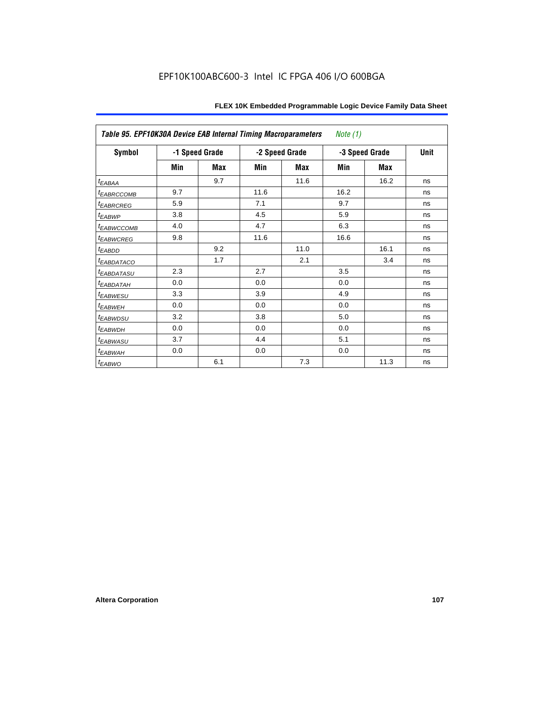| Table 95. EPF10K30A Device EAB Internal Timing Macroparameters<br>Note $(1)$ |                |            |      |                |                |             |    |  |  |
|------------------------------------------------------------------------------|----------------|------------|------|----------------|----------------|-------------|----|--|--|
| Symbol                                                                       | -1 Speed Grade |            |      | -2 Speed Grade | -3 Speed Grade | <b>Unit</b> |    |  |  |
|                                                                              | Min            | <b>Max</b> | Min  | Max            | Min            | Max         |    |  |  |
| $t_{EABA}$                                                                   |                | 9.7        |      | 11.6           |                | 16.2        | ns |  |  |
| <sup>t</sup> EABRCCOMB                                                       | 9.7            |            | 11.6 |                | 16.2           |             | ns |  |  |
| <sup>t</sup> EABRCREG                                                        | 5.9            |            | 7.1  |                | 9.7            |             | ns |  |  |
| t <sub>EABWP</sub>                                                           | 3.8            |            | 4.5  |                | 5.9            |             | ns |  |  |
| <sup>t</sup> ЕАВWССОМВ                                                       | 4.0            |            | 4.7  |                | 6.3            |             | ns |  |  |
| <sup>t</sup> EABWCREG                                                        | 9.8            |            | 11.6 |                | 16.6           |             | ns |  |  |
| $t_{EABDD}$                                                                  |                | 9.2        |      | 11.0           |                | 16.1        | ns |  |  |
| <sup>t</sup> EABDATACO                                                       |                | 1.7        |      | 2.1            |                | 3.4         | ns |  |  |
| <sup>t</sup> EABDATASU                                                       | 2.3            |            | 2.7  |                | 3.5            |             | ns |  |  |
| <sup>t</sup> EABDATAH                                                        | 0.0            |            | 0.0  |                | 0.0            |             | ns |  |  |
| <sup>t</sup> EABWESU                                                         | 3.3            |            | 3.9  |                | 4.9            |             | ns |  |  |
| t <sub>ЕАВWЕН</sub>                                                          | 0.0            |            | 0.0  |                | 0.0            |             | ns |  |  |
| <i>t<sub>EABWDSU</sub></i>                                                   | 3.2            |            | 3.8  |                | 5.0            |             | ns |  |  |
| <sup>t</sup> EABWDH                                                          | 0.0            |            | 0.0  |                | 0.0            |             | ns |  |  |
| <sup>t</sup> EABWASU                                                         | 3.7            |            | 4.4  |                | 5.1            |             | ns |  |  |
| <sup>t</sup> EABWAH                                                          | 0.0            |            | 0.0  |                | 0.0            |             | ns |  |  |
| $t_{EABWO}$                                                                  |                | 6.1        |      | 7.3            |                | 11.3        | ns |  |  |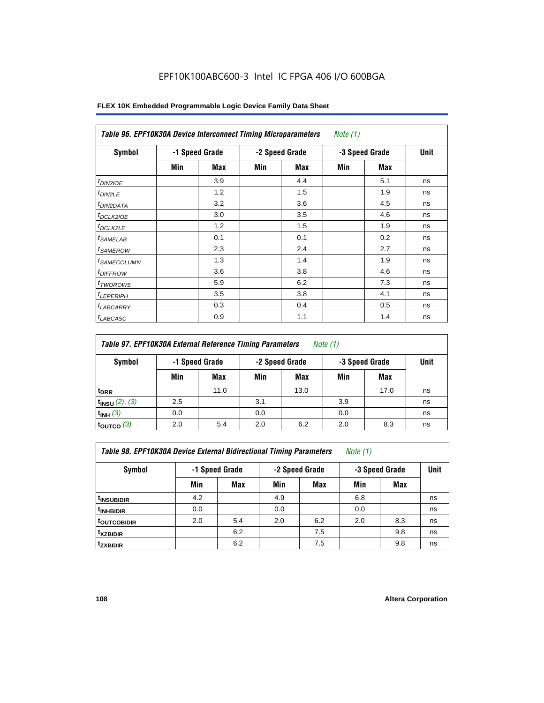# EPF10K100ABC600-3 Intel IC FPGA 406 I/O 600BGA

| Symbol                     |     | -1 Speed Grade |     | -2 Speed Grade | -3 Speed Grade | Unit |    |
|----------------------------|-----|----------------|-----|----------------|----------------|------|----|
|                            | Min | Max            | Min | Max            | Min            | Max  |    |
| $t_{DIN2IOE}$              |     | 3.9            |     | 4.4            |                | 5.1  | ns |
| t <sub>DIN2LE</sub>        |     | 1.2            |     | 1.5            |                | 1.9  | ns |
| <sup>t</sup> DIN2DATA      |     | 3.2            |     | 3.6            |                | 4.5  | ns |
| <sup>t</sup> DCLK2IOE      |     | 3.0            |     | 3.5            |                | 4.6  | ns |
| <sup>t</sup> DCLK2LE       |     | 1.2            |     | 1.5            |                | 1.9  | ns |
| <sup>t</sup> SAMELAB       |     | 0.1            |     | 0.1            |                | 0.2  | ns |
| <sup>t</sup> SAMEROW       |     | 2.3            |     | 2.4            |                | 2.7  | ns |
| <sup>t</sup> SAMECOLUMN    |     | 1.3            |     | 1.4            |                | 1.9  | ns |
| <i>t<sub>DIFFROW</sub></i> |     | 3.6            |     | 3.8            |                | 4.6  | ns |
| <sup>t</sup> TWOROWS       |     | 5.9            |     | 6.2            |                | 7.3  | ns |
| <sup>t</sup> LEPERIPH      |     | 3.5            |     | 3.8            |                | 4.1  | ns |
| <sup>I</sup> LABCARRY      |     | 0.3            |     | 0.4            |                | 0.5  | ns |
| <sup>t</sup> LABCASC       |     | 0.9            |     | 1.1            |                | 1.4  | ns |

# **FLEX 10K Embedded Programmable Logic Device Family Data Sheet**

| Table 97. EPF10K30A External Reference Timing Parameters<br><i>Note</i> $(1)$ |     |                |     |                                  |     |      |    |  |  |  |
|-------------------------------------------------------------------------------|-----|----------------|-----|----------------------------------|-----|------|----|--|--|--|
| Symbol                                                                        |     | -1 Speed Grade |     | -3 Speed Grade<br>-2 Speed Grade |     |      |    |  |  |  |
|                                                                               | Min | Max            | Min | Max                              | Min | Max  |    |  |  |  |
| t <sub>DRR</sub>                                                              |     | 11.0           |     | 13.0                             |     | 17.0 | ns |  |  |  |
| $t_{INSU}$ (2), (3)                                                           | 2.5 |                | 3.1 |                                  | 3.9 |      | ns |  |  |  |
| $t_{INH}$ (3)                                                                 | 0.0 |                | 0.0 |                                  | 0.0 |      | ns |  |  |  |
| $t_{\text{OUTCO}}$ $(3)$                                                      | 2.0 | 5.4            | 2.0 | 6.2                              | 2.0 | 8.3  | ns |  |  |  |

*Table 98. EPF10K30A Device External Bidirectional Timing Parameters Note (1)*

| Symbol                 |     | -1 Speed Grade |     | -2 Speed Grade |     | -3 Speed Grade |    |  |
|------------------------|-----|----------------|-----|----------------|-----|----------------|----|--|
|                        | Min | <b>Max</b>     | Min | <b>Max</b>     | Min | <b>Max</b>     |    |  |
| <sup>t</sup> INSUBIDIR | 4.2 |                | 4.9 |                | 6.8 |                | ns |  |
| <sup>t</sup> INHBIDIR  | 0.0 |                | 0.0 |                | 0.0 |                | ns |  |
| <b>toutcobidir</b>     | 2.0 | 5.4            | 2.0 | 6.2            | 2.0 | 8.3            | ns |  |
| <sup>t</sup> xzbidir   |     | 6.2            |     | 7.5            |     | 9.8            | ns |  |
| <i>t</i> zxbidir       |     | 6.2            |     | 7.5            |     | 9.8            | ns |  |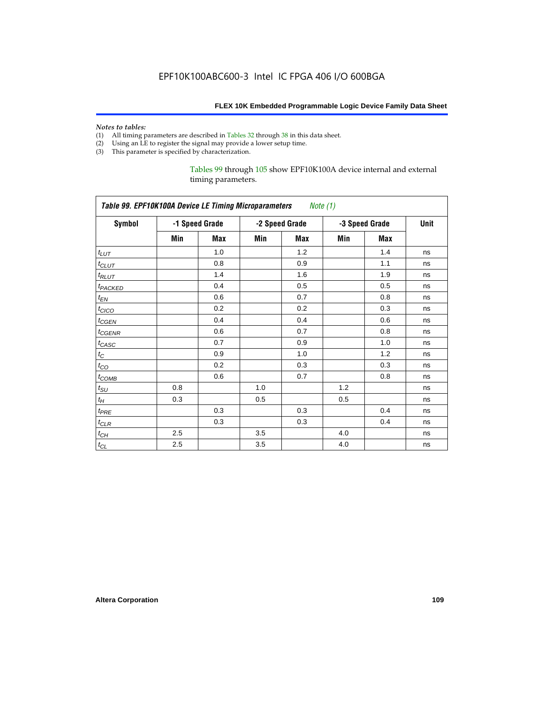#### *Notes to tables:*

- (1) All timing parameters are described in Tables 32 through 38 in this data sheet.
- (2) Using an LE to register the signal may provide a lower setup time.
- (3) This parameter is specified by characterization.

Tables 99 through 105 show EPF10K100A device internal and external timing parameters.

| Table 99. EPF10K100A Device LE Timing Microparameters Note (1) |     |                |     |                |     |                |      |  |  |  |
|----------------------------------------------------------------|-----|----------------|-----|----------------|-----|----------------|------|--|--|--|
| <b>Symbol</b>                                                  |     | -1 Speed Grade |     | -2 Speed Grade |     | -3 Speed Grade | Unit |  |  |  |
|                                                                | Min | Max            | Min | Max            | Min | Max            |      |  |  |  |
| $t_{LUT}$                                                      |     | 1.0            |     | 1.2            |     | 1.4            | ns   |  |  |  |
| $t_{CLUT}$                                                     |     | 0.8            |     | 0.9            |     | 1.1            | ns   |  |  |  |
| $t_{RLUT}$                                                     |     | 1.4            |     | 1.6            |     | 1.9            | ns   |  |  |  |
| t <sub>PACKED</sub>                                            |     | 0.4            |     | 0.5            |     | 0.5            | ns   |  |  |  |
| $t_{EN}$                                                       |     | 0.6            |     | 0.7            |     | 0.8            | ns   |  |  |  |
| $t_{CICO}$                                                     |     | 0.2            |     | 0.2            |     | 0.3            | ns   |  |  |  |
| $t_{CGEN}$                                                     |     | 0.4            |     | 0.4            |     | 0.6            | ns   |  |  |  |
| $t_{GENR}$                                                     |     | 0.6            |     | 0.7            |     | 0.8            | ns   |  |  |  |
| t <sub>CASC</sub>                                              |     | 0.7            |     | 0.9            |     | 1.0            | ns   |  |  |  |
| $t_{\rm C}$                                                    |     | 0.9            |     | 1.0            |     | 1.2            | ns   |  |  |  |
| $t_{CO}$                                                       |     | 0.2            |     | 0.3            |     | 0.3            | ns   |  |  |  |
| $t_{COMB}$                                                     |     | 0.6            |     | 0.7            |     | 0.8            | ns   |  |  |  |
| $t_{\rm SU}$                                                   | 0.8 |                | 1.0 |                | 1.2 |                | ns   |  |  |  |
| $t_H\,$                                                        | 0.3 |                | 0.5 |                | 0.5 |                | ns   |  |  |  |
| $t_{PRE}$                                                      |     | 0.3            |     | 0.3            |     | 0.4            | ns   |  |  |  |
| $t_{CLR}$                                                      |     | 0.3            |     | 0.3            |     | 0.4            | ns   |  |  |  |
| $t_{CH}$                                                       | 2.5 |                | 3.5 |                | 4.0 |                | ns   |  |  |  |
| $t_{CL}$                                                       | 2.5 |                | 3.5 |                | 4.0 |                | ns   |  |  |  |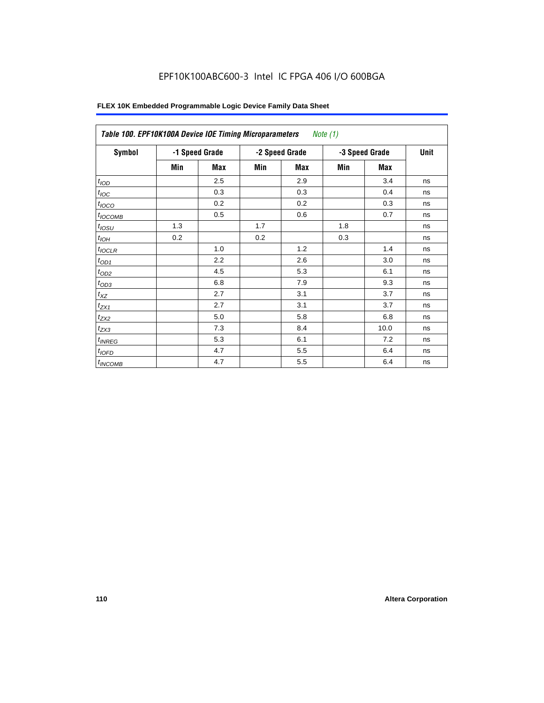# EPF10K100ABC600-3 Intel IC FPGA 406 I/O 600BGA

| Symbol              | -1 Speed Grade |     |     | -2 Speed Grade | -3 Speed Grade | Unit |    |
|---------------------|----------------|-----|-----|----------------|----------------|------|----|
|                     | Min            | Max | Min | Max            | Min            | Max  |    |
| t <sub>IOD</sub>    |                | 2.5 |     | 2.9            |                | 3.4  | ns |
| $t_{\text{IOC}}$    |                | 0.3 |     | 0.3            |                | 0.4  | ns |
| $t_{IOCO}$          |                | 0.2 |     | 0.2            |                | 0.3  | ns |
| t <sub>IOCOMB</sub> |                | 0.5 |     | 0.6            |                | 0.7  | ns |
| t <sub>iosu</sub>   | 1.3            |     | 1.7 |                | 1.8            |      | ns |
| $t_{IOH}$           | 0.2            |     | 0.2 |                | 0.3            |      | ns |
| $t_{IOCLR}$         |                | 1.0 |     | 1.2            |                | 1.4  | ns |
| $t_{OD1}$           |                | 2.2 |     | 2.6            |                | 3.0  | ns |
| $t_{OD2}$           |                | 4.5 |     | 5.3            |                | 6.1  | ns |
| $t_{OD3}$           |                | 6.8 |     | 7.9            |                | 9.3  | ns |
| $t_{XZ}$            |                | 2.7 |     | 3.1            |                | 3.7  | ns |
| $t_{ZX1}$           |                | 2.7 |     | 3.1            |                | 3.7  | ns |
| $t_{ZX2}$           |                | 5.0 |     | 5.8            |                | 6.8  | ns |
| $t_{ZX3}$           |                | 7.3 |     | 8.4            |                | 10.0 | ns |
| $t_{INREG}$         |                | 5.3 |     | 6.1            |                | 7.2  | ns |
| $t_{IOED}$          |                | 4.7 |     | 5.5            |                | 6.4  | ns |
| <sup>t</sup> INCOMB |                | 4.7 |     | 5.5            |                | 6.4  | ns |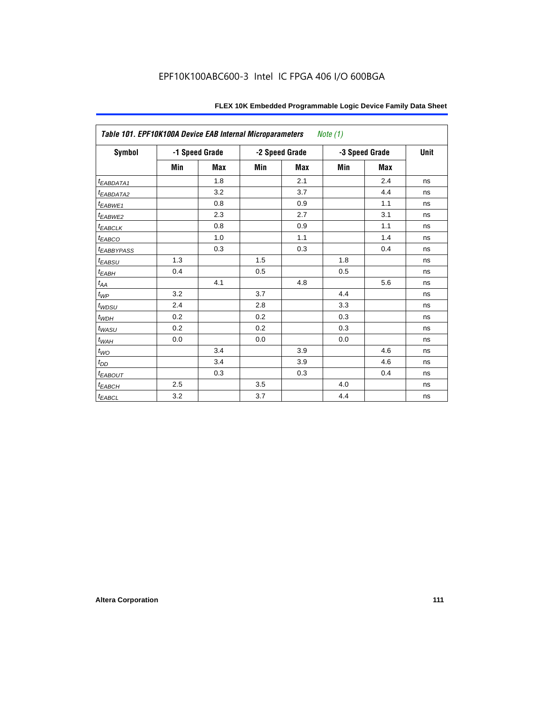| Table 101. EPF10K100A Device EAB Internal Microparameters |     |                |     |                | Note (1) |                |      |
|-----------------------------------------------------------|-----|----------------|-----|----------------|----------|----------------|------|
| <b>Symbol</b>                                             |     | -1 Speed Grade |     | -2 Speed Grade |          | -3 Speed Grade | Unit |
|                                                           | Min | <b>Max</b>     | Min | <b>Max</b>     | Min      | <b>Max</b>     |      |
| t <sub>EABDATA1</sub>                                     |     | 1.8            |     | 2.1            |          | 2.4            | ns   |
| t <sub>EABDATA2</sub>                                     |     | 3.2            |     | 3.7            |          | 4.4            | ns   |
| $t_{EABWE1}$                                              |     | 0.8            |     | 0.9            |          | 1.1            | ns   |
| $t_{EABWE2}$                                              |     | 2.3            |     | 2.7            |          | 3.1            | ns   |
| $t_{EABCLK}$                                              |     | 0.8            |     | 0.9            |          | 1.1            | ns   |
| $t_{EABCO}$                                               |     | 1.0            |     | 1.1            |          | 1.4            | ns   |
| <sup>t</sup> EABBYPASS                                    |     | 0.3            |     | 0.3            |          | 0.4            | ns   |
| $t_{EABSU}$                                               | 1.3 |                | 1.5 |                | 1.8      |                | ns   |
| $t_{EABH}$                                                | 0.4 |                | 0.5 |                | 0.5      |                | ns   |
| $t_{AA}$                                                  |     | 4.1            |     | 4.8            |          | 5.6            | ns   |
| $t_{WP}$                                                  | 3.2 |                | 3.7 |                | 4.4      |                | ns   |
| $t_{WDSU}$                                                | 2.4 |                | 2.8 |                | 3.3      |                | ns   |
| $t_{WDH}$                                                 | 0.2 |                | 0.2 |                | 0.3      |                | ns   |
| $t_{WASU}$                                                | 0.2 |                | 0.2 |                | 0.3      |                | ns   |
| $t_{\textit{WAH}}$                                        | 0.0 |                | 0.0 |                | 0.0      |                | ns   |
| $t_{WO}$                                                  |     | 3.4            |     | 3.9            |          | 4.6            | ns   |
| $t_{DD}$                                                  |     | 3.4            |     | 3.9            |          | 4.6            | ns   |
| $t_{EABOUT}$                                              |     | 0.3            |     | 0.3            |          | 0.4            | ns   |
| $t_{EABCH}$                                               | 2.5 |                | 3.5 |                | 4.0      |                | ns   |
| $t_{EABCL}$                                               | 3.2 |                | 3.7 |                | 4.4      |                | ns   |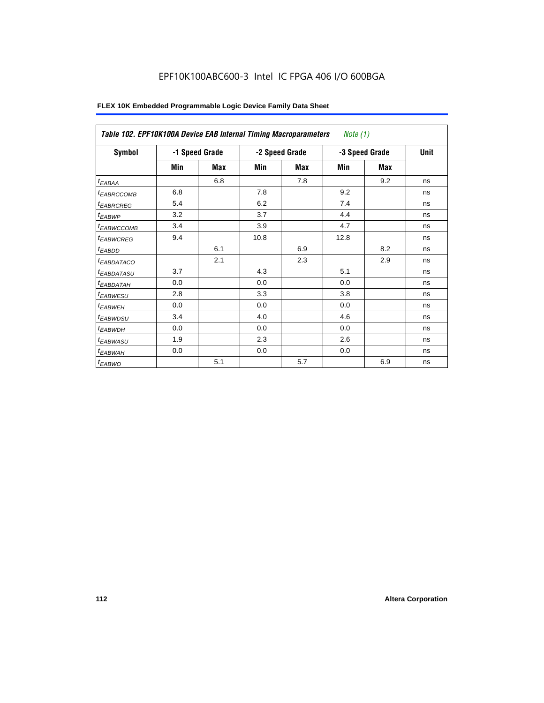| Table 102. EPF10K100A Device EAB Internal Timing Macroparameters |                |     |      |                | Note $(1)$     |             |    |
|------------------------------------------------------------------|----------------|-----|------|----------------|----------------|-------------|----|
| Symbol                                                           | -1 Speed Grade |     |      | -2 Speed Grade | -3 Speed Grade | <b>Unit</b> |    |
|                                                                  | Min            | Max | Min  | Max            | Min            | Max         |    |
| $t_{EABA}$                                                       |                | 6.8 |      | 7.8            |                | 9.2         | ns |
| t <sub>EABRCCOMB</sub>                                           | 6.8            |     | 7.8  |                | 9.2            |             | ns |
| <i><b>EABRCREG</b></i>                                           | 5.4            |     | 6.2  |                | 7.4            |             | ns |
| $t_{EABWP}$                                                      | 3.2            |     | 3.7  |                | 4.4            |             | ns |
| t <sub>ЕАВWССОМВ</sub>                                           | 3.4            |     | 3.9  |                | 4.7            |             | ns |
| <sup>t</sup> EABWCREG                                            | 9.4            |     | 10.8 |                | 12.8           |             | ns |
| <sup>t</sup> EABDD                                               |                | 6.1 |      | 6.9            |                | 8.2         | ns |
| <i>EABDATACO</i>                                                 |                | 2.1 |      | 2.3            |                | 2.9         | ns |
| <sup>t</sup> EABDATASU                                           | 3.7            |     | 4.3  |                | 5.1            |             | ns |
| <sup>t</sup> EABDATAH                                            | 0.0            |     | 0.0  |                | 0.0            |             | ns |
| <i>t<sub>EABWESU</sub></i>                                       | 2.8            |     | 3.3  |                | 3.8            |             | ns |
| <sup>t</sup> EABWEH                                              | 0.0            |     | 0.0  |                | 0.0            |             | ns |
| <sup>t</sup> EABWDSU                                             | 3.4            |     | 4.0  |                | 4.6            |             | ns |
| $t_{EABWDH}$                                                     | 0.0            |     | 0.0  |                | 0.0            |             | ns |
| <sup>t</sup> EABWASU                                             | 1.9            |     | 2.3  |                | 2.6            |             | ns |
| t <sub>EABWAH</sub>                                              | 0.0            |     | 0.0  |                | 0.0            |             | ns |
| $t_{EABWO}$                                                      |                | 5.1 |      | 5.7            |                | 6.9         | ns |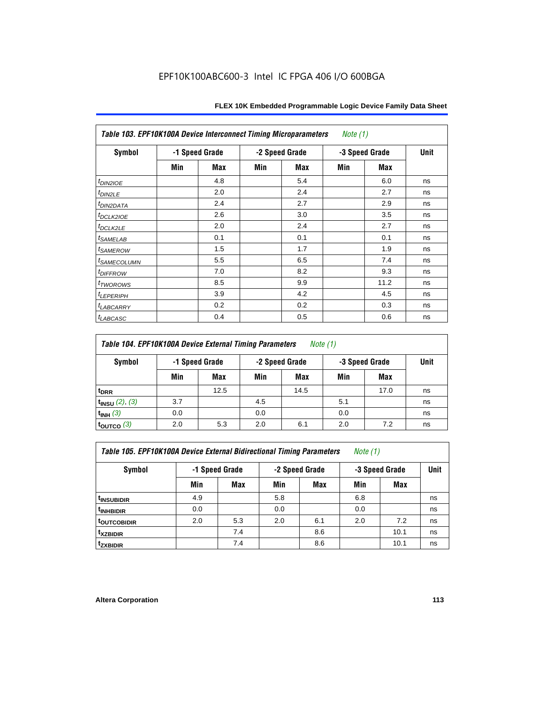| Table 103. EPF10K100A Device Interconnect Timing Microparameters |     |                |     |                | Note $(1)$ |                |      |
|------------------------------------------------------------------|-----|----------------|-----|----------------|------------|----------------|------|
| Symbol                                                           |     | -1 Speed Grade |     | -2 Speed Grade |            | -3 Speed Grade | Unit |
|                                                                  | Min | Max            | Min | Max            | Min        | <b>Max</b>     |      |
| $t_{DINZIOE}$                                                    |     | 4.8            |     | 5.4            |            | 6.0            | ns   |
| $t_{DIN2LE}$                                                     |     | 2.0            |     | 2.4            |            | 2.7            | ns   |
| <sup>t</sup> DIN2DATA                                            |     | 2.4            |     | 2.7            |            | 2.9            | ns   |
| t <sub>DCLK2IOE</sub>                                            |     | 2.6            |     | 3.0            |            | 3.5            | ns   |
| t <sub>DCLK2LE</sub>                                             |     | 2.0            |     | 2.4            |            | 2.7            | ns   |
| <i>t</i> SAMELAB                                                 |     | 0.1            |     | 0.1            |            | 0.1            | ns   |
| <i>t</i> SAMEROW                                                 |     | 1.5            |     | 1.7            |            | 1.9            | ns   |
| <sup>t</sup> SAMECOLUMN                                          |     | 5.5            |     | 6.5            |            | 7.4            | ns   |
| <i>t<sub>DIFFROW</sub></i>                                       |     | 7.0            |     | 8.2            |            | 9.3            | ns   |
| t <sub>TWOROWS</sub>                                             |     | 8.5            |     | 9.9            |            | 11.2           | ns   |
| <sup>t</sup> LEPERIPH                                            |     | 3.9            |     | 4.2            |            | 4.5            | ns   |
| <sup>t</sup> LABCARRY                                            |     | 0.2            |     | 0.2            |            | 0.3            | ns   |
| t <sub>LABCASC</sub>                                             |     | 0.4            |     | 0.5            |            | 0.6            | ns   |

| Table 104. EPF10K100A Device External Timing Parameters | Note (1) |
|---------------------------------------------------------|----------|
|---------------------------------------------------------|----------|

| Symbol                 | -1 Speed Grade |      | -2 Speed Grade |      | -3 Speed Grade |            | Unit |
|------------------------|----------------|------|----------------|------|----------------|------------|------|
|                        | Min            | Max  | Min            | Max  | Min            | <b>Max</b> |      |
| t <sub>DRR</sub>       |                | 12.5 |                | 14.5 |                | 17.0       | ns   |
| $t_{INSU}$ (2), (3)    | 3.7            |      | 4.5            |      | 5.1            |            | ns   |
| $t_{INH}$ (3)          | 0.0            |      | 0.0            |      | 0.0            |            | ns   |
| $t_{\text{OUTCO}}$ (3) | 2.0            | 5.3  | 2.0            | 6.1  | 2.0            | 7.2        | ns   |

| Table 105. EPF10K100A Device External Bidirectional Timing Parameters | Note (1) |  |  |
|-----------------------------------------------------------------------|----------|--|--|
|-----------------------------------------------------------------------|----------|--|--|

| Symbol                  |     | -1 Speed Grade |     | -2 Speed Grade | -3 Speed Grade | <b>Unit</b> |    |
|-------------------------|-----|----------------|-----|----------------|----------------|-------------|----|
|                         | Min | Max            | Min | <b>Max</b>     | Min            | Max         |    |
| <sup>t</sup> INSUBIDIR  | 4.9 |                | 5.8 |                | 6.8            |             | ns |
| <sup>T</sup> INHBIDIR   | 0.0 |                | 0.0 |                | 0.0            |             | ns |
| <sup>t</sup> OUTCOBIDIR | 2.0 | 5.3            | 2.0 | 6.1            | 2.0            | 7.2         | ns |
| <sup>t</sup> xzbidir    |     | 7.4            |     | 8.6            |                | 10.1        | ns |
| <sup>t</sup> zxbidir    |     | 7.4            |     | 8.6            |                | 10.1        | ns |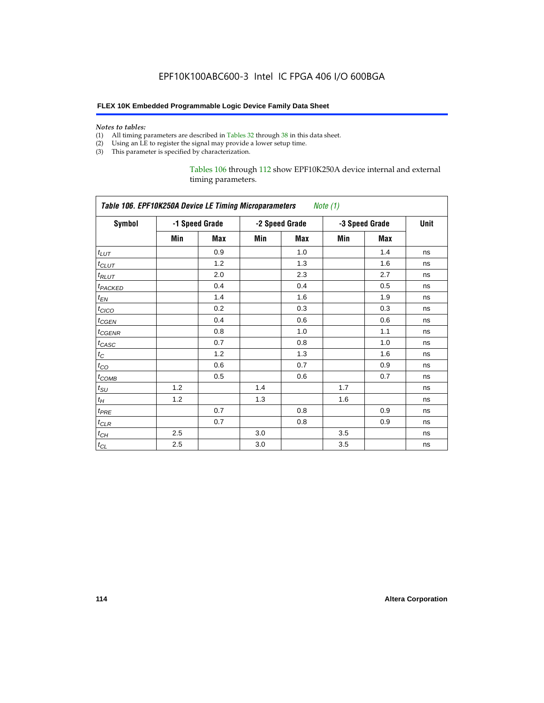#### *Notes to tables:*

- (1) All timing parameters are described in Tables 32 through 38 in this data sheet.
- (2) Using an LE to register the signal may provide a lower setup time.
- (3) This parameter is specified by characterization.

## Tables 106 through 112 show EPF10K250A device internal and external timing parameters.

| Table 106. EPF10K250A Device LE Timing Microparameters<br>Note (1) |     |                |     |                |                |            |    |  |
|--------------------------------------------------------------------|-----|----------------|-----|----------------|----------------|------------|----|--|
| <b>Symbol</b>                                                      |     | -1 Speed Grade |     | -2 Speed Grade | -3 Speed Grade | Unit       |    |  |
|                                                                    | Min | <b>Max</b>     | Min | <b>Max</b>     | Min            | <b>Max</b> |    |  |
| $t_{LUT}$                                                          |     | 0.9            |     | 1.0            |                | 1.4        | ns |  |
| $t_{CLUT}$                                                         |     | 1.2            |     | 1.3            |                | 1.6        | ns |  |
| $t_{RLUT}$                                                         |     | 2.0            |     | 2.3            |                | 2.7        | ns |  |
| t <sub>PACKED</sub>                                                |     | 0.4            |     | 0.4            |                | 0.5        | ns |  |
| $t_{EN}$                                                           |     | 1.4            |     | 1.6            |                | 1.9        | ns |  |
| $t_{CICO}$                                                         |     | 0.2            |     | 0.3            |                | 0.3        | ns |  |
| $t_{CSEN}$                                                         |     | 0.4            |     | 0.6            |                | 0.6        | ns |  |
| t <sub>CGENR</sub>                                                 |     | 0.8            |     | 1.0            |                | 1.1        | ns |  |
| $t_{CASC}$                                                         |     | 0.7            |     | 0.8            |                | 1.0        | ns |  |
| $t_C$                                                              |     | 1.2            |     | 1.3            |                | 1.6        | ns |  |
| $t_{CO}$                                                           |     | 0.6            |     | 0.7            |                | 0.9        | ns |  |
| $t_{\mathsf{COMB}}$                                                |     | 0.5            |     | 0.6            |                | 0.7        | ns |  |
| $t_{\rm SU}$                                                       | 1.2 |                | 1.4 |                | 1.7            |            | ns |  |
| $t_H$                                                              | 1.2 |                | 1.3 |                | 1.6            |            | ns |  |
| $t_{PRE}$                                                          |     | 0.7            |     | 0.8            |                | 0.9        | ns |  |
| $t_{CLR}$                                                          |     | 0.7            |     | 0.8            |                | 0.9        | ns |  |
| $t_{CH}$                                                           | 2.5 |                | 3.0 |                | 3.5            |            | ns |  |
| $t_{CL}$                                                           | 2.5 |                | 3.0 |                | 3.5            |            | ns |  |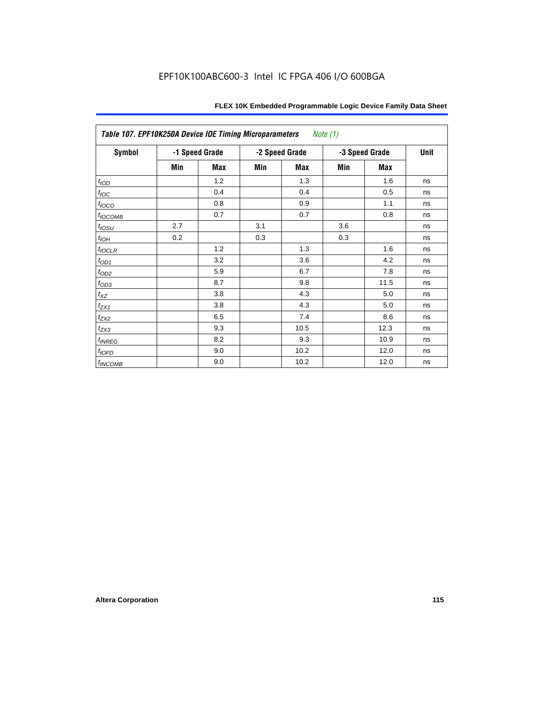| Table 107. EPF10K250A Device IOE Timing Microparameters<br>Note (1) |     |                |                |      |                |      |    |
|---------------------------------------------------------------------|-----|----------------|----------------|------|----------------|------|----|
| <b>Symbol</b>                                                       |     | -1 Speed Grade | -2 Speed Grade |      | -3 Speed Grade | Unit |    |
|                                                                     | Min | Max            | Min            | Max  | Min            | Max  |    |
| t <sub>IOD</sub>                                                    |     | 1.2            |                | 1.3  |                | 1.6  | ns |
| $t_{\text{IOC}}$                                                    |     | 0.4            |                | 0.4  |                | 0.5  | ns |
| t <sub>IOCO</sub>                                                   |     | 0.8            |                | 0.9  |                | 1.1  | ns |
| t <sub>IOCOMB</sub>                                                 |     | 0.7            |                | 0.7  |                | 0.8  | ns |
| $t_{\text{OSU}}$                                                    | 2.7 |                | 3.1            |      | 3.6            |      | ns |
| $t_{IOH}$                                                           | 0.2 |                | 0.3            |      | 0.3            |      | ns |
| $t_{IOCLR}$                                                         |     | 1.2            |                | 1.3  |                | 1.6  | ns |
| $t_{OD1}$                                                           |     | 3.2            |                | 3.6  |                | 4.2  | ns |
| $t_{OD2}$                                                           |     | 5.9            |                | 6.7  |                | 7.8  | ns |
| $t_{OD3}$                                                           |     | 8.7            |                | 9.8  |                | 11.5 | ns |
| $t_{XZ}$                                                            |     | 3.8            |                | 4.3  |                | 5.0  | ns |
| $t_{ZX1}$                                                           |     | 3.8            |                | 4.3  |                | 5.0  | ns |
| $t_{ZX2}$                                                           |     | 6.5            |                | 7.4  |                | 8.6  | ns |
| $t_{ZX3}$                                                           |     | 9.3            |                | 10.5 |                | 12.3 | ns |
| $t_{INREG}$                                                         |     | 8.2            |                | 9.3  |                | 10.9 | ns |
| $t_{IOFD}$                                                          |     | 9.0            |                | 10.2 |                | 12.0 | ns |
| t <sub>INCOMB</sub>                                                 |     | 9.0            |                | 10.2 |                | 12.0 | ns |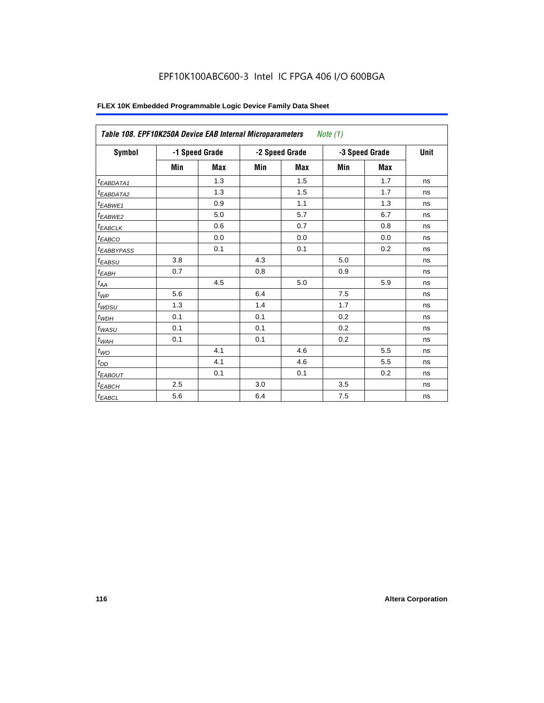# EPF10K100ABC600-3 Intel IC FPGA 406 I/O 600BGA

| Symbol                       |     | -1 Speed Grade |     | -2 Speed Grade | -3 Speed Grade | Unit       |    |
|------------------------------|-----|----------------|-----|----------------|----------------|------------|----|
|                              | Min | <b>Max</b>     | Min | <b>Max</b>     | Min            | <b>Max</b> |    |
| <sup>t</sup> EABDATA1        |     | 1.3            |     | 1.5            |                | 1.7        | ns |
| <sup>t</sup> EABDATA2        |     | 1.3            |     | 1.5            |                | 1.7        | ns |
| <sup>t</sup> EABWE1          |     | 0.9            |     | 1.1            |                | 1.3        | ns |
| <sup>t</sup> EABWE2          |     | 5.0            |     | 5.7            |                | 6.7        | ns |
| <sup>t</sup> EABCLK          |     | 0.6            |     | 0.7            |                | 0.8        | ns |
| t <sub>EABCO</sub>           |     | 0.0            |     | 0.0            |                | 0.0        | ns |
| <sup>t</sup> EABBYPASS       |     | 0.1            |     | 0.1            |                | 0.2        | ns |
| <sup>t</sup> EABSU           | 3.8 |                | 4.3 |                | 5.0            |            | ns |
| $t_{EABH}$                   | 0.7 |                | 0.8 |                | 0.9            |            | ns |
| $t_{\mathcal{A}\mathcal{A}}$ |     | 4.5            |     | 5.0            |                | 5.9        | ns |
| $t_{\mathcal{WP}}$           | 5.6 |                | 6.4 |                | 7.5            |            | ns |
| $t_{WDSU}$                   | 1.3 |                | 1.4 |                | 1.7            |            | ns |
| $t_{WDH}$                    | 0.1 |                | 0.1 |                | 0.2            |            | ns |
| $t_{WASU}$                   | 0.1 |                | 0.1 |                | 0.2            |            | ns |
| $t_{WAH}$                    | 0.1 |                | 0.1 |                | 0.2            |            | ns |
| $t_{WO}$                     |     | 4.1            |     | 4.6            |                | 5.5        | ns |
| $t_{DD}$                     |     | 4.1            |     | 4.6            |                | 5.5        | ns |
| <sup>t</sup> EABOUT          |     | 0.1            |     | 0.1            |                | 0.2        | ns |
| t <sub>EABCH</sub>           | 2.5 |                | 3.0 |                | 3.5            |            | ns |
| $t_{EABCL}$                  | 5.6 |                | 6.4 |                | 7.5            |            | ns |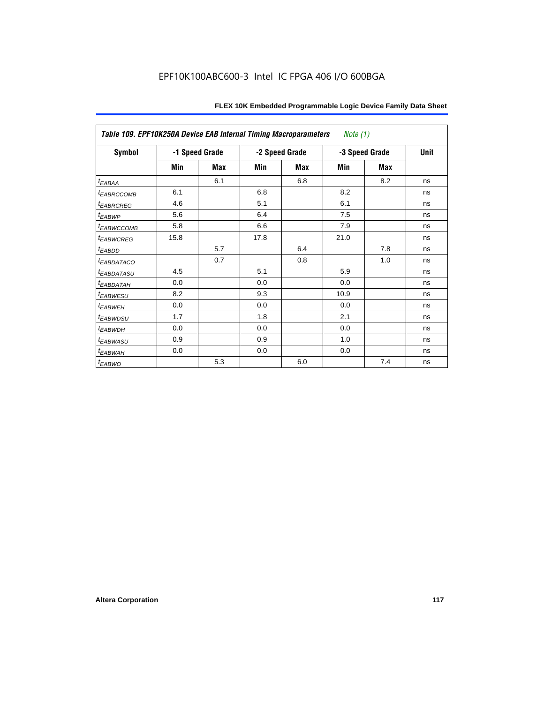| Table 109. EPF10K250A Device EAB Internal Timing Macroparameters<br>Note (1) |      |                |                |     |                |             |    |
|------------------------------------------------------------------------------|------|----------------|----------------|-----|----------------|-------------|----|
| Symbol                                                                       |      | -1 Speed Grade | -2 Speed Grade |     | -3 Speed Grade | <b>Unit</b> |    |
|                                                                              | Min  | <b>Max</b>     | Min            | Max | Min            | Max         |    |
| $t_{EABA}$                                                                   |      | 6.1            |                | 6.8 |                | 8.2         | ns |
| <sup>t</sup> EABRCCOMB                                                       | 6.1  |                | 6.8            |     | 8.2            |             | ns |
| <sup>t</sup> EABRCREG                                                        | 4.6  |                | 5.1            |     | 6.1            |             | ns |
| t <sub>EABWP</sub>                                                           | 5.6  |                | 6.4            |     | 7.5            |             | ns |
| <sup>t</sup> ЕАВWССОМВ                                                       | 5.8  |                | 6.6            |     | 7.9            |             | ns |
| <sup>t</sup> EABWCREG                                                        | 15.8 |                | 17.8           |     | 21.0           |             | ns |
| $t_{EABDD}$                                                                  |      | 5.7            |                | 6.4 |                | 7.8         | ns |
| <sup>t</sup> EABDATACO                                                       |      | 0.7            |                | 0.8 |                | 1.0         | ns |
| <sup>t</sup> EABDATASU                                                       | 4.5  |                | 5.1            |     | 5.9            |             | ns |
| <sup>t</sup> EABDATAH                                                        | 0.0  |                | 0.0            |     | 0.0            |             | ns |
| <sup>t</sup> EABWESU                                                         | 8.2  |                | 9.3            |     | 10.9           |             | ns |
| t <sub>ЕАВWЕН</sub>                                                          | 0.0  |                | 0.0            |     | 0.0            |             | ns |
| <i>t<sub>EABWDSU</sub></i>                                                   | 1.7  |                | 1.8            |     | 2.1            |             | ns |
| <sup>t</sup> EABWDH                                                          | 0.0  |                | 0.0            |     | 0.0            |             | ns |
| <sup>t</sup> EABWASU                                                         | 0.9  |                | 0.9            |     | 1.0            |             | ns |
| <sup>t</sup> EABWAH                                                          | 0.0  |                | 0.0            |     | 0.0            |             | ns |
| $t_{EABWO}$                                                                  |      | 5.3            |                | 6.0 |                | 7.4         | ns |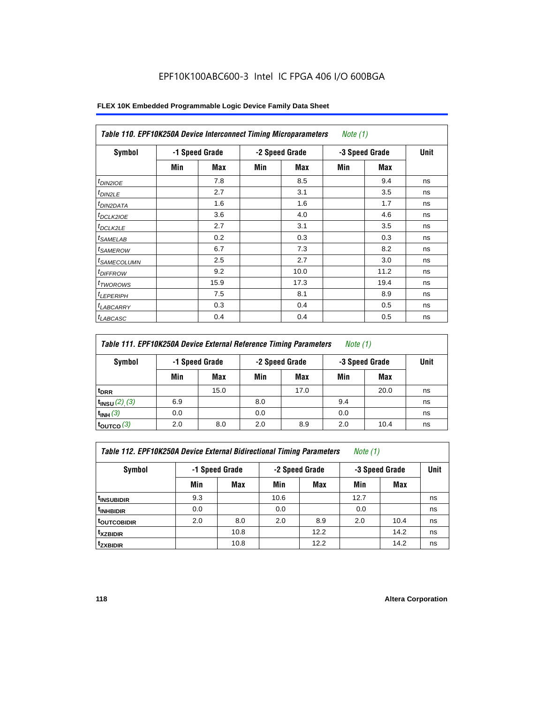# EPF10K100ABC600-3 Intel IC FPGA 406 I/O 600BGA

| Symbol                     |     | -1 Speed Grade |     | -2 Speed Grade |     | -3 Speed Grade | Unit |
|----------------------------|-----|----------------|-----|----------------|-----|----------------|------|
|                            | Min | <b>Max</b>     | Min | <b>Max</b>     | Min | <b>Max</b>     |      |
| <i>t<sub>DIN2IOE</sub></i> |     | 7.8            |     | 8.5            |     | 9.4            | ns   |
| $t_{DIN2LE}$               |     | 2.7            |     | 3.1            |     | 3.5            | ns   |
| <sup>t</sup> DIN2DATA      |     | 1.6            |     | 1.6            |     | 1.7            | ns   |
| <sup>t</sup> DCLK2IOE      |     | 3.6            |     | 4.0            |     | 4.6            | ns   |
| <sup>t</sup> DCLK2LE       |     | 2.7            |     | 3.1            |     | 3.5            | ns   |
| <sup>t</sup> SAMELAB       |     | 0.2            |     | 0.3            |     | 0.3            | ns   |
| <sup>t</sup> SAMEROW       |     | 6.7            |     | 7.3            |     | 8.2            | ns   |
| <sup>t</sup> SAMECOLUMN    |     | 2.5            |     | 2.7            |     | 3.0            | ns   |
| <i>t<sub>DIFFROW</sub></i> |     | 9.2            |     | 10.0           |     | 11.2           | ns   |
| <sup>t</sup> TWOROWS       |     | 15.9           |     | 17.3           |     | 19.4           | ns   |
| <sup>t</sup> LEPERIPH      |     | 7.5            |     | 8.1            |     | 8.9            | ns   |
| <sup>t</sup> LABCARRY      |     | 0.3            |     | 0.4            |     | 0.5            | ns   |
| <sup>t</sup> LABCASC       |     | 0.4            |     | 0.4            |     | 0.5            | ns   |

| Table 111. EPF10K250A Device External Reference Timing Parameters<br><i>Note</i> $(1)$ |     |                |                |      |                |      |      |  |
|----------------------------------------------------------------------------------------|-----|----------------|----------------|------|----------------|------|------|--|
| Symbol                                                                                 |     | -1 Speed Grade | -2 Speed Grade |      | -3 Speed Grade |      | Unit |  |
|                                                                                        | Min | Max            | Min            | Max  | Min            | Max  |      |  |
| t <sub>DRR</sub>                                                                       |     | 15.0           |                | 17.0 |                | 20.0 | ns   |  |
| $t_{INSU} (2) (3)$                                                                     | 6.9 |                | 8.0            |      | 9.4            |      | ns   |  |
| $t_{INH}$ (3)                                                                          | 0.0 |                | 0.0            |      | 0.0            |      | ns   |  |
| $t_{\text{OUTCO}}(3)$                                                                  | 2.0 | 8.0            | 2.0            | 8.9  | 2.0            | 10.4 | ns   |  |

| Table 112. EPF10K250A Device External Bidirectional Timing Parameters |  | Note (1) |
|-----------------------------------------------------------------------|--|----------|
|-----------------------------------------------------------------------|--|----------|

| Symbol<br>-1 Speed Grade |     |      |      | -2 Speed Grade | -3 Speed Grade | Unit |    |
|--------------------------|-----|------|------|----------------|----------------|------|----|
|                          | Min | Max  | Min  | <b>Max</b>     | Min            | Max  |    |
| <b>t</b> INSUBIDIR       | 9.3 |      | 10.6 |                | 12.7           |      | ns |
| <sup>t</sup> inhbidir    | 0.0 |      | 0.0  |                | 0.0            |      | ns |
| <b>toutcobidir</b>       | 2.0 | 8.0  | 2.0  | 8.9            | 2.0            | 10.4 | ns |
| <sup>t</sup> xzbidir     |     | 10.8 |      | 12.2           |                | 14.2 | ns |
| <i>t</i> zxbidir         |     | 10.8 |      | 12.2           |                | 14.2 | ns |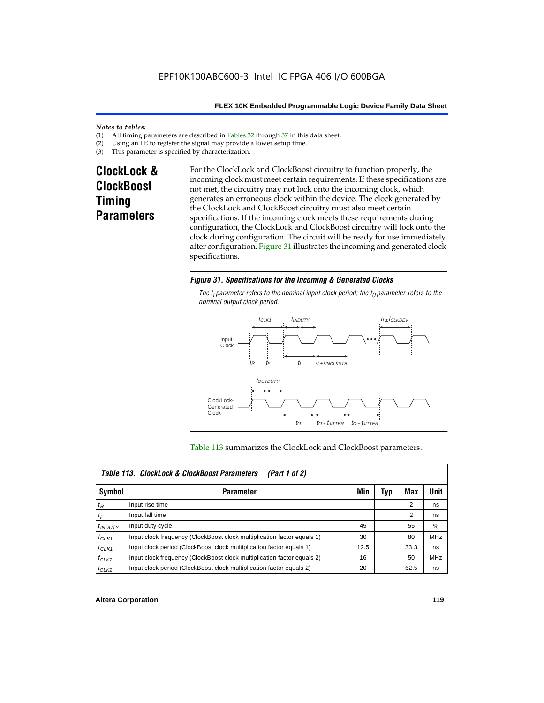#### *Notes to tables:*

- (1) All timing parameters are described in Tables  $32$  through  $37$  in this data sheet.<br>(2) Using an LE to register the signal may provide a lower setup time.
- (2) Using an LE to register the signal may provide a lower setup time.<br>(3) This parameter is specified by characterization.
- This parameter is specified by characterization.

# **ClockLock & ClockBoost Timing Parameters**

For the ClockLock and ClockBoost circuitry to function properly, the incoming clock must meet certain requirements. If these specifications are not met, the circuitry may not lock onto the incoming clock, which generates an erroneous clock within the device. The clock generated by the ClockLock and ClockBoost circuitry must also meet certain specifications. If the incoming clock meets these requirements during configuration, the ClockLock and ClockBoost circuitry will lock onto the clock during configuration. The circuit will be ready for use immediately after configuration. Figure 31 illustrates the incoming and generated clock specifications.

### *Figure 31. Specifications for the Incoming & Generated Clocks*

The  $t_i$  parameter refers to the nominal input clock period; the  $t_0$  parameter refers to the *nominal output clock period.*



#### Table 113 summarizes the ClockLock and ClockBoost parameters.

|              | Table 113. ClockLock & ClockBoost Parameters<br>(Part 1 of 2)           |      |     |                |            |  |  |  |  |
|--------------|-------------------------------------------------------------------------|------|-----|----------------|------------|--|--|--|--|
| Symbol       | <b>Parameter</b>                                                        | Min  | Typ | Max            | Unit       |  |  |  |  |
| $t_{R}$      | Input rise time                                                         |      |     | $\overline{2}$ | ns         |  |  |  |  |
| $t_F$        | Input fall time                                                         |      |     | 2              | ns         |  |  |  |  |
| $t_{INDUTY}$ | Input duty cycle                                                        | 45   |     | 55             | $\%$       |  |  |  |  |
| $f_{CLK1}$   | Input clock frequency (ClockBoost clock multiplication factor equals 1) | 30   |     | 80             | <b>MHz</b> |  |  |  |  |
| $t$ CLK1     | Input clock period (ClockBoost clock multiplication factor equals 1)    | 12.5 |     | 33.3           | ns         |  |  |  |  |
| $f_{CLK2}$   | Input clock frequency (ClockBoost clock multiplication factor equals 2) | 16   |     | 50             | <b>MHz</b> |  |  |  |  |
| $t_{CLK2}$   | Input clock period (ClockBoost clock multiplication factor equals 2)    | 20   |     | 62.5           | ns         |  |  |  |  |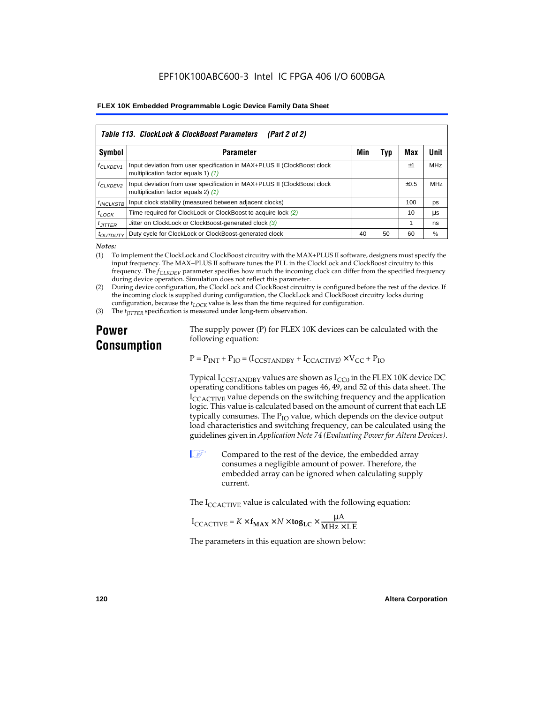|                               | Table 113. ClockLock & ClockBoost Parameters<br>(Part 2 of 2)                                                   |     |     |           |            |  |  |  |  |  |
|-------------------------------|-----------------------------------------------------------------------------------------------------------------|-----|-----|-----------|------------|--|--|--|--|--|
| Symbol                        | <b>Parameter</b>                                                                                                | Min | Typ | Max       | Unit       |  |  |  |  |  |
| <b><i><u>LCLKDEV1</u></i></b> | Input deviation from user specification in MAX+PLUS II (ClockBoost clock<br>multiplication factor equals 1) (1) |     |     | $\pm 1$   | <b>MHz</b> |  |  |  |  |  |
| <sup>f</sup> CLKDEV2          | Input deviation from user specification in MAX+PLUS II (ClockBoost clock<br>multiplication factor equals 2) (1) |     |     | $\pm 0.5$ | MHz        |  |  |  |  |  |
| <sup>t</sup> INCLKSTB         | Input clock stability (measured between adjacent clocks)                                                        |     |     | 100       | ps         |  |  |  |  |  |
| $t_{LOCK}$                    | Time required for ClockLock or ClockBoost to acquire lock (2)                                                   |     |     | 10        | μs         |  |  |  |  |  |
| $t_{JITTER}$                  | Jitter on ClockLock or ClockBoost-generated clock (3)                                                           |     |     |           | ns         |  |  |  |  |  |
| <i>toutbuty</i>               | Duty cycle for ClockLock or ClockBoost-generated clock                                                          | 40  | 50  | 60        | %          |  |  |  |  |  |

*Notes:*

(1) To implement the ClockLock and ClockBoost circuitry with the MAX+PLUS II software, designers must specify the input frequency. The MAX+PLUS II software tunes the PLL in the ClockLock and ClockBoost circuitry to this frequency. The *fCLKDEV* parameter specifies how much the incoming clock can differ from the specified frequency during device operation. Simulation does not reflect this parameter.

(2) During device configuration, the ClockLock and ClockBoost circuitry is configured before the rest of the device. If the incoming clock is supplied during configuration, the ClockLock and ClockBoost circuitry locks during configuration, because the  $t_{LOCK}$  value is less than the time required for configuration.

(3) The *t<sub>IITTER</sub>* specification is measured under long-term observation.

# **Power Consumption**

The supply power (P) for FLEX 10K devices can be calculated with the following equation:

 $P = P_{INT} + P_{IO} = (I_{CCSTANDBY} + I_{CCACTIVE}) \times V_{CC} + P_{IO}$ 

Typical  $I_{CCSTANDBY}$  values are shown as  $I_{CC0}$  in the FLEX 10K device DC operating conditions tables on pages 46, 49, and 52 of this data sheet. The  $I_{\text{CCACTIVE}}$  value depends on the switching frequency and the application logic. This value is calculated based on the amount of current that each LE typically consumes. The  $P_{IO}$  value, which depends on the device output load characteristics and switching frequency, can be calculated using the guidelines given in *Application Note 74 (Evaluating Power for Altera Devices)*.

 $\Box$  Compared to the rest of the device, the embedded array consumes a negligible amount of power. Therefore, the embedded array can be ignored when calculating supply current.

The  $I_{\text{CCACTIVE}}$  value is calculated with the following equation:

$$
I_{\text{CCACTIVE}} = K \times f_{\text{MAX}} \times N \times \text{tog}_{\text{LC}} \times \frac{\mu A}{\text{MHz} \times \text{LE}}
$$

The parameters in this equation are shown below: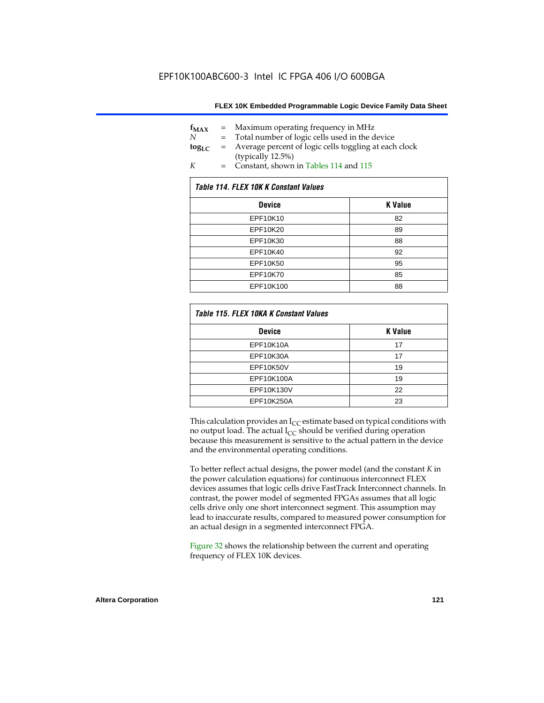| $f_{MAX}$   | $=$ | Maximum operating frequency in MHz                    |
|-------------|-----|-------------------------------------------------------|
| N           |     | Total number of logic cells used in the device        |
| $\log_{LC}$ | $=$ | Average percent of logic cells toggling at each clock |
|             |     | (typically 12.5%)                                     |
| K           | $=$ | Constant, shown in Tables 114 and 115                 |

| Table 114. FLEX 10K K Constant Values |                |  |  |  |  |
|---------------------------------------|----------------|--|--|--|--|
| <b>Device</b>                         | <b>K</b> Value |  |  |  |  |
| EPF10K10                              | 82             |  |  |  |  |
| EPF10K20                              | 89             |  |  |  |  |
| EPF10K30                              | 88             |  |  |  |  |
| EPF10K40                              | 92             |  |  |  |  |
| EPF10K50                              | 95             |  |  |  |  |
| EPF10K70                              | 85             |  |  |  |  |
| EPF10K100                             | 88             |  |  |  |  |

| Table 115. FLEX 10KA K Constant Values |                |
|----------------------------------------|----------------|
| <b>Device</b>                          | <b>K</b> Value |
| <b>EPF10K10A</b>                       | 17             |
| EPF10K30A                              | 17             |
| EPF10K50V                              | 19             |
| EPF10K100A                             | 19             |
| EPF10K130V                             | 22             |
| EPF10K250A                             | 23             |

This calculation provides an  $I_{CC}$  estimate based on typical conditions with no output load. The actual  $I_{CC}$  should be verified during operation because this measurement is sensitive to the actual pattern in the device and the environmental operating conditions.

To better reflect actual designs, the power model (and the constant *K* in the power calculation equations) for continuous interconnect FLEX devices assumes that logic cells drive FastTrack Interconnect channels. In contrast, the power model of segmented FPGAs assumes that all logic cells drive only one short interconnect segment. This assumption may lead to inaccurate results, compared to measured power consumption for an actual design in a segmented interconnect FPGA.

Figure 32 shows the relationship between the current and operating frequency of FLEX 10K devices.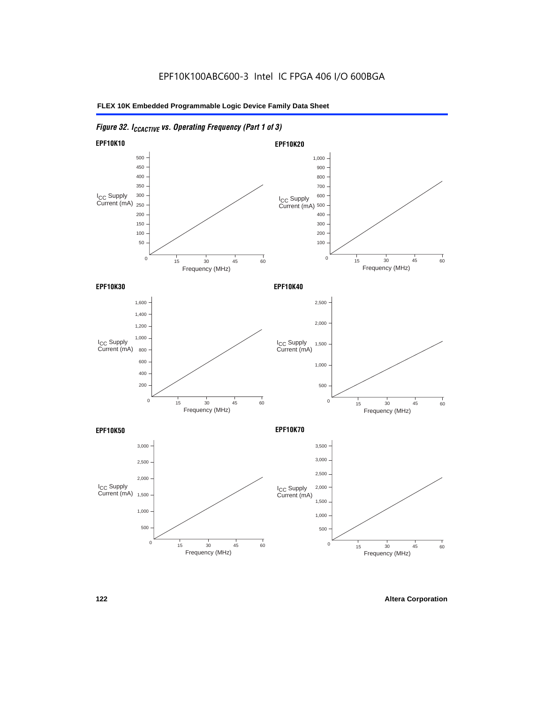# *Figure 32. ICCACTIVE vs. Operating Frequency (Part 1 of 3)*



**122 Altera Corporation**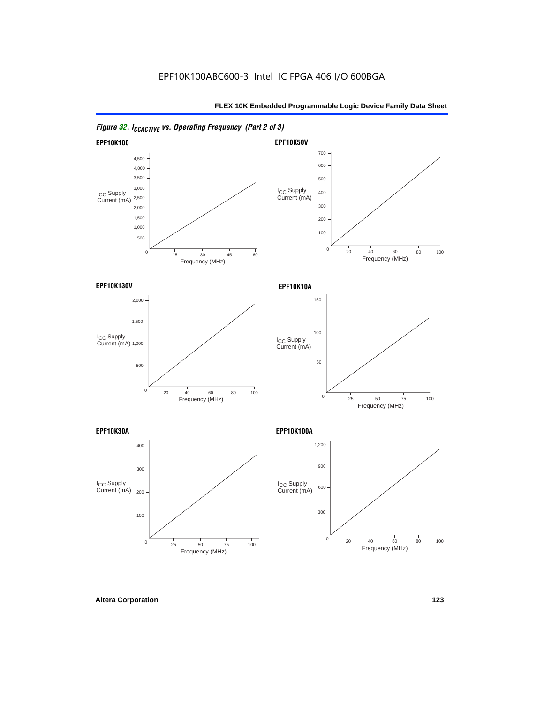

# *Figure 32. ICCACTIVE vs. Operating Frequency (Part 2 of 3)*

**Altera Corporation 123**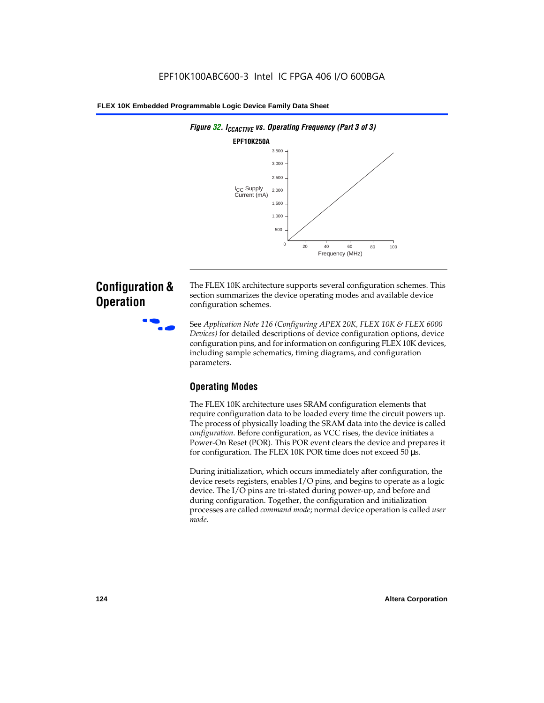

# **Configuration & Operation**

The FLEX 10K architecture supports several configuration schemes. This section summarizes the device operating modes and available device configuration schemes.

f See *Application Note 116 (Configuring APEX 20K, FLEX 10K & FLEX 6000 Devices)* for detailed descriptions of device configuration options, device configuration pins, and for information on configuring FLEX 10K devices, including sample schematics, timing diagrams, and configuration parameters.

# **Operating Modes**

The FLEX 10K architecture uses SRAM configuration elements that require configuration data to be loaded every time the circuit powers up. The process of physically loading the SRAM data into the device is called *configuration*. Before configuration, as VCC rises, the device initiates a Power-On Reset (POR). This POR event clears the device and prepares it for configuration. The FLEX 10K POR time does not exceed 50 µs.

During initialization, which occurs immediately after configuration, the device resets registers, enables I/O pins, and begins to operate as a logic device. The I/O pins are tri-stated during power-up, and before and during configuration. Together, the configuration and initialization processes are called *command mode*; normal device operation is called *user mode*.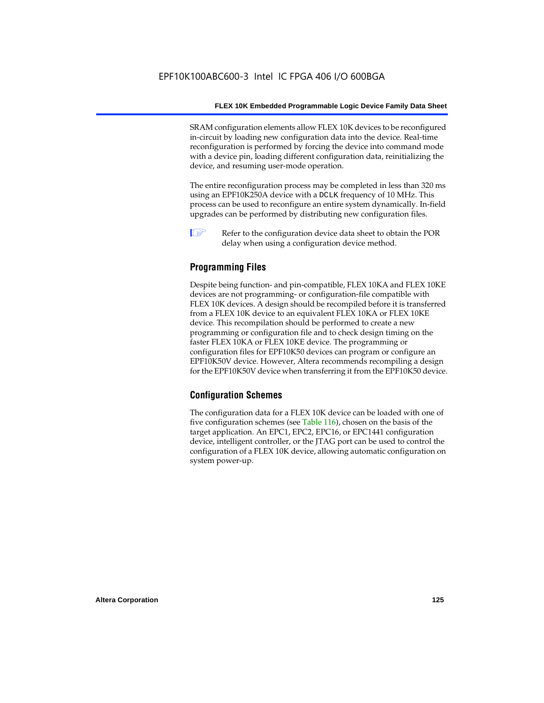SRAM configuration elements allow FLEX 10K devices to be reconfigured in-circuit by loading new configuration data into the device. Real-time reconfiguration is performed by forcing the device into command mode with a device pin, loading different configuration data, reinitializing the device, and resuming user-mode operation.

The entire reconfiguration process may be completed in less than 320 ms using an EPF10K250A device with a DCLK frequency of 10 MHz. This process can be used to reconfigure an entire system dynamically. In-field upgrades can be performed by distributing new configuration files.

 $\Box$  Refer to the configuration device data sheet to obtain the POR delay when using a configuration device method.

## **Programming Files**

Despite being function- and pin-compatible, FLEX 10KA and FLEX 10KE devices are not programming- or configuration-file compatible with FLEX 10K devices. A design should be recompiled before it is transferred from a FLEX 10K device to an equivalent FLEX 10KA or FLEX 10KE device. This recompilation should be performed to create a new programming or configuration file and to check design timing on the faster FLEX 10KA or FLEX 10KE device. The programming or configuration files for EPF10K50 devices can program or configure an EPF10K50V device. However, Altera recommends recompiling a design for the EPF10K50V device when transferring it from the EPF10K50 device.

### **Configuration Schemes**

The configuration data for a FLEX 10K device can be loaded with one of five configuration schemes (see Table 116), chosen on the basis of the target application. An EPC1, EPC2, EPC16, or EPC1441 configuration device, intelligent controller, or the JTAG port can be used to control the configuration of a FLEX 10K device, allowing automatic configuration on system power-up.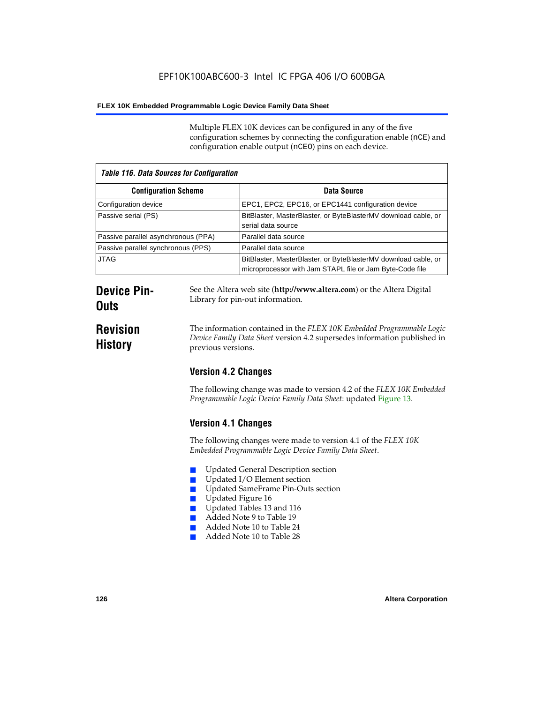Multiple FLEX 10K devices can be configured in any of the five configuration schemes by connecting the configuration enable (nCE) and configuration enable output (nCEO) pins on each device.

| <b>Table 116. Data Sources for Configuration</b> |                                                                                                                            |  |
|--------------------------------------------------|----------------------------------------------------------------------------------------------------------------------------|--|
| <b>Configuration Scheme</b>                      | Data Source                                                                                                                |  |
| Configuration device                             | EPC1, EPC2, EPC16, or EPC1441 configuration device                                                                         |  |
| Passive serial (PS)                              | BitBlaster, MasterBlaster, or ByteBlasterMV download cable, or<br>serial data source                                       |  |
| Passive parallel asynchronous (PPA)              | Parallel data source                                                                                                       |  |
| Passive parallel synchronous (PPS)               | Parallel data source                                                                                                       |  |
| <b>JTAG</b>                                      | BitBlaster, MasterBlaster, or ByteBlasterMV download cable, or<br>microprocessor with Jam STAPL file or Jam Byte-Code file |  |

# **Device Pin-Outs**

# **Revision History**

The information contained in the *FLEX 10K Embedded Programmable Logic Device Family Data Sheet* version 4.2 supersedes information published in

See the Altera web site (**http://www.altera.com**) or the Altera Digital

# **Version 4.2 Changes**

previous versions.

Library for pin-out information.

The following change was made to version 4.2 of the *FLEX 10K Embedded Programmable Logic Device Family Data Sheet*: updated Figure 13.

# **Version 4.1 Changes**

The following changes were made to version 4.1 of the *FLEX 10K Embedded Programmable Logic Device Family Data Sheet*.

- Updated General Description section
- Updated I/O Element section
- Updated SameFrame Pin-Outs section
- Updated Figure 16
- Updated Tables 13 and 116
- Added Note 9 to Table 19
- Added Note 10 to Table 24
- Added Note 10 to Table 28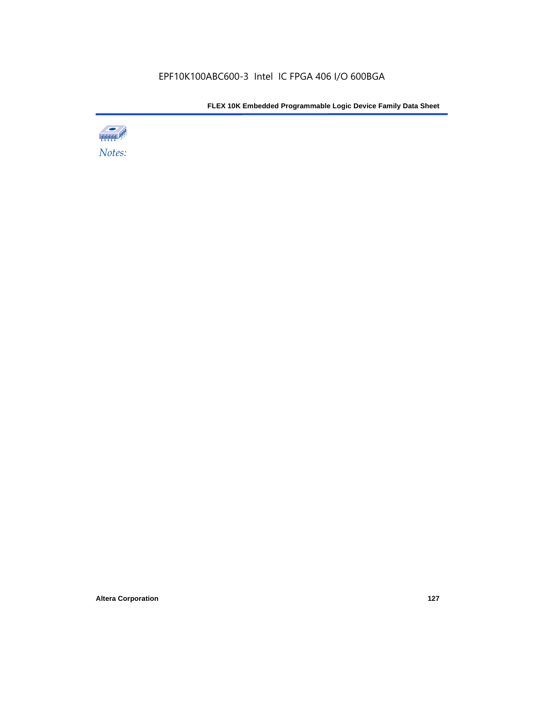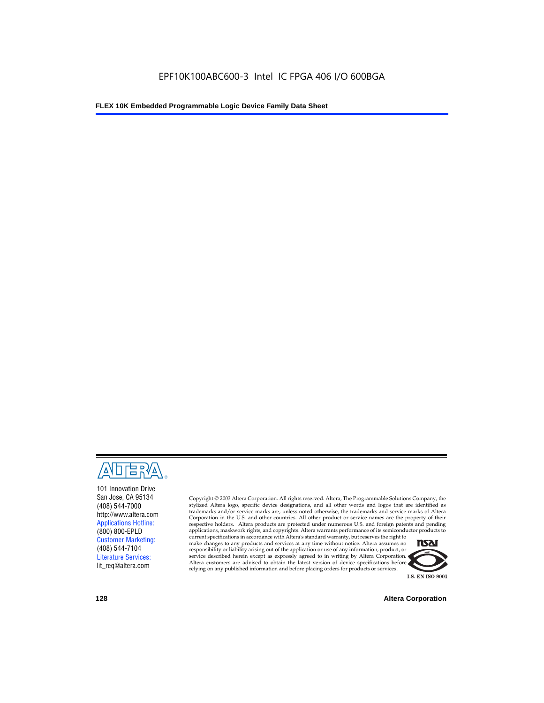

101 Innovation Drive San Jose, CA 95134 (408) 544-7000 http://www.altera.com Applications Hotline: (800) 800-EPLD Customer Marketing: (408) 544-7104 Literature Services: lit\_req@altera.com

Copyright © 2003 Altera Corporation. All rights reserved. Altera, The Programmable Solutions Company, the stylized Altera logo, specific device designations, and all other words and logos that are identified as trademarks and/or service marks are, unless noted otherwise, the trademarks and service marks of Altera Corporation in the U.S. and other countries. All other product or service names are the property of their respective holders. Altera products are protected under numerous U.S. and foreign patents and pending applications, maskwork rights, and copyrights. Altera warrants performance of its semiconductor products to

current specifications in accordance with Altera's standard warranty, but reserves the right to make changes to any products and services at any time without notice. Altera assumes no responsibility or liability arising out of the application or use of any information, product, or service described herein except as expressly agreed to in writing by Altera Corporation. Altera customers are advised to obtain the latest version of device specifications before relying on any published information and before placing orders for products or services.



**128 Altera Corporation**